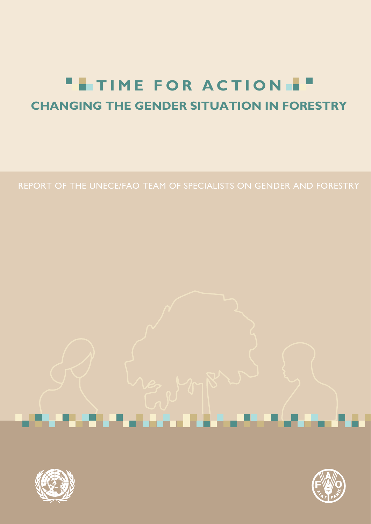# **TIME FOR ACTION**  $\Box$ **CHANGING THE GENDER SITUATION IN FORESTRY**

REPORT OF THE UNECE/FAO TEAM OF SPECIALISTS ON GENDER AND FORESTRY

<u> 1980au - Johann Barn, Amerikaansk politiker</u>



an a

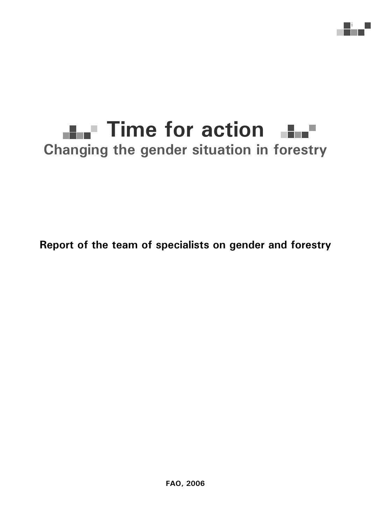# **Time for action Changing the gender situation in forestry**

i

**Report of the team of specialists on gender and forestry**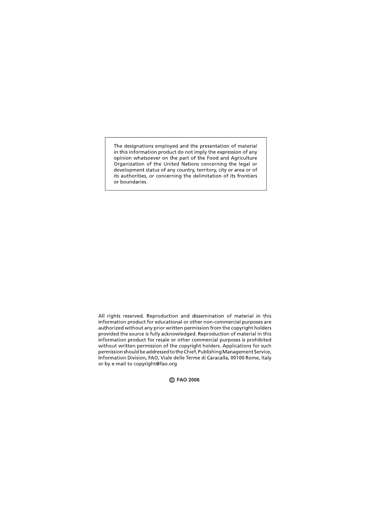The designations employed and the presentation of material in this information product do not imply the expression of any opinion whatsoever on the part of the Food and Agriculture Organization of the United Nations concerning the legal or development status of any country, territory, city or area or of its authorities, or concerning the delimitation of its frontiers or boundaries.

All rights reserved. Reproduction and dissemination of material in this information product for educational or other non-commercial purposes are authorized without any prior written permission from the copyright holders provided the source is fully acknowledged. Reproduction of material in this information product for resale or other commercial purposes is prohibited without written permission of the copyright holders. Applications for such permission should be addressed to the Chief, Publishing Management Service, Information Division, FAO, Viale delle Terme di Caracalla, 00100 Rome, Italy or by e-mail to copyright@fao.org

**)\$26**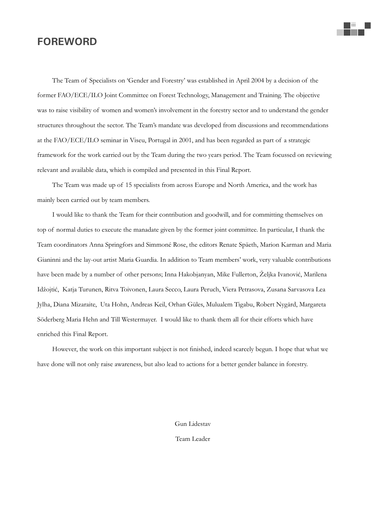# **FOREWORD**

The Team of Specialists on 'Gender and Forestry' was established in April 2004 by a decision of the former FAO/ECE/ILO Joint Committee on Forest Technology, Management and Training. The objective was to raise visibility of women and women's involvement in the forestry sector and to understand the gender structures throughout the sector. The Team's mandate was developed from discussions and recommendations at the FAO/ECE/ILO seminar in Viseu, Portugal in 2001, and has been regarded as part of a strategic framework for the work carried out by the Team during the two years period. The Team focussed on reviewing relevant and available data, which is compiled and presented in this Final Report.

The Team was made up of 15 specialists from across Europe and North America, and the work has mainly been carried out by team members.

I would like to thank the Team for their contribution and goodwill, and for committing themselves on top of normal duties to execute the manadate given by the former joint committee. In particular, I thank the Team coordinators Anna Springfors and Simmoné Rose, the editors Renate Späeth, Marion Karman and Maria Gianinni and the lay-out artist Maria Guardia. In addition to Team members' work, very valuable contributions have been made by a number of other persons; Inna Hakobjanyan, Mike Fullerton, Željka Ivanoviý, Marilena Idžojtiý, Katja Turunen, Ritva Toivonen, Laura Secco, Laura Peruch, Viera Petrasova, Zusana Sarvasova Lea Jylha, Diana Mizaraite, Uta Hohn, Andreas Keil, Orhan Güles, Mulualem Tigabu, Robert Nygård, Margareta Söderberg Maria Hehn and Till Westermayer. I would like to thank them all for their efforts which have enriched this Final Report.

However, the work on this important subject is not finished, indeed scarcely begun. I hope that what we have done will not only raise awareness, but also lead to actions for a better gender balance in forestry.

Gun Lidestav

Team Leader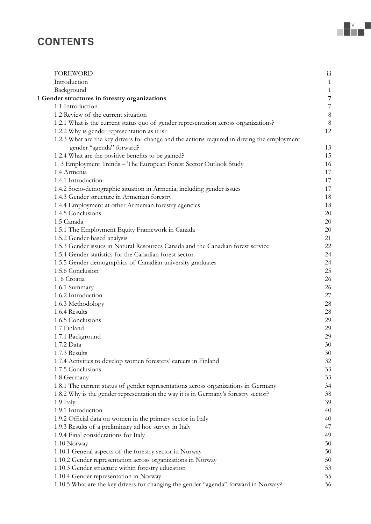# **CONTENTS**

| <b>FOREWORD</b>                                                                              | iii            |
|----------------------------------------------------------------------------------------------|----------------|
| Introduction                                                                                 | $\,1\,$        |
| Background                                                                                   | $\,1\,$        |
| 1 Gender structures in forestry organizations                                                | $\overline{7}$ |
| 1.1 Introduction                                                                             | $\overline{7}$ |
| 1.2 Review of the current situation                                                          | 8              |
| 1.2.1 What is the current status quo of gender representation across organizations?          | 8              |
| 1.2.2 Why is gender representation as it is?                                                 | 12             |
| 1.2.3 What are the key drivers for change and the actions required in driving the employment |                |
| gender "agenda" forward?                                                                     | 13             |
| 1.2.4 What are the positive benefits to be gained?                                           | 15             |
| 1. 3 Employment Trends - The European Forest Sector Outlook Study                            | 16             |
| 1.4 Armenia                                                                                  | 17             |
| 1.4.1 Introduction:                                                                          | 17             |
| 1.4.2 Socio-demographic situation in Armenia, including gender issues                        | 17             |
| 1.4.3 Gender structure in Armenian forestry                                                  | 18             |
| 1.4.4 Employment at other Armenian forestry agencies                                         | 18             |
| 1.4.5 Conclusions                                                                            | 20             |
| 1.5 Canada                                                                                   | 20             |
| 1.5.1 The Employment Equity Framework in Canada                                              | 20             |
| 1.5.2 Gender-based analysis                                                                  | 21             |
| 1.5.3 Gender issues in Natural Resources Canada and the Canadian forest service              | 22             |
| 1.5.4 Gender statistics for the Canadian forest sector                                       | 24             |
| 1.5.5 Gender demographics of Canadian university graduates                                   | 24             |
| 1.5.6 Conclusion                                                                             | 25             |
| 1.6 Croatia                                                                                  | 26             |
| 1.6.1 Summary                                                                                | 26             |
| 1.6.2 Introduction                                                                           | 27             |
| 1.6.3 Methodology                                                                            | 28             |
| 1.6.4 Results                                                                                | 28             |
| 1.6.5 Conclusions                                                                            | 29             |
| 1.7 Finland                                                                                  | 29             |
| 1.7.1 Background                                                                             | 29             |
| 1.7.2 Data                                                                                   | 30             |
| 1.7.3 Results                                                                                | 30             |
| 1.7.4 Activities to develop women foresters' careers in Finland                              | 32             |
| 1.7.5 Conclusions                                                                            | 33             |
| 1.8 Germany                                                                                  | 33             |
| 1.8.1 The current status of gender representations across organizations in Germany           | 34             |
| 1.8.2 Why is the gender representation the way it is in Germany's forestry sector?           | 38             |
| 1.9 Italy                                                                                    | 39             |
| 1.9.1 Introduction                                                                           | 40             |
| 1.9.2 Official data on women in the primary sector in Italy                                  | 40             |
| 1.9.3 Results of a preliminary ad hoc survey in Italy                                        | 47             |
| 1.9.4 Final considerations for Italy                                                         | 49             |
| 1.10 Norway                                                                                  | 50             |
| 1.10.1 General aspects of the forestry sector in Norway                                      | 50             |
| 1.10.2 Gender representation across organizations in Norway                                  | 50             |
| 1.10.3 Gender structure within forestry education                                            | 53             |
| 1.10.4 Gender representation in Norway                                                       | 55             |
| 1.10.5 What are the key drivers for changing the gender "agenda" forward in Norway?          | 56             |

÷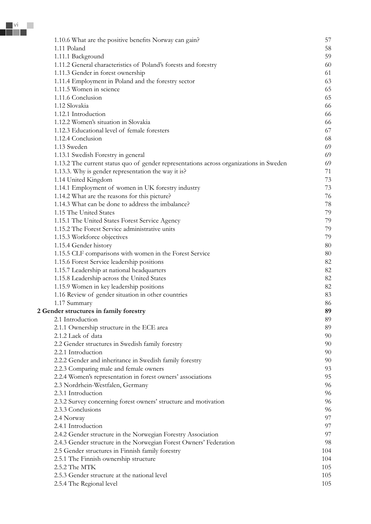| 1.10.6 What are the positive benefits Norway can gain?                                 | 57  |
|----------------------------------------------------------------------------------------|-----|
| 1.11 Poland                                                                            | 58  |
| 1.11.1 Background                                                                      | 59  |
| 1.11.2 General characteristics of Poland's forests and forestry                        | 60  |
| 1.11.3 Gender in forest ownership                                                      | 61  |
| 1.11.4 Employment in Poland and the forestry sector                                    | 63  |
| 1.11.5 Women in science                                                                | 65  |
| 1.11.6 Conclusion                                                                      | 65  |
| 1.12 Slovakia                                                                          | 66  |
| 1.12.1 Introduction                                                                    | 66  |
| 1.12.2 Women's situation in Slovakia                                                   | 66  |
| 1.12.3 Educational level of female foresters                                           | 67  |
| 1.12.4 Conclusion                                                                      | 68  |
| 1.13 Sweden                                                                            | 69  |
| 1.13.1 Swedish Forestry in general                                                     | 69  |
| 1.13.2 The current status quo of gender representations across organizations in Sweden | 69  |
| 1.13.3. Why is gender representation the way it is?                                    | 71  |
| 1.14 United Kingdom                                                                    | 73  |
| 1.14.1 Employment of women in UK forestry industry                                     | 73  |
| 1.14.2 What are the reasons for this picture?                                          | 76  |
| 1.14.3 What can be done to address the imbalance?                                      | 78  |
| 1.15 The United States                                                                 | 79  |
| 1.15.1 The United States Forest Service Agency                                         | 79  |
| 1.15.2 The Forest Service administrative units                                         | 79  |
| 1.15.3 Workforce objectives                                                            | 79  |
| 1.15.4 Gender history                                                                  | 80  |
| 1.15.5 CLF comparisons with women in the Forest Service                                | 80  |
| 1.15.6 Forest Service leadership positions                                             | 82  |
| 1.15.7 Leadership at national headquarters                                             | 82  |
| 1.15.8 Leadership across the United States                                             | 82  |
| 1.15.9 Women in key leadership positions                                               | 82  |
| 1.16 Review of gender situation in other countries                                     | 83  |
| 1.17 Summary                                                                           | 86  |
| 2 Gender structures in family forestry                                                 | 89  |
| 2.1 Introduction                                                                       | 89  |
| 2.1.1 Ownership structure in the ECE area                                              | 89  |
| 2.1.2 Lack of data                                                                     | 90  |
| 2.2 Gender structures in Swedish family forestry                                       | 90  |
| 2.2.1 Introduction                                                                     | 90  |
| 2.2.2 Gender and inheritance in Swedish family forestry                                | 90  |
| 2.2.3 Comparing male and female owners                                                 | 93  |
| 2.2.4 Women's representation in forest owners' associations                            | 95  |
| 2.3 Nordrhein-Westfalen, Germany                                                       | 96  |
| 2.3.1 Introduction                                                                     | 96  |
| 2.3.2 Survey concerning forest owners' structure and motivation                        | 96  |
| 2.3.3 Conclusions                                                                      | 96  |
| 2.4 Norway                                                                             | 97  |
| 2.4.1 Introduction                                                                     | 97  |
| 2.4.2 Gender structure in the Norwegian Forestry Association                           | 97  |
| 2.4.3 Gender structure in the Norwegian Forest Owners' Federation                      | 98  |
| 2.5 Gender structures in Finnish family forestry                                       | 104 |
| 2.5.1 The Finnish ownership structure                                                  | 104 |
| 2.5.2 The MTK                                                                          | 105 |
| 2.5.3 Gender structure at the national level                                           | 105 |
| 2.5.4 The Regional level                                                               | 105 |
|                                                                                        |     |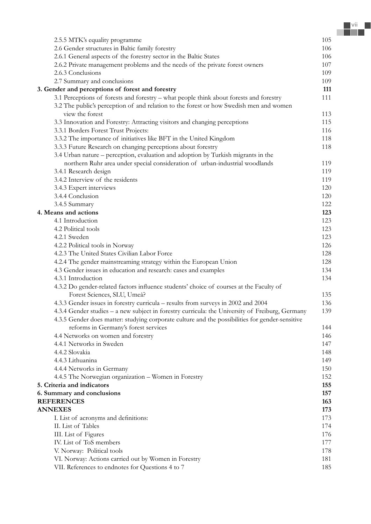| 2.5.5 MTK's equality programme                                                                  | 105 |
|-------------------------------------------------------------------------------------------------|-----|
| 2.6 Gender structures in Baltic family forestry                                                 | 106 |
| 2.6.1 General aspects of the forestry sector in the Baltic States                               | 106 |
| 2.6.2 Private management problems and the needs of the private forest owners                    | 107 |
| 2.6.3 Conclusions                                                                               | 109 |
| 2.7 Summary and conclusions                                                                     | 109 |
| 3. Gender and perceptions of forest and forestry                                                | 111 |
| 3.1 Perceptions of forests and forestry - what people think about forests and forestry          | 111 |
| 3.2 The public's perception of and relation to the forest or how Swedish men and women          |     |
| view the forest                                                                                 | 113 |
|                                                                                                 |     |
| 3.3 Innovation and Forestry: Attracting visitors and changing perceptions                       | 115 |
| 3.3.1 Borders Forest Trust Projects:                                                            | 116 |
| 3.3.2 The importance of initiatives like BFT in the United Kingdom                              | 118 |
| 3.3.3 Future Research on changing perceptions about forestry                                    | 118 |
| 3.4 Urban nature – perception, evaluation and adoption by Turkish migrants in the               |     |
| northern Ruhr area under special consideration of urban-industrial woodlands                    | 119 |
| 3.4.1 Research design                                                                           | 119 |
| 3.4.2 Interview of the residents                                                                | 119 |
| 3.4.3 Expert interviews                                                                         | 120 |
| 3.4.4 Conclusion                                                                                | 120 |
| 3.4.5 Summary                                                                                   | 122 |
| 4. Means and actions                                                                            | 123 |
| 4.1 Introduction                                                                                | 123 |
| 4.2 Political tools                                                                             | 123 |
| 4.2.1 Sweden                                                                                    | 123 |
| 4.2.2 Political tools in Norway                                                                 | 126 |
| 4.2.3 The United States Civilian Labor Force                                                    | 128 |
| 4.2.4 The gender mainstreaming strategy within the European Union                               | 128 |
| 4.3 Gender issues in education and research: cases and examples                                 | 134 |
| 4.3.1 Introduction                                                                              | 134 |
| 4.3.2 Do gender-related factors influence students' choice of courses at the Faculty of         |     |
| Forest Sciences, SLU, Umeå?                                                                     | 135 |
| 4.3.3 Gender issues in forestry curricula - results from surveys in 2002 and 2004               | 136 |
| 4.3.4 Gender studies – a new subject in forestry curricula: the University of Freiburg, Germany | 139 |
| 4.3.5 Gender does matter: studying corporate culture and the possibilities for gender-sensitive |     |
| reforms in Germany's forest services                                                            | 144 |
| 4.4 Networks on women and forestry                                                              | 146 |
| 4.4.1 Networks in Sweden                                                                        | 147 |
| 4.4.2 Slovakia                                                                                  | 148 |
| 4.4.3 Lithuanina                                                                                | 149 |
| 4.4.4 Networks in Germany                                                                       | 150 |
| 4.4.5 The Norwegian organization - Women in Forestry                                            | 152 |
| 5. Criteria and indicators                                                                      | 155 |
| 6. Summary and conclusions                                                                      | 157 |
| <b>REFERENCES</b>                                                                               | 163 |
| <b>ANNEXES</b>                                                                                  | 173 |
| I. List of acronyms and definitions:                                                            | 173 |
| II. List of Tables                                                                              | 174 |
|                                                                                                 |     |
| III. List of Figures<br>IV. List of ToS members                                                 | 176 |
|                                                                                                 | 177 |
| V. Norway: Political tools                                                                      | 178 |
| VI. Norway: Actions carried out by Women in Forestry                                            | 181 |
| VII. References to endnotes for Questions 4 to 7                                                | 185 |

r.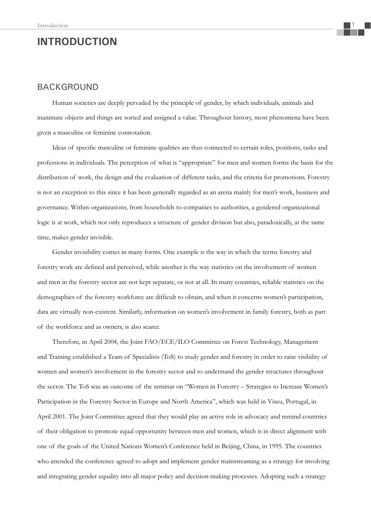# **INTRODUCTION**

### BACKGROUND

Human societies are deeply pervaded by the principle of gender, by which individuals, animals and inanimate objects and things are sorted and assigned a value. Throughout history, most phenomena have been given a masculine or feminine connotation.

Ideas of specific masculine or feminine qualities are thus connected to certain roles, positions, tasks and professions in individuals. The perception of what is "appropriate" for men and women forms the basis for the distribution of work, the design and the evaluation of different tasks, and the criteria for promotions. Forestry is not an exception to this since it has been generally regarded as an arena mainly for men's work, business and governance. Within organizations, from households to companies to authorities, a gendered organizational logic is at work, which not only reproduces a structure of gender division but also, paradoxically, at the same time, makes gender invisible.

Gender invisibility comes in many forms. One example is the way in which the terms forestry and forestry work are defined and perceived, while another is the way statistics on the involvement of women and men in the forestry sector are not kept separate, or not at all. In many countries, reliable statistics on the demographics of the forestry workforce are difficult to obtain, and when it concerns women's participation, data are virtually non-existent. Similarly, information on women's involvement in family forestry, both as part of the workforce and as owners, is also scarce.

Therefore, in April 2004, the Joint FAO/ECE/ILO Committee on Forest Technology, Management and Training established a Team of Specialists (ToS) to study gender and forestry in order to raise visibility of women and women's involvement in the forestry sector and to understand the gender structures throughout the sector. The ToS was an outcome of the seminar on "Women in Forestry – Strategies to Increase Women's Participation in the Forestry Sector in Europe and North America", which was held in Viseu, Portugal, in April 2001. The Joint Committee agreed that they would play an active role in advocacy and remind countries of their obligation to promote equal opportunity between men and women, which is in direct alignment with one of the goals of the United Nations Women's Conference held in Beijing, China, in 1995. The countries who attended the conference agreed to adopt and implement gender mainstreaming as a strategy for involving and integrating gender equality into all major policy and decision-making processes. Adopting such a strategy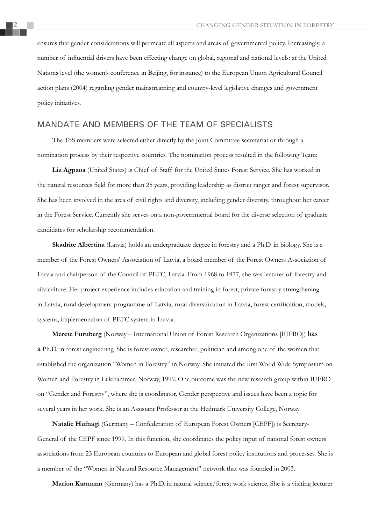ensures that gender considerations will permeate all aspects and areas of governmental policy. Increasingly, a number of influential drivers have been effecting change on global, regional and national levels: at the United Nations level (the women's conference in Beijing, for instance) to the European Union Agricultural Council action plans (2004) regarding gender mainstreaming and country-level legislative changes and government policy initiatives.

### MANDATE AND MEMBERS OF THE TEAM OF SPECIALISTS

The ToS members were selected either directly by the Joint Committee secretariat or through a nomination process by their respective countries. The nomination process resulted in the following Team:

**Liz Agpaoa** (United States) is Chief of Staff for the United States Forest Service. She has worked in the natural resources field for more than 25 years, providing leadership as district ranger and forest supervisor. She has been involved in the area of civil rights and diversity, including gender diversity, throughout her career in the Forest Service. Currently she serves on a non-governmental board for the diverse selection of graduate candidates for scholarship recommendation.

**Skadrite Albertina** (Latvia) holds an undergraduate degree in forestry and a Ph.D. in biology. She is a member of the Forest Owners' Association of Latvia, a board member of the Forest Owners Association of Latvia and chairperson of the Council of PEFC, Latvia. From 1968 to 1977, she was lecturer of forestry and silviculture. Her project experience includes education and training in forest, private forestry strengthening in Latvia, rural development programme of Latvia, rural diversification in Latvia, forest certification, models, systems, implementation of PEFC system in Latvia.

**Merete Furuberg** (Norway – International Union of Forest Research Organizations [IUFRO]) has a Ph.D. in forest engineering. She is forest owner, researcher, politician and among one of the women that established the organization "Women in Forestry" in Norway. She initiated the first World Wide Symposium on Women and Forestry in Lillehammer, Norway, 1999. One outcome was the new research group within IUFRO on "Gender and Forestry", where she is coordinator. Gender perspective and issues have been a topic for several years in her work. She is an Assistant Professor at the Hedmark University College, Norway.

**Natalie Hufnagl** (Germany – Confederation of European Forest Owners [CEPF]) is Secretary-General of the CEPF since 1999. In this function, she coordinates the policy input of national forest owners' associations from 23 European countries to European and global forest policy institutions and processes. She is a member of the "Women in Natural Resource Management" network that was founded in 2003.

**Marion Karmann** (Germany) has a Ph.D. in natural science/forest work science. She is a visiting lecturer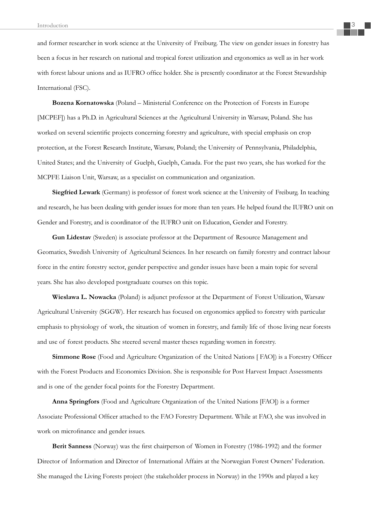and former researcher in work science at the University of Freiburg. The view on gender issues in forestry has been a focus in her research on national and tropical forest utilization and ergonomics as well as in her work with forest labour unions and as IUFRO office holder. She is presently coordinator at the Forest Stewardship International (FSC).

**Bozena Kornatowska** (Poland – Ministerial Conference on the Protection of Forests in Europe [MCPEF]) has a Ph.D. in Agricultural Sciences at the Agricultural University in Warsaw, Poland. She has worked on several scientific projects concerning forestry and agriculture, with special emphasis on crop protection, at the Forest Research Institute, Warsaw, Poland; the University of Pennsylvania, Philadelphia, United States; and the University of Guelph, Guelph, Canada. For the past two years, she has worked for the MCPFE Liaison Unit, Warsaw, as a specialist on communication and organization.

**Siegfried Lewark** (Germany) is professor of forest work science at the University of Freiburg. In teaching and research, he has been dealing with gender issues for more than ten years. He helped found the IUFRO unit on Gender and Forestry, and is coordinator of the IUFRO unit on Education, Gender and Forestry.

**Gun Lidestav** (Sweden) is associate professor at the Department of Resource Management and Geomatics, Swedish University of Agricultural Sciences. In her research on family forestry and contract labour force in the entire forestry sector, gender perspective and gender issues have been a main topic for several years. She has also developed postgraduate courses on this topic.

**Wieslawa L. Nowacka** (Poland) is adjunct professor at the Department of Forest Utilization, Warsaw Agricultural University (SGGW). Her research has focused on ergonomics applied to forestry with particular emphasis to physiology of work, the situation of women in forestry, and family life of those living near forests and use of forest products. She steered several master theses regarding women in forestry.

**Simmone Rose** (Food and Agriculture Organization of the United Nations [ FAO]) is a Forestry Officer with the Forest Products and Economics Division. She is responsible for Post Harvest Impact Assessments and is one of the gender focal points for the Forestry Department.

**Anna Springfors** (Food and Agriculture Organization of the United Nations [FAO]) is a former Associate Professional Officer attached to the FAO Forestry Department. While at FAO, she was involved in work on microfinance and gender issues.

**Berit Sanness** (Norway) was the first chairperson of Women in Forestry (1986-1992) and the former Director of Information and Director of International Affairs at the Norwegian Forest Owners' Federation. She managed the Living Forests project (the stakeholder process in Norway) in the 1990s and played a key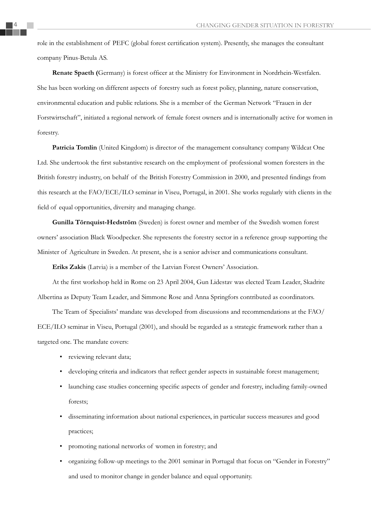role in the establishment of PEFC (global forest certification system). Presently, she manages the consultant company Pinus-Betula AS.

**Renate Spaeth (Germany) is forest officer at the Ministry for Environment in Nordrhein-Westfalen.** She has been working on different aspects of forestry such as forest policy, planning, nature conservation, environmental education and public relations. She is a member of the German Network "Frauen in der Forstwirtschaft", initiated a regional network of female forest owners and is internationally active for women in forestry.

**Patricia Tomlin** (United Kingdom) is director of the management consultancy company Wildcat One Ltd. She undertook the first substantive research on the employment of professional women foresters in the British forestry industry, on behalf of the British Forestry Commission in 2000, and presented findings from this research at the FAO/ECE/ILO seminar in Viseu, Portugal, in 2001. She works regularly with clients in the field of equal opportunities, diversity and managing change.

**Gunilla Törnquist-Hedström** (Sweden) is forest owner and member of the Swedish women forest owners' association Black Woodpecker. She represents the forestry sector in a reference group supporting the Minister of Agriculture in Sweden. At present, she is a senior adviser and communications consultant.

**Eriks Zakis** (Latvia) is a member of the Latvian Forest Owners' Association.

At the first workshop held in Rome on 23 April 2004, Gun Lidestav was elected Team Leader, Skadrite Albertina as Deputy Team Leader, and Simmone Rose and Anna Springfors contributed as coordinators.

The Team of Specialists' mandate was developed from discussions and recommendations at the FAO/ ECE/ILO seminar in Viseu, Portugal (2001), and should be regarded as a strategic framework rather than a targeted one. The mandate covers:

- reviewing relevant data;
- developing criteria and indicators that reflect gender aspects in sustainable forest management;
- launching case studies concerning specific aspects of gender and forestry, including family-owned forests;
- disseminating information about national experiences, in particular success measures and good practices;
- promoting national networks of women in forestry; and
- organizing follow-up meetings to the 2001 seminar in Portugal that focus on "Gender in Forestry" and used to monitor change in gender balance and equal opportunity.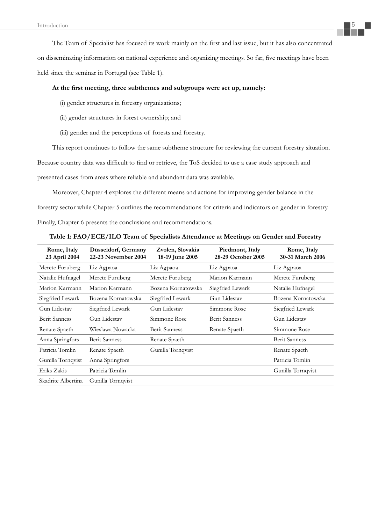The Team of Specialist has focused its work mainly on the first and last issue, but it has also concentrated on disseminating information on national experience and organizing meetings. So far, five meetings have been held since the seminar in Portugal (see Table 1).

#### At the first meeting, three subthemes and subgroups were set up, namely:

- (i) gender structures in forestry organizations;
- (ii) gender structures in forest ownership; and
- (iii) gender and the perceptions of forests and forestry.

This report continues to follow the same subtheme structure for reviewing the current forestry situation.

Because country data was difficult to find or retrieve, the ToS decided to use a case study approach and

presented cases from areas where reliable and abundant data was available.

Moreover, Chapter 4 explores the different means and actions for improving gender balance in the forestry sector while Chapter 5 outlines the recommendations for criteria and indicators on gender in forestry. Finally, Chapter 6 presents the conclusions and recommendations.

| Rome, Italy<br>23 April 2004 | Düsseldorf, Germany<br>22-23 November 2004 | Zvolen, Slovakia<br>18-19 June 2005 | Piedmont, Italy<br>28-29 October 2005 | Rome, Italy<br>30-31 March 2006 |
|------------------------------|--------------------------------------------|-------------------------------------|---------------------------------------|---------------------------------|
| Merete Furuberg              | Liz Agpaoa                                 | Liz Agpaoa                          | Liz Agpaoa                            | Liz Agpaoa                      |
| Natalie Hufnagel             | Merete Furuberg                            | Merete Furuberg                     | Marion Karmann                        | Merete Furuberg                 |
| Marion Karmann               | Marion Karmann                             | Bozena Kornatowska                  | Siegfried Lewark                      | Natalie Hufnagel                |
| Siegfried Lewark             | Bozena Kornatowska                         | Siegfried Lewark                    | Gun Lidestav                          | Bozena Kornatowska              |
| Gun Lidestav                 | Siegfried Lewark                           | Gun Lidestav                        | Simmone Rose                          | Siegfried Lewark                |
| <b>Berit Sanness</b>         | Gun Lidestay                               | Simmone Rose                        | <b>Berit Sanness</b>                  | Gun Lidestav                    |
| Renate Spaeth                | Wieslawa Nowacka                           | <b>Berit Sanness</b>                | Renate Spaeth                         | Simmone Rose                    |
| Anna Springfors              | <b>Berit Sanness</b>                       | Renate Spaeth                       |                                       | <b>Berit Sanness</b>            |
| Patricia Tomlin              | Renate Spaeth                              | Gunilla Tornqvist                   |                                       | Renate Spaeth                   |
| Gunilla Tornqvist            | Anna Springfors                            |                                     |                                       | Patricia Tomlin                 |
| Eriks Zakis                  | Patricia Tomlin                            |                                     |                                       | Gunilla Tornqvist               |
| Skadrite Albertina           | Gunilla Tornqvist                          |                                     |                                       |                                 |

**Table 1: FAO/ECE/ILO Team of Specialists Attendance at Meetings on Gender and Forestry**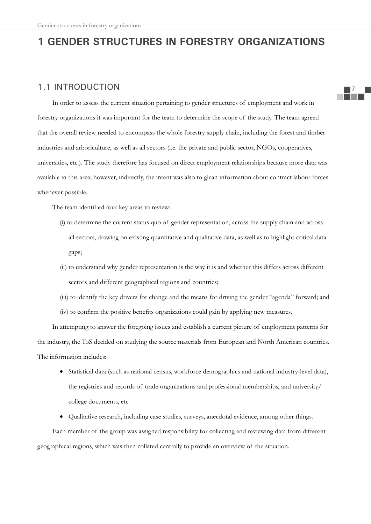# **1 GENDER STRUCTURES IN FORESTRY ORGANIZATIONS**

### 1.1 INTRODUCTION

In order to assess the current situation pertaining to gender structures of employment and work in forestry organizations it was important for the team to determine the scope of the study. The team agreed that the overall review needed to encompass the whole forestry supply chain, including the forest and timber industries and arboriculture, as well as all sectors (i.e. the private and public sector, NGOs, cooperatives, universities, etc.). The study therefore has focused on direct employment relationships because more data was available in this area; however, indirectly, the intent was also to glean information about contract labour forces whenever possible.

The team identified four key areas to review:

- (i) to determine the current status quo of gender representation, across the supply chain and across all sectors, drawing on existing quantitative and qualitative data, as well as to highlight critical data gaps;
- (ii) to understand why gender representation is the way it is and whether this differs across different sectors and different geographical regions and countries;
- (iii) to identify the key drivers for change and the means for driving the gender "agenda" forward; and
- (iv) to confirm the positive benefits organizations could gain by applying new measures.

In attempting to answer the foregoing issues and establish a current picture of employment patterns for the industry, the ToS decided on studying the source materials from European and North American countries. The information includes:

- x Statistical data (such as national census, workforce demographics and national industry-level data), the registries and records of trade organizations and professional memberships, and university/ college documents, etc.
- Qualitative research, including case studies, surveys, anecdotal evidence, among other things.

Each member of the group was assigned responsibility for collecting and reviewing data from different geographical regions, which was then collated centrally to provide an overview of the situation.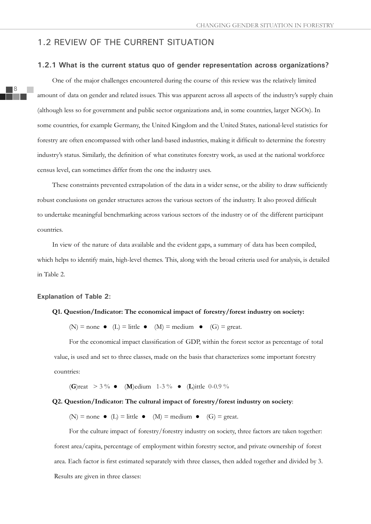### 1.2 REVIEW OF THE CURRENT SITUATION

#### **1.2.1 What is the current status quo of gender representation across organizations?**

One of the major challenges encountered during the course of this review was the relatively limited amount of data on gender and related issues. This was apparent across all aspects of the industry's supply chain (although less so for government and public sector organizations and, in some countries, larger NGOs). In some countries, for example Germany, the United Kingdom and the United States, national-level statistics for forestry are often encompassed with other land-based industries, making it difficult to determine the forestry industry's status. Similarly, the definition of what constitutes forestry work, as used at the national workforce census level, can sometimes differ from the one the industry uses.

These constraints prevented extrapolation of the data in a wider sense, or the ability to draw sufficiently robust conclusions on gender structures across the various sectors of the industry. It also proved difficult to undertake meaningful benchmarking across various sectors of the industry or of the different participant countries.

In view of the nature of data available and the evident gaps, a summary of data has been compiled, which helps to identify main, high-level themes. This, along with the broad criteria used for analysis, is detailed in Table 2.

#### **Explanation of Table 2:**

#### **Q1. Question/Indicator: The economical impact of forestry/forest industry on society:**

(N) = none • (L) = little • (M) = medium • (G) = great.

For the economical impact classification of GDP, within the forest sector as percentage of total value, is used and set to three classes, made on the basis that characterizes some important forestry countries:

(**G**)reat  $> 3\%$  • (**M**)edium 1-3% • (**L**)ittle 0-0.9%

#### **Q2. Question/Indicator: The cultural impact of forestry/forest industry on society**:

(N) = none  $\bullet$  (L) = little  $\bullet$  (M) = medium  $\bullet$  (G) = great.

For the culture impact of forestry/forestry industry on society, three factors are taken together: forest area/capita, percentage of employment within forestry sector, and private ownership of forest area. Each factor is first estimated separately with three classes, then added together and divided by 3. Results are given in three classes: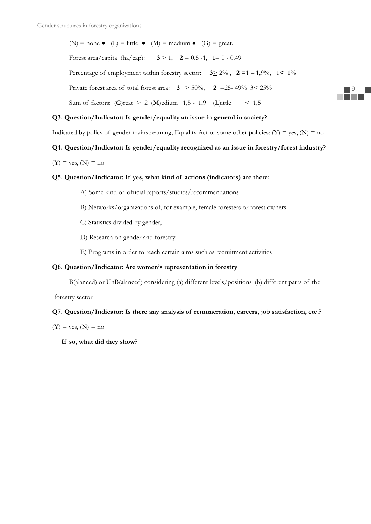(N) = none • (L) = little • (M) = medium • (G) = great. Forest area/capita (ha/cap):  $3 > 1$ ,  $2 = 0.5 -1$ ,  $1 = 0 - 0.49$ Percentage of employment within forestry sector:  $3 \ge 2\%$ ,  $2 = 1 - 1,9\%$ ,  $1 \le 1\%$ Private forest area of total forest area: **3** > 50%, **2** =25- 49% 3< 25% Sum of factors:  $(G)$ reat  $\geq 2$  (M)edium 1,5 - 1,9 (L)ittle < 1,5

#### **Q3. Question/Indicator: Is gender/equality an issue in general in society?**

Indicated by policy of gender mainstreaming, Equality Act or some other policies:  $(Y) = \text{ves}, (N) = \text{no}$ 

#### **Q4. Question/Indicator: Is gender/equality recognized as an issue in forestry/forest industry**?

 $(Y)$  = yes,  $(N)$  = no

#### **Q5. Question/Indicator: If yes, what kind of actions (indicators) are there:**

- A) Some kind of official reports/studies/recommendations
- B) Networks/organizations of, for example, female foresters or forest owners
- C) Statistics divided by gender,
- D) Research on gender and forestry
- E) Programs in order to reach certain aims such as recruitment activities

#### **Q6. Question/Indicator: Are women's representation in forestry**

B(alanced) or UnB(alanced) considering (a) different levels/positions. (b) different parts of the

forestry sector.

#### **Q7. Question/Indicator: Is there any analysis of remuneration, careers, job satisfaction, etc.?**

 $(Y)$  = yes,  $(N)$  = no

 **If so, what did they show?**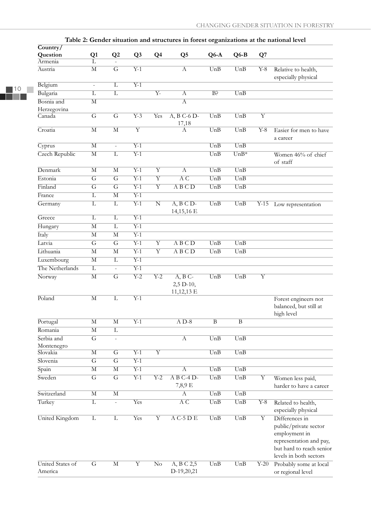| Country/                    |                         |                          |                         |                         | Table 2. Ochuci shuatibii anu structures in ibrest organizatibiis at the national level |                  |                         |                   |                                                                                                                                           |
|-----------------------------|-------------------------|--------------------------|-------------------------|-------------------------|-----------------------------------------------------------------------------------------|------------------|-------------------------|-------------------|-------------------------------------------------------------------------------------------------------------------------------------------|
| Question                    | Q1                      | Q2                       | Q <sub>3</sub>          | Q <sub>4</sub>          | Q <sub>5</sub>                                                                          | $Q6-A$           | $Q6-B$                  | Q7                |                                                                                                                                           |
| Armenia                     | L                       |                          |                         |                         |                                                                                         |                  |                         |                   |                                                                                                                                           |
| Austria                     | $\overline{M}$          | $\overline{G}$           | $\overline{Y-1}$        |                         | $\overline{A}$                                                                          | UnB              | $\overline{UnB}$        | $Y-8$             | Relative to health,<br>especially physical                                                                                                |
| Belgium                     | ÷,                      | L                        | $\overline{Y-1}$        |                         |                                                                                         |                  |                         |                   |                                                                                                                                           |
| Bulgaria                    | L                       | $\overline{\mathrm{L}}$  |                         | $\overline{Y}$ -        | $\overline{A}$                                                                          | B <sub>5</sub>   | $\overline{UnB}$        |                   |                                                                                                                                           |
| Bosnia and                  | M                       |                          |                         |                         | $\overline{A}$                                                                          |                  |                         |                   |                                                                                                                                           |
| Herzegovina<br>Canada       | $\overline{G}$          | $\overline{G}$           | $\overline{Y-3}$        | Yes                     | $A, B$ C-6 D-                                                                           | UnB              | UnB                     | $\overline{Y}$    |                                                                                                                                           |
|                             |                         |                          |                         |                         | 17,18                                                                                   |                  |                         |                   |                                                                                                                                           |
| Croatia                     | $\overline{\mathbf{M}}$ | $\overline{\mathbf{M}}$  | $\overline{\mathrm{Y}}$ |                         | A                                                                                       | UnB              | $\overline{UnB}$        | $\overline{Y-8}$  | Easier for men to have<br>a career                                                                                                        |
| Cyprus                      | $\overline{\mathbf{M}}$ | $\blacksquare$           | $\overline{Y-1}$        |                         |                                                                                         | UnB              | $\overline{UnB}$        |                   |                                                                                                                                           |
| <b>Czech Republic</b>       | $\overline{\mathbf{M}}$ | $\overline{L}$           | $\overline{Y-1}$        |                         |                                                                                         | UnB              | $\overline{UnB*}$       |                   | Women 46% of chief<br>of staff                                                                                                            |
| Denmark                     | $\overline{\mathbf{M}}$ | $\overline{\mathbf{M}}$  | $\overline{Y-1}$        | $\overline{Y}$          | $\overline{A}$                                                                          | $\overline{UnB}$ | $\overline{UnB}$        |                   |                                                                                                                                           |
| Estonia                     | $\overline{G}$          | $\overline{G}$           | $\overline{Y-1}$        | $\overline{\mathrm{Y}}$ | $\overline{AC}$                                                                         | $\overline{UnB}$ | UnB                     |                   |                                                                                                                                           |
| Finland                     | $\overline{G}$          | $\overline{G}$           | $\overline{Y-1}$        | $\overline{\mathrm{Y}}$ | A B C D                                                                                 | UnB              | UnB                     |                   |                                                                                                                                           |
| France                      | L                       | $\overline{\mathbf{M}}$  | $\overline{Y-1}$        |                         |                                                                                         |                  |                         |                   |                                                                                                                                           |
| Germany                     | $\overline{L}$          | $\overline{\mathbf{L}}$  | $\overline{Y-1}$        | $\overline{\mathbf{N}}$ | $\overline{A}$ , $\overline{B}$ $\overline{C}$ $\overline{D}$ -<br>14,15,16 E           | UnB              | UnB                     | $Y-15$            | Low representation                                                                                                                        |
| Greece                      | $\overline{L}$          | $\overline{L}$           | $\overline{Y-1}$        |                         |                                                                                         |                  |                         |                   |                                                                                                                                           |
| Hungary                     | $\overline{\mathbf{M}}$ | $\overline{L}$           | $\overline{Y-1}$        |                         |                                                                                         |                  |                         |                   |                                                                                                                                           |
| Italy                       | $\overline{\mathbf{M}}$ | $\overline{\mathbf{M}}$  | $\overline{Y-1}$        |                         |                                                                                         |                  |                         |                   |                                                                                                                                           |
| Latvia                      | $\overline{G}$          | $\overline{G}$           | $\overline{Y-1}$        | $\overline{Y}$          | A B C D                                                                                 | UnB              | UnB                     |                   |                                                                                                                                           |
| Lithuania                   | $\overline{M}$          | $\overline{\mathbf{M}}$  | $\overline{Y-1}$        | $\overline{Y}$          | A B C D                                                                                 | UnB              | UnB                     |                   |                                                                                                                                           |
| Luxembourg                  | $\overline{\mathbf{M}}$ | L                        | $\overline{Y-1}$        |                         |                                                                                         |                  |                         |                   |                                                                                                                                           |
| The Netherlands             | $\overline{\mathbf{L}}$ | ä,                       | $\overline{Y-1}$        |                         |                                                                                         |                  |                         |                   |                                                                                                                                           |
| Norway                      | $\overline{\mathbf{M}}$ | $\overline{G}$           | $\overline{Y-2}$        | $\overline{Y-2}$        | $A, B$ C-<br>2,5 D-10,<br>11,12,13 E                                                    | UnB              | UnB                     | $\overline{Y}$    |                                                                                                                                           |
| Poland                      | $\overline{M}$          | L                        | $\overline{Y-1}$        |                         |                                                                                         |                  |                         |                   | Forest engineers not<br>balanced, but still at<br>high level                                                                              |
| Portugal                    | $\overline{\mathbf{M}}$ | $\overline{\mathbf{M}}$  | $\overline{Y-1}$        |                         | $AD-8$                                                                                  | B                | $\overline{B}$          |                   |                                                                                                                                           |
| Romania                     | $\overline{\mathbf{M}}$ | $\overline{\mathbf{L}}$  |                         |                         |                                                                                         |                  |                         |                   |                                                                                                                                           |
| Serbia and<br>Montenegro    | $\overline{G}$          | $\overline{a}$           |                         |                         | $\overline{A}$                                                                          | UnB              | UnB                     |                   |                                                                                                                                           |
| Slovakia                    | $\overline{M}$          | $\overline{G}$           | $Y-1$                   | $\overline{Y}$          |                                                                                         | UnB              | UnB                     |                   |                                                                                                                                           |
| Slovenia                    | $\overline{G}$          | $\overline{G}$           | $\overline{Y-1}$        |                         |                                                                                         |                  |                         |                   |                                                                                                                                           |
| Spain                       | $\overline{\mathbf{M}}$ | $\overline{\mathbf{M}}$  | $\overline{Y-1}$        |                         | $\overline{A}$                                                                          | $\overline{UnB}$ | UnB                     |                   |                                                                                                                                           |
| Sweden                      | $\overline{G}$          | $\overline{G}$           | $\overline{Y-1}$        | $\overline{Y-2}$        | $\overline{AB C-4 D}$<br>7,8,9 E                                                        | UnB              | UnB                     | $\overline{Y}$    | Women less paid,<br>harder to have a career                                                                                               |
| Switzerland                 | $\overline{M}$          | $\overline{\mathbf{M}}$  |                         |                         | А                                                                                       | UnB              | UnB                     |                   |                                                                                                                                           |
| Turkey                      | $\overline{L}$          | $\overline{\phantom{0}}$ | Yes                     |                         | AC                                                                                      | UnB              | UnB                     | $Y-8$             | Related to health,<br>especially physical                                                                                                 |
| United Kingdom              | $\overline{L}$          | $\overline{L}$           | Yes                     | $\overline{Y}$          | $A C-5 D E$                                                                             | $\overline{UnB}$ | UnB                     | $\overline{Y}$    | Differences in<br>public/private sector<br>employment in<br>representation and pay,<br>but hard to reach senior<br>levels in both sectors |
| United States of<br>America | $\overline{G}$          | $\overline{\mathbf{M}}$  | Y                       | $\overline{\text{No}}$  | A, B C 2,5<br>D-19,20,21                                                                | UnB              | $\overline{\text{UnB}}$ | $\overline{Y-20}$ | Probably some at local<br>or regional level                                                                                               |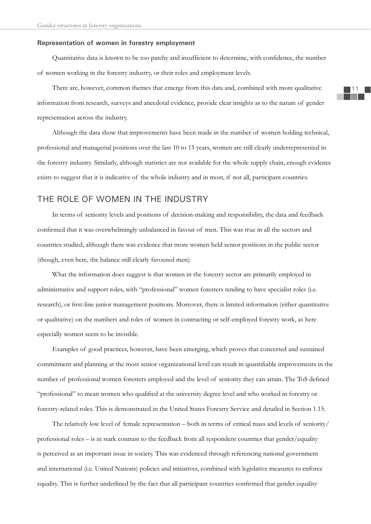#### **Representation of women in forestry employment**

Quantitative data is known to be too patchy and insufficient to determine, with confidence, the number of women working in the forestry industry, or their roles and employment levels.

There are, however, common themes that emerge from this data and, combined with more qualitative information from research, surveys and anecdotal evidence, provide clear insights as to the nature of gender representation across the industry.

Although the data show that improvements have been made in the number of women holding technical, professional and managerial positions over the last 10 to 15 years, women are still clearly underrepresented in the forestry industry. Similarly, although statistics are not available for the whole supply chain, enough evidence exists to suggest that it is indicative of the whole industry and in most, if not all, participant countries.

## THE ROLE OF WOMEN IN THE INDUSTRY

In terms of seniority levels and positions of decision-making and responsibility, the data and feedback confirmed that it was overwhelmingly unbalanced in favour of men. This was true in all the sectors and countries studied, although there was evidence that more women held senior positions in the public sector (though, even here, the balance still clearly favoured men).

What the information does suggest is that women in the forestry sector are primarily employed in administrative and support roles, with "professional" women foresters tending to have specialist roles (i.e. research), or first-line junior management positions. Moreover, there is limited information (either quantitative or qualitative) on the numbers and roles of women in contracting or self-employed forestry work, as here especially women seem to be invisible.

Examples of good practices, however, have been emerging, which proves that concerted and sustained commitment and planning at the most senior organizational level can result in quantifiable improvements in the number of professional women foresters employed and the level of seniority they can attain. The ToS defined "professional" to mean women who qualified at the university degree level and who worked in forestry or forestry-related roles. This is demonstrated in the United States Forestry Service and detailed in Section 1.15.

The relatively low level of female representation – both in terms of critical mass and levels of seniority/ professional roles – is in stark contrast to the feedback from all respondent countries that gender/equality is perceived as an important issue in society. This was evidenced through referencing national government and international (i.e. United Nations) policies and initiatives, combined with legislative measures to enforce equality. This is further underlined by the fact that all participant countries confirmed that gender equality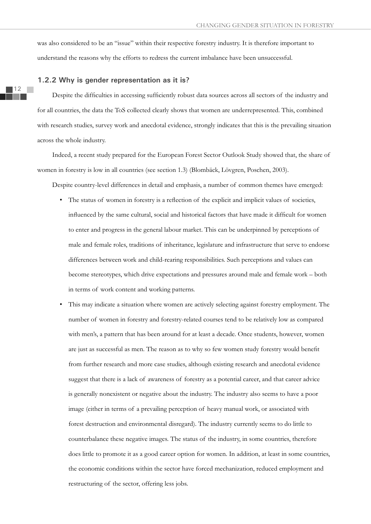was also considered to be an "issue" within their respective forestry industry. It is therefore important to understand the reasons why the efforts to redress the current imbalance have been unsuccessful.

#### **1.2.2 Why is gender representation as it is?**

Despite the difficulties in accessing sufficiently robust data sources across all sectors of the industry and for all countries, the data the ToS collected clearly shows that women are underrepresented. This, combined with research studies, survey work and anecdotal evidence, strongly indicates that this is the prevailing situation across the whole industry.

Indeed, a recent study prepared for the European Forest Sector Outlook Study showed that, the share of women in forestry is low in all countries (see section 1.3) (Blombäck, Lövgren, Poschen, 2003).

Despite country-level differences in detail and emphasis, a number of common themes have emerged:

- The status of women in forestry is a reflection of the explicit and implicit values of societies, influenced by the same cultural, social and historical factors that have made it difficult for women to enter and progress in the general labour market. This can be underpinned by perceptions of male and female roles, traditions of inheritance, legislature and infrastructure that serve to endorse differences between work and child-rearing responsibilities. Such perceptions and values can become stereotypes, which drive expectations and pressures around male and female work – both in terms of work content and working patterns.
- This may indicate a situation where women are actively selecting against forestry employment. The number of women in forestry and forestry-related courses tend to be relatively low as compared with men's, a pattern that has been around for at least a decade. Once students, however, women are just as successful as men. The reason as to why so few women study forestry would benefit from further research and more case studies, although existing research and anecdotal evidence suggest that there is a lack of awareness of forestry as a potential career, and that career advice is generally nonexistent or negative about the industry. The industry also seems to have a poor image (either in terms of a prevailing perception of heavy manual work, or associated with forest destruction and environmental disregard). The industry currently seems to do little to counterbalance these negative images. The status of the industry, in some countries, therefore does little to promote it as a good career option for women. In addition, at least in some countries, the economic conditions within the sector have forced mechanization, reduced employment and restructuring of the sector, offering less jobs.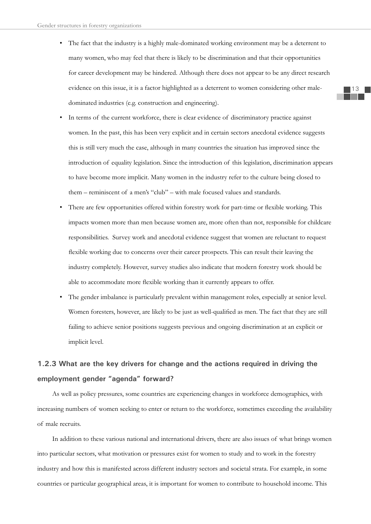- The fact that the industry is a highly male-dominated working environment may be a deterrent to many women, who may feel that there is likely to be discrimination and that their opportunities for career development may be hindered. Although there does not appear to be any direct research evidence on this issue, it is a factor highlighted as a deterrent to women considering other maledominated industries (e.g. construction and engineering).
- In terms of the current workforce, there is clear evidence of discriminatory practice against women. In the past, this has been very explicit and in certain sectors anecdotal evidence suggests this is still very much the case, although in many countries the situation has improved since the introduction of equality legislation. Since the introduction of this legislation, discrimination appears to have become more implicit. Many women in the industry refer to the culture being closed to them – reminiscent of a men's "club" – with male focused values and standards.
- There are few opportunities offered within forestry work for part-time or flexible working. This impacts women more than men because women are, more often than not, responsible for childcare responsibilities. Survey work and anecdotal evidence suggest that women are reluctant to request flexible working due to concerns over their career prospects. This can result their leaving the industry completely. However, survey studies also indicate that modern forestry work should be able to accommodate more flexible working than it currently appears to offer.
- The gender imbalance is particularly prevalent within management roles, especially at senior level. Women foresters, however, are likely to be just as well-qualified as men. The fact that they are still failing to achieve senior positions suggests previous and ongoing discrimination at an explicit or implicit level.

# **1.2.3 What are the key drivers for change and the actions required in driving the employment gender "agenda" forward?**

As well as policy pressures, some countries are experiencing changes in workforce demographics, with increasing numbers of women seeking to enter or return to the workforce, sometimes exceeding the availability of male recruits.

In addition to these various national and international drivers, there are also issues of what brings women into particular sectors, what motivation or pressures exist for women to study and to work in the forestry industry and how this is manifested across different industry sectors and societal strata. For example, in some countries or particular geographical areas, it is important for women to contribute to household income. This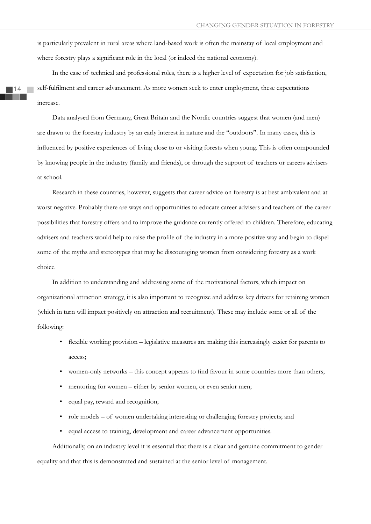is particularly prevalent in rural areas where land-based work is often the mainstay of local employment and where forestry plays a significant role in the local (or indeed the national economy).

In the case of technical and professional roles, there is a higher level of expectation for job satisfaction, self-fulfilment and career advancement. As more women seek to enter employment, these expectations increase.

Data analysed from Germany, Great Britain and the Nordic countries suggest that women (and men) are drawn to the forestry industry by an early interest in nature and the "outdoors". In many cases, this is influenced by positive experiences of living close to or visiting forests when young. This is often compounded by knowing people in the industry (family and friends), or through the support of teachers or careers advisers at school.

Research in these countries, however, suggests that career advice on forestry is at best ambivalent and at worst negative. Probably there are ways and opportunities to educate career advisers and teachers of the career possibilities that forestry offers and to improve the guidance currently offered to children. Therefore, educating advisers and teachers would help to raise the profile of the industry in a more positive way and begin to dispel some of the myths and stereotypes that may be discouraging women from considering forestry as a work choice.

In addition to understanding and addressing some of the motivational factors, which impact on organizational attraction strategy, it is also important to recognize and address key drivers for retaining women (which in turn will impact positively on attraction and recruitment). These may include some or all of the following:

- flexible working provision legislative measures are making this increasingly easier for parents to access;
- women-only networks this concept appears to find favour in some countries more than others;
- mentoring for women either by senior women, or even senior men;
- equal pay, reward and recognition;
- role models of women undertaking interesting or challenging forestry projects; and
- equal access to training, development and career advancement opportunities.

Additionally, on an industry level it is essential that there is a clear and genuine commitment to gender equality and that this is demonstrated and sustained at the senior level of management.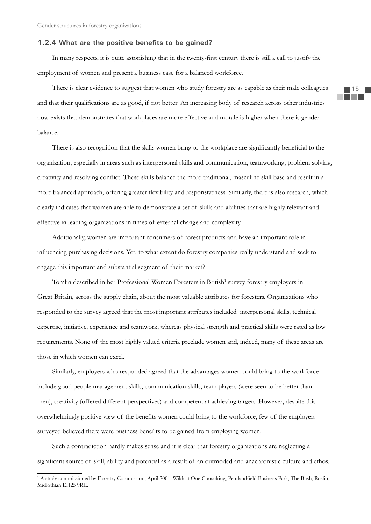#### **1.2.4 What are the positive benefits to be gained?**

In many respects, it is quite astonishing that in the twenty-first century there is still a call to justify the employment of women and present a business case for a balanced workforce.

There is clear evidence to suggest that women who study forestry are as capable as their male colleagues and that their qualifications are as good, if not better. An increasing body of research across other industries now exists that demonstrates that workplaces are more effective and morale is higher when there is gender balance.

There is also recognition that the skills women bring to the workplace are significantly beneficial to the organization, especially in areas such as interpersonal skills and communication, teamworking, problem solving, creativity and resolving conflict. These skills balance the more traditional, masculine skill base and result in a more balanced approach, offering greater flexibility and responsiveness. Similarly, there is also research, which clearly indicates that women are able to demonstrate a set of skills and abilities that are highly relevant and effective in leading organizations in times of external change and complexity.

Additionally, women are important consumers of forest products and have an important role in influencing purchasing decisions. Yet, to what extent do forestry companies really understand and seek to engage this important and substantial segment of their market?

Tomlin described in her Professional Women Foresters in British<sup>1</sup> survey forestry employers in Great Britain, across the supply chain, about the most valuable attributes for foresters. Organizations who responded to the survey agreed that the most important attributes included interpersonal skills, technical expertise, initiative, experience and teamwork, whereas physical strength and practical skills were rated as low requirements. None of the most highly valued criteria preclude women and, indeed, many of these areas are those in which women can excel.

Similarly, employers who responded agreed that the advantages women could bring to the workforce include good people management skills, communication skills, team players (were seen to be better than men), creativity (offered different perspectives) and competent at achieving targets. However, despite this overwhelmingly positive view of the benefits women could bring to the workforce, few of the employers surveyed believed there were business benefits to be gained from employing women.

Such a contradiction hardly makes sense and it is clear that forestry organizations are neglecting a significant source of skill, ability and potential as a result of an outmoded and anachronistic culture and ethos.

<sup>&</sup>lt;sup>1</sup> A study commissioned by Forestry Commission, April 2001, Wildcat One Consulting, Pentlandfield Business Park, The Bush, Roslin, Midlothian EH25 9RE.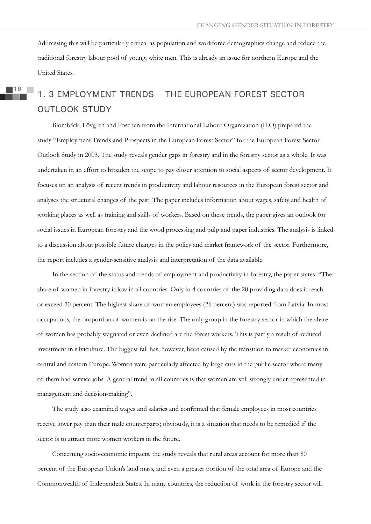Addressing this will be particularly critical as population and workforce demographics change and reduce the traditional forestry labour pool of young, white men. This is already an issue for northern Europe and the United States.

# 1. 3 EMPLOYMENT TRENDS – THE EUROPEAN FOREST SECTOR OUTLOOK STUDY

Blombäck, Lövgren and Poschen from the International Labour Organization (ILO) prepared the study "Employment Trends and Prospects in the European Forest Sector" for the European Forest Sector Outlook Study in 2003. The study reveals gender gaps in forestry and in the forestry sector as a whole. It was undertaken in an effort to broaden the scope to pay closer attention to social aspects of sector development. It focuses on an analysis of recent trends in productivity and labour resources in the European forest sector and analyses the structural changes of the past. The paper includes information about wages, safety and health of working places as well as training and skills of workers. Based on these trends, the paper gives an outlook for social issues in European forestry and the wood processing and pulp and paper industries. The analysis is linked to a discussion about possible future changes in the policy and market framework of the sector. Furthermore, the report includes a gender-sensitive analysis and interpretation of the data available.

In the section of the status and trends of employment and productivity in forestry, the paper states: "The share of women in forestry is low in all countries. Only in 4 countries of the 20 providing data does it reach or exceed 20 percent. The highest share of women employees (26 percent) was reported from Latvia. In most occupations, the proportion of women is on the rise. The only group in the forestry sector in which the share of women has probably stagnated or even declined are the forest workers. This is partly a result of reduced investment in silviculture. The biggest fall has, however, been caused by the transition to market economies in central and eastern Europe. Women were particularly affected by large cuts in the public sector where many of them had service jobs. A general trend in all countries is that women are still strongly underrepresented in management and decision-making".

The study also examined wages and salaries and confirmed that female employees in most countries receive lower pay than their male counterparts; obviously, it is a situation that needs to be remedied if the sector is to attract more women workers in the future.

Concerning socio-economic impacts, the study reveals that rural areas account for more than 80 percent of the European Union's land mass, and even a greater portion of the total area of Europe and the Commonwealth of Independent States. In many countries, the reduction of work in the forestry sector will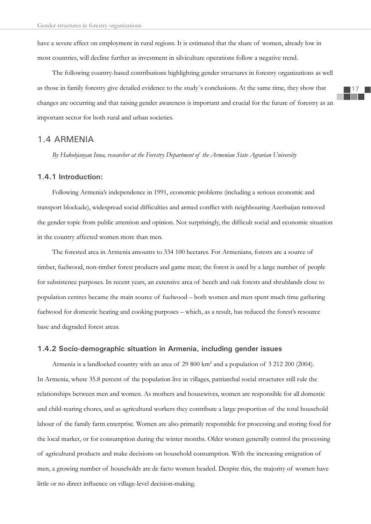have a severe effect on employment in rural regions. It is estimated that the share of women, already low in most countries, will decline further as investment in silviculture operations follow a negative trend.

The following country-based contributions highlighting gender structures in forestry organizations as well as those in family forestry give detailed evidence to the study`s conclusions. At the same time, they show that changes are occurring and that raising gender awareness is important and crucial for the future of forestry as an important sector for both rural and urban societies.

### 1.4 ARMENIA

*By Hakobjanyan Inna, researcher at the Forestry Department of the Armenian State Agrarian University* 

#### **1.4.1 Introduction:**

Following Armenia's independence in 1991, economic problems (including a serious economic and transport blockade), widespread social difficulties and armed conflict with neighbouring Azerbaijan removed the gender topic from public attention and opinion. Not surprisingly, the difficult social and economic situation in the country affected women more than men.

The forested area in Armenia amounts to 334 100 hectares. For Armenians, forests are a source of timber, fuelwood, non-timber forest products and game meat; the forest is used by a large number of people for subsistence purposes. In recent years, an extensive area of beech and oak forests and shrublands close to population centres became the main source of fuelwood – both women and men spent much time gathering fuelwood for domestic heating and cooking purposes – which, as a result, has reduced the forest's resource base and degraded forest areas.

#### **1.4.2 Socio-demographic situation in Armenia, including gender issues**

Armenia is a landlocked country with an area of 29 800 km<sup>2</sup> and a population of 3 212 200 (2004). In Armenia, where 35.8 percent of the population live in villages, patriarchal social structures still rule the relationships between men and women. As mothers and housewives, women are responsible for all domestic and child-rearing chores, and as agricultural workers they contribute a large proportion of the total household labour of the family farm enterprise. Women are also primarily responsible for processing and storing food for the local market, or for consumption during the winter months. Older women generally control the processing of agricultural products and make decisions on household consumption. With the increasing emigration of men, a growing number of households are de facto women headed. Despite this, the majority of women have little or no direct influence on village-level decision-making.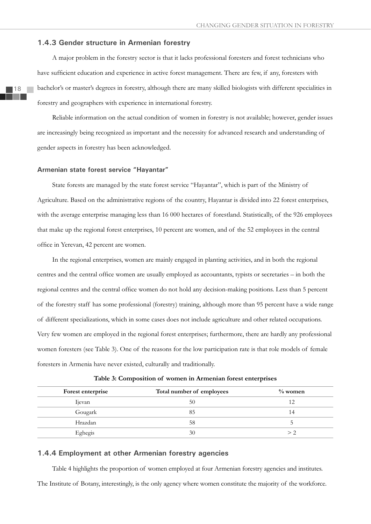#### **1.4.3 Gender structure in Armenian forestry**

A major problem in the forestry sector is that it lacks professional foresters and forest technicians who have sufficient education and experience in active forest management. There are few, if any, foresters with bachelor's or master's degrees in forestry, although there are many skilled biologists with different specialities in forestry and geographers with experience in international forestry.

Reliable information on the actual condition of women in forestry is not available; however, gender issues are increasingly being recognized as important and the necessity for advanced research and understanding of gender aspects in forestry has been acknowledged.

#### **Armenian state forest service "Hayantar"**

State forests are managed by the state forest service "Hayantar", which is part of the Ministry of Agriculture. Based on the administrative regions of the country, Hayantar is divided into 22 forest enterprises, with the average enterprise managing less than 16 000 hectares of forestland. Statistically, of the 926 employees that make up the regional forest enterprises, 10 percent are women, and of the 52 employees in the central office in Yerevan, 42 percent are women.

In the regional enterprises, women are mainly engaged in planting activities, and in both the regional centres and the central office women are usually employed as accountants, typists or secretaries – in both the regional centres and the central office women do not hold any decision-making positions. Less than 5 percent of the forestry staff has some professional (forestry) training, although more than 95 percent have a wide range of different specializations, which in some cases does not include agriculture and other related occupations. Very few women are employed in the regional forest enterprises; furthermore, there are hardly any professional women foresters (see Table 3). One of the reasons for the low participation rate is that role models of female foresters in Armenia have never existed, culturally and traditionally.

| Table 3: Composition of women in Armenian forest enterprises |  |  |
|--------------------------------------------------------------|--|--|
|--------------------------------------------------------------|--|--|

| Forest enterprise | Total number of employees | $\%$ women   |
|-------------------|---------------------------|--------------|
| <b>I</b> jevan    | 50                        |              |
| Gougark           | 85                        | 14           |
| Hrazdan           | 58                        |              |
| Eghegis           | 30                        | $>$ $\prime$ |

#### **1.4.4 Employment at other Armenian forestry agencies**

Table 4 highlights the proportion of women employed at four Armenian forestry agencies and institutes. The Institute of Botany, interestingly, is the only agency where women constitute the majority of the workforce.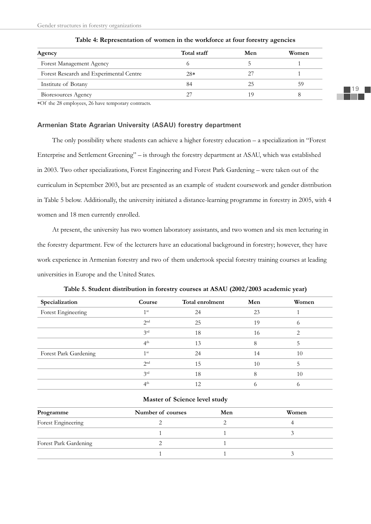| Agency                                  | Total staff | Men | Women |
|-----------------------------------------|-------------|-----|-------|
| Forest Management Agency                |             |     |       |
| Forest Research and Experimental Centre | $28*$       |     |       |
| Institute of Botany                     | 84          | 25  | 59    |
| Bioresources Agency                     | 27          | 1 Q |       |

#### **Table 4: Representation of women in the workforce at four forestry agencies**

Of the 28 employees, 26 have temporary contracts.

#### **Armenian State Agrarian University (ASAU) forestry department**

The only possibility where students can achieve a higher forestry education – a specialization in "Forest Enterprise and Settlement Greening" – is through the forestry department at ASAU, which was established in 2003. Two other specializations, Forest Engineering and Forest Park Gardening – were taken out of the curriculum in September 2003, but are presented as an example of student coursework and gender distribution in Table 5 below. Additionally, the university initiated a distance-learning programme in forestry in 2005, with 4 women and 18 men currently enrolled.

At present, the university has two women laboratory assistants, and two women and six men lecturing in the forestry department. Few of the lecturers have an educational background in forestry; however, they have work experience in Armenian forestry and two of them undertook special forestry training courses at leading universities in Europe and the United States.

| Specialization        | Course          | Total enrolment | Men | Women |
|-----------------------|-----------------|-----------------|-----|-------|
| Forest Engineering    | 1 <sup>st</sup> | 24              | 23  |       |
|                       | 2 <sub>nd</sub> | 25              | 19  | O)    |
|                       | 3 <sup>rd</sup> | 18              | 16  |       |
|                       | 4 <sup>th</sup> | 13              | 8   |       |
| Forest Park Gardening | 1 <sup>st</sup> | 24              | 14  | 10    |
|                       | 2 <sub>nd</sub> | 15              | 10  | ל     |
|                       | 2rd             | 18              |     | 10    |
|                       | 4 <sup>th</sup> | 12              |     | ()    |

**Table 5. Student distribution in forestry courses at ASAU (2002/2003 academic year)**

#### **Master of Science level study**

| Programme             | Number of courses | Men | Women |  |
|-----------------------|-------------------|-----|-------|--|
| Forest Engineering    |                   |     |       |  |
|                       |                   |     |       |  |
| Forest Park Gardening |                   |     |       |  |
|                       |                   |     |       |  |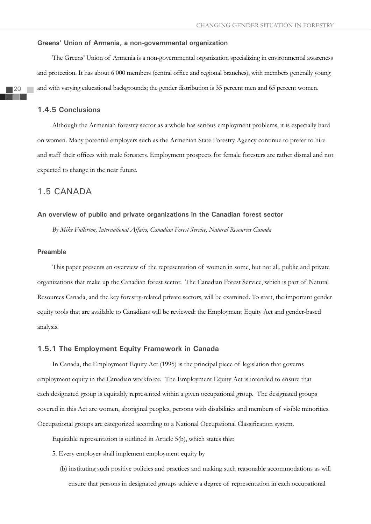#### **Greens' Union of Armenia, a non-governmental organization**

The Greens' Union of Armenia is a non-governmental organization specializing in environmental awareness and protection. It has about 6 000 members (central office and regional branches), with members generally young and with varying educational backgrounds; the gender distribution is 35 percent men and 65 percent women.

#### **1.4.5 Conclusions**

Although the Armenian forestry sector as a whole has serious employment problems, it is especially hard on women. Many potential employers such as the Armenian State Forestry Agency continue to prefer to hire and staff their offices with male foresters. Employment prospects for female foresters are rather dismal and not expected to change in the near future.

#### 1.5 CANADA

#### **An overview of public and private organizations in the Canadian forest sector**

*By Mike Fullerton, International Affairs, Canadian Forest Service, Natural Resources Canada*

#### **Preamble**

This paper presents an overview of the representation of women in some, but not all, public and private organizations that make up the Canadian forest sector. The Canadian Forest Service, which is part of Natural Resources Canada, and the key forestry-related private sectors, will be examined. To start, the important gender equity tools that are available to Canadians will be reviewed: the Employment Equity Act and gender-based analysis.

#### **1.5.1 The Employment Equity Framework in Canada**

In Canada, the Employment Equity Act (1995) is the principal piece of legislation that governs employment equity in the Canadian workforce. The Employment Equity Act is intended to ensure that each designated group is equitably represented within a given occupational group. The designated groups covered in this Act are women, aboriginal peoples, persons with disabilities and members of visible minorities. Occupational groups are categorized according to a National Occupational Classification system.

Equitable representation is outlined in Article 5(b), which states that:

- 5. Every employer shall implement employment equity by
	- (b) instituting such positive policies and practices and making such reasonable accommodations as will ensure that persons in designated groups achieve a degree of representation in each occupational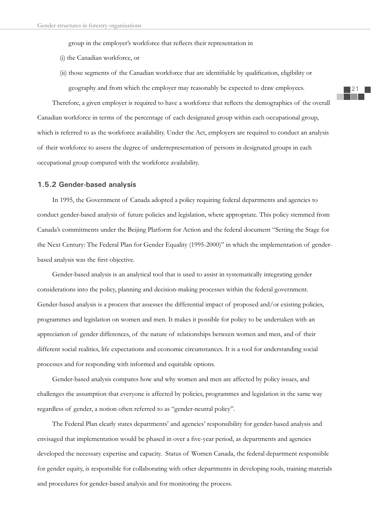group in the employer's workforce that reflects their representation in

- (i) the Canadian workforce, or
- (ii) those segments of the Canadian workforce that are identifiable by qualification, eligibility or geography and from which the employer may reasonably be expected to draw employees.

Therefore, a given employer is required to have a workforce that reflects the demographics of the overall Canadian workforce in terms of the percentage of each designated group within each occupational group, which is referred to as the workforce availability. Under the Act, employers are required to conduct an analysis of their workforce to assess the degree of underrepresentation of persons in designated groups in each occupational group compared with the workforce availability.

#### **1.5.2 Gender-based analysis**

In 1995, the Government of Canada adopted a policy requiring federal departments and agencies to conduct gender-based analysis of future policies and legislation, where appropriate. This policy stemmed from Canada's commitments under the Beijing Platform for Action and the federal document "Setting the Stage for the Next Century: The Federal Plan for Gender Equality (1995-2000)" in which the implementation of genderbased analysis was the first objective.

Gender-based analysis is an analytical tool that is used to assist in systematically integrating gender considerations into the policy, planning and decision-making processes within the federal government. Gender-based analysis is a process that assesses the differential impact of proposed and/or existing policies, programmes and legislation on women and men. It makes it possible for policy to be undertaken with an appreciation of gender differences, of the nature of relationships between women and men, and of their different social realities, life expectations and economic circumstances. It is a tool for understanding social processes and for responding with informed and equitable options.

Gender-based analysis compares how and why women and men are affected by policy issues, and challenges the assumption that everyone is affected by policies, programmes and legislation in the same way regardless of gender, a notion often referred to as "gender-neutral policy".

The Federal Plan clearly states departments' and agencies' responsibility for gender-based analysis and envisaged that implementation would be phased in over a five-year period, as departments and agencies developed the necessary expertise and capacity. Status of Women Canada, the federal department responsible for gender equity, is responsible for collaborating with other departments in developing tools, training materials and procedures for gender-based analysis and for monitoring the process.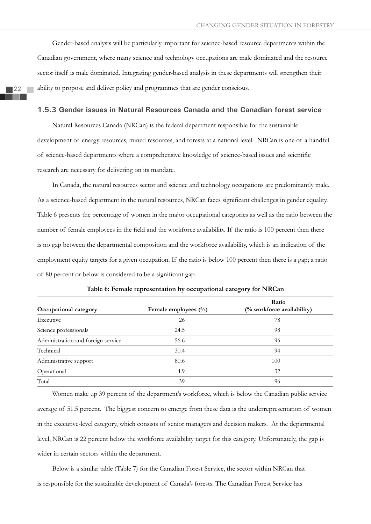Gender-based analysis will be particularly important for science-based resource departments within the Canadian government, where many science and technology occupations are male dominated and the resource sector itself is male dominated. Integrating gender-based analysis in these departments will strengthen their ability to propose and deliver policy and programmes that are gender conscious.

#### **1.5.3 Gender issues in Natural Resources Canada and the Canadian forest service**

Natural Resources Canada (NRCan) is the federal department responsible for the sustainable development of energy resources, mined resources, and forests at a national level. NRCan is one of a handful of science-based departments where a comprehensive knowledge of science-based issues and scientific research are necessary for delivering on its mandate.

In Canada, the natural resources sector and science and technology occupations are predominantly male. As a science-based department in the natural resources, NRCan faces significant challenges in gender equality. Table 6 presents the percentage of women in the major occupational categories as well as the ratio between the number of female employees in the field and the workforce availability. If the ratio is 100 percent then there is no gap between the departmental composition and the workforce availability, which is an indication of the employment equity targets for a given occupation. If the ratio is below 100 percent then there is a gap; a ratio of 80 percent or below is considered to be a significant gap.

| Occupational category              | Female employees $(\%)$ | Ratio<br>(% workforce availability) |
|------------------------------------|-------------------------|-------------------------------------|
| Executive                          | 26                      | 78                                  |
| Science professionals              | 24.5                    | 98                                  |
| Administration and foreign service | 56.6                    | 96                                  |
| Technical                          | 30.4                    | 94                                  |
| Administrative support             | 80.6                    | 100                                 |
| Operational                        | 4.9                     | 32                                  |
| Total                              | 39                      | 96                                  |

Women make up 39 percent of the department's workforce, which is below the Canadian public service average of 51.5 percent. The biggest concern to emerge from these data is the underrepresentation of women in the executive-level category, which consists of senior managers and decision makers. At the departmental level, NRCan is 22 percent below the workforce availability target for this category. Unfortunately, the gap is wider in certain sectors within the department.

Below is a similar table (Table 7) for the Canadian Forest Service, the sector within NRCan that is responsible for the sustainable development of Canada's forests. The Canadian Forest Service has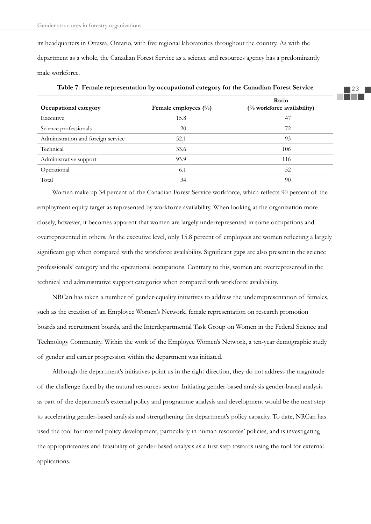its headquarters in Ottawa, Ontario, with five regional laboratories throughout the country. As with the department as a whole, the Canadian Forest Service as a science and resources agency has a predominantly male workforce.

| Occupational category              | Female employees $(\%)$ | Ratio<br>$\frac{1}{2}$ workforce availability) |  |  |
|------------------------------------|-------------------------|------------------------------------------------|--|--|
| Executive                          | 15.8                    | 47                                             |  |  |
| Science professionals              | 20                      | 72                                             |  |  |
| Administration and foreign service | 52.1                    | 93                                             |  |  |
| Technical                          | 33.6                    | 106                                            |  |  |
| Administrative support             | 93.9                    | 116                                            |  |  |
| Operational                        | 6.1                     | 52                                             |  |  |
| Total                              | 34                      | 90                                             |  |  |

**Table 7: Female representation by occupational category for the Canadian Forest Service**

Women make up 34 percent of the Canadian Forest Service workforce, which reflects 90 percent of the employment equity target as represented by workforce availability. When looking at the organization more closely, however, it becomes apparent that women are largely underrepresented in some occupations and overrepresented in others. At the executive level, only 15.8 percent of employees are women reflecting a largely significant gap when compared with the workforce availability. Significant gaps are also present in the science professionals' category and the operational occupations. Contrary to this, women are overrepresented in the technical and administrative support categories when compared with workforce availability.

NRCan has taken a number of gender-equality initiatives to address the underrepresentation of females, such as the creation of an Employee Women's Network, female representation on research promotion boards and recruitment boards, and the Interdepartmental Task Group on Women in the Federal Science and Technology Community. Within the work of the Employee Women's Network, a ten-year demographic study of gender and career progression within the department was initiated.

Although the department's initiatives point us in the right direction, they do not address the magnitude of the challenge faced by the natural resources sector. Initiating gender-based analysis gender-based analysis as part of the department's external policy and programme analysis and development would be the next step to accelerating gender-based analysis and strengthening the department's policy capacity. To date, NRCan has used the tool for internal policy development, particularly in human resources' policies, and is investigating the appropriateness and feasibility of gender-based analysis as a first step towards using the tool for external applications.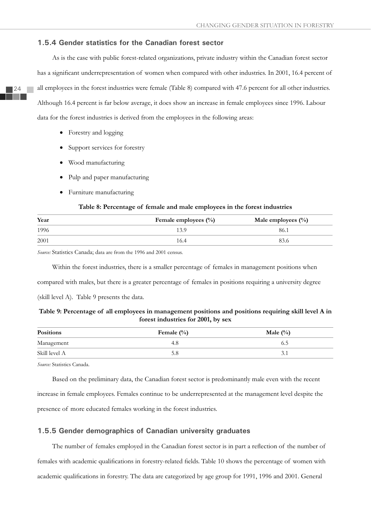#### **1.5.4 Gender statistics for the Canadian forest sector**

As is the case with public forest-related organizations, private industry within the Canadian forest sector has a significant underrepresentation of women when compared with other industries. In 2001, 16.4 percent of all employees in the forest industries were female (Table 8) compared with 47.6 percent for all other industries. Although 16.4 percent is far below average, it does show an increase in female employees since 1996. Labour data for the forest industries is derived from the employees in the following areas:

- $\bullet$  Forestry and logging
- Support services for forestry
- Wood manufacturing
- Pulp and paper manufacturing
- Furniture manufacturing

#### **Table 8: Percentage of female and male employees in the forest industries**

| Year | Female employees (%) | Male employees $(\%)$ |  |  |
|------|----------------------|-----------------------|--|--|
| 1996 | 13.9                 | 86.1                  |  |  |
| 2001 | 16.4                 | 83.6                  |  |  |

*Source:* Statistics Canada; data are from the 1996 and 2001 census.

Within the forest industries, there is a smaller percentage of females in management positions when

compared with males, but there is a greater percentage of females in positions requiring a university degree

(skill level A). Table 9 presents the data.

#### **Table 9: Percentage of all employees in management positions and positions requiring skill level A in forest industries for 2001, by sex**

| <b>Positions</b>         | Female $(\% )$ | Male $(\%)$ |
|--------------------------|----------------|-------------|
| Management               | 4.8            | 6.5         |
| Skill level A<br>_______ | 5.8            | 3.1         |

*Source:* Statistics Canada.

Based on the preliminary data, the Canadian forest sector is predominantly male even with the recent increase in female employees. Females continue to be underrepresented at the management level despite the presence of more educated females working in the forest industries.

#### **1.5.5 Gender demographics of Canadian university graduates**

The number of females employed in the Canadian forest sector is in part a reflection of the number of females with academic qualifications in forestry-related fields. Table 10 shows the percentage of women with academic qualifications in forestry. The data are categorized by age group for 1991, 1996 and 2001. General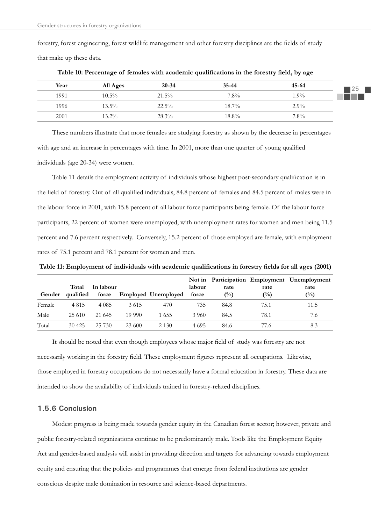forestry, forest engineering, forest wildlife management and other forestry disciplines are the fields of study that make up these data.

| Year | All Ages | $20 - 34$ | $35 - 44$ | 45-64   |
|------|----------|-----------|-----------|---------|
| 1991 | $10.5\%$ | $21.5\%$  | $7.8\%$   | $1.9\%$ |
| 1996 | $13.5\%$ | $22.5\%$  | $18.7\%$  | $2.9\%$ |
| 2001 | $13.2\%$ | 28.3%     | $18.8\%$  | $7.8\%$ |

Table 10: Percentage of females with academic qualifications in the forestry field, by age

These numbers illustrate that more females are studying forestry as shown by the decrease in percentages with age and an increase in percentages with time. In 2001, more than one quarter of young qualified individuals (age 20-34) were women.

Table 11 details the employment activity of individuals whose highest post-secondary qualification is in the field of forestry. Out of all qualified individuals, 84.8 percent of females and 84.5 percent of males were in the labour force in 2001, with 15.8 percent of all labour force participants being female. Of the labour force participants, 22 percent of women were unemployed, with unemployment rates for women and men being 11.5 percent and 7.6 percent respectively. Conversely, 15.2 percent of those employed are female, with employment rates of 75.1 percent and 78.1 percent for women and men.

Table 11: Employment of individuals with academic qualifications in forestry fields for all ages (2001)

| Gender | Total<br>qualified | In labour<br>force |        | <b>Employed Unemployed</b> | labour<br>force | rate<br>(%) | rate<br>$\binom{0}{0}$ | Not in Participation Employment Unemployment<br>rate<br>$\binom{0}{0}$ |
|--------|--------------------|--------------------|--------|----------------------------|-----------------|-------------|------------------------|------------------------------------------------------------------------|
| Female | 4 8 1 5            | 4 0 8 5            | 3615   | 470                        | 735             | 84.8        | 75.1                   | 11.5                                                                   |
| Male   | 25 610             | 21 645             | 19 990 | 1655                       | 3.960           | 84.5        | 78.1                   | 7.6                                                                    |
| Total  | 30 4 25            | 25 730             | 23 600 | 2 1 3 0                    | 4 6 9 5         | 84.6        | 77.6                   | 8.3                                                                    |

It should be noted that even though employees whose major field of study was forestry are not necessarily working in the forestry field. These employment figures represent all occupations. Likewise, those employed in forestry occupations do not necessarily have a formal education in forestry. These data are intended to show the availability of individuals trained in forestry-related disciplines.

#### **1.5.6 Conclusion**

Modest progress is being made towards gender equity in the Canadian forest sector; however, private and public forestry-related organizations continue to be predominantly male. Tools like the Employment Equity Act and gender-based analysis will assist in providing direction and targets for advancing towards employment equity and ensuring that the policies and programmes that emerge from federal institutions are gender conscious despite male domination in resource and science-based departments.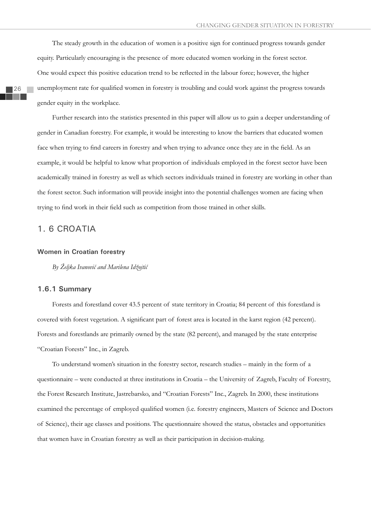The steady growth in the education of women is a positive sign for continued progress towards gender equity. Particularly encouraging is the presence of more educated women working in the forest sector. One would expect this positive education trend to be reflected in the labour force; however, the higher unemployment rate for qualified women in forestry is troubling and could work against the progress towards gender equity in the workplace.

Further research into the statistics presented in this paper will allow us to gain a deeper understanding of gender in Canadian forestry. For example, it would be interesting to know the barriers that educated women face when trying to find careers in forestry and when trying to advance once they are in the field. As an example, it would be helpful to know what proportion of individuals employed in the forest sector have been academically trained in forestry as well as which sectors individuals trained in forestry are working in other than the forest sector. Such information will provide insight into the potential challenges women are facing when trying to find work in their field such as competition from those trained in other skills.

## 1. 6 CROATIA

#### **Women in Croatian forestry**

*By Željka Ivanoviý and Marilena Idžojtiý*

#### **1.6.1 Summary**

Forests and forestland cover 43.5 percent of state territory in Croatia; 84 percent of this forestland is covered with forest vegetation. A significant part of forest area is located in the karst region (42 percent). Forests and forestlands are primarily owned by the state (82 percent), and managed by the state enterprise "Croatian Forests" Inc., in Zagreb.

To understand women's situation in the forestry sector, research studies – mainly in the form of a questionnaire – were conducted at three institutions in Croatia – the University of Zagreb, Faculty of Forestry, the Forest Research Institute, Jastrebarsko, and "Croatian Forests" Inc., Zagreb. In 2000, these institutions examined the percentage of employed qualified women (i.e. forestry engineers, Masters of Science and Doctors of Science), their age classes and positions. The questionnaire showed the status, obstacles and opportunities that women have in Croatian forestry as well as their participation in decision-making.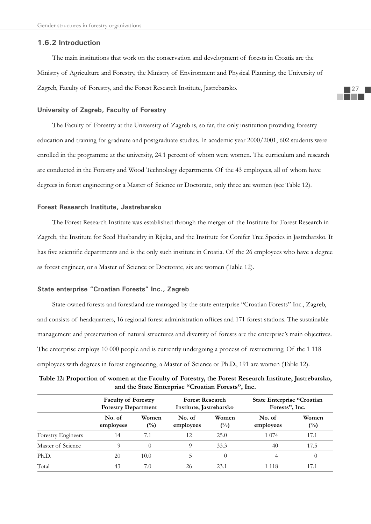### **1.6.2 Introduction**

The main institutions that work on the conservation and development of forests in Croatia are the Ministry of Agriculture and Forestry, the Ministry of Environment and Physical Planning, the University of Zagreb, Faculty of Forestry, and the Forest Research Institute, Jastrebarsko.

### **University of Zagreb, Faculty of Forestry**

The Faculty of Forestry at the University of Zagreb is, so far, the only institution providing forestry education and training for graduate and postgraduate studies. In academic year 2000/2001, 602 students were enrolled in the programme at the university, 24.1 percent of whom were women. The curriculum and research are conducted in the Forestry and Wood Technology departments. Of the 43 employees, all of whom have degrees in forest engineering or a Master of Science or Doctorate, only three are women (see Table 12).

### **Forest Research Institute, Jastrebarsko**

The Forest Research Institute was established through the merger of the Institute for Forest Research in Zagreb, the Institute for Seed Husbandry in Rijeka, and the Institute for Conifer Tree Species in Jastrebarsko. It has five scientific departments and is the only such institute in Croatia. Of the 26 employees who have a degree as forest engineer, or a Master of Science or Doctorate, six are women (Table 12).

# **State enterprise "Croatian Forests" Inc., Zagreb**

State-owned forests and forestland are managed by the state enterprise "Croatian Forests" Inc., Zagreb, and consists of headquarters, 16 regional forest administration offices and 171 forest stations. The sustainable management and preservation of natural structures and diversity of forests are the enterprise's main objectives. The enterprise employs 10 000 people and is currently undergoing a process of restructuring. Of the 1 118 employees with degrees in forest engineering, a Master of Science or Ph.D., 191 are women (Table 12).

|                           | <b>Faculty of Forestry</b><br><b>Forestry Department</b> |                         | <b>Forest Research</b><br>Institute, Jastrebarsko |                         | <b>State Enterprise "Croatian</b><br>Forests", Inc. |                 |
|---------------------------|----------------------------------------------------------|-------------------------|---------------------------------------------------|-------------------------|-----------------------------------------------------|-----------------|
|                           | No. of<br>employees                                      | Women<br>$\binom{0}{0}$ | No. of<br>employees                               | Women<br>$\binom{0}{0}$ | No. of<br>employees                                 | Women<br>$(\%)$ |
| <b>Forestry Engineers</b> | 14                                                       | 7.1                     | 12                                                | 25.0                    | 1 0 7 4                                             | 17.1            |
| Master of Science         | 9                                                        | 0                       | 9                                                 | 33.3                    | 40                                                  | 17.5            |
| Ph.D.                     | 20                                                       | 10.0                    | 5                                                 | 0                       | 4                                                   | $\Omega$        |
| Total                     | 43                                                       | 7.0                     | 26                                                | 23.1                    | 1 118                                               | 17.1            |

**Table 12: Proportion of women at the Faculty of Forestry, the Forest Research Institute, Jastrebarsko, and the State Enterprise "Croatian Forests", Inc.**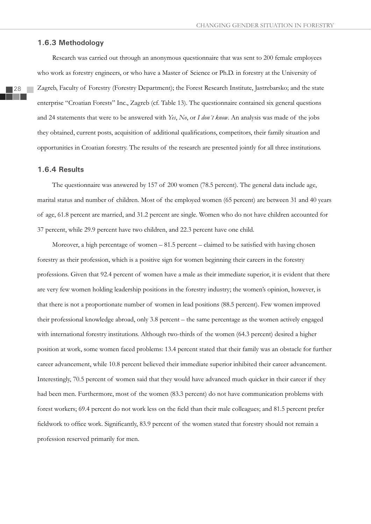### **1.6.3 Methodology**

28

Research was carried out through an anonymous questionnaire that was sent to 200 female employees who work as forestry engineers, or who have a Master of Science or Ph.D. in forestry at the University of Zagreb, Faculty of Forestry (Forestry Department); the Forest Research Institute, Jastrebarsko; and the state enterprise "Croatian Forests" Inc., Zagreb (cf. Table 13). The questionnaire contained six general questions and 24 statements that were to be answered with *Yes*, *No*, or *I don´t know*. An analysis was made of the jobs they obtained, current posts, acquisition of additional qualifications, competitors, their family situation and opportunities in Croatian forestry. The results of the research are presented jointly for all three institutions.

### **1.6.4 Results**

The questionnaire was answered by 157 of 200 women (78.5 percent). The general data include age, marital status and number of children. Most of the employed women (65 percent) are between 31 and 40 years of age, 61.8 percent are married, and 31.2 percent are single. Women who do not have children accounted for 37 percent, while 29.9 percent have two children, and 22.3 percent have one child.

Moreover, a high percentage of women  $-81.5$  percent  $-$  claimed to be satisfied with having chosen forestry as their profession, which is a positive sign for women beginning their careers in the forestry professions. Given that 92.4 percent of women have a male as their immediate superior, it is evident that there are very few women holding leadership positions in the forestry industry; the women's opinion, however, is that there is not a proportionate number of women in lead positions (88.5 percent). Few women improved their professional knowledge abroad, only 3.8 percent – the same percentage as the women actively engaged with international forestry institutions. Although two-thirds of the women (64.3 percent) desired a higher position at work, some women faced problems: 13.4 percent stated that their family was an obstacle for further career advancement, while 10.8 percent believed their immediate superior inhibited their career advancement. Interestingly, 70.5 percent of women said that they would have advanced much quicker in their career if they had been men. Furthermore, most of the women (83.3 percent) do not have communication problems with forest workers; 69.4 percent do not work less on the field than their male colleagues; and 81.5 percent prefer fieldwork to office work. Significantly, 83.9 percent of the women stated that forestry should not remain a profession reserved primarily for men.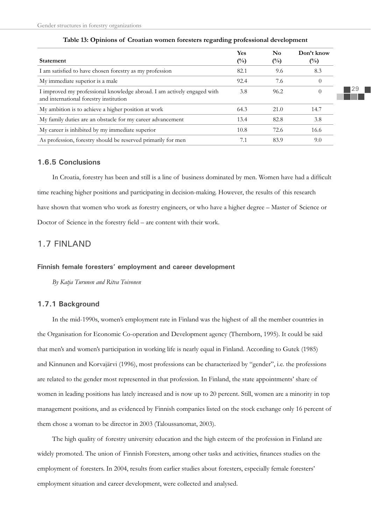| <b>Statement</b>                                                                                                  | Yes<br>$(\%)$ | No<br>$\binom{0}{0}$ | Don't know<br>$(\%)$ |
|-------------------------------------------------------------------------------------------------------------------|---------------|----------------------|----------------------|
| I am satisfied to have chosen forestry as my profession                                                           | 82.1          | 9.6                  | 8.3                  |
| My immediate superior is a male                                                                                   | 92.4          | 7.6                  | $\overline{0}$       |
| I improved my professional knowledge abroad. I am actively engaged with<br>and international forestry institution | 3.8           | 96.2                 | $\theta$             |
| My ambition is to achieve a higher position at work                                                               | 64.3          | 21.0                 | 14.7                 |
| My family duties are an obstacle for my career advancement                                                        | 13.4          | 82.8                 | 3.8                  |
| My career is inhibited by my immediate superior                                                                   | 10.8          | 72.6                 | 16.6                 |
| As profession, forestry should be reserved primarily for men                                                      | 7.1           | 83.9                 | 9.0                  |

### **Table 13: Opinions of Croatian women foresters regarding professional development**

# **1.6.5 Conclusions**

In Croatia, forestry has been and still is a line of business dominated by men. Women have had a difficult time reaching higher positions and participating in decision-making. However, the results of this research have shown that women who work as forestry engineers, or who have a higher degree – Master of Science or Doctor of Science in the forestry field – are content with their work.

# 1.7 FINLAND

### **Finnish female foresters' employment and career development**

*By Katja Turunen and Ritva Toivonen*

# **1.7.1 Background**

In the mid-1990s, women's employment rate in Finland was the highest of all the member countries in the Organisation for Economic Co-operation and Development agency (Thernborn, 1995). It could be said that men's and women's participation in working life is nearly equal in Finland. According to Gutek (1985) and Kinnunen and Korvajärvi (1996), most professions can be characterized by "gender", i.e. the professions are related to the gender most represented in that profession. In Finland, the state appointments' share of women in leading positions has lately increased and is now up to 20 percent. Still, women are a minority in top management positions, and as evidenced by Finnish companies listed on the stock exchange only 16 percent of them chose a woman to be director in 2003 (Taloussanomat, 2003).

The high quality of forestry university education and the high esteem of the profession in Finland are widely promoted. The union of Finnish Foresters, among other tasks and activities, finances studies on the employment of foresters. In 2004, results from earlier studies about foresters, especially female foresters' employment situation and career development, were collected and analysed.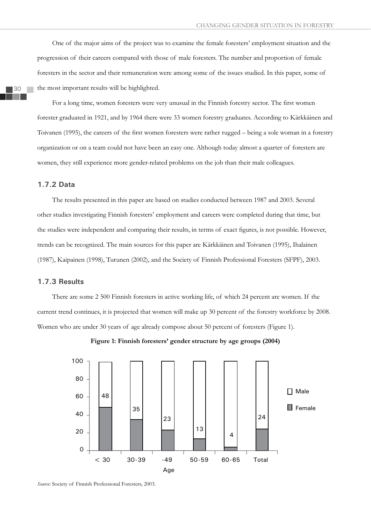One of the major aims of the project was to examine the female foresters' employment situation and the progression of their careers compared with those of male foresters. The number and proportion of female foresters in the sector and their remuneration were among some of the issues studied. In this paper, some of the most important results will be highlighted.

For a long time, women foresters were very unusual in the Finnish forestry sector. The first women forester graduated in 1921, and by 1964 there were 33 women forestry graduates. According to Kärkkäinen and Toivanen (1995), the careers of the first women foresters were rather rugged – being a sole woman in a forestry organization or on a team could not have been an easy one. Although today almost a quarter of foresters are women, they still experience more gender-related problems on the job than their male colleagues.

# **1.7.2 Data**

The results presented in this paper are based on studies conducted between 1987 and 2003. Several other studies investigating Finnish foresters' employment and careers were completed during that time, but the studies were independent and comparing their results, in terms of exact figures, is not possible. However, trends can be recognized. The main sources for this paper are Kärkkäinen and Toivanen (1995), Ihalainen (1987), Kaipainen (1998), Turunen (2002), and the Society of Finnish Professional Foresters (SFPF), 2003.

### **1.7.3 Results**

There are some 2 500 Finnish foresters in active working life, of which 24 percent are women. If the current trend continues, it is projected that women will make up 30 percent of the forestry workforce by 2008. Women who are under 30 years of age already compose about 50 percent of foresters (Figure 1).



**Figure 1: Finnish foresters' gender structure by age groups (2004)** 

*Source:* Society of Finnish Professional Foresters, 2003.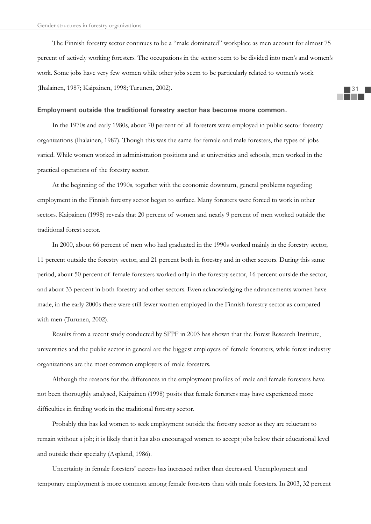The Finnish forestry sector continues to be a "male dominated" workplace as men account for almost 75 percent of actively working foresters. The occupations in the sector seem to be divided into men's and women's work. Some jobs have very few women while other jobs seem to be particularly related to women's work (Ihalainen, 1987; Kaipainen, 1998; Turunen, 2002).

### **Employment outside the traditional forestry sector has become more common.**

In the 1970s and early 1980s, about 70 percent of all foresters were employed in public sector forestry organizations (Ihalainen, 1987). Though this was the same for female and male foresters, the types of jobs varied. While women worked in administration positions and at universities and schools, men worked in the practical operations of the forestry sector.

At the beginning of the 1990s, together with the economic downturn, general problems regarding employment in the Finnish forestry sector began to surface. Many foresters were forced to work in other sectors. Kaipainen (1998) reveals that 20 percent of women and nearly 9 percent of men worked outside the traditional forest sector.

In 2000, about 66 percent of men who had graduated in the 1990s worked mainly in the forestry sector, 11 percent outside the forestry sector, and 21 percent both in forestry and in other sectors. During this same period, about 50 percent of female foresters worked only in the forestry sector, 16 percent outside the sector, and about 33 percent in both forestry and other sectors. Even acknowledging the advancements women have made, in the early 2000s there were still fewer women employed in the Finnish forestry sector as compared with men (Turunen, 2002).

Results from a recent study conducted by SFPF in 2003 has shown that the Forest Research Institute, universities and the public sector in general are the biggest employers of female foresters, while forest industry organizations are the most common employers of male foresters.

Although the reasons for the differences in the employment profiles of male and female foresters have not been thoroughly analysed, Kaipainen (1998) posits that female foresters may have experienced more difficulties in finding work in the traditional forestry sector.

Probably this has led women to seek employment outside the forestry sector as they are reluctant to remain without a job; it is likely that it has also encouraged women to accept jobs below their educational level and outside their specialty (Asplund, 1986).

Uncertainty in female foresters' careers has increased rather than decreased. Unemployment and temporary employment is more common among female foresters than with male foresters. In 2003, 32 percent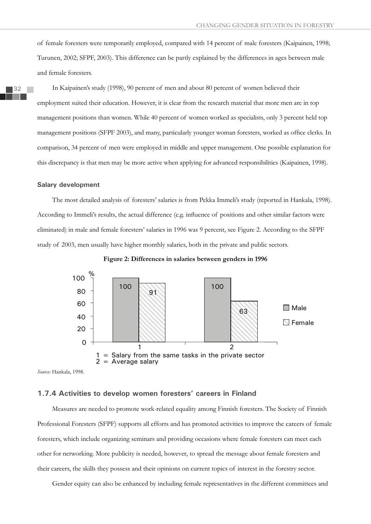of female foresters were temporarily employed, compared with 14 percent of male foresters (Kaipainen, 1998; Turunen, 2002; SFPF, 2003). This difference can be partly explained by the differences in ages between male and female foresters.

In Kaipainen's study (1998), 90 percent of men and about 80 percent of women believed their employment suited their education. However, it is clear from the research material that more men are in top management positions than women. While 40 percent of women worked as specialists, only 3 percent held top management positions (SFPF 2003), and many, particularly younger woman foresters, worked as office clerks. In comparison, 34 percent of men were employed in middle and upper management. One possible explanation for this discrepancy is that men may be more active when applying for advanced responsibilities (Kaipainen, 1998).

#### **Salary development**

The most detailed analysis of foresters' salaries is from Pekka Immeli's study (reported in Hankala, 1998). According to Immeli's results, the actual difference (e.g. influence of positions and other similar factors were eliminated) in male and female foresters' salaries in 1996 was 9 percent, see Figure 2. According to the SFPF study of 2003, men usually have higher monthly salaries, both in the private and public sectors.



**Figure 2: Differences in salaries between genders in 1996** 

*Source:* Hankala, 1998.

# **1.7.4 Activities to develop women foresters' careers in Finland**

Measures are needed to promote work-related equality among Finnish foresters. The Society of Finnish Professional Foresters (SFPF) supports all efforts and has promoted activities to improve the careers of female foresters, which include organizing seminars and providing occasions where female foresters can meet each other for networking. More publicity is needed, however, to spread the message about female foresters and their careers, the skills they possess and their opinions on current topics of interest in the forestry sector.

Gender equity can also be enhanced by including female representatives in the different committees and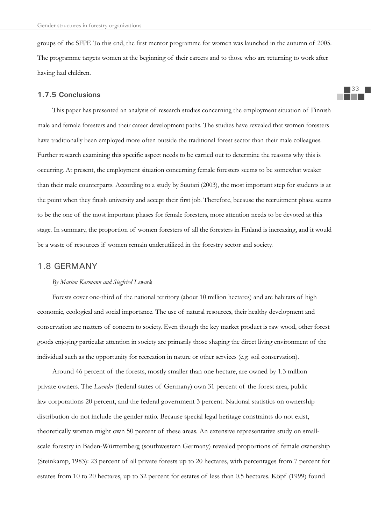groups of the SFPF. To this end, the first mentor programme for women was launched in the autumn of 2005. The programme targets women at the beginning of their careers and to those who are returning to work after having had children.

### **1.7.5 Conclusions**

This paper has presented an analysis of research studies concerning the employment situation of Finnish male and female foresters and their career development paths. The studies have revealed that women foresters have traditionally been employed more often outside the traditional forest sector than their male colleagues. Further research examining this specific aspect needs to be carried out to determine the reasons why this is occurring. At present, the employment situation concerning female foresters seems to be somewhat weaker than their male counterparts. According to a study by Suutari (2003), the most important step for students is at the point when they finish university and accept their first job. Therefore, because the recruitment phase seems to be the one of the most important phases for female foresters, more attention needs to be devoted at this stage. In summary, the proportion of women foresters of all the foresters in Finland is increasing, and it would be a waste of resources if women remain underutilized in the forestry sector and society.

# 1.8 GERMANY

### *By Marion Karmann and Siegfried Lewark*

Forests cover one-third of the national territory (about 10 million hectares) and are habitats of high economic, ecological and social importance. The use of natural resources, their healthy development and conservation are matters of concern to society. Even though the key market product is raw wood, other forest goods enjoying particular attention in society are primarily those shaping the direct living environment of the individual such as the opportunity for recreation in nature or other services (e.g. soil conservation).

Around 46 percent of the forests, mostly smaller than one hectare, are owned by 1.3 million private owners. The *Laender* (federal states of Germany) own 31 percent of the forest area, public law corporations 20 percent, and the federal government 3 percent. National statistics on ownership distribution do not include the gender ratio. Because special legal heritage constraints do not exist, theoretically women might own 50 percent of these areas. An extensive representative study on smallscale forestry in Baden-Württemberg (southwestern Germany) revealed proportions of female ownership (Steinkamp, 1983): 23 percent of all private forests up to 20 hectares, with percentages from 7 percent for estates from 10 to 20 hectares, up to 32 percent for estates of less than 0.5 hectares. Köpf (1999) found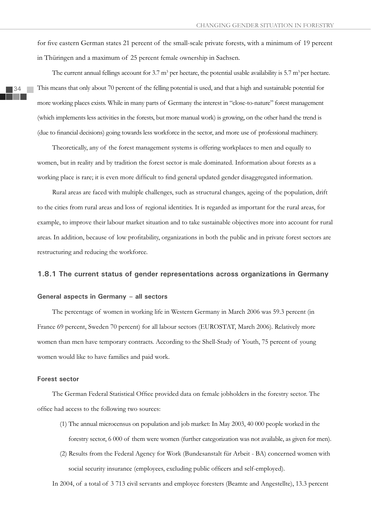for five eastern German states 21 percent of the small-scale private forests, with a minimum of 19 percent in Thüringen and a maximum of 25 percent female ownership in Sachsen.

The current annual fellings account for 3.7  $m^3$  per hectare, the potential usable availability is 5.7  $m^3$  per hectare. This means that only about 70 percent of the felling potential is used, and that a high and sustainable potential for more working places exists. While in many parts of Germany the interest in "close-to-nature" forest management (which implements less activities in the forests, but more manual work) is growing, on the other hand the trend is (due to financial decisions) going towards less workforce in the sector, and more use of professional machinery.

Theoretically, any of the forest management systems is offering workplaces to men and equally to women, but in reality and by tradition the forest sector is male dominated. Information about forests as a working place is rare; it is even more difficult to find general updated gender disaggregated information.

Rural areas are faced with multiple challenges, such as structural changes, ageing of the population, drift to the cities from rural areas and loss of regional identities. It is regarded as important for the rural areas, for example, to improve their labour market situation and to take sustainable objectives more into account for rural areas. In addition, because of low profitability, organizations in both the public and in private forest sectors are restructuring and reducing the workforce.

#### **1.8.1 The current status of gender representations across organizations in Germany**

### **General aspects in Germany – all sectors**

The percentage of women in working life in Western Germany in March 2006 was 59.3 percent (in France 69 percent, Sweden 70 percent) for all labour sectors (EUROSTAT, March 2006). Relatively more women than men have temporary contracts. According to the Shell-Study of Youth, 75 percent of young women would like to have families and paid work.

### **Forest sector**

The German Federal Statistical Office provided data on female jobholders in the forestry sector. The office had access to the following two sources:

- (1) The annual microcensus on population and job market: In May 2003, 40 000 people worked in the forestry sector, 6 000 of them were women (further categorization was not available, as given for men).
- (2) Results from the Federal Agency for Work (Bundesanstalt für Arbeit BA) concerned women with social security insurance (employees, excluding public officers and self-employed).

In 2004, of a total of 3 713 civil servants and employee foresters (Beamte and Angestellte), 13.3 percent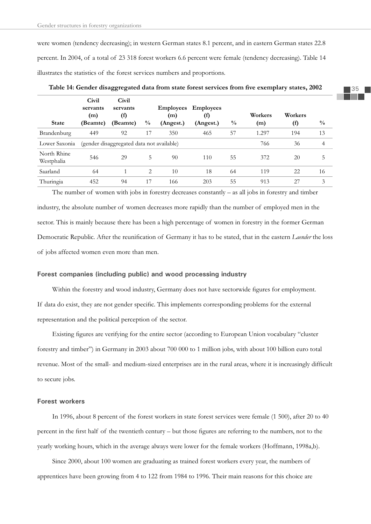were women (tendency decreasing); in western German states 8.1 percent, and in eastern German states 22.8 percent. In 2004, of a total of 23 318 forest workers 6.6 percent were female (tendency decreasing). Table 14 illustrates the statistics of the forest services numbers and proportions.

| <b>State</b>              | Civil<br>servants<br>(m)<br>(Beamte) | Civil<br>servants<br>$^{(f)}$<br>(Beamte) | $\frac{0}{0}$ | <b>Employees</b><br>(m)<br>(Angest.) | <b>Employees</b><br>(f)<br>(Angest.) | $\frac{0}{0}$ | Workers<br>(m) | Workers<br>(f) | $\frac{0}{0}$ |
|---------------------------|--------------------------------------|-------------------------------------------|---------------|--------------------------------------|--------------------------------------|---------------|----------------|----------------|---------------|
| Brandenburg               | 449                                  | 92                                        | 17            | 350                                  | 465                                  | 57            | 1.297          | 194            | 13            |
| Lower Saxonia             |                                      | (gender disaggregated data not available) |               |                                      |                                      |               | 766            | 36             | 4             |
| North Rhine<br>Westphalia | 546                                  | 29                                        | 5             | 90                                   | 110                                  | 55            | 372            | 20             | 5             |
| Saarland                  | 64                                   |                                           | 2             | 10                                   | 18                                   | 64            | 119            | 22             | 16            |
| Thuringia                 | 452                                  | 94                                        | 17            | 166                                  | 203                                  | 55            | 913            | 27             | 3             |

Table 14: Gender disaggregated data from state forest services from five exemplary states, 2002

The number of women with jobs in forestry decreases constantly – as all jobs in forestry and timber industry, the absolute number of women decreases more rapidly than the number of employed men in the sector. This is mainly because there has been a high percentage of women in forestry in the former German Democratic Republic. After the reunification of Germany it has to be stated, that in the eastern *Laender* the loss of jobs affected women even more than men.

#### **Forest companies (including public) and wood processing industry**

Within the forestry and wood industry, Germany does not have sectorwide figures for employment. If data do exist, they are not gender specific. This implements corresponding problems for the external representation and the political perception of the sector.

Existing figures are verifying for the entire sector (according to European Union vocabulary "cluster forestry and timber") in Germany in 2003 about 700 000 to 1 million jobs, with about 100 billion euro total revenue. Most of the small- and medium-sized enterprises are in the rural areas, where it is increasingly difficult to secure jobs.

#### **Forest workers**

In 1996, about 8 percent of the forest workers in state forest services were female (1 500), after 20 to 40 percent in the first half of the twentieth century – but those figures are referring to the numbers, not to the yearly working hours, which in the average always were lower for the female workers (Hoffmann, 1998a,b).

Since 2000, about 100 women are graduating as trained forest workers every year, the numbers of apprentices have been growing from 4 to 122 from 1984 to 1996. Their main reasons for this choice are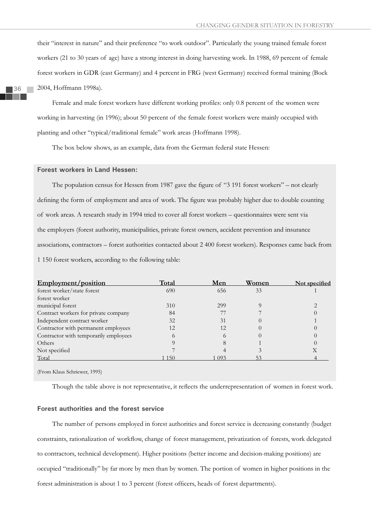their "interest in nature" and their preference "to work outdoor". Particularly the young trained female forest workers (21 to 30 years of age) have a strong interest in doing harvesting work. In 1988, 69 percent of female forest workers in GDR (east Germany) and 4 percent in FRG (west Germany) received formal training (Bock 2004, Hoffmann 1998a).

Female and male forest workers have different working profiles: only 0.8 percent of the women were working in harvesting (in 1996); about 50 percent of the female forest workers were mainly occupied with planting and other "typical/traditional female" work areas (Hoffmann 1998).

The box below shows, as an example, data from the German federal state Hessen:

#### **Forest workers in Land Hessen:**

The population census for Hessen from 1987 gave the figure of "3 191 forest workers" – not clearly defining the form of employment and area of work. The figure was probably higher due to double counting of work areas. A research study in 1994 tried to cover all forest workers – questionnaires were sent via the employers (forest authority, municipalities, private forest owners, accident prevention and insurance associations, contractors – forest authorities contacted about 2 400 forest workers). Responses came back from 1 150 forest workers, according to the following table:

| Employment/position                   | Total    | Men  | Women | Not specified |
|---------------------------------------|----------|------|-------|---------------|
| forest worker/state forest            | 690      | 656  | 33    |               |
| forest worker                         |          |      |       |               |
| municipal forest                      | 310      | 299  |       |               |
| Contract workers for private company  | 84       |      |       |               |
| Independent contract worker           | 32       | 31   |       |               |
| Contractor with permanent employees   | 12       | 12.  |       |               |
| Contractor with temporarily employees | $\Omega$ |      |       |               |
| Others                                |          |      |       |               |
| Not specified                         |          |      |       | Х             |
| Total                                 | 1 1 5 0  | L093 | 53    |               |
|                                       |          |      |       |               |

(From Klaus Schriewer, 1995)

Though the table above is not representative, it reflects the underrepresentation of women in forest work.

#### **Forest authorities and the forest service**

The number of persons employed in forest authorities and forest service is decreasing constantly (budget constraints, rationalization of workflow, change of forest management, privatization of forests, work delegated to contractors, technical development). Higher positions (better income and decision-making positions) are occupied "traditionally" by far more by men than by women. The portion of women in higher positions in the forest administration is about 1 to 3 percent (forest officers, heads of forest departments).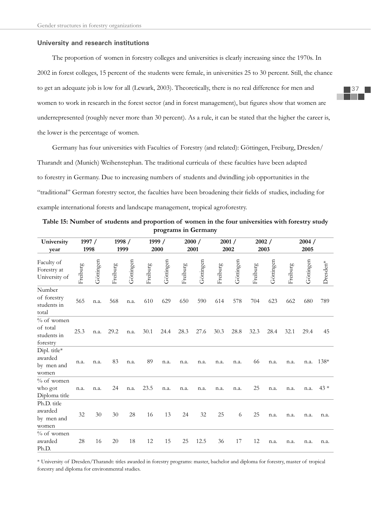#### **University and research institutions**

The proportion of women in forestry colleges and universities is clearly increasing since the 1970s. In 2002 in forest colleges, 15 percent of the students were female, in universities 25 to 30 percent. Still, the chance to get an adequate job is low for all (Lewark, 2003). Theoretically, there is no real difference for men and women to work in research in the forest sector (and in forest management), but figures show that women are underrepresented (roughly never more than 30 percent). As a rule, it can be stated that the higher the career is, the lower is the percentage of women.

Germany has four universities with Faculties of Forestry (and related): Göttingen, Freiburg, Dresden/ Tharandt and (Munich) Weihenstephan. The traditional curricula of these faculties have been adapted to forestry in Germany. Due to increasing numbers of students and dwindling job opportunities in the "traditional" German forestry sector, the faculties have been broadening their fields of studies, including for example international forests and landscape management, tropical agroforestry.

**Table 15: Number of students and proportion of women in the four universities with forestry study programs in Germany**

| University<br>year                                  |          | 1997 /<br>1998 |          | 1998 /<br>1999 |          | 1999 /<br>2000 |          | 2000 /<br>2001 |          | 2001/<br>2002 |          | 2002 /<br>2003 |          | 2004 /<br>2005 |          |
|-----------------------------------------------------|----------|----------------|----------|----------------|----------|----------------|----------|----------------|----------|---------------|----------|----------------|----------|----------------|----------|
| Faculty of<br>Forestry at<br>University of          | Freiburg | Göttingen      | Freiburg | Göttingen      | Freiburg | Göttingen      | Freiburg | Göttingen      | Freiburg | Göttingen     | Freiburg | Göttingen      | Freiburg | Göttingen      | Dresden* |
| Number<br>of forestry<br>students in<br>total       | 565      | n.a.           | 568      | n.a.           | 610      | 629            | 650      | 590            | 614      | 578           | 704      | 623            | 662      | 680            | 789      |
| $%$ of women<br>of total<br>students in<br>forestry | 25.3     | n.a.           | 29.2     | n.a.           | 30.1     | 24.4           | 28.3     | 27.6           | 30.3     | 28.8          | 32.3     | 28.4           | 32.1     | 29.4           | 45       |
| Dipl. title*<br>awarded<br>by men and<br>women      | n.a.     | n.a.           | 83       | n.a.           | 89       | n.a.           | n.a.     | n.a.           | n.a.     | n.a.          | 66       | n.a.           | n.a.     | n.a.           | 138*     |
| $\%$ of women<br>who got<br>Diploma title           | n.a.     | n.a.           | 24       | n.a.           | 23.5     | n.a.           | n.a.     | n.a.           | n.a.     | n.a.          | 25       | n.a.           | n.a.     | n.a.           | $43*$    |
| Ph.D. title<br>awarded<br>by men and<br>women       | 32       | 30             | 30       | 28             | 16       | 13             | 24       | 32             | 25       | 6             | 25       | n.a.           | n.a.     | n.a.           | n.a.     |
| $%$ of women<br>awarded<br>Ph.D.                    | 28       | 16             | 20       | 18             | 12       | 15             | 25       | 12.5           | 36       | 17            | 12       | n.a.           | n.a.     | n.a.           | n.a.     |

\* University of Dresden/Tharandt: titles awarded in forestry programs: master, bachelor and diploma for forestry, master of tropical forestry and diploma for environmental studies.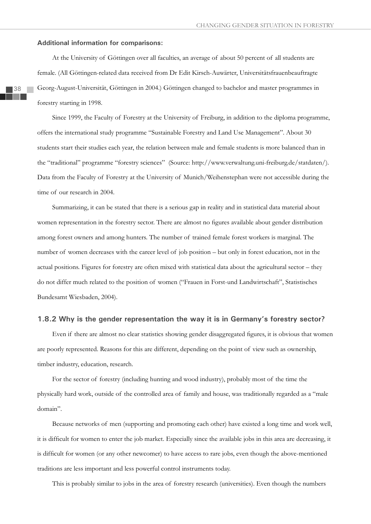#### **Additional information for comparisons:**

At the University of Göttingen over all faculties, an average of about 50 percent of all students are female. (All Göttingen-related data received from Dr Edit Kirsch-Auwärter, Universitätsfrauenbeauftragte Georg-August-Universität, Göttingen in 2004.) Göttingen changed to bachelor and master programmes in forestry starting in 1998.

Since 1999, the Faculty of Forestry at the University of Freiburg, in addition to the diploma programme, offers the international study programme "Sustainable Forestry and Land Use Management". About 30 students start their studies each year, the relation between male and female students is more balanced than in the "traditional" programme "forestry sciences" (Source: http://www.verwaltung.uni-freiburg.de/statdaten/). Data from the Faculty of Forestry at the University of Munich/Weihenstephan were not accessible during the time of our research in 2004.

Summarizing, it can be stated that there is a serious gap in reality and in statistical data material about women representation in the forestry sector. There are almost no figures available about gender distribution among forest owners and among hunters. The number of trained female forest workers is marginal. The number of women decreases with the career level of job position – but only in forest education, not in the actual positions. Figures for forestry are often mixed with statistical data about the agricultural sector – they do not differ much related to the position of women ("Frauen in Forst-und Landwirtschaft", Statistisches Bundesamt Wiesbaden, 2004).

### **1.8.2 Why is the gender representation the way it is in Germany's forestry sector?**

Even if there are almost no clear statistics showing gender disaggregated figures, it is obvious that women are poorly represented. Reasons for this are different, depending on the point of view such as ownership, timber industry, education, research.

For the sector of forestry (including hunting and wood industry), probably most of the time the physically hard work, outside of the controlled area of family and house, was traditionally regarded as a "male domain".

Because networks of men (supporting and promoting each other) have existed a long time and work well, it is difficult for women to enter the job market. Especially since the available jobs in this area are decreasing, it is difficult for women (or any other newcomer) to have access to rare jobs, even though the above-mentioned traditions are less important and less powerful control instruments today.

This is probably similar to jobs in the area of forestry research (universities). Even though the numbers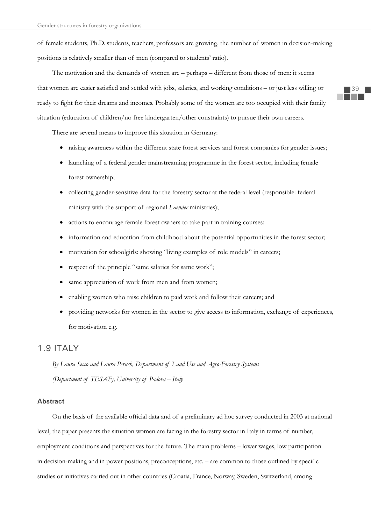of female students, Ph.D. students, teachers, professors are growing, the number of women in decision-making positions is relatively smaller than of men (compared to students' ratio).

The motivation and the demands of women are – perhaps – different from those of men: it seems that women are easier satisfied and settled with jobs, salaries, and working conditions – or just less willing or ready to fight for their dreams and incomes. Probably some of the women are too occupied with their family situation (education of children/no free kindergarten/other constraints) to pursue their own careers.

There are several means to improve this situation in Germany:

- raising awareness within the different state forest services and forest companies for gender issues;
- launching of a federal gender mainstreaming programme in the forest sector, including female forest ownership;
- collecting gender-sensitive data for the forestry sector at the federal level (responsible: federal ministry with the support of regional *Laender* ministries);
- actions to encourage female forest owners to take part in training courses;
- information and education from childhood about the potential opportunities in the forest sector;
- motivation for schoolgirls: showing "living examples of role models" in careers;
- respect of the principle "same salaries for same work";
- same appreciation of work from men and from women;
- enabling women who raise children to paid work and follow their careers; and
- x providing networks for women in the sector to give access to information, exchange of experiences, for motivation e.g.

# 1.9 ITALY

*By Laura Secco and Laura Peruch, Department of Land Use and Agro-Forestry Systems (Department of TESAF), University of Padova – Italy* 

### **Abstract**

On the basis of the available official data and of a preliminary ad hoc survey conducted in 2003 at national level, the paper presents the situation women are facing in the forestry sector in Italy in terms of number, employment conditions and perspectives for the future. The main problems – lower wages, low participation in decision-making and in power positions, preconceptions, etc. – are common to those outlined by specific studies or initiatives carried out in other countries (Croatia, France, Norway, Sweden, Switzerland, among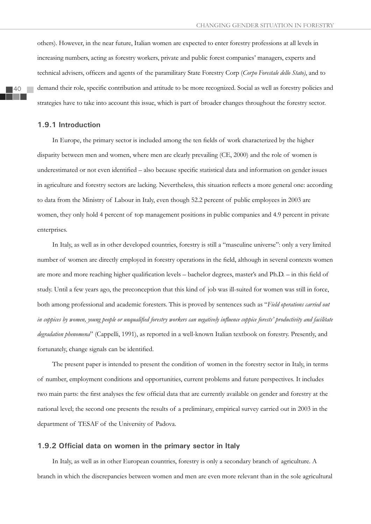others). However, in the near future, Italian women are expected to enter forestry professions at all levels in increasing numbers, acting as forestry workers, private and public forest companies' managers, experts and technical advisers, officers and agents of the paramilitary State Forestry Corp (*Corpo Forestale dello Stato*), and to demand their role, specific contribution and attitude to be more recognized. Social as well as forestry policies and strategies have to take into account this issue, which is part of broader changes throughout the forestry sector.

### **1.9.1 Introduction**

In Europe, the primary sector is included among the ten fields of work characterized by the higher disparity between men and women, where men are clearly prevailing (CE, 2000) and the role of women is underestimated or not even identified – also because specific statistical data and information on gender issues in agriculture and forestry sectors are lacking. Nevertheless, this situation reflects a more general one: according to data from the Ministry of Labour in Italy, even though 52.2 percent of public employees in 2003 are women, they only hold 4 percent of top management positions in public companies and 4.9 percent in private enterprises.

In Italy, as well as in other developed countries, forestry is still a "masculine universe": only a very limited number of women are directly employed in forestry operations in the field, although in several contexts women are more and more reaching higher qualification levels – bachelor degrees, master's and Ph.D. – in this field of study. Until a few years ago, the preconception that this kind of job was ill-suited for women was still in force, both among professional and academic foresters. This is proved by sentences such as "*Field operations carried out*  in coppices by women, young people or unqualified forestry workers can negatively influence coppice forests' productivity and facilitate *degradation phenomena*" (Cappelli, 1991), as reported in a well-known Italian textbook on forestry. Presently, and fortunately, change signals can be identified.

The present paper is intended to present the condition of women in the forestry sector in Italy, in terms of number, employment conditions and opportunities, current problems and future perspectives. It includes two main parts: the first analyses the few official data that are currently available on gender and forestry at the national level; the second one presents the results of a preliminary, empirical survey carried out in 2003 in the department of TESAF of the University of Padova.

#### **1.9.2 Official data on women in the primary sector in Italy**

In Italy, as well as in other European countries, forestry is only a secondary branch of agriculture. A branch in which the discrepancies between women and men are even more relevant than in the sole agricultural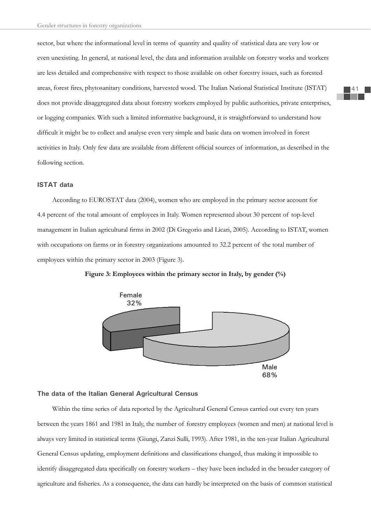sector, but where the informational level in terms of quantity and quality of statistical data are very low or even unexisting. In general, at national level, the data and information available on forestry works and workers are less detailed and comprehensive with respect to those available on other forestry issues, such as forested areas, forest fires, phytosanitary conditions, harvested wood. The Italian National Statistical Institute (ISTAT) does not provide disaggregated data about forestry workers employed by public authorities, private enterprises, or logging companies. With such a limited informative background, it is straightforward to understand how difficult it might be to collect and analyse even very simple and basic data on women involved in forest activities in Italy. Only few data are available from different official sources of information, as described in the following section.

### **ISTAT data**

According to EUROSTAT data (2004), women who are employed in the primary sector account for 4.4 percent of the total amount of employees in Italy. Women represented about 30 percent of top-level management in Italian agricultural firms in 2002 (Di Gregorio and Licari, 2005). According to ISTAT, women with occupations on farms or in forestry organizations amounted to 32.2 percent of the total number of employees within the primary sector in 2003 (Figure 3).



**Figure 3: Employees within the primary sector in Italy, by gender (%)**

### **The data of the Italian General Agricultural Census**

Within the time series of data reported by the Agricultural General Census carried out every ten years between the years 1861 and 1981 in Italy, the number of forestry employees (women and men) at national level is always very limited in statistical terms (Giungi, Zanzi Sulli, 1993). After 1981, in the ten-year Italian Agricultural General Census updating, employment definitions and classifications changed, thus making it impossible to identify disaggregated data specifically on forestry workers – they have been included in the broader category of agriculture and fisheries. As a consequence, the data can hardly be interpreted on the basis of common statistical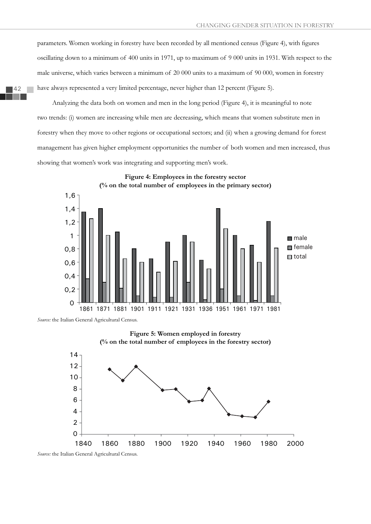parameters. Women working in forestry have been recorded by all mentioned census (Figure 4), with figures oscillating down to a minimum of 400 units in 1971, up to maximum of 9 000 units in 1931. With respect to the male universe, which varies between a minimum of 20 000 units to a maximum of 90 000, women in forestry have always represented a very limited percentage, never higher than 12 percent (Figure 5).

Analyzing the data both on women and men in the long period (Figure 4), it is meaningful to note two trends: (i) women are increasing while men are decreasing, which means that women substitute men in forestry when they move to other regions or occupational sectors; and (ii) when a growing demand for forest management has given higher employment opportunities the number of both women and men increased, thus showing that women's work was integrating and supporting men's work.





*Source:* the Italian General Agricultural Census.





*Source:* the Italian General Agricultural Census.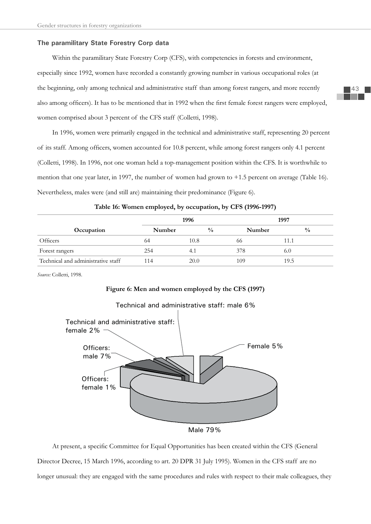### **The paramilitary State Forestry Corp data**

Within the paramilitary State Forestry Corp (CFS), with competencies in forests and environment, especially since 1992, women have recorded a constantly growing number in various occupational roles (at the beginning, only among technical and administrative staff than among forest rangers, and more recently also among officers). It has to be mentioned that in 1992 when the first female forest rangers were employed, women comprised about 3 percent of the CFS staff (Colletti, 1998).

In 1996, women were primarily engaged in the technical and administrative staff, representing 20 percent of its staff. Among officers, women accounted for 10.8 percent, while among forest rangers only 4.1 percent (Colletti, 1998). In 1996, not one woman held a top-management position within the CFS. It is worthwhile to mention that one year later, in 1997, the number of women had grown to +1.5 percent on average (Table 16). Nevertheless, males were (and still are) maintaining their predominance (Figure 6).

|                                    | 1996   |               |        | 1997          |
|------------------------------------|--------|---------------|--------|---------------|
| Occupation                         | Number | $\frac{0}{0}$ | Number | $\frac{0}{0}$ |
| Officers                           | 64     | 10.8          | 66     | l 1.1         |
| Forest rangers                     | 254    | 4.1           | 378    | 6.0           |
| Technical and administrative staff | 114    | 20.0          | 109    | 19.5          |

**Table 16: Women employed, by occupation, by CFS (1996-1997)**

*Source:* Colletti, 1998.

# **Figure 6: Men and women employed by the CFS (1997)**



# Technical and administrative staff: male 6%

Male 79%

At present, a specific Committee for Equal Opportunities has been created within the CFS (General Director Decree, 15 March 1996, according to art. 20 DPR 31 July 1995). Women in the CFS staff are no longer unusual: they are engaged with the same procedures and rules with respect to their male colleagues, they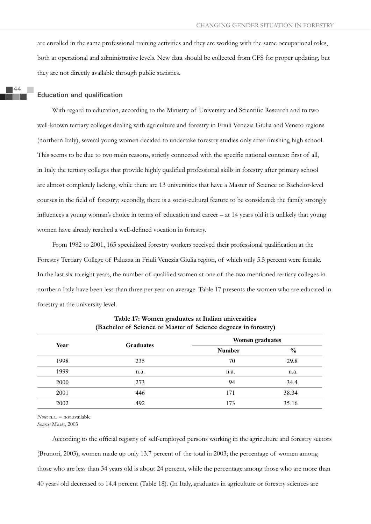are enrolled in the same professional training activities and they are working with the same occupational roles, both at operational and administrative levels. New data should be collected from CFS for proper updating, but they are not directly available through public statistics.

#### **Education and qualification**

With regard to education, according to the Ministry of University and Scientific Research and to two well-known tertiary colleges dealing with agriculture and forestry in Friuli Venezia Giulia and Veneto regions (northern Italy), several young women decided to undertake forestry studies only after finishing high school. This seems to be due to two main reasons, strictly connected with the specific national context: first of all, in Italy the tertiary colleges that provide highly qualified professional skills in forestry after primary school are almost completely lacking, while there are 13 universities that have a Master of Science or Bachelor-level courses in the field of forestry; secondly, there is a socio-cultural feature to be considered: the family strongly influences a young woman's choice in terms of education and career  $-$  at 14 years old it is unlikely that young women have already reached a well-defined vocation in forestry.

From 1982 to 2001, 165 specialized forestry workers received their professional qualification at the Forestry Tertiary College of Paluzza in Friuli Venezia Giulia region, of which only 5.5 percent were female. In the last six to eight years, the number of qualified women at one of the two mentioned tertiary colleges in northern Italy have been less than three per year on average. Table 17 presents the women who are educated in forestry at the university level.

| Year |                  | <b>Women graduates</b> |               |  |
|------|------------------|------------------------|---------------|--|
|      | <b>Graduates</b> | <b>Number</b>          | $\frac{6}{6}$ |  |
| 1998 | 235              | 70                     | 29.8          |  |
| 1999 | n.a.             | n.a.                   | n.a.          |  |
| 2000 | 273              | 94                     | 34.4          |  |
| 2001 | 446              | 171                    | 38.34         |  |
| 2002 | 492              | 173                    | 35.16         |  |

**Table 17: Women graduates at Italian universities (Bachelor of Science or Master of Science degrees in forestry)**

*Note:* n.a. = not available *Source:* Murst, 2003

According to the official registry of self-employed persons working in the agriculture and forestry sectors (Brunori, 2003), women made up only 13.7 percent of the total in 2003; the percentage of women among those who are less than 34 years old is about 24 percent, while the percentage among those who are more than 40 years old decreased to 14.4 percent (Table 18). (In Italy, graduates in agriculture or forestry sciences are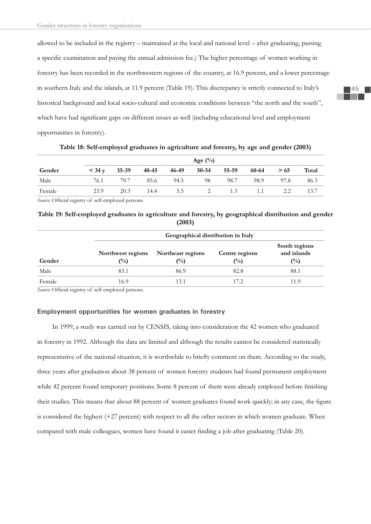allowed to be included in the registry – maintained at the local and national level – after graduating, passing a specific examination and paying the annual admission fee.) The higher percentage of women working in forestry has been recorded in the northwestern regions of the country, at 16.9 percent, and a lower percentage in southern Italy and the islands, at 11.9 percent (Table 19). This discrepancy is strictly connected to Italy's historical background and local socio-cultural and economic conditions between "the north and the south", which have had significant gaps on different issues as well (including educational level and employment opportunities in forestry).

|        | Age $(\%)$      |       |       |       |       |       |       |      |       |
|--------|-----------------|-------|-------|-------|-------|-------|-------|------|-------|
| Gender | $<$ 34 $\rm{v}$ | 35-39 | 40-45 | 46-49 | 50-54 | 55-59 | 60-64 | > 65 | Total |
| Male   | 76.1            | 79.7  | 85.6  | 94.5  | 98    | 98.7  | 98.9  | 97.8 | 86.3  |
| Female | 23.9            | 20.3  | 14.4  | 5.5   |       | 1.3   | 1.1   | 2.2  | 13.7  |

**Table 18: Self-employed graduates in agriculture and forestry, by age and gender (2003)**

*Source:* Official registry of self-employed persons.

# **Table 19: Self-employed graduates in agriculture and forestry, by geographical distribution and gender (2003)**

|        |                                     | Geographical distribution in Italy  |                                  |                                                |  |  |  |  |  |
|--------|-------------------------------------|-------------------------------------|----------------------------------|------------------------------------------------|--|--|--|--|--|
| Gender | Northwest regions<br>$\binom{0}{0}$ | Northeast regions<br>$\binom{0}{0}$ | Centre regions<br>$\binom{0}{0}$ | South regions<br>and islands<br>$\binom{0}{0}$ |  |  |  |  |  |
| Male   | 83.1                                | 86.9                                | 82.8                             | 88.1                                           |  |  |  |  |  |
| Female | 16.9                                | $\vert 3.1 \vert$                   | 17.2                             | 119                                            |  |  |  |  |  |

*Source:* Official registry of self-employed persons.

### **Employment opportunities for women graduates in forestry**

In 1999, a study was carried out by CENSIS, taking into consideration the 42 women who graduated in forestry in 1992. Although the data are limited and although the results cannot be considered statistically representative of the national situation, it is worthwhile to briefly comment on them. According to the study, three years after graduation about 38 percent of women forestry students had found permanent employment while 42 percent found temporary positions. Some 8 percent of them were already employed before finishing their studies. This means that about 88 percent of women graduates found work quickly; in any case, the figure is considered the highest (+27 percent) with respect to all the other sectors in which women graduate. When compared with male colleagues, women have found it easier finding a job after graduating (Table 20).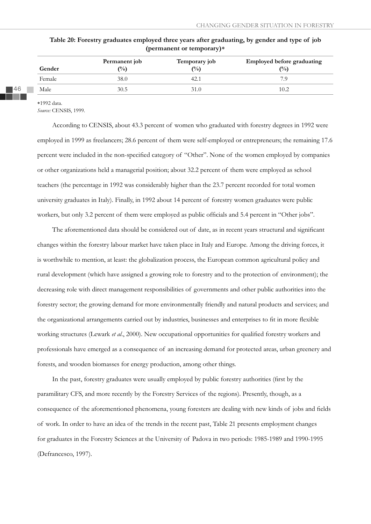| Gender | Permanent job<br>$\binom{0}{0}$ | Temporary job<br>$($ %) | <b>Employed before graduating</b><br>$\binom{0}{0}$ |
|--------|---------------------------------|-------------------------|-----------------------------------------------------|
| Female | 38.0                            | 42.1                    | 7.9                                                 |
| Male   | 30.5                            | 31.0                    | 10.2                                                |

**Table 20: Forestry graduates employed three years after graduating, by gender and type of job (permanent or temporary)**

1992 data.

*Source:* CENSIS, 1999.

According to CENSIS, about 43.3 percent of women who graduated with forestry degrees in 1992 were employed in 1999 as freelancers; 28.6 percent of them were self-employed or entrepreneurs; the remaining 17.6 percent were included in the non-specified category of "Other". None of the women employed by companies or other organizations held a managerial position; about 32.2 percent of them were employed as school teachers (the percentage in 1992 was considerably higher than the 23.7 percent recorded for total women university graduates in Italy). Finally, in 1992 about 14 percent of forestry women graduates were public workers, but only 3.2 percent of them were employed as public officials and 5.4 percent in "Other jobs".

The aforementioned data should be considered out of date, as in recent years structural and significant changes within the forestry labour market have taken place in Italy and Europe. Among the driving forces, it is worthwhile to mention, at least: the globalization process, the European common agricultural policy and rural development (which have assigned a growing role to forestry and to the protection of environment); the decreasing role with direct management responsibilities of governments and other public authorities into the forestry sector; the growing demand for more environmentally friendly and natural products and services; and the organizational arrangements carried out by industries, businesses and enterprises to fit in more flexible working structures (Lewark *et al.*, 2000). New occupational opportunities for qualified forestry workers and professionals have emerged as a consequence of an increasing demand for protected areas, urban greenery and forests, and wooden biomasses for energy production, among other things.

In the past, forestry graduates were usually employed by public forestry authorities (first by the paramilitary CFS, and more recently by the Forestry Services of the regions). Presently, though, as a consequence of the aforementioned phenomena, young foresters are dealing with new kinds of jobs and fields of work. In order to have an idea of the trends in the recent past, Table 21 presents employment changes for graduates in the Forestry Sciences at the University of Padova in two periods: 1985-1989 and 1990-1995 (Defrancesco, 1997).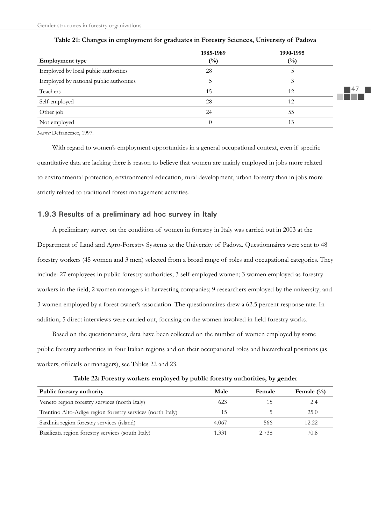| <b>Employment</b> type                  | 1985-1989<br>$(^{0}/_{0})$ | 1990-1995<br>$(^{0}_{0})$ |
|-----------------------------------------|----------------------------|---------------------------|
| Employed by local public authorities    | 28                         | C.                        |
| Employed by national public authorities |                            | 3                         |
| Teachers                                | 15                         | 12                        |
| Self-employed                           | 28                         | 12                        |
| Other job                               | 24                         | 55                        |
| Not employed                            |                            | 13                        |

**Table 21: Changes in employment for graduates in Forestry Sciences, University of Padova**

*Source:* Defrancesco, 1997.

With regard to women's employment opportunities in a general occupational context, even if specific quantitative data are lacking there is reason to believe that women are mainly employed in jobs more related to environmental protection, environmental education, rural development, urban forestry than in jobs more strictly related to traditional forest management activities.

# **1.9.3 Results of a preliminary ad hoc survey in Italy**

A preliminary survey on the condition of women in forestry in Italy was carried out in 2003 at the Department of Land and Agro-Forestry Systems at the University of Padova. Questionnaires were sent to 48 forestry workers (45 women and 3 men) selected from a broad range of roles and occupational categories. They include: 27 employees in public forestry authorities; 3 self-employed women; 3 women employed as forestry workers in the field; 2 women managers in harvesting companies; 9 researchers employed by the university; and 3 women employed by a forest owner's association. The questionnaires drew a 62.5 percent response rate. In addition, 5 direct interviews were carried out, focusing on the women involved in field forestry works.

Based on the questionnaires, data have been collected on the number of women employed by some public forestry authorities in four Italian regions and on their occupational roles and hierarchical positions (as workers, officials or managers), see Tables 22 and 23.

| Public forestry authority                                  | Male  | <b>Female</b> | Female $(\% )$ |
|------------------------------------------------------------|-------|---------------|----------------|
| Veneto region forestry services (north Italy)              | 623   |               | 2.4            |
| Trentino Alto-Adige region forestry services (north Italy) |       |               | 25.0           |
| Sardinia region forestry services (island)                 | 4.067 | 566           | 12.22          |
| Basilicata region forestry services (south Italy)          | 1.331 | 2.738         | 70.8           |

| Table 22: Forestry workers employed by public forestry authorities, by gender |  |  |
|-------------------------------------------------------------------------------|--|--|
|                                                                               |  |  |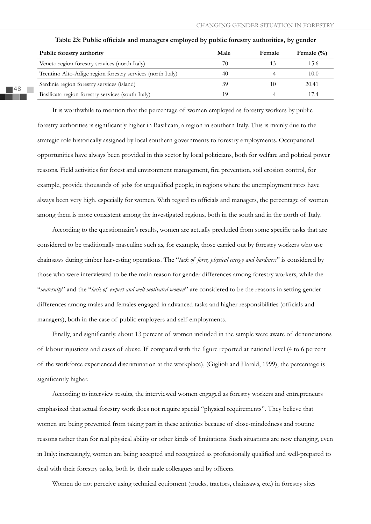| Public forestry authority                                  | Male | Female | Female $(\% )$ |
|------------------------------------------------------------|------|--------|----------------|
| Veneto region forestry services (north Italy)              | 70   |        | 15.6           |
| Trentino Alto-Adige region forestry services (north Italy) | 40   |        | 10.0           |
| Sardinia region forestry services (island)                 | 39   | 10     | 20.41          |
| Basilicata region forestry services (south Italy)          | 1 Q  |        | 174            |

Table 23: Public officials and managers employed by public forestry authorities, by gender

It is worthwhile to mention that the percentage of women employed as forestry workers by public forestry authorities is significantly higher in Basilicata, a region in southern Italy. This is mainly due to the strategic role historically assigned by local southern governments to forestry employments. Occupational opportunities have always been provided in this sector by local politicians, both for welfare and political power reasons. Field activities for forest and environment management, fire prevention, soil erosion control, for example, provide thousands of jobs for unqualified people, in regions where the unemployment rates have always been very high, especially for women. With regard to officials and managers, the percentage of women among them is more consistent among the investigated regions, both in the south and in the north of Italy.

According to the questionnaire's results, women are actually precluded from some specific tasks that are considered to be traditionally masculine such as, for example, those carried out by forestry workers who use chainsaws during timber harvesting operations. The "*lack of force, physical energy and hardiness*" is considered by those who were interviewed to be the main reason for gender differences among forestry workers, while the "*maternity*" and the "*lack of expert and well-motivated women*" are considered to be the reasons in setting gender differences among males and females engaged in advanced tasks and higher responsibilities (officials and managers), both in the case of public employers and self-employments.

Finally, and significantly, about 13 percent of women included in the sample were aware of denunciations of labour injustices and cases of abuse. If compared with the figure reported at national level (4 to 6 percent of the workforce experienced discrimination at the workplace), (Giglioli and Harald, 1999), the percentage is significantly higher.

According to interview results, the interviewed women engaged as forestry workers and entrepreneurs emphasized that actual forestry work does not require special "physical requirements". They believe that women are being prevented from taking part in these activities because of close-mindedness and routine reasons rather than for real physical ability or other kinds of limitations. Such situations are now changing, even in Italy: increasingly, women are being accepted and recognized as professionally qualified and well-prepared to deal with their forestry tasks, both by their male colleagues and by officers.

Women do not perceive using technical equipment (trucks, tractors, chainsaws, etc.) in forestry sites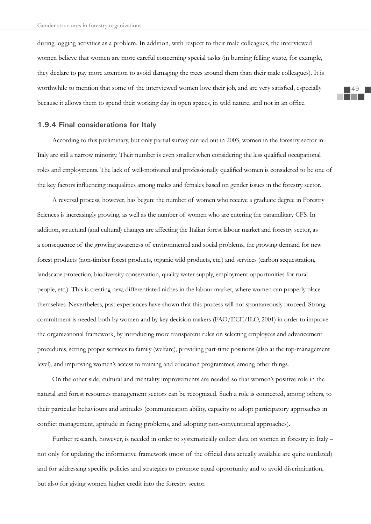during logging activities as a problem. In addition, with respect to their male colleagues, the interviewed women believe that women are more careful concerning special tasks (in burning felling waste, for example, they declare to pay more attention to avoid damaging the trees around them than their male colleagues). It is worthwhile to mention that some of the interviewed women love their job, and are very satisfied, especially because it allows them to spend their working day in open spaces, in wild nature, and not in an office.

### **1.9.4 Final considerations for Italy**

According to this preliminary, but only partial survey carried out in 2003, women in the forestry sector in Italy are still a narrow minority. Their number is even smaller when considering the less qualified occupational roles and employments. The lack of well-motivated and professionally qualified women is considered to be one of the key factors influencing inequalities among males and females based on gender issues in the forestry sector.

A reversal process, however, has begun: the number of women who receive a graduate degree in Forestry Sciences is increasingly growing, as well as the number of women who are entering the paramilitary CFS. In addition, structural (and cultural) changes are affecting the Italian forest labour market and forestry sector, as a consequence of the growing awareness of environmental and social problems, the growing demand for new forest products (non-timber forest products, organic wild products, etc.) and services (carbon sequestration, landscape protection, biodiversity conservation, quality water supply, employment opportunities for rural people, etc.). This is creating new, differentiated niches in the labour market, where women can properly place themselves. Nevertheless, past experiences have shown that this process will not spontaneously proceed. Strong commitment is needed both by women and by key decision makers (FAO/ECE/ILO, 2001) in order to improve the organizational framework, by introducing more transparent rules on selecting employees and advancement procedures, setting proper services to family (welfare), providing part-time positions (also at the top-management level), and improving women's access to training and education programmes, among other things.

On the other side, cultural and mentality improvements are needed so that women's positive role in the natural and forest resources management sectors can be recognized. Such a role is connected, among others, to their particular behaviours and attitudes (communication ability, capacity to adopt participatory approaches in conflict management, aptitude in facing problems, and adopting non-conventional approaches).

Further research, however, is needed in order to systematically collect data on women in forestry in Italy – not only for updating the informative framework (most of the official data actually available are quite outdated) and for addressing specific policies and strategies to promote equal opportunity and to avoid discrimination, but also for giving women higher credit into the forestry sector.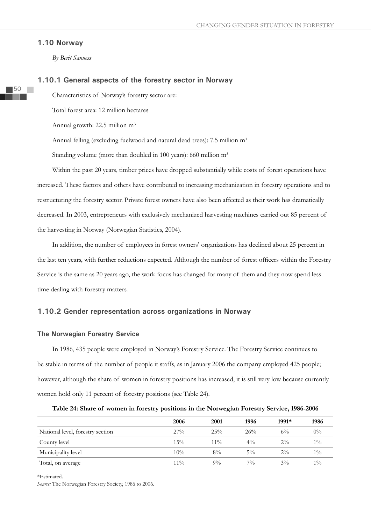#### **1.10 Norway**

*By Berit Sanness*

#### **1.10.1 General aspects of the forestry sector in Norway**

Characteristics of Norway's forestry sector are:

Total forest area: 12 million hectares

Annual growth: 22.5 million m<sup>3</sup>

Annual felling (excluding fuelwood and natural dead trees): 7.5 million m<sup>3</sup>

Standing volume (more than doubled in 100 years): 660 million m<sup>3</sup>

Within the past 20 years, timber prices have dropped substantially while costs of forest operations have increased. These factors and others have contributed to increasing mechanization in forestry operations and to restructuring the forestry sector. Private forest owners have also been affected as their work has dramatically decreased. In 2003, entrepreneurs with exclusively mechanized harvesting machines carried out 85 percent of the harvesting in Norway (Norwegian Statistics, 2004).

In addition, the number of employees in forest owners' organizations has declined about 25 percent in the last ten years, with further reductions expected. Although the number of forest officers within the Forestry Service is the same as 20 years ago, the work focus has changed for many of them and they now spend less time dealing with forestry matters.

# **1.10.2 Gender representation across organizations in Norway**

#### **The Norwegian Forestry Service**

In 1986, 435 people were employed in Norway's Forestry Service. The Forestry Service continues to be stable in terms of the number of people it staffs, as in January 2006 the company employed 425 people; however, although the share of women in forestry positions has increased, it is still very low because currently women hold only 11 percent of forestry positions (see Table 24).

|  | Table 24: Share of women in forestry positions in the Norwegian Forestry Service, 1986-2006 |  |  |  |  |
|--|---------------------------------------------------------------------------------------------|--|--|--|--|
|  |                                                                                             |  |  |  |  |

|                                  | 2006   | 2001   | 1996  | 1991* | 1986  |
|----------------------------------|--------|--------|-------|-------|-------|
| National level, forestry section | 27%    | 25%    | 26%   | $6\%$ | $0\%$ |
| County level                     | $15\%$ | $11\%$ | $4\%$ | $2\%$ | $1\%$ |
| Municipality level               | 10%    | $8\%$  | $5\%$ | $2\%$ | $1\%$ |
| Total, on average                | $11\%$ | $9\%$  | $7\%$ | $3\%$ | $1\%$ |

\*Estimated.

*Source:* The Norwegian Forestry Society, 1986 to 2006.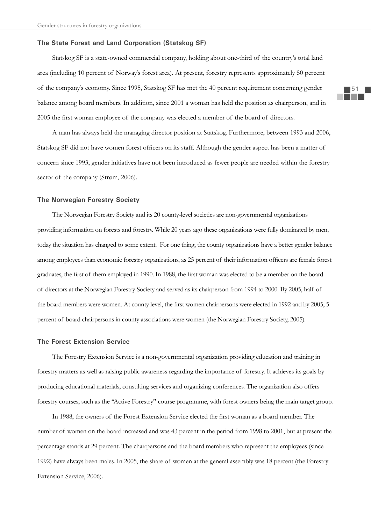#### **The State Forest and Land Corporation (Statskog SF)**

Statskog SF is a state-owned commercial company, holding about one-third of the country's total land area (including 10 percent of Norway's forest area). At present, forestry represents approximately 50 percent of the company's economy. Since 1995, Statskog SF has met the 40 percent requirement concerning gender balance among board members. In addition, since 2001 a woman has held the position as chairperson, and in 2005 the first woman employee of the company was elected a member of the board of directors.

A man has always held the managing director position at Statskog. Furthermore, between 1993 and 2006, Statskog SF did not have women forest officers on its staff. Although the gender aspect has been a matter of concern since 1993, gender initiatives have not been introduced as fewer people are needed within the forestry sector of the company (Strøm, 2006).

### **The Norwegian Forestry Society**

The Norwegian Forestry Society and its 20 county-level societies are non-governmental organizations providing information on forests and forestry. While 20 years ago these organizations were fully dominated by men, today the situation has changed to some extent. For one thing, the county organizations have a better gender balance among employees than economic forestry organizations, as 25 percent of their information officers are female forest graduates, the first of them employed in 1990. In 1988, the first woman was elected to be a member on the board of directors at the Norwegian Forestry Society and served as its chairperson from 1994 to 2000. By 2005, half of the board members were women. At county level, the first women chairpersons were elected in 1992 and by 2005, 5 percent of board chairpersons in county associations were women (the Norwegian Forestry Society, 2005).

# **The Forest Extension Service**

The Forestry Extension Service is a non-governmental organization providing education and training in forestry matters as well as raising public awareness regarding the importance of forestry. It achieves its goals by producing educational materials, consulting services and organizing conferences. The organization also offers forestry courses, such as the "Active Forestry" course programme, with forest owners being the main target group.

In 1988, the owners of the Forest Extension Service elected the first woman as a board member. The number of women on the board increased and was 43 percent in the period from 1998 to 2001, but at present the percentage stands at 29 percent. The chairpersons and the board members who represent the employees (since 1992) have always been males. In 2005, the share of women at the general assembly was 18 percent (the Forestry Extension Service, 2006).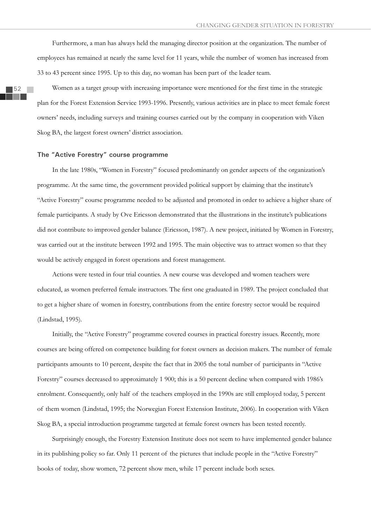Furthermore, a man has always held the managing director position at the organization. The number of employees has remained at nearly the same level for 11 years, while the number of women has increased from 33 to 43 percent since 1995. Up to this day, no woman has been part of the leader team.

Women as a target group with increasing importance were mentioned for the first time in the strategic plan for the Forest Extension Service 1993-1996. Presently, various activities are in place to meet female forest owners' needs, including surveys and training courses carried out by the company in cooperation with Viken Skog BA, the largest forest owners' district association.

#### **The "Active Forestry" course programme**

In the late 1980s, "Women in Forestry" focused predominantly on gender aspects of the organization's programme. At the same time, the government provided political support by claiming that the institute's "Active Forestry" course programme needed to be adjusted and promoted in order to achieve a higher share of female participants. A study by Ove Ericsson demonstrated that the illustrations in the institute's publications did not contribute to improved gender balance (Ericsson, 1987). A new project, initiated by Women in Forestry, was carried out at the institute between 1992 and 1995. The main objective was to attract women so that they would be actively engaged in forest operations and forest management.

Actions were tested in four trial counties. A new course was developed and women teachers were educated, as women preferred female instructors. The first one graduated in 1989. The project concluded that to get a higher share of women in forestry, contributions from the entire forestry sector would be required (Lindstad, 1995).

Initially, the "Active Forestry" programme covered courses in practical forestry issues. Recently, more courses are being offered on competence building for forest owners as decision makers. The number of female participants amounts to 10 percent, despite the fact that in 2005 the total number of participants in "Active Forestry" courses decreased to approximately 1 900; this is a 50 percent decline when compared with 1986's enrolment. Consequently, only half of the teachers employed in the 1990s are still employed today, 5 percent of them women (Lindstad, 1995; the Norwegian Forest Extension Institute, 2006). In cooperation with Viken Skog BA, a special introduction programme targeted at female forest owners has been tested recently.

Surprisingly enough, the Forestry Extension Institute does not seem to have implemented gender balance in its publishing policy so far. Only 11 percent of the pictures that include people in the "Active Forestry" books of today, show women, 72 percent show men, while 17 percent include both sexes.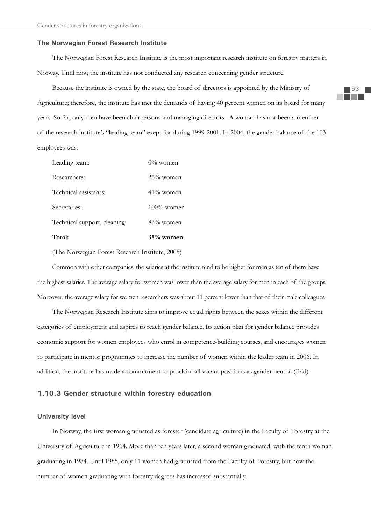#### **The Norwegian Forest Research Institute**

The Norwegian Forest Research Institute is the most important research institute on forestry matters in Norway. Until now, the institute has not conducted any research concerning gender structure.

Because the institute is owned by the state, the board of directors is appointed by the Ministry of Agriculture; therefore, the institute has met the demands of having 40 percent women on its board for many years. So far, only men have been chairpersons and managing directors. A woman has not been a member of the research institute's "leading team" exept for during 1999-2001. In 2004, the gender balance of the 103 employees was:

| Total:                       | 35% women     |
|------------------------------|---------------|
| Technical support, cleaning: | $83%$ women   |
| Secretaries:                 | $100\%$ women |
| Technical assistants:        | $41\%$ women  |
| Researchers:                 | $26\%$ women  |
| Leading team:                | $0\%$ women   |

(The Norwegian Forest Research Institute, 2005)

Common with other companies, the salaries at the institute tend to be higher for men as ten of them have the highest salaries. The average salary for women was lower than the average salary for men in each of the groups. Moreover, the average salary for women researchers was about 11 percent lower than that of their male colleagues.

The Norwegian Research Institute aims to improve equal rights between the sexes within the different categories of employment and aspires to reach gender balance. Its action plan for gender balance provides economic support for women employees who enrol in competence-building courses, and encourages women to participate in mentor programmes to increase the number of women within the leader team in 2006. In addition, the institute has made a commitment to proclaim all vacant positions as gender neutral (Ibid).

### **1.10.3 Gender structure within forestry education**

#### **University level**

In Norway, the first woman graduated as forester (candidate agriculture) in the Faculty of Forestry at the University of Agriculture in 1964. More than ten years later, a second woman graduated, with the tenth woman graduating in 1984. Until 1985, only 11 women had graduated from the Faculty of Forestry, but now the number of women graduating with forestry degrees has increased substantially.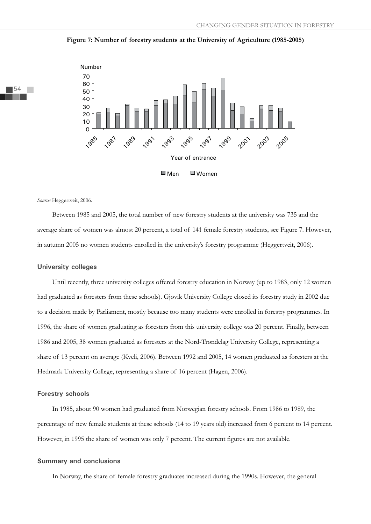



*Source:* Heggertveit, 2006.

Between 1985 and 2005, the total number of new forestry students at the university was 735 and the average share of women was almost 20 percent, a total of 141 female forestry students, see Figure 7. However, in autumn 2005 no women students enrolled in the university's forestry programme (Heggertveit, 2006).

#### **University colleges**

Until recently, three university colleges offered forestry education in Norway (up to 1983, only 12 women had graduated as foresters from these schools). Gjøvik University College closed its forestry study in 2002 due to a decision made by Parliament, mostly because too many students were enrolled in forestry programmes. In 1996, the share of women graduating as foresters from this university college was 20 percent. Finally, between 1986 and 2005, 38 women graduated as foresters at the Nord-Trøndelag University College, representing a share of 13 percent on average (Kveli, 2006). Between 1992 and 2005, 14 women graduated as foresters at the Hedmark University College, representing a share of 16 percent (Hagen, 2006).

### **Forestry schools**

In 1985, about 90 women had graduated from Norwegian forestry schools. From 1986 to 1989, the percentage of new female students at these schools (14 to 19 years old) increased from 6 percent to 14 percent. However, in 1995 the share of women was only 7 percent. The current figures are not available.

#### **Summary and conclusions**

In Norway, the share of female forestry graduates increased during the 1990s. However, the general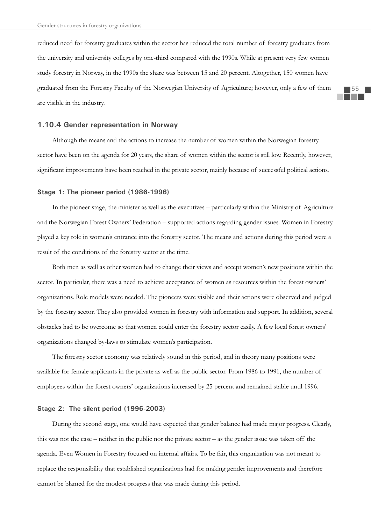reduced need for forestry graduates within the sector has reduced the total number of forestry graduates from the university and university colleges by one-third compared with the 1990s. While at present very few women study forestry in Norway, in the 1990s the share was between 15 and 20 percent. Altogether, 150 women have graduated from the Forestry Faculty of the Norwegian University of Agriculture; however, only a few of them are visible in the industry.

### **1.10.4 Gender representation in Norway**

Although the means and the actions to increase the number of women within the Norwegian forestry sector have been on the agenda for 20 years, the share of women within the sector is still low. Recently, however, significant improvements have been reached in the private sector, mainly because of successful political actions.

#### **Stage 1: The pioneer period (1986-1996)**

In the pioneer stage, the minister as well as the executives – particularly within the Ministry of Agriculture and the Norwegian Forest Owners' Federation – supported actions regarding gender issues. Women in Forestry played a key role in women's entrance into the forestry sector. The means and actions during this period were a result of the conditions of the forestry sector at the time.

Both men as well as other women had to change their views and accept women's new positions within the sector. In particular, there was a need to achieve acceptance of women as resources within the forest owners' organizations. Role models were needed. The pioneers were visible and their actions were observed and judged by the forestry sector. They also provided women in forestry with information and support. In addition, several obstacles had to be overcome so that women could enter the forestry sector easily. A few local forest owners' organizations changed by-laws to stimulate women's participation.

The forestry sector economy was relatively sound in this period, and in theory many positions were available for female applicants in the private as well as the public sector. From 1986 to 1991, the number of employees within the forest owners' organizations increased by 25 percent and remained stable until 1996.

### **Stage 2: The silent period (1996-2003)**

During the second stage, one would have expected that gender balance had made major progress. Clearly, this was not the case – neither in the public nor the private sector – as the gender issue was taken off the agenda. Even Women in Forestry focused on internal affairs. To be fair, this organization was not meant to replace the responsibility that established organizations had for making gender improvements and therefore cannot be blamed for the modest progress that was made during this period.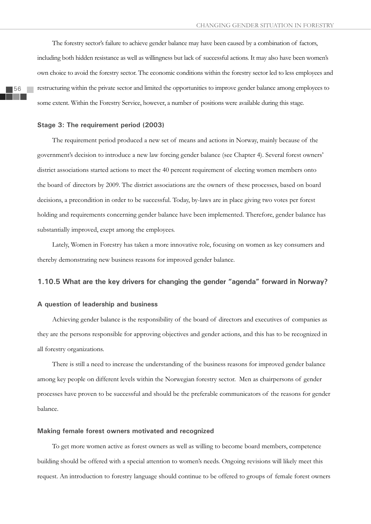The forestry sector's failure to achieve gender balance may have been caused by a combination of factors, including both hidden resistance as well as willingness but lack of successful actions. It may also have been women's own choice to avoid the forestry sector. The economic conditions within the forestry sector led to less employees and restructuring within the private sector and limited the opportunities to improve gender balance among employees to some extent. Within the Forestry Service, however, a number of positions were available during this stage.

#### **Stage 3: The requirement period (2003)**

The requirement period produced a new set of means and actions in Norway, mainly because of the government's decision to introduce a new law forcing gender balance (see Chapter 4). Several forest owners' district associations started actions to meet the 40 percent requirement of electing women members onto the board of directors by 2009. The district associations are the owners of these processes, based on board decisions, a precondition in order to be successful. Today, by-laws are in place giving two votes per forest holding and requirements concerning gender balance have been implemented. Therefore, gender balance has substantially improved, exept among the employees.

Lately, Women in Forestry has taken a more innovative role, focusing on women as key consumers and thereby demonstrating new business reasons for improved gender balance.

# **1.10.5 What are the key drivers for changing the gender "agenda" forward in Norway?**

### **A question of leadership and business**

Achieving gender balance is the responsibility of the board of directors and executives of companies as they are the persons responsible for approving objectives and gender actions, and this has to be recognized in all forestry organizations.

There is still a need to increase the understanding of the business reasons for improved gender balance among key people on different levels within the Norwegian forestry sector. Men as chairpersons of gender processes have proven to be successful and should be the preferable communicators of the reasons for gender balance.

### **Making female forest owners motivated and recognized**

To get more women active as forest owners as well as willing to become board members, competence building should be offered with a special attention to women's needs. Ongoing revisions will likely meet this request. An introduction to forestry language should continue to be offered to groups of female forest owners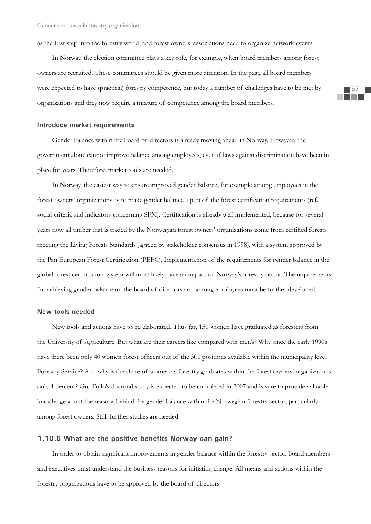as the first step into the forestry world, and forest owners' associations need to organize network events.

In Norway, the election committee plays a key role, for example, when board members among forest owners are recruited. These committees should be given more attention. In the past, all board members were expected to have (practical) forestry competence, but today a number of challenges have to be met by organizations and they now require a mixture of competence among the board members.

### **Introduce market requirements**

Gender balance within the board of directors is already moving ahead in Norway. However, the government alone cannot improve balance among employees, even if laws against discrimination have been in place for years. Therefore, market tools are needed.

In Norway, the easiest way to ensure improved gender balance, for example among employees in the forest owners' organizations, is to make gender balance a part of the forest certification requirements (ref. social criteria and indicators concerning SFM). Certification is already well implemented, because for several years now all timber that is traded by the Norwegian forest owners' organizations come from certified forests meeting the Living Forests Standards (agreed by stakeholder consensus in 1998), with a system approved by the Pan European Forest Certification (PEFC). Implementation of the requirements for gender balance in the global forest certification system will most likely have an impact on Norway's forestry sector. The requirements for achieving gender balance on the board of directors and among employees must be further developed.

### **New tools needed**

New tools and actions have to be elaborated. Thus far, 150 women have graduated as foresters from the University of Agriculture. But what are their careers like compared with men's? Why since the early 1990s have there been only 40 women forest officers out of the 300 positions available within the municipality level Forestry Service? And why is the share of women as forestry graduates within the forest owners' organizations only 4 percent? Gro Follo's doctoral study is expected to be completed in 2007 and is sure to provide valuable knowledge about the reasons behind the gender balance within the Norwegian forestry sector, particularly among forest owners. Still, further studies are needed.

# 1.10.6 What are the positive benefits Norway can gain?

In order to obtain significant improvements in gender balance within the forestry sector, board members and executives must understand the business reasons for initiating change. All means and actions within the forestry organizations have to be approved by the board of directors.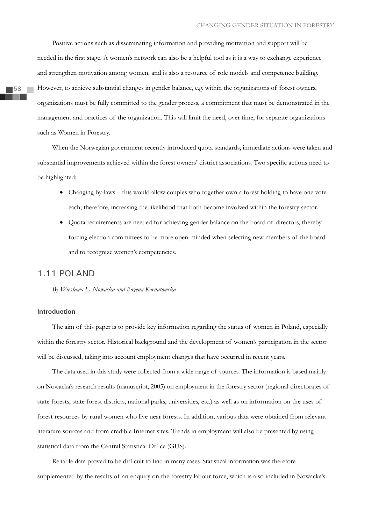Positive actions such as disseminating information and providing motivation and support will be needed in the first stage. A women's network can also be a helpful tool as it is a way to exchange experience and strengthen motivation among women, and is also a resource of role models and competence building. However, to achieve substantial changes in gender balance, e.g. within the organizations of forest owners, organizations must be fully committed to the gender process, a commitment that must be demonstrated in the management and practices of the organization. This will limit the need, over time, for separate organizations such as Women in Forestry.

When the Norwegian government recently introduced quota standards, immediate actions were taken and substantial improvements achieved within the forest owners' district associations. Two specific actions need to be highlighted:

- Changing by-laws this would allow couples who together own a forest holding to have one vote each; therefore, increasing the likelihood that both become involved within the forestry sector.
- Quota requirements are needed for achieving gender balance on the board of directors, thereby forcing election committees to be more open-minded when selecting new members of the board and to recognize women's competencies.

# 1.11 POLAND

*By Wiesâawa á. Nowacka and Boůena Kornatowska* 

### **Introduction**

The aim of this paper is to provide key information regarding the status of women in Poland, especially within the forestry sector. Historical background and the development of women's participation in the sector will be discussed, taking into account employment changes that have occurred in recent years.

The data used in this study were collected from a wide range of sources. The information is based mainly on Nowacka's research results (manuscript, 2005) on employment in the forestry sector (regional directorates of state forests, state forest districts, national parks, universities, etc.) as well as on information on the uses of forest resources by rural women who live near forests. In addition, various data were obtained from relevant literature sources and from credible Internet sites. Trends in employment will also be presented by using statistical data from the Central Statistical Office (GUS).

Reliable data proved to be difficult to find in many cases. Statistical information was therefore supplemented by the results of an enquiry on the forestry labour force, which is also included in Nowacka's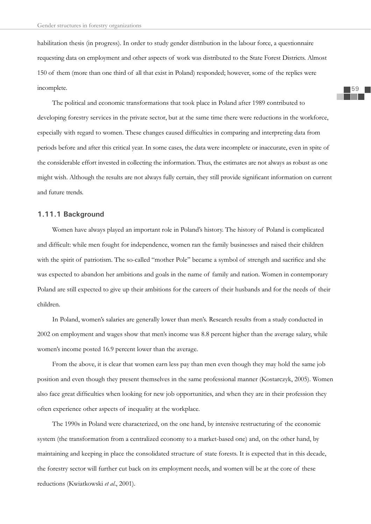habilitation thesis (in progress). In order to study gender distribution in the labour force, a questionnaire requesting data on employment and other aspects of work was distributed to the State Forest Districts. Almost 150 of them (more than one third of all that exist in Poland) responded; however, some of the replies were incomplete.

The political and economic transformations that took place in Poland after 1989 contributed to developing forestry services in the private sector, but at the same time there were reductions in the workforce, especially with regard to women. These changes caused difficulties in comparing and interpreting data from periods before and after this critical year. In some cases, the data were incomplete or inaccurate, even in spite of the considerable effort invested in collecting the information. Thus, the estimates are not always as robust as one might wish. Although the results are not always fully certain, they still provide significant information on current and future trends.

### **1.11.1 Background**

Women have always played an important role in Poland's history. The history of Poland is complicated and difficult: while men fought for independence, women ran the family businesses and raised their children with the spirit of patriotism. The so-called "mother Pole" became a symbol of strength and sacrifice and she was expected to abandon her ambitions and goals in the name of family and nation. Women in contemporary Poland are still expected to give up their ambitions for the careers of their husbands and for the needs of their children.

In Poland, women's salaries are generally lower than men's. Research results from a study conducted in 2002 on employment and wages show that men's income was 8.8 percent higher than the average salary, while women's income posted 16.9 percent lower than the average.

From the above, it is clear that women earn less pay than men even though they may hold the same job position and even though they present themselves in the same professional manner (Kostarczyk, 2005). Women also face great difficulties when looking for new job opportunities, and when they are in their profession they often experience other aspects of inequality at the workplace.

The 1990s in Poland were characterized, on the one hand, by intensive restructuring of the economic system (the transformation from a centralized economy to a market-based one) and, on the other hand, by maintaining and keeping in place the consolidated structure of state forests. It is expected that in this decade, the forestry sector will further cut back on its employment needs, and women will be at the core of these reductions (Kwiatkowski *et al*., 2001).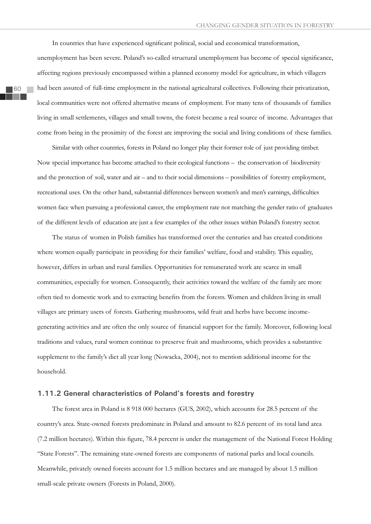In countries that have experienced significant political, social and economical transformation, unemployment has been severe. Poland's so-called structural unemployment has become of special significance, affecting regions previously encompassed within a planned economy model for agriculture, in which villagers had been assured of full-time employment in the national agricultural collectives. Following their privatization, local communities were not offered alternative means of employment. For many tens of thousands of families living in small settlements, villages and small towns, the forest became a real source of income. Advantages that come from being in the proximity of the forest are improving the social and living conditions of these families.

Similar with other countries, forests in Poland no longer play their former role of just providing timber. Now special importance has become attached to their ecological functions – the conservation of biodiversity and the protection of soil, water and air – and to their social dimensions – possibilities of forestry employment, recreational uses. On the other hand, substantial differences between women's and men's earnings, difficulties women face when pursuing a professional career, the employment rate not matching the gender ratio of graduates of the different levels of education are just a few examples of the other issues within Poland's forestry sector.

The status of women in Polish families has transformed over the centuries and has created conditions where women equally participate in providing for their families' welfare, food and stability. This equality, however, differs in urban and rural families. Opportunities for remunerated work are scarce in small communities, especially for women. Consequently, their activities toward the welfare of the family are more often tied to domestic work and to extracting benefits from the forests. Women and children living in small villages are primary users of forests. Gathering mushrooms, wild fruit and herbs have become incomegenerating activities and are often the only source of financial support for the family. Moreover, following local traditions and values, rural women continue to preserve fruit and mushrooms, which provides a substantive supplement to the family's diet all year long (Nowacka, 2004), not to mention additional income for the household.

### **1.11.2 General characteristics of Poland's forests and forestry**

The forest area in Poland is 8 918 000 hectares (GUS, 2002), which accounts for 28.5 percent of the country's area. State-owned forests predominate in Poland and amount to 82.6 percent of its total land area (7.2 million hectares). Within this figure, 78.4 percent is under the management of the National Forest Holding "State Forests". The remaining state-owned forests are components of national parks and local councils. Meanwhile, privately owned forests account for 1.5 million hectares and are managed by about 1.5 million small-scale private owners (Forests in Poland, 2000).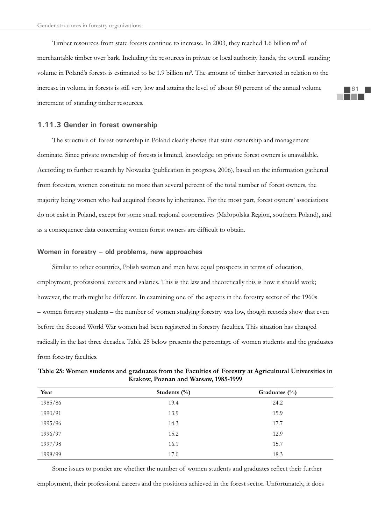Timber resources from state forests continue to increase. In 2003, they reached 1.6 billion  $m^3$  of merchantable timber over bark. Including the resources in private or local authority hands, the overall standing volume in Poland's forests is estimated to be 1.9 billion m<sup>3</sup>. The amount of timber harvested in relation to the increase in volume in forests is still very low and attains the level of about 50 percent of the annual volume increment of standing timber resources.

### **1.11.3 Gender in forest ownership**

The structure of forest ownership in Poland clearly shows that state ownership and management dominate. Since private ownership of forests is limited, knowledge on private forest owners is unavailable. According to further research by Nowacka (publication in progress, 2006), based on the information gathered from foresters, women constitute no more than several percent of the total number of forest owners, the majority being women who had acquired forests by inheritance. For the most part, forest owners' associations do not exist in Poland, except for some small regional cooperatives (Maâopolska Region, southern Poland), and as a consequence data concerning women forest owners are difficult to obtain.

### **Women in forestry – old problems, new approaches**

Similar to other countries, Polish women and men have equal prospects in terms of education, employment, professional careers and salaries. This is the law and theoretically this is how it should work; however, the truth might be different. In examining one of the aspects in the forestry sector of the 1960s – women forestry students – the number of women studying forestry was low, though records show that even before the Second World War women had been registered in forestry faculties. This situation has changed radically in the last three decades. Table 25 below presents the percentage of women students and the graduates from forestry faculties.

| Table 25: Women students and graduates from the Faculties of Forestry at Agricultural Universities in |                                      |  |
|-------------------------------------------------------------------------------------------------------|--------------------------------------|--|
|                                                                                                       | Krakow, Poznan and Warsaw, 1985-1999 |  |

| Year    | Students $(\%)$ | Graduates $(\%)$ |
|---------|-----------------|------------------|
| 1985/86 | 19.4            | 24.2             |
| 1990/91 | 13.9            | 15.9             |
| 1995/96 | 14.3            | 17.7             |
| 1996/97 | 15.2            | 12.9             |
| 1997/98 | 16.1            | 15.7             |
| 1998/99 | 17.0            | 18.3             |

Some issues to ponder are whether the number of women students and graduates reflect their further employment, their professional careers and the positions achieved in the forest sector. Unfortunately, it does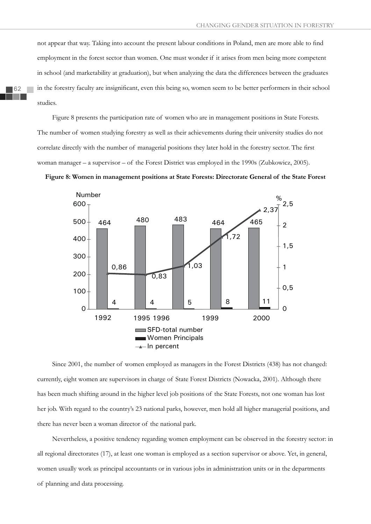not appear that way. Taking into account the present labour conditions in Poland, men are more able to find employment in the forest sector than women. One must wonder if it arises from men being more competent in school (and marketability at graduation), but when analyzing the data the differences between the graduates in the forestry faculty are insignificant, even this being so, women seem to be better performers in their school studies.

Figure 8 presents the participation rate of women who are in management positions in State Forests. The number of women studying forestry as well as their achievements during their university studies do not correlate directly with the number of managerial positions they later hold in the forestry sector. The first woman manager – a supervisor – of the Forest District was employed in the 1990s (Zubkowicz, 2005).

**Figure 8: Women in management positions at State Forests: Directorate General of the State Forest**



Since 2001, the number of women employed as managers in the Forest Districts (438) has not changed: currently, eight women are supervisors in charge of State Forest Districts (Nowacka, 2001). Although there has been much shifting around in the higher level job positions of the State Forests, not one woman has lost her job. With regard to the country's 23 national parks, however, men hold all higher managerial positions, and there has never been a woman director of the national park.

Nevertheless, a positive tendency regarding women employment can be observed in the forestry sector: in all regional directorates (17), at least one woman is employed as a section supervisor or above. Yet, in general, women usually work as principal accountants or in various jobs in administration units or in the departments of planning and data processing.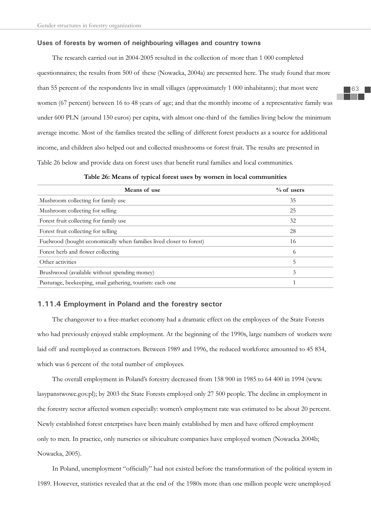#### **Uses of forests by women of neighbouring villages and country towns**

The research carried out in 2004-2005 resulted in the collection of more than 1 000 completed questionnaires; the results from 500 of these (Nowacka, 2004a) are presented here. The study found that more than 55 percent of the respondents live in small villages (approximately 1 000 inhabitants); that most were women (67 percent) between 16 to 48 years of age; and that the monthly income of a representative family was under 600 PLN (around 150 euros) per capita, with almost one-third of the families living below the minimum average income. Most of the families treated the selling of different forest products as a source for additional income, and children also helped out and collected mushrooms or forest fruit. The results are presented in Table 26 below and provide data on forest uses that benefit rural families and local communities.

| Table 26: Means of typical forest uses by women in local communities |  |  |
|----------------------------------------------------------------------|--|--|
|                                                                      |  |  |

| Means of use                                                        | $%$ of users |
|---------------------------------------------------------------------|--------------|
| Mushroom collecting for family use                                  | 35           |
| Mushroom collecting for selling                                     | 25           |
| Forest fruit collecting for family use                              | 32           |
| Forest fruit collecting for selling                                 | 28           |
| Fuelwood (bought economically when families lived closer to forest) | 16           |
| Forest herb and flower collecting                                   | 6            |
| Other activities                                                    | 5            |
| Brushwood (available without spending money)                        | 3            |
| Pasturage, beekeeping, snail gathering, tourism: each one           |              |

## **1.11.4 Employment in Poland and the forestry sector**

The changeover to a free-market economy had a dramatic effect on the employees of the State Forests who had previously enjoyed stable employment. At the beginning of the 1990s, large numbers of workers were laid off and reemployed as contractors. Between 1989 and 1996, the reduced workforce amounted to 45 834, which was 6 percent of the total number of employees.

The overall employment in Poland's forestry decreased from 158 900 in 1985 to 64 400 in 1994 (www. lasypanstwowe.gov.pl); by 2003 the State Forests employed only 27 500 people. The decline in employment in the forestry sector affected women especially: women's employment rate was estimated to be about 20 percent. Newly established forest enterprises have been mainly established by men and have offered employment only to men. In practice, only nurseries or silviculture companies have employed women (Nowacka 2004b; Nowacka, 2005).

In Poland, unemployment "officially" had not existed before the transformation of the political system in 1989. However, statistics revealed that at the end of the 1980s more than one million people were unemployed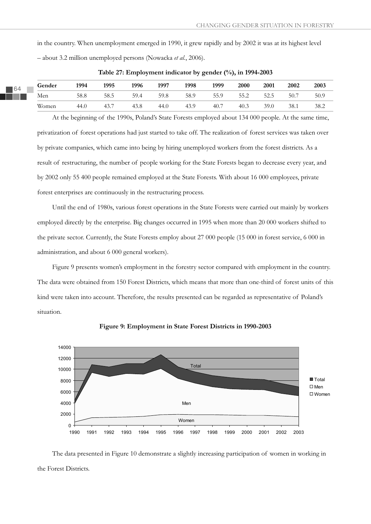in the country. When unemployment emerged in 1990, it grew rapidly and by 2002 it was at its highest level – about 3.2 million unemployed persons (Nowacka *et al.*, 2006).

| Gender | 1994 | 1995 | 1996 | 1997 | 1998 | 1999 | 2000 | 2001 | 2002 | 2003 |
|--------|------|------|------|------|------|------|------|------|------|------|
| Men    | 58.8 | 58.5 | 59.4 | 59.8 | 58.9 | 55.9 | 55.2 | 52.5 | 50.7 | 50.9 |
| Women  | 44.0 | 43.7 | 43.8 | 44.0 | 43.9 | 40.7 | 40.3 | 39.0 | 38.1 | 38.2 |

**Table 27: Employment indicator by gender (%), in 1994-2003**

At the beginning of the 1990s, Poland's State Forests employed about 134 000 people. At the same time, privatization of forest operations had just started to take off. The realization of forest services was taken over by private companies, which came into being by hiring unemployed workers from the forest districts. As a result of restructuring, the number of people working for the State Forests began to decrease every year, and by 2002 only 55 400 people remained employed at the State Forests. With about 16 000 employees, private forest enterprises are continuously in the restructuring process.

Until the end of 1980s, various forest operations in the State Forests were carried out mainly by workers employed directly by the enterprise. Big changes occurred in 1995 when more than 20 000 workers shifted to the private sector. Currently, the State Forests employ about 27 000 people (15 000 in forest service, 6 000 in administration, and about 6 000 general workers).

Figure 9 presents women's employment in the forestry sector compared with employment in the country. The data were obtained from 150 Forest Districts, which means that more than one-third of forest units of this kind were taken into account. Therefore, the results presented can be regarded as representative of Poland's situation.



**Figure 9: Employment in State Forest Districts in 1990-2003**

The data presented in Figure 10 demonstrate a slightly increasing participation of women in working in the Forest Districts.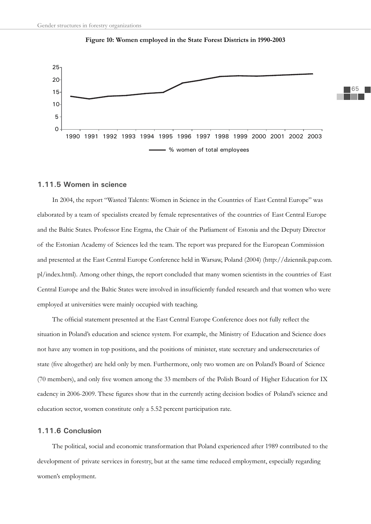



#### **1.11.5 Women in science**

In 2004, the report "Wasted Talents: Women in Science in the Countries of East Central Europe" was elaborated by a team of specialists created by female representatives of the countries of East Central Europe and the Baltic States. Professor Ene Ergma, the Chair of the Parliament of Estonia and the Deputy Director of the Estonian Academy of Sciences led the team. The report was prepared for the European Commission and presented at the East Central Europe Conference held in Warsaw, Poland (2004) (http://dziennik.pap.com. pl/index.html). Among other things, the report concluded that many women scientists in the countries of East Central Europe and the Baltic States were involved in insufficiently funded research and that women who were employed at universities were mainly occupied with teaching.

The official statement presented at the East Central Europe Conference does not fully reflect the situation in Poland's education and science system. For example, the Ministry of Education and Science does not have any women in top positions, and the positions of minister, state secretary and undersecretaries of state (five altogether) are held only by men. Furthermore, only two women are on Poland's Board of Science (70 members), and only five women among the 33 members of the Polish Board of Higher Education for IX cadency in 2006-2009. These figures show that in the currently acting decision bodies of Poland's science and education sector, women constitute only a 5.52 percent participation rate.

#### **1.11.6 Conclusion**

The political, social and economic transformation that Poland experienced after 1989 contributed to the development of private services in forestry, but at the same time reduced employment, especially regarding women's employment.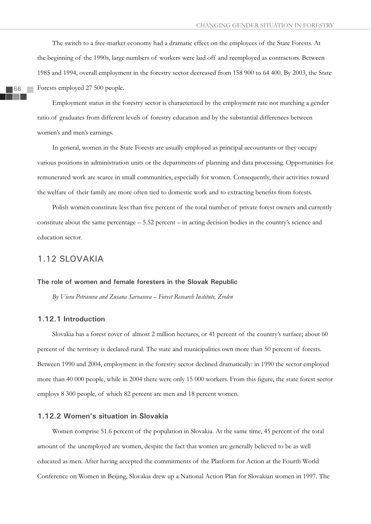The switch to a free-market economy had a dramatic effect on the employees of the State Forests. At the beginning of the 1990s, large numbers of workers were laid off and reemployed as contractors. Between 1985 and 1994, overall employment in the forestry sector decreased from 158 900 to 64 400. By 2003, the State Forests employed 27 500 people.

66

Employment status in the forestry sector is characterized by the employment rate not matching a gender ratio of graduates from different levels of forestry education and by the substantial differences between women's and men's earnings.

In general, women in the State Forests are usually employed as principal accountants or they occupy various positions in administration units or the departments of planning and data processing. Opportunities for remunerated work are scarce in small communities, especially for women. Consequently, their activities toward the welfare of their family are more often tied to domestic work and to extracting benefits from forests.

Polish women constitute less than five percent of the total number of private forest owners and currently constitute about the same percentage – 5.52 percent – in acting decision bodies in the country's science and education sector.

# 1.12 SLOVAKIA

## **The role of women and female foresters in the Slovak Republic**

*By Viera Petrasova and Zusana Sarvasova – Forest Research Institute, Zvolen*

# **1.12.1 Introduction**

Slovakia has a forest cover of almost 2 million hectares, or 41 percent of the country's surface; about 60 percent of the territory is declared rural. The state and municipalities own more than 50 percent of forests. Between 1990 and 2004, employment in the forestry sector declined dramatically: in 1990 the sector employed more than 40 000 people, while in 2004 there were only 15 000 workers. From this figure, the state forest sector employs 8 300 people, of which 82 percent are men and 18 percent women.

## **1.12.2 Women's situation in Slovakia**

Women comprise 51.6 percent of the population in Slovakia. At the same time, 45 percent of the total amount of the unemployed are women, despite the fact that women are generally believed to be as well educated as men. After having accepted the commitments of the Platform for Action at the Fourth World Conference on Women in Beijing, Slovakia drew up a National Action Plan for Slovakian women in 1997. The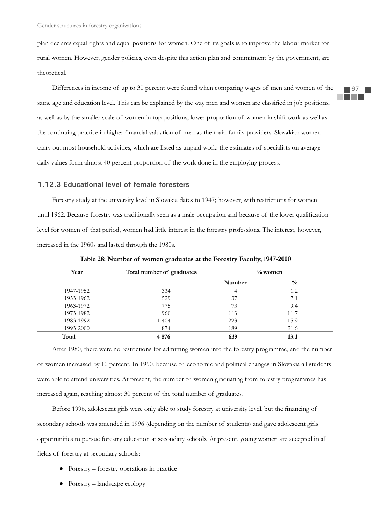plan declares equal rights and equal positions for women. One of its goals is to improve the labour market for rural women. However, gender policies, even despite this action plan and commitment by the government, are theoretical.

Differences in income of up to 30 percent were found when comparing wages of men and women of the same age and education level. This can be explained by the way men and women are classified in job positions, as well as by the smaller scale of women in top positions, lower proportion of women in shift work as well as the continuing practice in higher financial valuation of men as the main family providers. Slovakian women carry out most household activities, which are listed as unpaid work: the estimates of specialists on average daily values form almost 40 percent proportion of the work done in the employing process.

## **1.12.3 Educational level of female foresters**

Forestry study at the university level in Slovakia dates to 1947; however, with restrictions for women until 1962. Because forestry was traditionally seen as a male occupation and because of the lower qualification level for women of that period, women had little interest in the forestry professions. The interest, however, increased in the 1960s and lasted through the 1980s.

| Year      | Total number of graduates |        | $\%$ women    |
|-----------|---------------------------|--------|---------------|
|           |                           | Number | $\frac{0}{0}$ |
| 1947-1952 | 334                       | 4      | 1.2           |
| 1953-1962 | 529                       | 37     | 7.1           |
| 1963-1972 | 775                       | 73     | 9.4           |
| 1973-1982 | 960                       | 113    | 11.7          |
| 1983-1992 | 1 4 0 4                   | 223    | 15.9          |
| 1993-2000 | 874                       | 189    | 21.6          |
| Total     | 4876                      | 639    | 13.1          |

**Table 28: Number of women graduates at the Forestry Faculty, 1947-2000**

After 1980, there were no restrictions for admitting women into the forestry programme, and the number of women increased by 10 percent. In 1990, because of economic and political changes in Slovakia all students were able to attend universities. At present, the number of women graduating from forestry programmes has increased again, reaching almost 30 percent of the total number of graduates.

Before 1996, adolescent girls were only able to study forestry at university level, but the financing of secondary schools was amended in 1996 (depending on the number of students) and gave adolescent girls opportunities to pursue forestry education at secondary schools. At present, young women are accepted in all fields of forestry at secondary schools:

- Forestry forestry operations in practice
- Forestry landscape ecology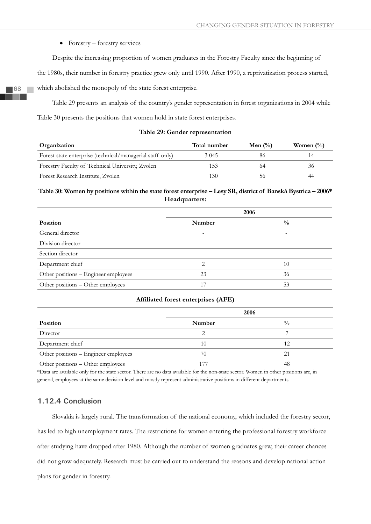$\bullet$  Forestry – forestry services

Despite the increasing proportion of women graduates in the Forestry Faculty since the beginning of

the 1980s, their number in forestry practice grew only until 1990. After 1990, a reprivatization process started,

which abolished the monopoly of the state forest enterprise.

Table 29 presents an analysis of the country's gender representation in forest organizations in 2004 while Table 30 presents the positions that women hold in state forest enterprises.

| Organization                                              | Total number | Men $\left(\frac{0}{0}\right)$ | Women $\frac{0}{0}$ |
|-----------------------------------------------------------|--------------|--------------------------------|---------------------|
| Forest state enterprise (technical/managerial staff only) | 3 0 4 5      | 80                             |                     |
| Forestry Faculty of Technical University, Zvolen          | 153          |                                | 36.                 |
| Forest Research Institute, Zvolen                         | 130          |                                |                     |

# **Table 30: Women by positions within the state forest enterprise – Lesy SR, district of Banská Bystrica – 2006\* Headquarters:**

|                                      | 2006   |               |  |  |
|--------------------------------------|--------|---------------|--|--|
| Position                             | Number | $\frac{0}{0}$ |  |  |
| General director                     |        |               |  |  |
| Division director                    |        |               |  |  |
| Section director                     |        |               |  |  |
| Department chief                     | ∍      | 10            |  |  |
| Other positions - Engineer employees | 23     | 36            |  |  |
| Other positions - Other employees    | 17     | 53            |  |  |

## Affiliated forest enterprises (AFE)

|                                      | 2006   |               |  |  |
|--------------------------------------|--------|---------------|--|--|
| Position                             | Number | $\frac{0}{0}$ |  |  |
| Director                             |        |               |  |  |
| Department chief                     | 10     | 12            |  |  |
| Other positions - Engineer employees | 70     | 21            |  |  |
| Other positions - Other employees    |        | 48            |  |  |

\*Data are available only for the state sector. There are no data available for the non-state sector. Women in other positions are, in general, employees at the same decision level and mostly represent administrative positions in different departments.

# **1.12.4 Conclusion**

Slovakia is largely rural. The transformation of the national economy, which included the forestry sector, has led to high unemployment rates. The restrictions for women entering the professional forestry workforce after studying have dropped after 1980. Although the number of women graduates grew, their career chances did not grow adequately. Research must be carried out to understand the reasons and develop national action plans for gender in forestry.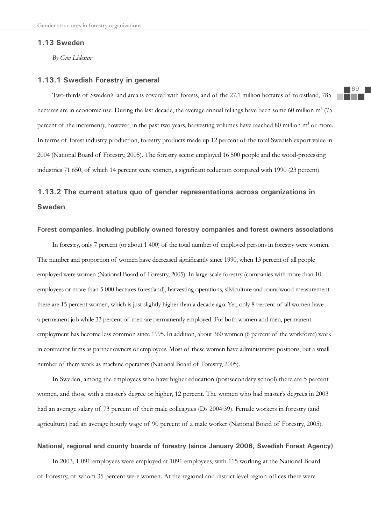## **1.13 Sweden**

*By Gun Lidestav*

#### **1.13.1 Swedish Forestry in general**

Two-thirds of Sweden's land area is covered with forests, and of the 27.1 million hectares of forestland, 785 hectares are in economic use. During the last decade, the average annual fellings have been some 60 million m<sup>3</sup> (75 percent of the increment); however, in the past two years, harvesting volumes have reached 80 million m<sup>3</sup> or more. In terms of forest industry production, forestry products made up 12 percent of the total Swedish export value in 2004 (National Board of Forestry, 2005). The forestry sector employed 16 500 people and the wood-processing industries 71 650, of which 14 percent were women, a significant reduction compared with 1990 (23 percent).

# **1.13.2 The current status quo of gender representations across organizations in Sweden**

## **Forest companies, including publicly owned forestry companies and forest owners associations**

In forestry, only 7 percent (or about 1 400) of the total number of employed persons in forestry were women. The number and proportion of women have decreased significantly since 1990, when 13 percent of all people employed were women (National Board of Forestry, 2005). In large-scale forestry (companies with more than 10 employees or more than 5 000 hectares forestland), harvesting operations, silviculture and roundwood measurement there are 15 percent women, which is just slightly higher than a decade ago. Yet, only 8 percent of all women have a permanent job while 33 percent of men are permanently employed. For both women and men, permanent employment has become less common since 1995. In addition, about 360 women (6 percent of the workforce) work in contractor firms as partner owners or employees. Most of these women have administrative positions, but a small number of them work as machine operators (National Board of Forestry, 2005).

In Sweden, among the employees who have higher education (postsecondary school) there are 5 percent women, and those with a master's degree or higher, 12 percent. The women who had master's degrees in 2003 had an average salary of 73 percent of their male colleagues (Ds 2004:39). Female workers in forestry (and agriculture) had an average hourly wage of 90 percent of a male worker (National Board of Forestry, 2005).

## **National, regional and county boards of forestry (since January 2006, Swedish Forest Agency)**

In 2003, 1 091 employees were employed at 1091 employees, with 115 working at the National Board of Forestry, of whom 35 percent were women. At the regional and district level region offices there were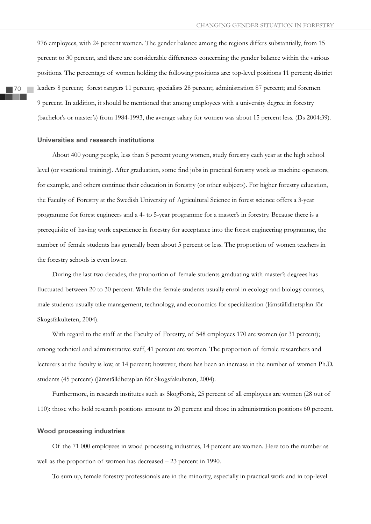976 employees, with 24 percent women. The gender balance among the regions differs substantially, from 15 percent to 30 percent, and there are considerable differences concerning the gender balance within the various positions. The percentage of women holding the following positions are: top-level positions 11 percent; district leaders 8 percent; forest rangers 11 percent; specialists 28 percent; administration 87 percent; and foremen 9 percent. In addition, it should be mentioned that among employees with a university degree in forestry (bachelor's or master's) from 1984-1993, the average salary for women was about 15 percent less. (Ds 2004:39).

#### **Universities and research institutions**

About 400 young people, less than 5 percent young women, study forestry each year at the high school level (or vocational training). After graduation, some find jobs in practical forestry work as machine operators, for example, and others continue their education in forestry (or other subjects). For higher forestry education, the Faculty of Forestry at the Swedish University of Agricultural Science in forest science offers a 3-year programme for forest engineers and a 4- to 5-year programme for a master's in forestry. Because there is a prerequisite of having work experience in forestry for acceptance into the forest engineering programme, the number of female students has generally been about 5 percent or less. The proportion of women teachers in the forestry schools is even lower.

During the last two decades, the proportion of female students graduating with master's degrees has fluctuated between 20 to 30 percent. While the female students usually enrol in ecology and biology courses, male students usually take management, technology, and economics for specialization (Jämställdhetsplan för Skogsfakulteten, 2004).

With regard to the staff at the Faculty of Forestry, of 548 employees 170 are women (or 31 percent); among technical and administrative staff, 41 percent are women. The proportion of female researchers and lecturers at the faculty is low, at 14 percent; however, there has been an increase in the number of women Ph.D. students (45 percent) (Jämställdhetsplan för Skogsfakulteten, 2004).

Furthermore, in research institutes such as SkogForsk, 25 percent of all employees are women (28 out of 110): those who hold research positions amount to 20 percent and those in administration positions 60 percent.

#### **Wood processing industries**

Of the 71 000 employees in wood processing industries, 14 percent are women. Here too the number as well as the proportion of women has decreased – 23 percent in 1990.

To sum up, female forestry professionals are in the minority, especially in practical work and in top-level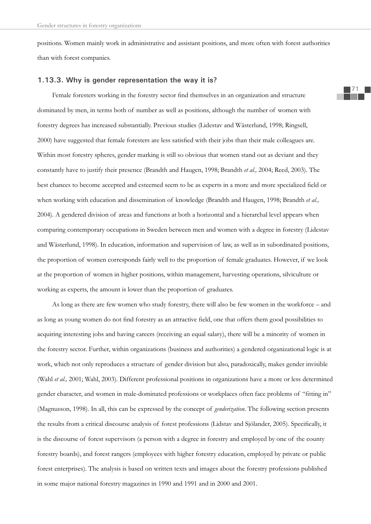positions. Women mainly work in administrative and assistant positions, and more often with forest authorities than with forest companies.

#### **1.13.3. Why is gender representation the way it is?**

Female foresters working in the forestry sector find themselves in an organization and structure dominated by men, in terms both of number as well as positions, although the number of women with forestry degrees has increased substantially. Previous studies (Lidestav and Wästerlund, 1998; Ringsell, 2000) have suggested that female foresters are less satisfied with their jobs than their male colleagues are. Within most forestry spheres, gender marking is still so obvious that women stand out as deviant and they constantly have to justify their presence (Brandth and Haugen, 1998; Brandth *et al.,* 2004; Reed, 2003). The best chances to become accepted and esteemed seem to be as experts in a more and more specialized field or when working with education and dissemination of knowledge (Brandth and Haugen, 1998; Brandth *et al.,* 2004). A gendered division of areas and functions at both a horizontal and a hierarchal level appears when comparing contemporary occupations in Sweden between men and women with a degree in forestry (Lidestav and Wästerlund, 1998). In education, information and supervision of law, as well as in subordinated positions, the proportion of women corresponds fairly well to the proportion of female graduates. However, if we look at the proportion of women in higher positions, within management, harvesting operations, silviculture or working as experts, the amount is lower than the proportion of graduates.

As long as there are few women who study forestry, there will also be few women in the workforce – and as long as young women do not find forestry as an attractive field, one that offers them good possibilities to acquiring interesting jobs and having careers (receiving an equal salary), there will be a minority of women in the forestry sector. Further, within organizations (business and authorities) a gendered organizational logic is at work, which not only reproduces a structure of gender division but also, paradoxically, makes gender invisible (Wahl *et al.,* 2001; Wahl, 2003). Different professional positions in organizations have a more or less determined gender character, and women in male-dominated professions or workplaces often face problems of "fitting in" (Magnusson, 1998). In all, this can be expressed by the concept of *genderization*. The following section presents the results from a critical discourse analysis of forest professions (Lidstav and Sjölander, 2005). Specifically, it is the discourse of forest supervisors (a person with a degree in forestry and employed by one of the county forestry boards), and forest rangers (employees with higher forestry education, employed by private or public forest enterprises). The analysis is based on written texts and images about the forestry professions published in some major national forestry magazines in 1990 and 1991 and in 2000 and 2001.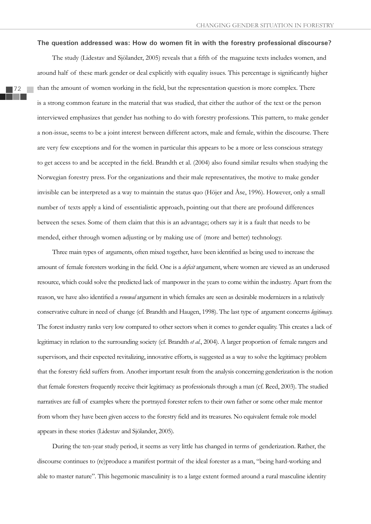#### The question addressed was: How do women fit in with the forestry professional discourse?

The study (Lidestav and Sjölander, 2005) reveals that a fifth of the magazine texts includes women, and around half of these mark gender or deal explicitly with equality issues. This percentage is significantly higher than the amount of women working in the field, but the representation question is more complex. There is a strong common feature in the material that was studied, that either the author of the text or the person interviewed emphasizes that gender has nothing to do with forestry professions. This pattern, to make gender a non-issue, seems to be a joint interest between different actors, male and female, within the discourse. There are very few exceptions and for the women in particular this appears to be a more or less conscious strategy to get access to and be accepted in the field. Brandth et al. (2004) also found similar results when studying the Norwegian forestry press. For the organizations and their male representatives, the motive to make gender invisible can be interpreted as a way to maintain the status quo (Höjer and Åse, 1996). However, only a small number of texts apply a kind of essentialistic approach, pointing out that there are profound differences between the sexes. Some of them claim that this is an advantage; others say it is a fault that needs to be mended, either through women adjusting or by making use of (more and better) technology.

Three main types of arguments, often mixed together, have been identified as being used to increase the amount of female foresters working in the field. One is a *deficit* argument, where women are viewed as an underused resource, which could solve the predicted lack of manpower in the years to come within the industry. Apart from the reason, we have also identified a *renewal* argument in which females are seen as desirable modernizers in a relatively conservative culture in need of change (cf. Brandth and Haugen, 1998). The last type of argument concerns *legitimacy.*  The forest industry ranks very low compared to other sectors when it comes to gender equality. This creates a lack of legitimacy in relation to the surrounding society (cf. Brandth *et al.*, 2004). A larger proportion of female rangers and supervisors, and their expected revitalizing, innovative efforts, is suggested as a way to solve the legitimacy problem that the forestry field suffers from. Another important result from the analysis concerning genderization is the notion that female foresters frequently receive their legitimacy as professionals through a man (cf. Reed, 2003). The studied narratives are full of examples where the portrayed forester refers to their own father or some other male mentor from whom they have been given access to the forestry field and its treasures. No equivalent female role model appears in these stories (Lidestav and Sjölander, 2005).

During the ten-year study period, it seems as very little has changed in terms of genderization. Rather, the discourse continues to (re)produce a manifest portrait of the ideal forester as a man, "being hard-working and able to master nature". This hegemonic masculinity is to a large extent formed around a rural masculine identity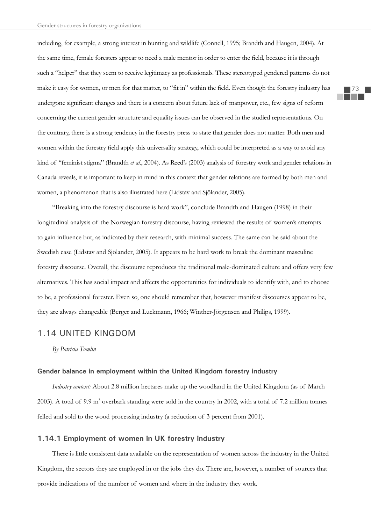including, for example, a strong interest in hunting and wildlife (Connell, 1995; Brandth and Haugen, 2004). At the same time, female foresters appear to need a male mentor in order to enter the field, because it is through such a "helper" that they seem to receive legitimacy as professionals. These stereotyped gendered patterns do not make it easy for women, or men for that matter, to "fit in" within the field. Even though the forestry industry has undergone significant changes and there is a concern about future lack of manpower, etc., few signs of reform concerning the current gender structure and equality issues can be observed in the studied representations. On the contrary, there is a strong tendency in the forestry press to state that gender does not matter. Both men and women within the forestry field apply this universality strategy, which could be interpreted as a way to avoid any kind of "feminist stigma" (Brandth *et al*., 2004). As Reed's (2003) analysis of forestry work and gender relations in Canada reveals, it is important to keep in mind in this context that gender relations are formed by both men and women, a phenomenon that is also illustrated here (Lidstav and Sjölander, 2005).

"Breaking into the forestry discourse is hard work", conclude Brandth and Haugen (1998) in their longitudinal analysis of the Norwegian forestry discourse, having reviewed the results of women's attempts to gain influence but, as indicated by their research, with minimal success. The same can be said about the Swedish case (Lidstav and Sjölander, 2005). It appears to be hard work to break the dominant masculine forestry discourse. Overall, the discourse reproduces the traditional male-dominated culture and offers very few alternatives. This has social impact and affects the opportunities for individuals to identify with, and to choose to be, a professional forester. Even so, one should remember that, however manifest discourses appear to be, they are always changeable (Berger and Luckmann, 1966; Winther-Jörgensen and Philips, 1999).

# 1.14 UNITED KINGDOM

*By Patricia Tomlin*

## **Gender balance in employment within the United Kingdom forestry industry**

*Industry context:* About 2.8 million hectares make up the woodland in the United Kingdom (as of March 2003). A total of 9.9 m<sup>3</sup> overbark standing were sold in the country in 2002, with a total of 7.2 million tonnes felled and sold to the wood processing industry (a reduction of 3 percent from 2001).

# **1.14.1 Employment of women in UK forestry industry**

There is little consistent data available on the representation of women across the industry in the United Kingdom, the sectors they are employed in or the jobs they do. There are, however, a number of sources that provide indications of the number of women and where in the industry they work.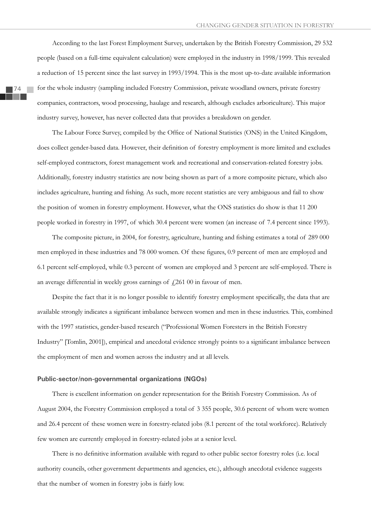According to the last Forest Employment Survey, undertaken by the British Forestry Commission, 29 532 people (based on a full-time equivalent calculation) were employed in the industry in 1998/1999. This revealed a reduction of 15 percent since the last survey in 1993/1994. This is the most up-to-date available information for the whole industry (sampling included Forestry Commission, private woodland owners, private forestry companies, contractors, wood processing, haulage and research, although excludes arboriculture). This major industry survey, however, has never collected data that provides a breakdown on gender.

The Labour Force Survey, compiled by the Office of National Statistics (ONS) in the United Kingdom, does collect gender-based data. However, their definition of forestry employment is more limited and excludes self-employed contractors, forest management work and recreational and conservation-related forestry jobs. Additionally, forestry industry statistics are now being shown as part of a more composite picture, which also includes agriculture, hunting and fishing. As such, more recent statistics are very ambiguous and fail to show the position of women in forestry employment. However, what the ONS statistics do show is that 11 200 people worked in forestry in 1997, of which 30.4 percent were women (an increase of 7.4 percent since 1993).

The composite picture, in 2004, for forestry, agriculture, hunting and fishing estimates a total of 289 000 men employed in these industries and 78 000 women. Of these figures, 0.9 percent of men are employed and 6.1 percent self-employed, while 0.3 percent of women are employed and 3 percent are self-employed. There is an average differential in weekly gross earnings of  $\frac{1}{261}$  00 in favour of men.

Despite the fact that it is no longer possible to identify forestry employment specifically, the data that are available strongly indicates a significant imbalance between women and men in these industries. This, combined with the 1997 statistics, gender-based research ("Professional Women Foresters in the British Forestry Industry" [Tomlin, 2001]), empirical and anecdotal evidence strongly points to a significant imbalance between the employment of men and women across the industry and at all levels.

## **Public-sector/non-governmental organizations (NGOs)**

There is excellent information on gender representation for the British Forestry Commission. As of August 2004, the Forestry Commission employed a total of 3 355 people, 30.6 percent of whom were women and 26.4 percent of these women were in forestry-related jobs (8.1 percent of the total workforce). Relatively few women are currently employed in forestry-related jobs at a senior level.

There is no definitive information available with regard to other public sector forestry roles (i.e. local authority councils, other government departments and agencies, etc.), although anecdotal evidence suggests that the number of women in forestry jobs is fairly low.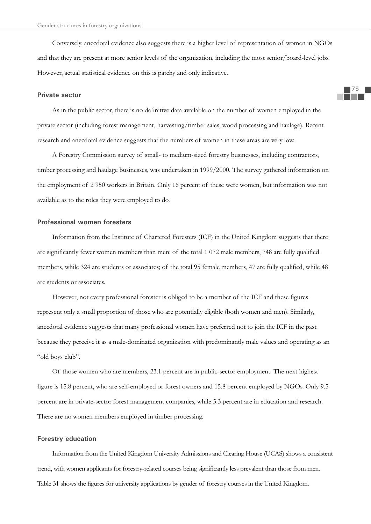Conversely, anecdotal evidence also suggests there is a higher level of representation of women in NGOs and that they are present at more senior levels of the organization, including the most senior/board-level jobs. However, actual statistical evidence on this is patchy and only indicative.

#### **Private sector**

As in the public sector, there is no definitive data available on the number of women employed in the private sector (including forest management, harvesting/timber sales, wood processing and haulage). Recent research and anecdotal evidence suggests that the numbers of women in these areas are very low.

A Forestry Commission survey of small- to medium-sized forestry businesses, including contractors, timber processing and haulage businesses, was undertaken in 1999/2000. The survey gathered information on the employment of 2 950 workers in Britain. Only 16 percent of these were women, but information was not available as to the roles they were employed to do.

#### **Professional women foresters**

Information from the Institute of Chartered Foresters (ICF) in the United Kingdom suggests that there are significantly fewer women members than men: of the total 1 072 male members, 748 are fully qualified members, while 324 are students or associates; of the total 95 female members, 47 are fully qualified, while 48 are students or associates.

However, not every professional forester is obliged to be a member of the ICF and these figures represent only a small proportion of those who are potentially eligible (both women and men). Similarly, anecdotal evidence suggests that many professional women have preferred not to join the ICF in the past because they perceive it as a male-dominated organization with predominantly male values and operating as an "old boys club".

Of those women who are members, 23.1 percent are in public-sector employment. The next highest figure is 15.8 percent, who are self-employed or forest owners and 15.8 percent employed by NGOs. Only 9.5 percent are in private-sector forest management companies, while 5.3 percent are in education and research. There are no women members employed in timber processing.

## **Forestry education**

Information from the United Kingdom University Admissions and Clearing House (UCAS) shows a consistent trend, with women applicants for forestry-related courses being significantly less prevalent than those from men. Table 31 shows the figures for university applications by gender of forestry courses in the United Kingdom.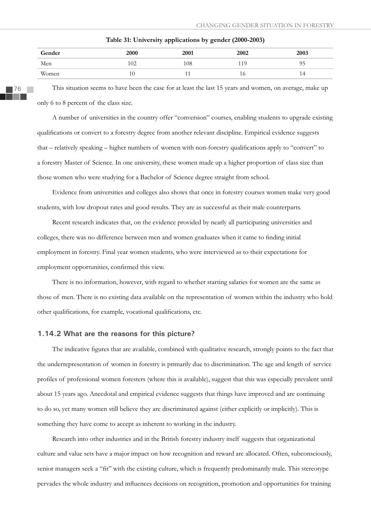| Gender | <b>2000</b> | 2001 | 2002 | 2003 |
|--------|-------------|------|------|------|
| Men    | 102         | 108  | 19   | ر .  |
| Women  | 10          |      | 10   | 14   |

**Table 31: University applications by gender (2000-2003)**

76

This situation seems to have been the case for at least the last 15 years and women, on average, make up only 6 to 8 percent of the class size.

A number of universities in the country offer "conversion" courses, enabling students to upgrade existing qualifi cations or convert to a forestry degree from another relevant discipline. Empirical evidence suggests that – relatively speaking – higher numbers of women with non-forestry qualifications apply to "convert" to a forestry Master of Science. In one university, these women made up a higher proportion of class size than those women who were studying for a Bachelor of Science degree straight from school.

Evidence from universities and colleges also shows that once in forestry courses women make very good students, with low dropout rates and good results. They are as successful as their male counterparts.

Recent research indicates that, on the evidence provided by nearly all participating universities and colleges, there was no difference between men and women graduates when it came to finding initial employment in forestry. Final year women students, who were interviewed as to their expectations for employment opportunities, confirmed this view.

There is no information, however, with regard to whether starting salaries for women are the same as those of men. There is no existing data available on the representation of women within the industry who hold other qualifications, for example, vocational qualifications, etc.

## **1.14.2 What are the reasons for this picture?**

The indicative figures that are available, combined with qualitative research, strongly points to the fact that the underrepresentation of women in forestry is primarily due to discrimination. The age and length of service profiles of professional women foresters (where this is available), suggest that this was especially prevalent until about 15 years ago. Anecdotal and empirical evidence suggests that things have improved and are continuing to do so, yet many women still believe they are discriminated against (either explicitly or implicitly). This is something they have come to accept as inherent to working in the industry.

Research into other industries and in the British forestry industry itself suggests that organizational culture and value sets have a major impact on how recognition and reward are allocated. Often, subconsciously, senior managers seek a "fit" with the existing culture, which is frequently predominantly male. This stereotype pervades the whole industry and influences decisions on recognition, promotion and opportunities for training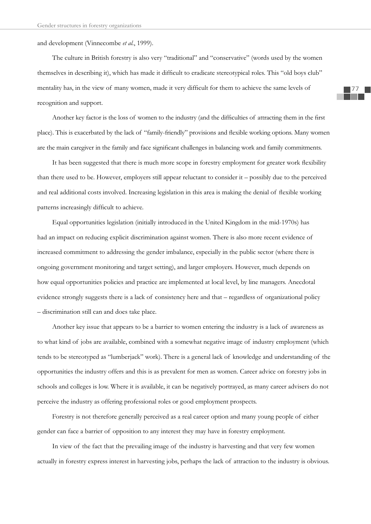and development (Vinnecombe *et al.*, 1999).

The culture in British forestry is also very "traditional" and "conservative" (words used by the women themselves in describing it), which has made it difficult to eradicate stereotypical roles. This "old boys club" mentality has, in the view of many women, made it very difficult for them to achieve the same levels of recognition and support.

Another key factor is the loss of women to the industry (and the difficulties of attracting them in the first place). This is exacerbated by the lack of "family-friendly" provisions and flexible working options. Many women are the main caregiver in the family and face significant challenges in balancing work and family commitments.

It has been suggested that there is much more scope in forestry employment for greater work flexibility than there used to be. However, employers still appear reluctant to consider it – possibly due to the perceived and real additional costs involved. Increasing legislation in this area is making the denial of flexible working patterns increasingly difficult to achieve.

Equal opportunities legislation (initially introduced in the United Kingdom in the mid-1970s) has had an impact on reducing explicit discrimination against women. There is also more recent evidence of increased commitment to addressing the gender imbalance, especially in the public sector (where there is ongoing government monitoring and target setting), and larger employers. However, much depends on how equal opportunities policies and practice are implemented at local level, by line managers. Anecdotal evidence strongly suggests there is a lack of consistency here and that – regardless of organizational policy – discrimination still can and does take place.

Another key issue that appears to be a barrier to women entering the industry is a lack of awareness as to what kind of jobs are available, combined with a somewhat negative image of industry employment (which tends to be stereotyped as "lumberjack" work). There is a general lack of knowledge and understanding of the opportunities the industry offers and this is as prevalent for men as women. Career advice on forestry jobs in schools and colleges is low. Where it is available, it can be negatively portrayed, as many career advisers do not perceive the industry as offering professional roles or good employment prospects.

Forestry is not therefore generally perceived as a real career option and many young people of either gender can face a barrier of opposition to any interest they may have in forestry employment.

In view of the fact that the prevailing image of the industry is harvesting and that very few women actually in forestry express interest in harvesting jobs, perhaps the lack of attraction to the industry is obvious.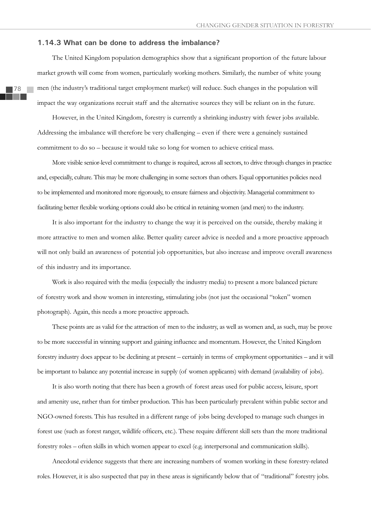#### **1.14.3 What can be done to address the imbalance?**

The United Kingdom population demographics show that a significant proportion of the future labour market growth will come from women, particularly working mothers. Similarly, the number of white young men (the industry's traditional target employment market) will reduce. Such changes in the population will impact the way organizations recruit staff and the alternative sources they will be reliant on in the future.

However, in the United Kingdom, forestry is currently a shrinking industry with fewer jobs available. Addressing the imbalance will therefore be very challenging – even if there were a genuinely sustained commitment to do so – because it would take so long for women to achieve critical mass.

More visible senior-level commitment to change is required, across all sectors, to drive through changes in practice and, especially, culture. This may be more challenging in some sectors than others. Equal opportunities policies need to be implemented and monitored more rigorously, to ensure fairness and objectivity. Managerial commitment to facilitating better flexible working options could also be critical in retaining women (and men) to the industry.

It is also important for the industry to change the way it is perceived on the outside, thereby making it more attractive to men and women alike. Better quality career advice is needed and a more proactive approach will not only build an awareness of potential job opportunities, but also increase and improve overall awareness of this industry and its importance.

Work is also required with the media (especially the industry media) to present a more balanced picture of forestry work and show women in interesting, stimulating jobs (not just the occasional "token" women photograph). Again, this needs a more proactive approach.

These points are as valid for the attraction of men to the industry, as well as women and, as such, may be prove to be more successful in winning support and gaining influence and momentum. However, the United Kingdom forestry industry does appear to be declining at present – certainly in terms of employment opportunities – and it will be important to balance any potential increase in supply (of women applicants) with demand (availability of jobs).

It is also worth noting that there has been a growth of forest areas used for public access, leisure, sport and amenity use, rather than for timber production. This has been particularly prevalent within public sector and NGO-owned forests. This has resulted in a different range of jobs being developed to manage such changes in forest use (such as forest ranger, wildlife officers, etc.). These require different skill sets than the more traditional forestry roles – often skills in which women appear to excel (e.g. interpersonal and communication skills).

Anecdotal evidence suggests that there are increasing numbers of women working in these forestry-related roles. However, it is also suspected that pay in these areas is significantly below that of "traditional" forestry jobs.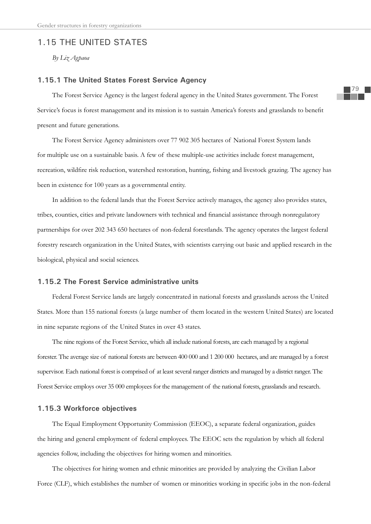# 1.15 THE UNITED STATES

*By Liz Agpaoa*

## **1.15.1 The United States Forest Service Agency**

The Forest Service Agency is the largest federal agency in the United States government. The Forest Service's focus is forest management and its mission is to sustain America's forests and grasslands to benefit present and future generations.

The Forest Service Agency administers over 77 902 305 hectares of National Forest System lands for multiple use on a sustainable basis. A few of these multiple-use activities include forest management, recreation, wildfire risk reduction, watershed restoration, hunting, fishing and livestock grazing. The agency has been in existence for 100 years as a governmental entity.

In addition to the federal lands that the Forest Service actively manages, the agency also provides states, tribes, counties, cities and private landowners with technical and financial assistance through nonregulatory partnerships for over 202 343 650 hectares of non-federal forestlands. The agency operates the largest federal forestry research organization in the United States, with scientists carrying out basic and applied research in the biological, physical and social sciences.

## **1.15.2 The Forest Service administrative units**

Federal Forest Service lands are largely concentrated in national forests and grasslands across the United States. More than 155 national forests (a large number of them located in the western United States) are located in nine separate regions of the United States in over 43 states.

The nine regions of the Forest Service, which all include national forests, are each managed by a regional forester. The average size of national forests are between 400 000 and 1 200 000 hectares, and are managed by a forest supervisor. Each national forest is comprised of at least several ranger districts and managed by a district ranger. The Forest Service employs over 35 000 employees for the management of the national forests, grasslands and research.

## **1.15.3 Workforce objectives**

The Equal Employment Opportunity Commission (EEOC), a separate federal organization, guides the hiring and general employment of federal employees. The EEOC sets the regulation by which all federal agencies follow, including the objectives for hiring women and minorities.

The objectives for hiring women and ethnic minorities are provided by analyzing the Civilian Labor Force (CLF), which establishes the number of women or minorities working in specific jobs in the non-federal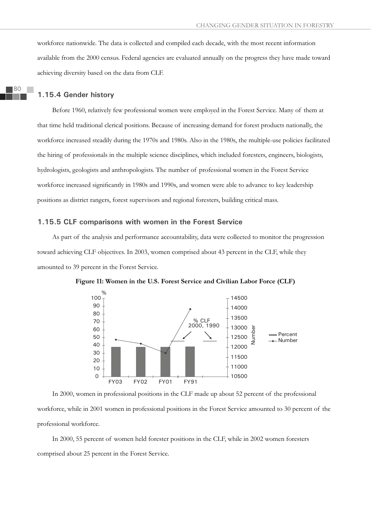workforce nationwide. The data is collected and compiled each decade, with the most recent information available from the 2000 census. Federal agencies are evaluated annually on the progress they have made toward achieving diversity based on the data from CLF.

# **1.15.4 Gender history**

Before 1960, relatively few professional women were employed in the Forest Service. Many of them at that time held traditional clerical positions. Because of increasing demand for forest products nationally, the workforce increased steadily during the 1970s and 1980s. Also in the 1980s, the multiple-use policies facilitated the hiring of professionals in the multiple science disciplines, which included foresters, engineers, biologists, hydrologists, geologists and anthropologists. The number of professional women in the Forest Service workforce increased significantly in 1980s and 1990s, and women were able to advance to key leadership positions as district rangers, forest supervisors and regional foresters, building critical mass.

## **1.15.5 CLF comparisons with women in the Forest Service**

As part of the analysis and performance accountability, data were collected to monitor the progression toward achieving CLF objectives. In 2003, women comprised about 43 percent in the CLF, while they amounted to 39 percent in the Forest Service.



**Figure 11: Women in the U.S. Forest Service and Civilian Labor Force (CLF)** 

In 2000, women in professional positions in the CLF made up about 52 percent of the professional workforce, while in 2001 women in professional positions in the Forest Service amounted to 30 percent of the professional workforce.

In 2000, 55 percent of women held forester positions in the CLF, while in 2002 women foresters comprised about 25 percent in the Forest Service.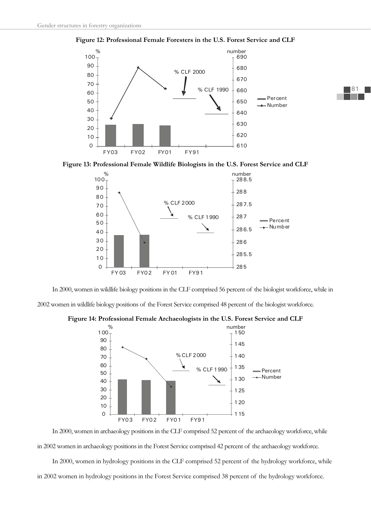

**Figure 12: Professional Female Foresters in the U.S. Forest Service and CLF** 

**Figure 13: Professional Female Wildlife Biologists in the U.S. Forest Service and CLF**



In 2000, women in wildlife biology positions in the CLF comprised 56 percent of the biologist workforce, while in 2002 women in wildlife biology positions of the Forest Service comprised 48 percent of the biologist workforce.





In 2000, women in archaeology positions in the CLF comprised 52 percent of the archaeology workforce, while in 2002 women in archaeology positions in the Forest Service comprised 42 percent of the archaeology workforce.

In 2000, women in hydrology positions in the CLF comprised 52 percent of the hydrology workforce, while in 2002 women in hydrology positions in the Forest Service comprised 38 percent of the hydrology workforce.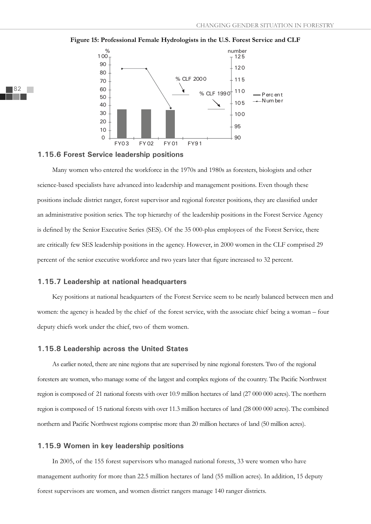

#### **Figure 15: Professional Female Hydrologists in the U.S. Forest Service and CLF**

#### **1.15.6 Forest Service leadership positions**

Many women who entered the workforce in the 1970s and 1980s as foresters, biologists and other science-based specialists have advanced into leadership and management positions. Even though these positions include district ranger, forest supervisor and regional forester positions, they are classified under an administrative position series. The top hierarchy of the leadership positions in the Forest Service Agency is defined by the Senior Executive Series (SES). Of the 35 000-plus employees of the Forest Service, there are critically few SES leadership positions in the agency. However, in 2000 women in the CLF comprised 29 percent of the senior executive workforce and two years later that figure increased to 32 percent.

## **1.15.7 Leadership at national headquarters**

Key positions at national headquarters of the Forest Service seem to be nearly balanced between men and women: the agency is headed by the chief of the forest service, with the associate chief being a woman – four deputy chiefs work under the chief, two of them women.

#### **1.15.8 Leadership across the United States**

As earlier noted, there are nine regions that are supervised by nine regional foresters. Two of the regional foresters are women, who manage some of the largest and complex regions of the country. The Pacific Northwest region is composed of 21 national forests with over 10.9 million hectares of land (27 000 000 acres). The northern region is composed of 15 national forests with over 11.3 million hectares of land (28 000 000 acres). The combined northern and Pacific Northwest regions comprise more than 20 million hectares of land (50 million acres).

#### **1.15.9 Women in key leadership positions**

In 2005, of the 155 forest supervisors who managed national forests, 33 were women who have management authority for more than 22.5 million hectares of land (55 million acres). In addition, 15 deputy forest supervisors are women, and women district rangers manage 140 ranger districts.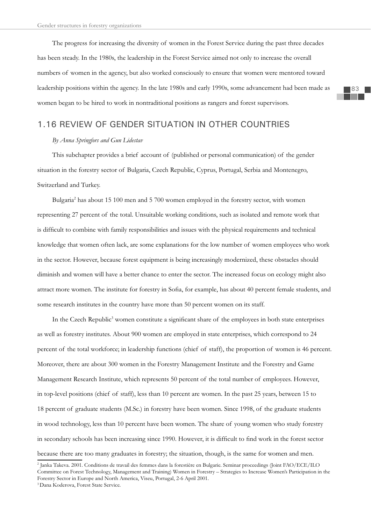The progress for increasing the diversity of women in the Forest Service during the past three decades has been steady. In the 1980s, the leadership in the Forest Service aimed not only to increase the overall numbers of women in the agency, but also worked consciously to ensure that women were mentored toward leadership positions within the agency. In the late 1980s and early 1990s, some advancement had been made as women began to be hired to work in nontraditional positions as rangers and forest supervisors.

# 1.16 REVIEW OF GENDER SITUATION IN OTHER COUNTRIES

## *By Anna Springfors and Gun Lidestav*

This subchapter provides a brief account of (published or personal communication) of the gender situation in the forestry sector of Bulgaria, Czech Republic, Cyprus, Portugal, Serbia and Montenegro, Switzerland and Turkey.

Bulgaria2 has about 15 100 men and 5 700 women employed in the forestry sector, with women representing 27 percent of the total. Unsuitable working conditions, such as isolated and remote work that is difficult to combine with family responsibilities and issues with the physical requirements and technical knowledge that women often lack, are some explanations for the low number of women employees who work in the sector. However, because forest equipment is being increasingly modernized, these obstacles should diminish and women will have a better chance to enter the sector. The increased focus on ecology might also attract more women. The institute for forestry in Sofia, for example, has about 40 percent female students, and some research institutes in the country have more than 50 percent women on its staff.

In the Czech Republic<sup>3</sup> women constitute a significant share of the employees in both state enterprises as well as forestry institutes. About 900 women are employed in state enterprises, which correspond to 24 percent of the total workforce; in leadership functions (chief of staff), the proportion of women is 46 percent. Moreover, there are about 300 women in the Forestry Management Institute and the Forestry and Game Management Research Institute, which represents 50 percent of the total number of employees. However, in top-level positions (chief of staff), less than 10 percent are women. In the past 25 years, between 15 to 18 percent of graduate students (M.Sc.) in forestry have been women. Since 1998, of the graduate students in wood technology, less than 10 percent have been women. The share of young women who study forestry in secondary schools has been increasing since 1990. However, it is difficult to find work in the forest sector because there are too many graduates in forestry; the situation, though, is the same for women and men.

<sup>2</sup> Janka Takeva. 2001. Conditions de travail des femmes dans la forestière en Bulgarie. Seminar proceedings (Joint FAO/ECE/ILO Committee on Forest Technology, Management and Training) Women in Forestry – Strategies to Increase Women's Participation in the Forestry Sector in Europe and North America, Viseu, Portugal, 2-6 April 2001.

<sup>3</sup>Dana Koderova, Forest State Service.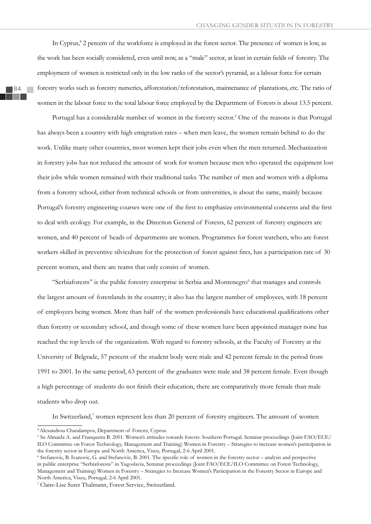In Cyprus,<sup>4</sup> 2 percent of the workforce is employed in the forest sector. The presence of women is low, as the work has been socially considered, even until now, as a "male" sector, at least in certain fields of forestry. The employment of women is restricted only in the low ranks of the sector's pyramid, as a labour force for certain forestry works such as forestry nurseries, afforestation/reforestation, maintenance of plantations, etc. The ratio of women in the labour force to the total labour force employed by the Department of Forests is about 13.5 percent.

Portugal has a considerable number of women in the forestry sector.<sup>5</sup> One of the reasons is that Portugal has always been a country with high emigration rates – when men leave, the women remain behind to do the work. Unlike many other countries, most women kept their jobs even when the men returned. Mechanization in forestry jobs has not reduced the amount of work for women because men who operated the equipment lost their jobs while women remained with their traditional tasks. The number of men and women with a diploma from a forestry school, either from technical schools or from universities, is about the same, mainly because Portugal's forestry engineering courses were one of the first to emphasize environmental concerns and the first to deal with ecology. For example, in the Direction General of Forests, 62 percent of forestry engineers are women, and 40 percent of heads of departments are women. Programmes for forest watchers, who are forest workers skilled in preventive silviculture for the protection of forest against fires, has a participation rate of 30 percent women, and there are teams that only consist of women.

"Serbiaforests" is the public forestry enterprise in Serbia and Montenegro<sup>6</sup> that manages and controls the largest amount of forestlands in the country; it also has the largest number of employees, with 18 percent of employees being women. More than half of the women professionals have educational qualifications other than forestry or secondary school, and though some of these women have been appointed manager none has reached the top levels of the organization. With regard to forestry schools, at the Faculty of Forestry at the University of Belgrade, 57 percent of the student body were male and 42 percent female in the period from 1991 to 2001. In the same period, 63 percent of the graduates were male and 38 percent female. Even though a high percentage of students do not finish their education, there are comparatively more female than male students who drop out.

In Switzerland,<sup>7</sup> women represent less than 20 percent of forestry engineers. The amount of women

<sup>4</sup>Alexandrou Charalampos, Department of Forests, Cyprus.

<sup>5</sup> Sa Almaida A. and Franqueira B. 2001. Women's attitudes towards forests: Southern Portugal. Seminar proceedings (Joint FAO/ECE/ ILO Committee on Forest Technology, Management and Training) Women in Forestry – Strategies to increase women's participation in the forestry sector in Europe and North America, Viseu, Portugal, 2-6 April 2001.

<sup>&</sup>lt;sup>6</sup> Stefanovic, B. Ivanovic, G. and Stefanovic, B. 2001. The specific role of women in the forestry sector – analysis and perspective in public enterprise "Serbiaforests" in Yugoslavia, Seminar proceedings (Joint FAO/ECE/ILO Committee on Forest Technology, Management and Training) Women in Forestry – Strategies to Increase Women's Participation in the Forestry Sector in Europe and North America, Viseu, Portugal, 2-6 April 2001.

<sup>7</sup> Claire-Lise Suter Thalmann, Forest Service, Switzerland.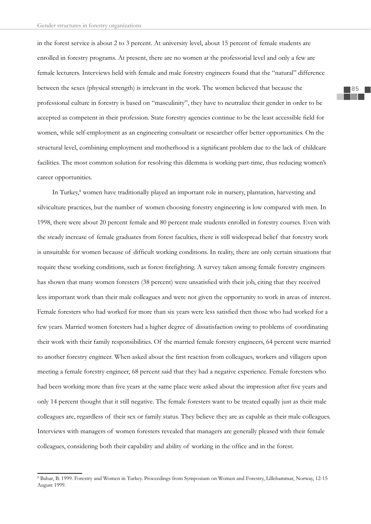in the forest service is about 2 to 3 percent. At university level, about 15 percent of female students are enrolled in forestry programs. At present, there are no women at the professorial level and only a few are female lecturers. Interviews held with female and male forestry engineers found that the "natural" difference between the sexes (physical strength) is irrelevant in the work. The women believed that because the professional culture in forestry is based on "masculinity", they have to neutralize their gender in order to be accepted as competent in their profession. State forestry agencies continue to be the least accessible field for women, while self-employment as an engineering consultant or researcher offer better opportunities. On the structural level, combining employment and motherhood is a significant problem due to the lack of childcare facilities. The most common solution for resolving this dilemma is working part-time, thus reducing women's career opportunities.

In Turkey,<sup>8</sup> women have traditionally played an important role in nursery, plantation, harvesting and silviculture practices, but the number of women choosing forestry engineering is low compared with men. In 1998, there were about 20 percent female and 80 percent male students enrolled in forestry courses. Even with the steady increase of female graduates from forest faculties, there is still widespread belief that forestry work is unsuitable for women because of difficult working conditions. In reality, there are only certain situations that require these working conditions, such as forest firefighting. A survey taken among female forestry engineers has shown that many women foresters (38 percent) were unsatisfied with their job, citing that they received less important work than their male colleagues and were not given the opportunity to work in areas of interest. Female foresters who had worked for more than six years were less satisfied then those who had worked for a few years. Married women foresters had a higher degree of dissatisfaction owing to problems of coordinating their work with their family responsibilities. Of the married female forestry engineers, 64 percent were married to another forestry engineer. When asked about the first reaction from colleagues, workers and villagers upon meeting a female forestry engineer, 68 percent said that they had a negative experience. Female foresters who had been working more than five years at the same place were asked about the impression after five years and only 14 percent thought that it still negative. The female foresters want to be treated equally just as their male colleagues are, regardless of their sex or family status. They believe they are as capable as their male colleagues. Interviews with managers of women foresters revealed that managers are generally pleased with their female colleagues, considering both their capability and ability of working in the office and in the forest.

<sup>8</sup> Bahar, B. 1999. Forestry and Women in Turkey. Proceedings from Symposium on Women and Forestry, Lillehammar, Norway, 12-15 August 1999.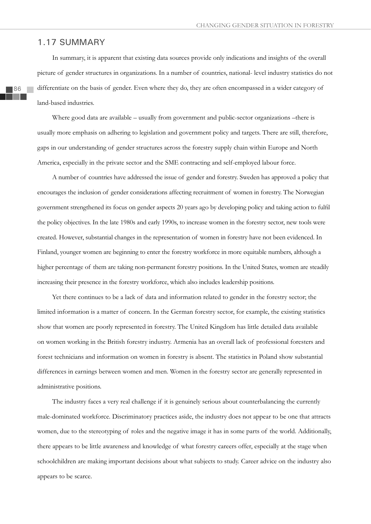# 1.17 SUMMARY

In summary, it is apparent that existing data sources provide only indications and insights of the overall picture of gender structures in organizations. In a number of countries, national- level industry statistics do not differentiate on the basis of gender. Even where they do, they are often encompassed in a wider category of land-based industries.

Where good data are available – usually from government and public-sector organizations –there is usually more emphasis on adhering to legislation and government policy and targets. There are still, therefore, gaps in our understanding of gender structures across the forestry supply chain within Europe and North America, especially in the private sector and the SME contracting and self-employed labour force.

A number of countries have addressed the issue of gender and forestry. Sweden has approved a policy that encourages the inclusion of gender considerations affecting recruitment of women in forestry. The Norwegian government strengthened its focus on gender aspects 20 years ago by developing policy and taking action to fulfil the policy objectives. In the late 1980s and early 1990s, to increase women in the forestry sector, new tools were created. However, substantial changes in the representation of women in forestry have not been evidenced. In Finland, younger women are beginning to enter the forestry workforce in more equitable numbers, although a higher percentage of them are taking non-permanent forestry positions. In the United States, women are steadily increasing their presence in the forestry workforce, which also includes leadership positions.

Yet there continues to be a lack of data and information related to gender in the forestry sector; the limited information is a matter of concern. In the German forestry sector, for example, the existing statistics show that women are poorly represented in forestry. The United Kingdom has little detailed data available on women working in the British forestry industry. Armenia has an overall lack of professional foresters and forest technicians and information on women in forestry is absent. The statistics in Poland show substantial differences in earnings between women and men. Women in the forestry sector are generally represented in administrative positions.

The industry faces a very real challenge if it is genuinely serious about counterbalancing the currently male-dominated workforce. Discriminatory practices aside, the industry does not appear to be one that attracts women, due to the stereotyping of roles and the negative image it has in some parts of the world. Additionally, there appears to be little awareness and knowledge of what forestry careers offer, especially at the stage when schoolchildren are making important decisions about what subjects to study. Career advice on the industry also appears to be scarce.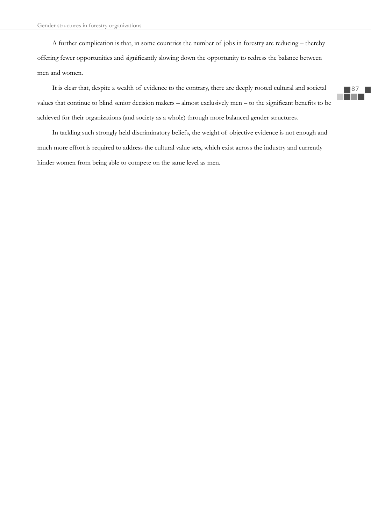A further complication is that, in some countries the number of jobs in forestry are reducing – thereby offering fewer opportunities and significantly slowing down the opportunity to redress the balance between men and women.

It is clear that, despite a wealth of evidence to the contrary, there are deeply rooted cultural and societal values that continue to blind senior decision makers – almost exclusively men – to the significant benefits to be achieved for their organizations (and society as a whole) through more balanced gender structures.

In tackling such strongly held discriminatory beliefs, the weight of objective evidence is not enough and much more effort is required to address the cultural value sets, which exist across the industry and currently hinder women from being able to compete on the same level as men.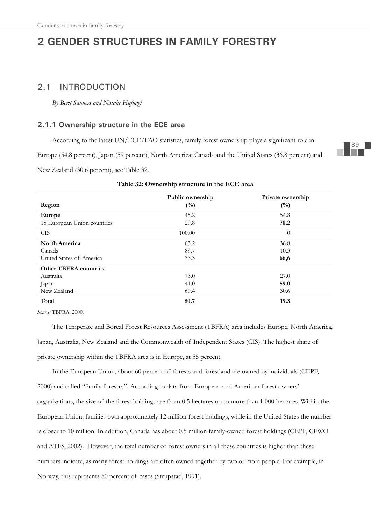# **2 GENDER STRUCTURES IN FAMILY FORESTRY**

# 2.1 INTRODUCTION

*By Berit Sanness and Natalie Hufnagl*

## **2.1.1 Ownership structure in the ECE area**

According to the latest UN/ECE/FAO statistics, family forest ownership plays a significant role in

Europe (54.8 percent), Japan (59 percent), North America: Canada and the United States (36.8 percent) and

New Zealand (30.6 percent), see Table 32.

|                              | Public ownership | Private ownership |
|------------------------------|------------------|-------------------|
| Region                       | $(^{0}/_{0})$    | $(^{0}/_{0})$     |
| Europe                       | 45.2             | 54.8              |
| 15 European Union countries  | 29.8             | 70.2              |
| <b>CIS</b>                   | 100.00           | $\theta$          |
| <b>North America</b>         | 63.2             | 36.8              |
| Canada                       | 89.7             | 10.3              |
| United States of America     | 33.3             | 66,6              |
| <b>Other TBFRA countries</b> |                  |                   |
| Australia                    | 73.0             | 27.0              |
| Japan                        | 41.0             | 59.0              |
| New Zealand                  | 69.4             | 30.6              |
| Total                        | 80.7             | 19.3              |

#### **Table 32: Ownership structure in the ECE area**

*Source:* TBFRA, 2000.

The Temperate and Boreal Forest Resources Assessment (TBFRA) area includes Europe, North America, Japan, Australia, New Zealand and the Commonwealth of Independent States (CIS). The highest share of private ownership within the TBFRA area is in Europe, at 55 percent.

In the European Union, about 60 percent of forests and forestland are owned by individuals (CEPF, 2000) and called "family forestry". According to data from European and American forest owners' organizations, the size of the forest holdings are from 0.5 hectares up to more than 1 000 hectares. Within the European Union, families own approximately 12 million forest holdings, while in the United States the number is closer to 10 million. In addition, Canada has about 0.5 million family-owned forest holdings (CEPF, CFWO and ATFS, 2002). However, the total number of forest owners in all these countries is higher than these numbers indicate, as many forest holdings are often owned together by two or more people. For example, in Norway, this represents 80 percent of cases (Strupstad, 1991).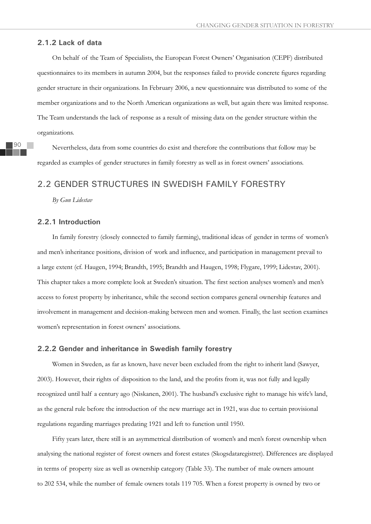#### **2.1.2 Lack of data**

On behalf of the Team of Specialists, the European Forest Owners' Organisation (CEPF) distributed questionnaires to its members in autumn 2004, but the responses failed to provide concrete figures regarding gender structure in their organizations. In February 2006, a new questionnaire was distributed to some of the member organizations and to the North American organizations as well, but again there was limited response. The Team understands the lack of response as a result of missing data on the gender structure within the organizations.

Nevertheless, data from some countries do exist and therefore the contributions that follow may be regarded as examples of gender structures in family forestry as well as in forest owners' associations.

# 2.2 GENDER STRUCTURES IN SWEDISH FAMILY FORESTRY

*By Gun Lidestav*

## **2.2.1 Introduction**

In family forestry (closely connected to family farming), traditional ideas of gender in terms of women's and men's inheritance positions, division of work and influence, and participation in management prevail to a large extent (cf. Haugen, 1994; Brandth, 1995; Brandth and Haugen, 1998; Flygare, 1999; Lidestav, 2001). This chapter takes a more complete look at Sweden's situation. The first section analyses women's and men's access to forest property by inheritance, while the second section compares general ownership features and involvement in management and decision-making between men and women. Finally, the last section examines women's representation in forest owners' associations.

#### **2.2.2 Gender and inheritance in Swedish family forestry**

Women in Sweden, as far as known, have never been excluded from the right to inherit land (Sawyer, 2003). However, their rights of disposition to the land, and the profits from it, was not fully and legally recognized until half a century ago (Niskanen, 2001). The husband's exclusive right to manage his wife's land, as the general rule before the introduction of the new marriage act in 1921, was due to certain provisional regulations regarding marriages predating 1921 and left to function until 1950.

Fifty years later, there still is an asymmetrical distribution of women's and men's forest ownership when analysing the national register of forest owners and forest estates (Skogsdataregistret). Differences are displayed in terms of property size as well as ownership category (Table 33). The number of male owners amount to 202 534, while the number of female owners totals 119 705. When a forest property is owned by two or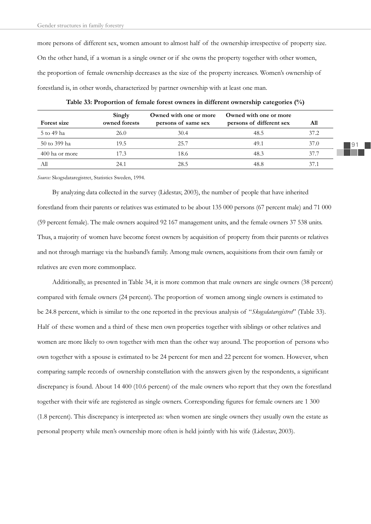more persons of different sex, women amount to almost half of the ownership irrespective of property size. On the other hand, if a woman is a single owner or if she owns the property together with other women, the proportion of female ownership decreases as the size of the property increases. Women's ownership of forestland is, in other words, characterized by partner ownership with at least one man.

| Forest size    | Singly<br>owned forests | Owned with one or more<br>persons of same sex | Owned with one or more<br>persons of different sex | All  |
|----------------|-------------------------|-----------------------------------------------|----------------------------------------------------|------|
| 5 to 49 ha     | 26.0                    | 30.4                                          | 48.5                                               | 37.2 |
| 50 to 399 ha   | 19.5                    | 25.7                                          | 49.1                                               | 37.0 |
| 400 ha or more | 17.3                    | 18.6                                          | 48.3                                               | 37.7 |
| All            | 24.1                    | 28.5                                          | 48.8                                               | 37.1 |

**Table 33: Proportion of female forest owners in different ownership categories (%)**

*Source:* Skogsdataregistret, Statistics Sweden, 1994.

By analyzing data collected in the survey (Lidestav, 2003), the number of people that have inherited forestland from their parents or relatives was estimated to be about 135 000 persons (67 percent male) and 71 000 (59 percent female). The male owners acquired 92 167 management units, and the female owners 37 538 units. Thus, a majority of women have become forest owners by acquisition of property from their parents or relatives and not through marriage via the husband's family. Among male owners, acquisitions from their own family or relatives are even more commonplace.

Additionally, as presented in Table 34, it is more common that male owners are single owners (38 percent) compared with female owners (24 percent). The proportion of women among single owners is estimated to be 24.8 percent, which is similar to the one reported in the previous analysis of "*Skogsdataregistret*" (Table 33). Half of these women and a third of these men own properties together with siblings or other relatives and women are more likely to own together with men than the other way around. The proportion of persons who own together with a spouse is estimated to be 24 percent for men and 22 percent for women. However, when comparing sample records of ownership constellation with the answers given by the respondents, a significant discrepancy is found. About 14 400 (10.6 percent) of the male owners who report that they own the forestland together with their wife are registered as single owners. Corresponding figures for female owners are 1 300 (1.8 percent). This discrepancy is interpreted as: when women are single owners they usually own the estate as personal property while men's ownership more often is held jointly with his wife (Lidestav, 2003).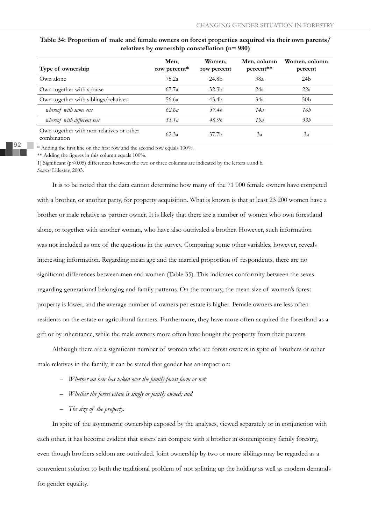|                                                         | Men,          | Women,            | Men, column | Women, column   |
|---------------------------------------------------------|---------------|-------------------|-------------|-----------------|
| Type of ownership                                       | row percent*  | row percent       | percent**   | percent         |
| Own alone                                               | 75.2a         | 24.8b             | 38a         | 24 <sub>b</sub> |
| Own together with spouse                                | 67.7a         | 32.3 <sub>b</sub> | 24a         | 22a             |
| Own together with siblings/relatives                    | 56.6a         | 43.4b             | 34a         | 50 <sub>b</sub> |
| whereof with same sex                                   | 62.6 <i>a</i> | 37.4 <i>b</i>     | 14a         | 16b             |
| whereof with different sex                              | 53.1a         | 46.9 <sub>b</sub> | 19a         | 33h             |
| Own together with non-relatives or other<br>combination | 62.3a         | 37.7b             | 3a          | 3a              |

## **Table 34: Proportion of male and female owners on forest properties acquired via their own parents/ relatives by ownership constellation (n= 980)**

92

\* Adding the first line on the first row and the second row equals 100%.

 $**$  Adding the figures in this column equals 100%.

1) Significant ( $p<0.05$ ) differences between the two or three columns are indicated by the letters a and b. *Source:* Lidestav, 2003.

It is to be noted that the data cannot determine how many of the 71 000 female owners have competed with a brother, or another party, for property acquisition. What is known is that at least 23 200 women have a brother or male relative as partner owner. It is likely that there are a number of women who own forestland alone, or together with another woman, who have also outrivaled a brother. However, such information was not included as one of the questions in the survey. Comparing some other variables, however, reveals interesting information. Regarding mean age and the married proportion of respondents, there are no significant differences between men and women (Table 35). This indicates conformity between the sexes regarding generational belonging and family patterns. On the contrary, the mean size of women's forest property is lower, and the average number of owners per estate is higher. Female owners are less often residents on the estate or agricultural farmers. Furthermore, they have more often acquired the forestland as a gift or by inheritance, while the male owners more often have bought the property from their parents.

Although there are a significant number of women who are forest owners in spite of brothers or other male relatives in the family, it can be stated that gender has an impact on:

- *Whether an heir has taken over the family forest farm or not;*
- *Whether the forest estate is singly or jointly owned; and*
- *The size of the property.*

In spite of the asymmetric ownership exposed by the analyses, viewed separately or in conjunction with each other, it has become evident that sisters can compete with a brother in contemporary family forestry, even though brothers seldom are outrivaled. Joint ownership by two or more siblings may be regarded as a convenient solution to both the traditional problem of not splitting up the holding as well as modern demands for gender equality.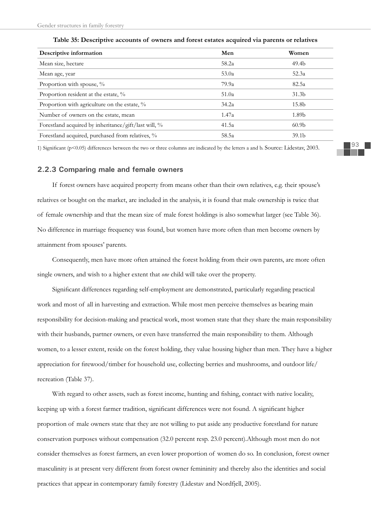| Descriptive information                              | Men   | Women             |
|------------------------------------------------------|-------|-------------------|
| Mean size, hectare                                   | 58.2a | 49.4 <sub>b</sub> |
| Mean age, year                                       | 53.0a | 52.3a             |
| Proportion with spouse, %                            | 79.9a | 82.5a             |
| Proportion resident at the estate, %                 | 51.0a | 31.3 <sub>b</sub> |
| Proportion with agriculture on the estate, %         | 34.2a | 15.8b             |
| Number of owners on the estate, mean                 | 1.47a | 1.89b             |
| Forestland acquired by inheritance/gift/last will, % | 41.5a | 60.9 <sub>b</sub> |
| Forestland acquired, purchased from relatives, %     | 58.5a | 39.1 <sub>b</sub> |

**Table 35: Descriptive accounts of owners and forest estates acquired via parents or relatives** 

1) Significant (p<0.05) differences between the two or three columns are indicated by the letters a and b. Source: Lidestav, 2003.

#### **2.2.3 Comparing male and female owners**

If forest owners have acquired property from means other than their own relatives, e.g. their spouse's relatives or bought on the market, are included in the analysis, it is found that male ownership is twice that of female ownership and that the mean size of male forest holdings is also somewhat larger (see Table 36). No difference in marriage frequency was found, but women have more often than men become owners by attainment from spouses' parents.

Consequently, men have more often attained the forest holding from their own parents, are more often single owners, and wish to a higher extent that *one* child will take over the property.

Significant differences regarding self-employment are demonstrated, particularly regarding practical work and most of all in harvesting and extraction. While most men perceive themselves as bearing main responsibility for decision-making and practical work, most women state that they share the main responsibility with their husbands, partner owners, or even have transferred the main responsibility to them. Although women, to a lesser extent, reside on the forest holding, they value housing higher than men. They have a higher appreciation for firewood/timber for household use, collecting berries and mushrooms, and outdoor life/ recreation (Table 37).

With regard to other assets, such as forest income, hunting and fishing, contact with native locality, keeping up with a forest farmer tradition, significant differences were not found. A significant higher proportion of male owners state that they are not willing to put aside any productive forestland for nature conservation purposes without compensation (32.0 percent resp. 23.0 percent).Although most men do not consider themselves as forest farmers, an even lower proportion of women do so. In conclusion, forest owner masculinity is at present very different from forest owner femininity and thereby also the identities and social practices that appear in contemporary family forestry (Lidestav and Nordfjell, 2005).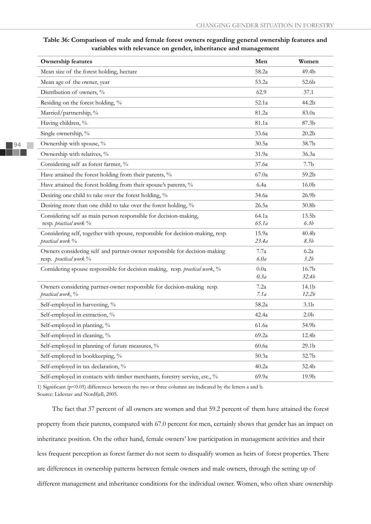| <b>Ownership features</b>                                                                           | Men          | Women             |
|-----------------------------------------------------------------------------------------------------|--------------|-------------------|
| Mean size of the forest holding, hectare                                                            | 58.2a        | 49.4b             |
| Mean age of the owner, year                                                                         | 53.2a        | 52.6b             |
| Distribution of owners, %                                                                           | 62.9         | 37.1              |
| Residing on the forest holding, %                                                                   | 52.1a        | 44.2b             |
| Married/partnership, %                                                                              | 81.2a        | 83.0a             |
| Having children, %                                                                                  | 81.1a        | 87.3b             |
| Single ownership, %                                                                                 | 33.6a        | 20.2 <sub>b</sub> |
| Ownership with spouse, %                                                                            | 30.5a        | 38.7b             |
| Ownership with relatives, %                                                                         | 31.9a        | 36.3a             |
| Considering self as forest farmer, %                                                                | 37.6a        | 7.7 <sub>b</sub>  |
| Have attained the forest holding from their parents, %                                              | 67.0a        | 59.2b             |
| Have attained the forest holding from their spouse's parents, %                                     | 6.4a         | 16.0 <sub>b</sub> |
| Desiring one child to take over the forest holding, %                                               | 34.6a        | 26.9 <sub>b</sub> |
| Desiring more than one child to take over the forest holding, %                                     | 26.5a        | 30.8 <sub>b</sub> |
| Considering self as main person responsible for decision-making,                                    | 64.1a        | 13.5 <sub>b</sub> |
| resp. practical work %                                                                              | 65.1a        | 6.3b              |
| Considering self, together with spouse, responsible for decision-making, resp.                      | 15.9a        | 40.4 <sub>b</sub> |
| practical work %                                                                                    | 23.4a        | 8.5b              |
| Owners considering self and partner-owner responsible for decision-making<br>resp. practical work % | 7.7a<br>6.0a | 6.2a<br>3.2b      |
| Considering spouse responsible for decision making, resp. practical work, %                         | 0.0a         | 16.7 <sub>b</sub> |
|                                                                                                     | 0.3a         | 32.4b             |
| Owners considering partner-owner responsible for decision-making resp.                              | 7.2a         | 14.1b             |
| practical work, %                                                                                   | 7.1a         | 12.2b             |
| Self-employed in harvesting, %                                                                      | 58.2a        | 3.1 <sub>b</sub>  |
| Self-employed in extraction, %                                                                      | 42.4a        | 2.0 <sub>b</sub>  |
| Self-employed in planting, %                                                                        | 61.6a        | 34.9b             |
| Self-employed in cleaning, %                                                                        | 69.2a        | 12.4b             |
| Self-employed in planning of future measures, %                                                     | 60.6a        | 29.1 <sub>b</sub> |
| Self-employed in bookkeeping, %                                                                     | 50.3a        | 32.7b             |
| Self-employed in tax declaration, %                                                                 | 40.2a        | 32.4b             |
| Self-employed in contacts with timber merchants, forestry service, etc., %                          | 69.9a        | 19.9b             |

**Table 36: Comparison of male and female forest owners regarding general ownership features and variables with relevance on gender, inheritance and management** 

1) Significant (p<0.05) differences between the two or three columns are indicated by the letters a and b. Source: Lidestav and Nordfjell, 2005.

The fact that 37 percent of all owners are women and that 59.2 percent of them have attained the forest property from their parents, compared with 67.0 percent for men, certainly shows that gender has an impact on inheritance position. On the other hand, female owners' low participation in management activities and their less frequent perception as forest farmer do not seem to disqualify women as heirs of forest properties. There are differences in ownership patterns between female owners and male owners, through the setting up of different management and inheritance conditions for the individual owner. Women, who often share ownership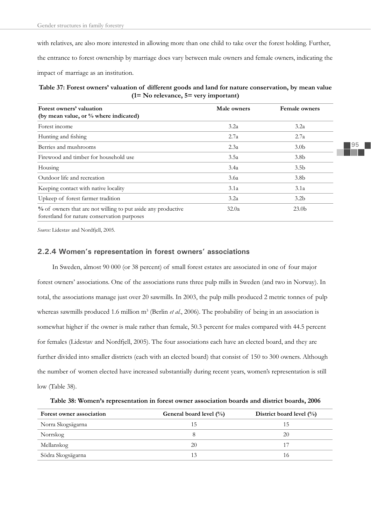with relatives, are also more interested in allowing more than one child to take over the forest holding. Further, the entrance to forest ownership by marriage does vary between male owners and female owners, indicating the impact of marriage as an institution.

## **Table 37: Forest owners' valuation of different goods and land for nature conservation, by mean value (1= No relevance, 5= very important)**

| Forest owners' valuation                                                                                    | Male owners | Female owners     |
|-------------------------------------------------------------------------------------------------------------|-------------|-------------------|
| (by mean value, or % where indicated)                                                                       |             |                   |
| Forest income                                                                                               | 3.2a        | 3.2a              |
| Hunting and fishing                                                                                         | 2.7a        | 2.7a              |
| Berries and mushrooms                                                                                       | 2.3a        | 3.0 <sub>b</sub>  |
| Firewood and timber for household use                                                                       | 3.5a        | 3.8 <sub>b</sub>  |
| Housing                                                                                                     | 3.4a        | 3.5 <sub>b</sub>  |
| Outdoor life and recreation                                                                                 | 3.6a        | 3.8 <sub>b</sub>  |
| Keeping contact with native locality                                                                        | 3.1a        | 3.1a              |
| Upkeep of forest farmer tradition                                                                           | 3.2a        | 3.2 <sub>b</sub>  |
| % of owners that are not willing to put aside any productive<br>forestland for nature conservation purposes | 32.0a       | 23.0 <sub>b</sub> |

*Source:* Lidestav and Nordfjell, 2005.

## **2.2.4 Women's representation in forest owners' associations**

In Sweden, almost 90 000 (or 38 percent) of small forest estates are associated in one of four major forest owners' associations. One of the associations runs three pulp mills in Sweden (and two in Norway). In total, the associations manage just over 20 sawmills. In 2003, the pulp mills produced 2 metric tonnes of pulp whereas sawmills produced 1.6 million m<sup>3</sup> (Berlin *et al.*, 2006). The probability of being in an association is somewhat higher if the owner is male rather than female, 50.3 percent for males compared with 44.5 percent for females (Lidestav and Nordfjell, 2005). The four associations each have an elected board, and they are further divided into smaller districts (each with an elected board) that consist of 150 to 300 owners. Although the number of women elected have increased substantially during recent years, women's representation is still low (Table 38).

**Table 38: Women's representation in forest owner association boards and district boards, 2006** 

| Forest owner association | General board level $(\%)$ | District board level $(\%)$ |
|--------------------------|----------------------------|-----------------------------|
| Norra Skogsägarna        |                            | C.                          |
| Norrskog                 |                            | 20                          |
| Mellanskog               | 20                         |                             |
| Södra Skogsägarna        |                            | 10                          |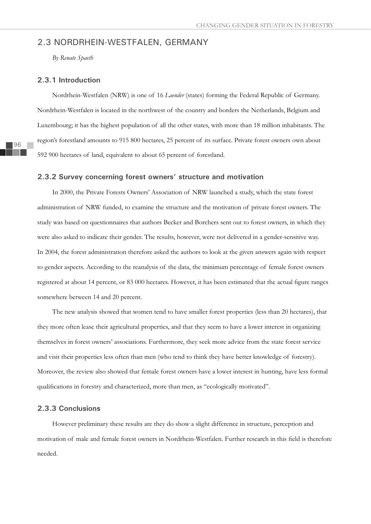# 2.3 NORDRHEIN-WESTFALEN, GERMANY

*By Renate Spaeth*

## **2.3.1 Introduction**

Nordrhein-Westfalen (NRW) is one of 16 *Laender* (states) forming the Federal Republic of Germany. Nordrhein-Westfalen is located in the northwest of the country and borders the Netherlands, Belgium and Luxembourg; it has the highest population of all the other states, with more than 18 million inhabitants. The region's forestland amounts to 915 800 hectares, 25 percent of its surface. Private forest owners own about 592 900 hectares of land, equivalent to about 65 percent of forestland.

#### **2.3.2 Survey concerning forest owners' structure and motivation**

In 2000, the Private Forests Owners' Association of NRW launched a study, which the state forest administration of NRW funded, to examine the structure and the motivation of private forest owners. The study was based on questionnaires that authors Becker and Borchers sent out to forest owners, in which they were also asked to indicate their gender. The results, however, were not delivered in a gender-sensitive way. In 2004, the forest administration therefore asked the authors to look at the given answers again with respect to gender aspects. According to the reanalysis of the data, the minimum percentage of female forest owners registered at about 14 percent, or 83 000 hectares. However, it has been estimated that the actual figure ranges somewhere between 14 and 20 percent.

The new analysis showed that women tend to have smaller forest properties (less than 20 hectares), that they more often lease their agricultural properties, and that they seem to have a lower interest in organizing themselves in forest owners' associations. Furthermore, they seek more advice from the state forest service and visit their properties less often than men (who tend to think they have better knowledge of forestry). Moreover, the review also showed that female forest owners have a lower interest in hunting, have less formal qualifications in forestry and characterized, more than men, as "ecologically motivated".

## **2.3.3 Conclusions**

However preliminary these results are they do show a slight difference in structure, perception and motivation of male and female forest owners in Nordrhein-Westfalen. Further research in this field is therefore needed.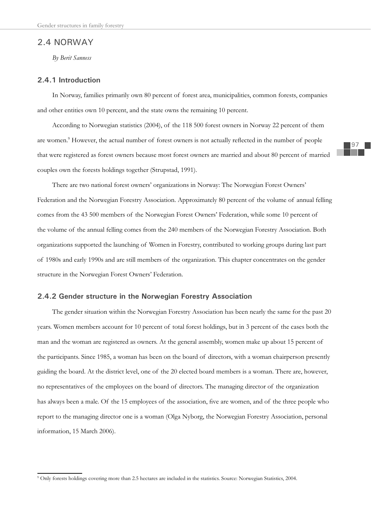# 2.4 NORWAY

*By Berit Sanness*

## **2.4.1 Introduction**

In Norway, families primarily own 80 percent of forest area, municipalities, common forests, companies and other entities own 10 percent, and the state owns the remaining 10 percent.

According to Norwegian statistics (2004), of the 118 500 forest owners in Norway 22 percent of them are women.<sup>9</sup> However, the actual number of forest owners is not actually reflected in the number of people that were registered as forest owners because most forest owners are married and about 80 percent of married couples own the forests holdings together (Strupstad, 1991).

There are two national forest owners' organizations in Norway: The Norwegian Forest Owners' Federation and the Norwegian Forestry Association. Approximately 80 percent of the volume of annual felling comes from the 43 500 members of the Norwegian Forest Owners' Federation, while some 10 percent of the volume of the annual felling comes from the 240 members of the Norwegian Forestry Association. Both organizations supported the launching of Women in Forestry, contributed to working groups during last part of 1980s and early 1990s and are still members of the organization. This chapter concentrates on the gender structure in the Norwegian Forest Owners' Federation.

## **2.4.2 Gender structure in the Norwegian Forestry Association**

The gender situation within the Norwegian Forestry Association has been nearly the same for the past 20 years. Women members account for 10 percent of total forest holdings, but in 3 percent of the cases both the man and the woman are registered as owners. At the general assembly, women make up about 15 percent of the participants. Since 1985, a woman has been on the board of directors, with a woman chairperson presently guiding the board. At the district level, one of the 20 elected board members is a woman. There are, however, no representatives of the employees on the board of directors. The managing director of the organization has always been a male. Of the 15 employees of the association, five are women, and of the three people who report to the managing director one is a woman (Olga Nyborg, the Norwegian Forestry Association, personal information, 15 March 2006).

<sup>9</sup> Only forests holdings covering more than 2.5 hectares are included in the statistics. Source: Norwegian Statistics, 2004.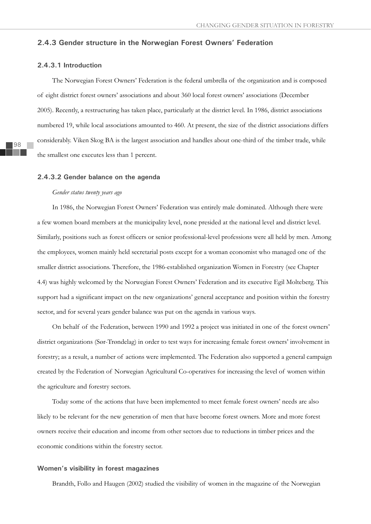## **2.4.3 Gender structure in the Norwegian Forest Owners' Federation**

## **2.4.3.1 Introduction**

The Norwegian Forest Owners' Federation is the federal umbrella of the organization and is composed of eight district forest owners' associations and about 360 local forest owners' associations (December 2005). Recently, a restructuring has taken place, particularly at the district level. In 1986, district associations numbered 19, while local associations amounted to 460. At present, the size of the district associations differs considerably. Viken Skog BA is the largest association and handles about one-third of the timber trade, while the smallest one executes less than 1 percent.

#### **2.4.3.2 Gender balance on the agenda**

#### *Gender status twenty years ago*

In 1986, the Norwegian Forest Owners' Federation was entirely male dominated. Although there were a few women board members at the municipality level, none presided at the national level and district level. Similarly, positions such as forest officers or senior professional-level professions were all held by men. Among the employees, women mainly held secretarial posts except for a woman economist who managed one of the smaller district associations. Therefore, the 1986-established organization Women in Forestry (see Chapter 4.4) was highly welcomed by the Norwegian Forest Owners' Federation and its executive Egil Molteberg. This support had a significant impact on the new organizations' general acceptance and position within the forestry sector, and for several years gender balance was put on the agenda in various ways.

On behalf of the Federation, between 1990 and 1992 a project was initiated in one of the forest owners' district organizations (Sør-Trøndelag) in order to test ways for increasing female forest owners' involvement in forestry; as a result, a number of actions were implemented. The Federation also supported a general campaign created by the Federation of Norwegian Agricultural Co-operatives for increasing the level of women within the agriculture and forestry sectors.

Today some of the actions that have been implemented to meet female forest owners' needs are also likely to be relevant for the new generation of men that have become forest owners. More and more forest owners receive their education and income from other sectors due to reductions in timber prices and the economic conditions within the forestry sector.

### **Women's visibility in forest magazines**

Brandth, Follo and Haugen (2002) studied the visibility of women in the magazine of the Norwegian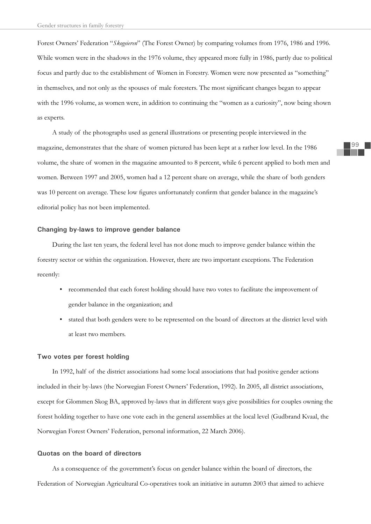Forest Owners' Federation "*Skogeieren*" (The Forest Owner) by comparing volumes from 1976, 1986 and 1996. While women were in the shadows in the 1976 volume, they appeared more fully in 1986, partly due to political focus and partly due to the establishment of Women in Forestry. Women were now presented as "something" in themselves, and not only as the spouses of male foresters. The most significant changes began to appear with the 1996 volume, as women were, in addition to continuing the "women as a curiosity", now being shown as experts.

A study of the photographs used as general illustrations or presenting people interviewed in the magazine, demonstrates that the share of women pictured has been kept at a rather low level. In the 1986 volume, the share of women in the magazine amounted to 8 percent, while 6 percent applied to both men and women. Between 1997 and 2005, women had a 12 percent share on average, while the share of both genders was 10 percent on average. These low figures unfortunately confirm that gender balance in the magazine's editorial policy has not been implemented.

## **Changing by-laws to improve gender balance**

During the last ten years, the federal level has not done much to improve gender balance within the forestry sector or within the organization. However, there are two important exceptions. The Federation recently:

- recommended that each forest holding should have two votes to facilitate the improvement of gender balance in the organization; and
- stated that both genders were to be represented on the board of directors at the district level with at least two members.

#### **Two votes per forest holding**

In 1992, half of the district associations had some local associations that had positive gender actions included in their by-laws (the Norwegian Forest Owners' Federation, 1992). In 2005, all district associations, except for Glommen Skog BA, approved by-laws that in different ways give possibilities for couples owning the forest holding together to have one vote each in the general assemblies at the local level (Gudbrand Kvaal, the Norwegian Forest Owners' Federation, personal information, 22 March 2006).

## **Quotas on the board of directors**

As a consequence of the government's focus on gender balance within the board of directors, the Federation of Norwegian Agricultural Co-operatives took an initiative in autumn 2003 that aimed to achieve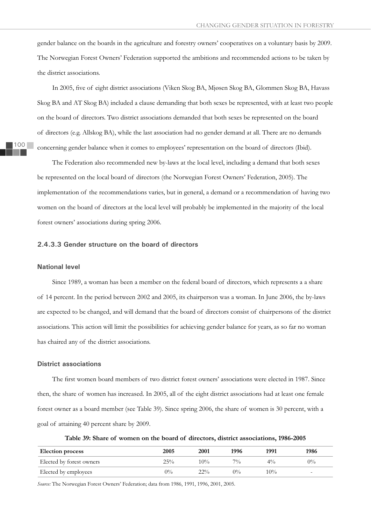gender balance on the boards in the agriculture and forestry owners' cooperatives on a voluntary basis by 2009. The Norwegian Forest Owners' Federation supported the ambitions and recommended actions to be taken by the district associations.

In 2005, five of eight district associations (Viken Skog BA, Mjøsen Skog BA, Glommen Skog BA, Havass Skog BA and AT Skog BA) included a clause demanding that both sexes be represented, with at least two people on the board of directors. Two district associations demanded that both sexes be represented on the board of directors (e.g. Allskog BA), while the last association had no gender demand at all. There are no demands concerning gender balance when it comes to employees' representation on the board of directors (Ibid).

The Federation also recommended new by-laws at the local level, including a demand that both sexes be represented on the local board of directors (the Norwegian Forest Owners' Federation, 2005). The implementation of the recommendations varies, but in general, a demand or a recommendation of having two women on the board of directors at the local level will probably be implemented in the majority of the local forest owners' associations during spring 2006.

## **2.4.3.3 Gender structure on the board of directors**

#### **National level**

Since 1989, a woman has been a member on the federal board of directors, which represents a a share of 14 percent. In the period between 2002 and 2005, its chairperson was a woman. In June 2006, the by-laws are expected to be changed, and will demand that the board of directors consist of chairpersons of the district associations. This action will limit the possibilities for achieving gender balance for years, as so far no woman has chaired any of the district associations.

## **District associations**

The first women board members of two district forest owners' associations were elected in 1987. Since then, the share of women has increased. In 2005, all of the eight district associations had at least one female forest owner as a board member (see Table 39). Since spring 2006, the share of women is 30 percent, with a goal of attaining 40 percent share by 2009.

**Table 39: Share of women on the board of directors, district associations, 1986-2005**

| <b>Election process</b>  | 2005  | 2001   | 1996 | 1991  | 1986   |
|--------------------------|-------|--------|------|-------|--------|
| Elected by forest owners | 25%   | $10\%$ | 70/6 | $4\%$ | $0\%$  |
| Elected by employees     | $0\%$ | $22\%$ | 0%   | 10%   | $\sim$ |

*Source:* The Norwegian Forest Owners' Federation; data from 1986, 1991, 1996, 2001, 2005.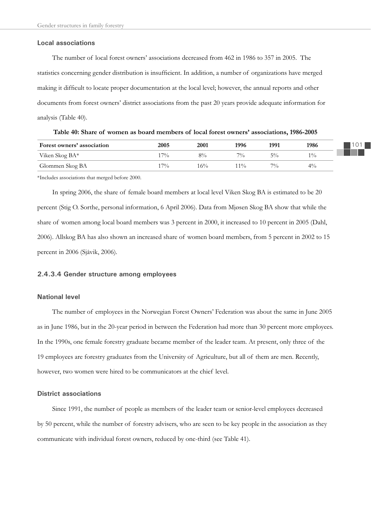#### **Local associations**

The number of local forest owners' associations decreased from 462 in 1986 to 357 in 2005. The statistics concerning gender distribution is insufficient. In addition, a number of organizations have merged making it difficult to locate proper documentation at the local level; however, the annual reports and other documents from forest owners' district associations from the past 20 years provide adequate information for analysis (Table 40).

| Forest owners' association | 2005  | 2001  | 1996  | 1991  | 1986  |
|----------------------------|-------|-------|-------|-------|-------|
| Viken Skog BA*             | $7\%$ | $8\%$ | 70/0  | $5\%$ | 10/6  |
| Glommen Skog BA            | $7\%$ | 16%   | $1\%$ | 70/6  | $4\%$ |

**Table 40: Share of women as board members of local forest owners' associations, 1986-2005**

\*Includes associations that merged before 2000.

In spring 2006, the share of female board members at local level Viken Skog BA is estimated to be 20 percent (Stig O. Sorthe, personal information, 6 April 2006). Data from Mjøsen Skog BA show that while the share of women among local board members was 3 percent in 2000, it increased to 10 percent in 2005 (Dahl, 2006). Allskog BA has also shown an increased share of women board members, from 5 percent in 2002 to 15 percent in 2006 (Sjåvik, 2006).

#### **2.4.3.4 Gender structure among employees**

## **National level**

The number of employees in the Norwegian Forest Owners' Federation was about the same in June 2005 as in June 1986, but in the 20-year period in between the Federation had more than 30 percent more employees. In the 1990s, one female forestry graduate became member of the leader team. At present, only three of the 19 employees are forestry graduates from the University of Agriculture, but all of them are men. Recently, however, two women were hired to be communicators at the chief level.

## **District associations**

Since 1991, the number of people as members of the leader team or senior-level employees decreased by 50 percent, while the number of forestry advisers, who are seen to be key people in the association as they communicate with individual forest owners, reduced by one-third (see Table 41).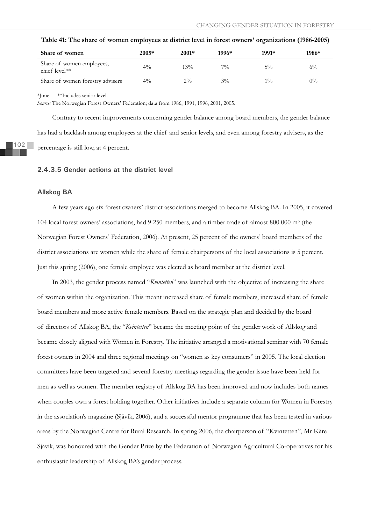| Share of women                             | $2005*$ | $2001*$ | 1996* | 1991* | 1986* |
|--------------------------------------------|---------|---------|-------|-------|-------|
| Share of women employees,<br>chief level** | $4\%$   | 13%     | $7\%$ | $5\%$ | $6\%$ |
| Share of women forestry advisers           | $4\%$   | $2\%$   | $3\%$ | $1\%$ | $0\%$ |

**Table 41: The share of women employees at district level in forest owners' organizations (1986-2005)**

\*June. \*\*Includes senior level.

*Source:* The Norwegian Forest Owners' Federation; data from 1986, 1991, 1996, 2001, 2005.

Contrary to recent improvements concerning gender balance among board members, the gender balance has had a backlash among employees at the chief and senior levels, and even among forestry advisers, as the percentage is still low, at 4 percent.

#### **2.4.3.5 Gender actions at the district level**

#### **Allskog BA**

A few years ago six forest owners' district associations merged to become Allskog BA. In 2005, it covered 104 local forest owners' associations, had 9 250 members, and a timber trade of almost 800 000  $m<sup>3</sup>$  (the Norwegian Forest Owners' Federation, 2006). At present, 25 percent of the owners' board members of the district associations are women while the share of female chairpersons of the local associations is 5 percent. Just this spring (2006), one female employee was elected as board member at the district level.

In 2003, the gender process named "*Kvintetten*" was launched with the objective of increasing the share of women within the organization. This meant increased share of female members, increased share of female board members and more active female members. Based on the strategic plan and decided by the board of directors of Allskog BA, the "*Kvintetten*" became the meeting point of the gender work of Allskog and became closely aligned with Women in Forestry. The initiative arranged a motivational seminar with 70 female forest owners in 2004 and three regional meetings on "women as key consumers" in 2005. The local election committees have been targeted and several forestry meetings regarding the gender issue have been held for men as well as women. The member registry of Allskog BA has been improved and now includes both names when couples own a forest holding together. Other initiatives include a separate column for Women in Forestry in the association's magazine (Sjåvik, 2006), and a successful mentor programme that has been tested in various areas by the Norwegian Centre for Rural Research. In spring 2006, the chairperson of "Kvintetten", Mr Kåre Sjåvik, was honoured with the Gender Prize by the Federation of Norwegian Agricultural Co-operatives for his enthusiastic leadership of Allskog BA's gender process.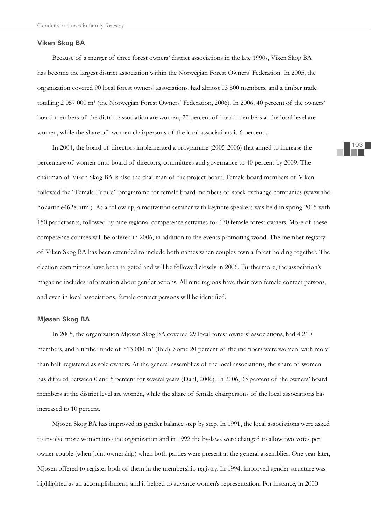#### **Viken Skog BA**

Because of a merger of three forest owners' district associations in the late 1990s, Viken Skog BA has become the largest district association within the Norwegian Forest Owners' Federation. In 2005, the organization covered 90 local forest owners' associations, had almost 13 800 members, and a timber trade totalling 2 057 000 m<sup>3</sup> (the Norwegian Forest Owners' Federation, 2006). In 2006, 40 percent of the owners' board members of the district association are women, 20 percent of board members at the local level are women, while the share of women chairpersons of the local associations is 6 percent..

In 2004, the board of directors implemented a programme (2005-2006) that aimed to increase the percentage of women onto board of directors, committees and governance to 40 percent by 2009. The chairman of Viken Skog BA is also the chairman of the project board. Female board members of Viken followed the "Female Future" programme for female board members of stock exchange companies (www.nho. no/article4628.html). As a follow up, a motivation seminar with keynote speakers was held in spring 2005 with 150 participants, followed by nine regional competence activities for 170 female forest owners. More of these competence courses will be offered in 2006, in addition to the events promoting wood. The member registry of Viken Skog BA has been extended to include both names when couples own a forest holding together. The election committees have been targeted and will be followed closely in 2006. Furthermore, the association's magazine includes information about gender actions. All nine regions have their own female contact persons, and even in local associations, female contact persons will be identified.

## **Mjøsen Skog BA**

In 2005, the organization Mjøsen Skog BA covered 29 local forest owners' associations, had 4 210 members, and a timber trade of 813 000 m<sup>3</sup> (Ibid). Some 20 percent of the members were women, with more than half registered as sole owners. At the general assemblies of the local associations, the share of women has differed between 0 and 5 percent for several years (Dahl, 2006). In 2006, 33 percent of the owners' board members at the district level are women, while the share of female chairpersons of the local associations has increased to 10 percent.

Mjøsen Skog BA has improved its gender balance step by step. In 1991, the local associations were asked to involve more women into the organization and in 1992 the by-laws were changed to allow two votes per owner couple (when joint ownership) when both parties were present at the general assemblies. One year later, Mjøsen offered to register both of them in the membership registry. In 1994, improved gender structure was highlighted as an accomplishment, and it helped to advance women's representation. For instance, in 2000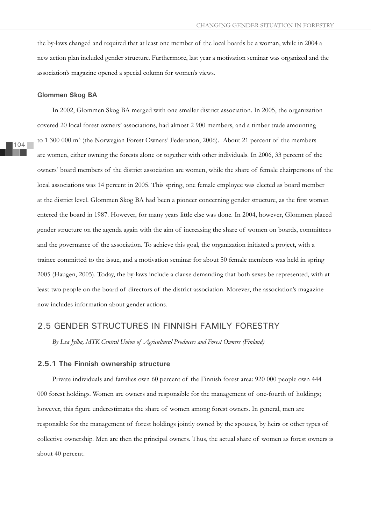the by-laws changed and required that at least one member of the local boards be a woman, while in 2004 a new action plan included gender structure. Furthermore, last year a motivation seminar was organized and the association's magazine opened a special column for women's views.

#### **Glommen Skog BA**

In 2002, Glommen Skog BA merged with one smaller district association. In 2005, the organization covered 20 local forest owners' associations, had almost 2 900 members, and a timber trade amounting to 1 300 000 m<sup>3</sup> (the Norwegian Forest Owners' Federation, 2006). About 21 percent of the members are women, either owning the forests alone or together with other individuals. In 2006, 33 percent of the owners' board members of the district association are women, while the share of female chairpersons of the local associations was 14 percent in 2005. This spring, one female employee was elected as board member at the district level. Glommen Skog BA had been a pioneer concerning gender structure, as the first woman entered the board in 1987. However, for many years little else was done. In 2004, however, Glommen placed gender structure on the agenda again with the aim of increasing the share of women on boards, committees and the governance of the association. To achieve this goal, the organization initiated a project, with a trainee committed to the issue, and a motivation seminar for about 50 female members was held in spring 2005 (Haugen, 2005). Today, the by-laws include a clause demanding that both sexes be represented, with at least two people on the board of directors of the district association. Morever, the association's magazine now includes information about gender actions.

## 2.5 GENDER STRUCTURES IN FINNISH FAMILY FORESTRY

*By Lea Jylha, MTK Central Union of Agricultural Producers and Forest Owners (Finland)*

## **2.5.1 The Finnish ownership structure**

Private individuals and families own 60 percent of the Finnish forest area: 920 000 people own 444 000 forest holdings. Women are owners and responsible for the management of one-fourth of holdings; however, this figure underestimates the share of women among forest owners. In general, men are responsible for the management of forest holdings jointly owned by the spouses, by heirs or other types of collective ownership. Men are then the principal owners. Thus, the actual share of women as forest owners is about 40 percent.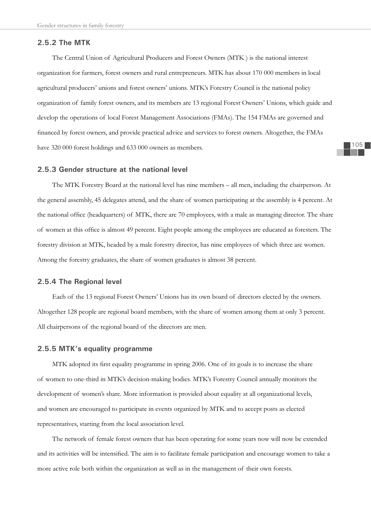## **2.5.2 The MTK**

The Central Union of Agricultural Producers and Forest Owners (MTK ) is the national interest organization for farmers, forest owners and rural entrepreneurs. MTK has about 170 000 members in local agricultural producers' unions and forest owners' unions. MTK's Forestry Council is the national policy organization of family forest owners, and its members are 13 regional Forest Owners' Unions, which guide and develop the operations of local Forest Management Associations (FMAs). The 154 FMAs are governed and financed by forest owners, and provide practical advice and services to forest owners. Altogether, the FMAs have 320 000 forest holdings and 633 000 owners as members.

## **2.5.3 Gender structure at the national level**

The MTK Forestry Board at the national level has nine members – all men, including the chairperson. At the general assembly, 45 delegates attend, and the share of women participating at the assembly is 4 percent. At the national office (headquarters) of MTK, there are 70 employees, with a male as managing director. The share of women at this office is almost 49 percent. Eight people among the employees are educated as foresters. The forestry division at MTK, headed by a male forestry director, has nine employees of which three are women. Among the forestry graduates, the share of women graduates is almost 38 percent.

## **2.5.4 The Regional level**

Each of the 13 regional Forest Owners' Unions has its own board of directors elected by the owners. Altogether 128 people are regional board members, with the share of women among them at only 3 percent. All chairpersons of the regional board of the directors are men.

## **2.5.5 MTK's equality programme**

MTK adopted its first equality programme in spring 2006. One of its goals is to increase the share of women to one-third in MTK's decision-making bodies. MTK's Forestry Council annually monitors the development of women's share. More information is provided about equality at all organizational levels, and women are encouraged to participate in events organized by MTK and to accept posts as elected representatives, starting from the local association level.

The network of female forest owners that has been operating for some years now will now be extended and its activities will be intensified. The aim is to facilitate female participation and encourage women to take a more active role both within the organization as well as in the management of their own forests.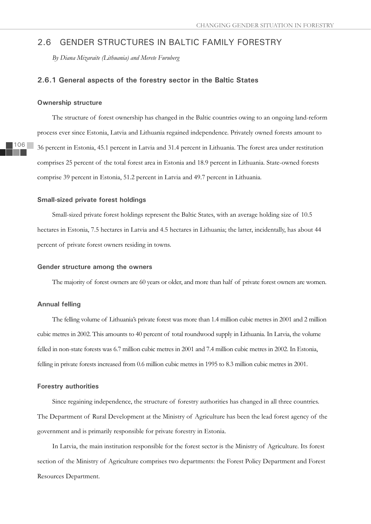## 2.6 GENDER STRUCTURES IN BALTIC FAMILY FORESTRY

*By Diana Mizaraite (Lithuania) and Merete Furuberg*

## **2.6.1 General aspects of the forestry sector in the Baltic States**

#### **Ownership structure**

The structure of forest ownership has changed in the Baltic countries owing to an ongoing land-reform process ever since Estonia, Latvia and Lithuania regained independence. Privately owned forests amount to 36 percent in Estonia, 45.1 percent in Latvia and 31.4 percent in Lithuania. The forest area under restitution comprises 25 percent of the total forest area in Estonia and 18.9 percent in Lithuania. State-owned forests comprise 39 percent in Estonia, 51.2 percent in Latvia and 49.7 percent in Lithuania.

## **Small-sized private forest holdings**

Small-sized private forest holdings represent the Baltic States, with an average holding size of 10.5 hectares in Estonia, 7.5 hectares in Latvia and 4.5 hectares in Lithuania; the latter, incidentally, has about 44 percent of private forest owners residing in towns.

#### **Gender structure among the owners**

The majority of forest owners are 60 years or older, and more than half of private forest owners are women.

## **Annual felling**

The felling volume of Lithuania's private forest was more than 1.4 million cubic metres in 2001 and 2 million cubic metres in 2002. This amounts to 40 percent of total roundwood supply in Lithuania. In Latvia, the volume felled in non-state forests was 6.7 million cubic metres in 2001 and 7.4 million cubic metres in 2002. In Estonia, felling in private forests increased from 0.6 million cubic metres in 1995 to 8.3 million cubic metres in 2001.

## **Forestry authorities**

Since regaining independence, the structure of forestry authorities has changed in all three countries. The Department of Rural Development at the Ministry of Agriculture has been the lead forest agency of the government and is primarily responsible for private forestry in Estonia.

In Latvia, the main institution responsible for the forest sector is the Ministry of Agriculture. Its forest section of the Ministry of Agriculture comprises two departments: the Forest Policy Department and Forest Resources Department.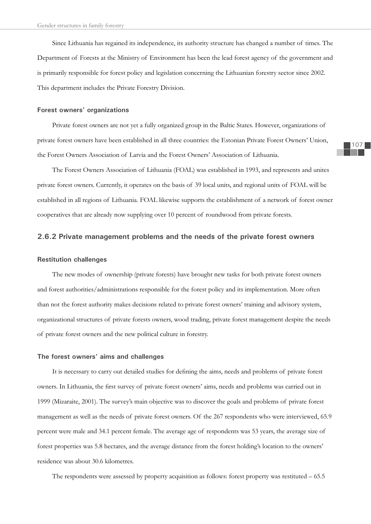Since Lithuania has regained its independence, its authority structure has changed a number of times. The Department of Forests at the Ministry of Environment has been the lead forest agency of the government and is primarily responsible for forest policy and legislation concerning the Lithuanian forestry sector since 2002. This department includes the Private Forestry Division.

## **Forest owners' organizations**

Private forest owners are not yet a fully organized group in the Baltic States. However, organizations of private forest owners have been established in all three countries: the Estonian Private Forest Owners' Union, the Forest Owners Association of Latvia and the Forest Owners' Association of Lithuania.

The Forest Owners Association of Lithuania (FOAL) was established in 1993, and represents and unites private forest owners. Currently, it operates on the basis of 39 local units, and regional units of FOAL will be established in all regions of Lithuania. FOAL likewise supports the establishment of a network of forest owner cooperatives that are already now supplying over 10 percent of roundwood from private forests.

## **2.6.2 Private management problems and the needs of the private forest owners**

#### **Restitution challenges**

The new modes of ownership (private forests) have brought new tasks for both private forest owners and forest authorities/administrations responsible for the forest policy and its implementation. More often than not the forest authority makes decisions related to private forest owners' training and advisory system, organizational structures of private forests owners, wood trading, private forest management despite the needs of private forest owners and the new political culture in forestry.

#### **The forest owners' aims and challenges**

It is necessary to carry out detailed studies for defining the aims, needs and problems of private forest owners. In Lithuania, the first survey of private forest owners' aims, needs and problems was carried out in 1999 (Mizaraite, 2001). The survey's main objective was to discover the goals and problems of private forest management as well as the needs of private forest owners. Of the 267 respondents who were interviewed, 65.9 percent were male and 34.1 percent female. The average age of respondents was 53 years, the average size of forest properties was 5.8 hectares, and the average distance from the forest holding's location to the owners' residence was about 30.6 kilometres.

The respondents were assessed by property acquisition as follows: forest property was restituted – 65.5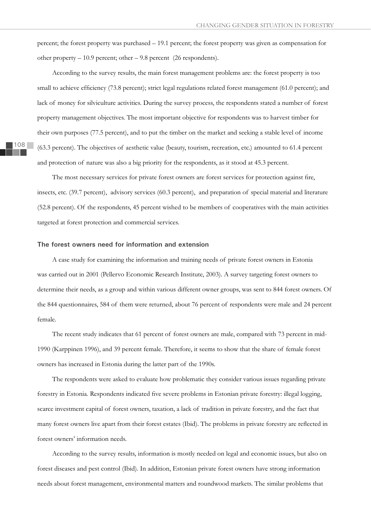percent; the forest property was purchased – 19.1 percent; the forest property was given as compensation for other property – 10.9 percent; other – 9.8 percent (26 respondents).

According to the survey results, the main forest management problems are: the forest property is too small to achieve efficiency (73.8 percent); strict legal regulations related forest management (61.0 percent); and lack of money for silviculture activities. During the survey process, the respondents stated a number of forest property management objectives. The most important objective for respondents was to harvest timber for their own purposes (77.5 percent), and to put the timber on the market and seeking a stable level of income (63.3 percent). The objectives of aesthetic value (beauty, tourism, recreation, etc.) amounted to 61.4 percent and protection of nature was also a big priority for the respondents, as it stood at 45.3 percent.

The most necessary services for private forest owners are forest services for protection against fire, insects, etc. (39.7 percent), advisory services (60.3 percent), and preparation of special material and literature (52.8 percent). Of the respondents, 45 percent wished to be members of cooperatives with the main activities targeted at forest protection and commercial services.

## **The forest owners need for information and extension**

A case study for examining the information and training needs of private forest owners in Estonia was carried out in 2001 (Pellervo Economic Research Institute, 2003). A survey targeting forest owners to determine their needs, as a group and within various different owner groups, was sent to 844 forest owners. Of the 844 questionnaires, 584 of them were returned, about 76 percent of respondents were male and 24 percent female.

The recent study indicates that 61 percent of forest owners are male, compared with 73 percent in mid-1990 (Karppinen 1996), and 39 percent female. Therefore, it seems to show that the share of female forest owners has increased in Estonia during the latter part of the 1990s.

The respondents were asked to evaluate how problematic they consider various issues regarding private forestry in Estonia. Respondents indicated five severe problems in Estonian private forestry: illegal logging, scarce investment capital of forest owners, taxation, a lack of tradition in private forestry, and the fact that many forest owners live apart from their forest estates (Ibid). The problems in private forestry are reflected in forest owners' information needs.

According to the survey results, information is mostly needed on legal and economic issues, but also on forest diseases and pest control (Ibid). In addition, Estonian private forest owners have strong information needs about forest management, environmental matters and roundwood markets. The similar problems that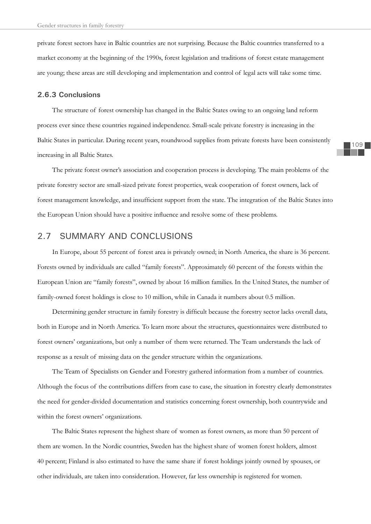private forest sectors have in Baltic countries are not surprising. Because the Baltic countries transferred to a market economy at the beginning of the 1990s, forest legislation and traditions of forest estate management are young; these areas are still developing and implementation and control of legal acts will take some time.

## **2.6.3 Conclusions**

The structure of forest ownership has changed in the Baltic States owing to an ongoing land reform process ever since these countries regained independence. Small-scale private forestry is increasing in the Baltic States in particular. During recent years, roundwood supplies from private forests have been consistently increasing in all Baltic States.

The private forest owner's association and cooperation process is developing. The main problems of the private forestry sector are small-sized private forest properties, weak cooperation of forest owners, lack of forest management knowledge, and insufficient support from the state. The integration of the Baltic States into the European Union should have a positive influence and resolve some of these problems.

## 2.7 SUMMARY AND CONCLUSIONS

In Europe, about 55 percent of forest area is privately owned; in North America, the share is 36 percent. Forests owned by individuals are called "family forests". Approximately 60 percent of the forests within the European Union are "family forests", owned by about 16 million families. In the United States, the number of family-owned forest holdings is close to 10 million, while in Canada it numbers about 0.5 million.

Determining gender structure in family forestry is difficult because the forestry sector lacks overall data, both in Europe and in North America. To learn more about the structures, questionnaires were distributed to forest owners' organizations, but only a number of them were returned. The Team understands the lack of response as a result of missing data on the gender structure within the organizations.

The Team of Specialists on Gender and Forestry gathered information from a number of countries. Although the focus of the contributions differs from case to case, the situation in forestry clearly demonstrates the need for gender-divided documentation and statistics concerning forest ownership, both countrywide and within the forest owners' organizations.

The Baltic States represent the highest share of women as forest owners, as more than 50 percent of them are women. In the Nordic countries, Sweden has the highest share of women forest holders, almost 40 percent; Finland is also estimated to have the same share if forest holdings jointly owned by spouses, or other individuals, are taken into consideration. However, far less ownership is registered for women.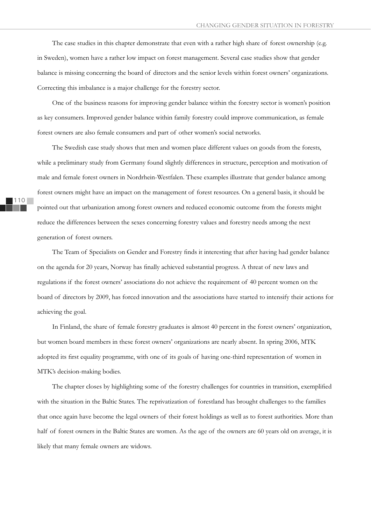The case studies in this chapter demonstrate that even with a rather high share of forest ownership (e.g. in Sweden), women have a rather low impact on forest management. Several case studies show that gender balance is missing concerning the board of directors and the senior levels within forest owners' organizations. Correcting this imbalance is a major challenge for the forestry sector.

One of the business reasons for improving gender balance within the forestry sector is women's position as key consumers. Improved gender balance within family forestry could improve communication, as female forest owners are also female consumers and part of other women's social networks.

The Swedish case study shows that men and women place different values on goods from the forests, while a preliminary study from Germany found slightly differences in structure, perception and motivation of male and female forest owners in Nordrhein-Westfalen. These examples illustrate that gender balance among forest owners might have an impact on the management of forest resources. On a general basis, it should be pointed out that urbanization among forest owners and reduced economic outcome from the forests might reduce the differences between the sexes concerning forestry values and forestry needs among the next generation of forest owners.

The Team of Specialists on Gender and Forestry finds it interesting that after having had gender balance on the agenda for 20 years, Norway has finally achieved substantial progress. A threat of new laws and regulations if the forest owners' associations do not achieve the requirement of 40 percent women on the board of directors by 2009, has forced innovation and the associations have started to intensify their actions for achieving the goal.

In Finland, the share of female forestry graduates is almost 40 percent in the forest owners' organization, but women board members in these forest owners' organizations are nearly absent. In spring 2006, MTK adopted its first equality programme, with one of its goals of having one-third representation of women in MTK's decision-making bodies.

The chapter closes by highlighting some of the forestry challenges for countries in transition, exemplified with the situation in the Baltic States. The reprivatization of forestland has brought challenges to the families that once again have become the legal owners of their forest holdings as well as to forest authorities. More than half of forest owners in the Baltic States are women. As the age of the owners are 60 years old on average, it is likely that many female owners are widows.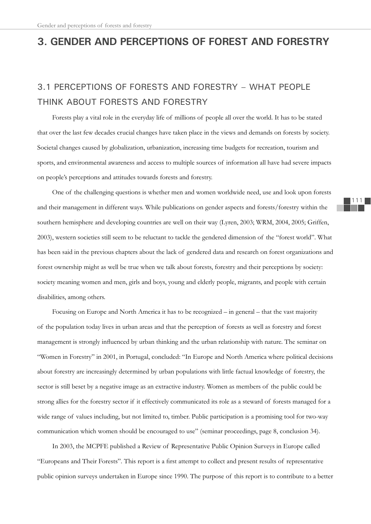# **3. GENDER AND PERCEPTIONS OF FOREST AND FORESTRY**

# 3.1 PERCEPTIONS OF FORESTS AND FORESTRY – WHAT PEOPLE THINK ABOUT FORESTS AND FORESTRY

Forests play a vital role in the everyday life of millions of people all over the world. It has to be stated that over the last few decades crucial changes have taken place in the views and demands on forests by society. Societal changes caused by globalization, urbanization, increasing time budgets for recreation, tourism and sports, and environmental awareness and access to multiple sources of information all have had severe impacts on people's perceptions and attitudes towards forests and forestry.

One of the challenging questions is whether men and women worldwide need, use and look upon forests and their management in different ways. While publications on gender aspects and forests/forestry within the southern hemisphere and developing countries are well on their way (Lyren, 2003; WRM, 2004, 2005; Griffen, 2003), western societies still seem to be reluctant to tackle the gendered dimension of the "forest world". What has been said in the previous chapters about the lack of gendered data and research on forest organizations and forest ownership might as well be true when we talk about forests, forestry and their perceptions by society: society meaning women and men, girls and boys, young and elderly people, migrants, and people with certain disabilities, among others.

Focusing on Europe and North America it has to be recognized – in general – that the vast majority of the population today lives in urban areas and that the perception of forests as well as forestry and forest management is strongly influenced by urban thinking and the urban relationship with nature. The seminar on "Women in Forestry" in 2001, in Portugal, concluded: "In Europe and North America where political decisions about forestry are increasingly determined by urban populations with little factual knowledge of forestry, the sector is still beset by a negative image as an extractive industry. Women as members of the public could be strong allies for the forestry sector if it effectively communicated its role as a steward of forests managed for a wide range of values including, but not limited to, timber. Public participation is a promising tool for two-way communication which women should be encouraged to use" (seminar proceedings, page 8, conclusion 34).

In 2003, the MCPFE published a Review of Representative Public Opinion Surveys in Europe called "Europeans and Their Forests". This report is a first attempt to collect and present results of representative public opinion surveys undertaken in Europe since 1990. The purpose of this report is to contribute to a better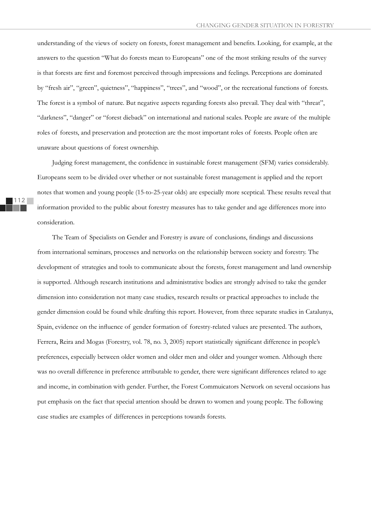understanding of the views of society on forests, forest management and benefits. Looking, for example, at the answers to the question "What do forests mean to Europeans" one of the most striking results of the survey is that forests are first and foremost perceived through impressions and feelings. Perceptions are dominated by "fresh air", "green", quietness", "happiness", "trees", and "wood", or the recreational functions of forests. The forest is a symbol of nature. But negative aspects regarding forests also prevail. They deal with "threat", "darkness", "danger" or "forest dieback" on international and national scales. People are aware of the multiple roles of forests, and preservation and protection are the most important roles of forests. People often are unaware about questions of forest ownership.

Judging forest management, the confidence in sustainable forest management (SFM) varies considerably. Europeans seem to be divided over whether or not sustainable forest management is applied and the report notes that women and young people (15-to-25-year olds) are especially more sceptical. These results reveal that information provided to the public about forestry measures has to take gender and age differences more into consideration.

The Team of Specialists on Gender and Forestry is aware of conclusions, findings and discussions from international seminars, processes and networks on the relationship between society and forestry. The development of strategies and tools to communicate about the forests, forest management and land ownership is supported. Although research institutions and administrative bodies are strongly advised to take the gender dimension into consideration not many case studies, research results or practical approaches to include the gender dimension could be found while drafting this report. However, from three separate studies in Catalunya, Spain, evidence on the influence of gender formation of forestry-related values are presented. The authors, Ferrera, Reira and Mogas (Forestry, vol. 78, no. 3, 2005) report statistically significant difference in people's preferences, especially between older women and older men and older and younger women. Although there was no overall difference in preference attributable to gender, there were significant differences related to age and income, in combination with gender. Further, the Forest Commuicators Network on several occasions has put emphasis on the fact that special attention should be drawn to women and young people. The following case studies are examples of differences in perceptions towards forests.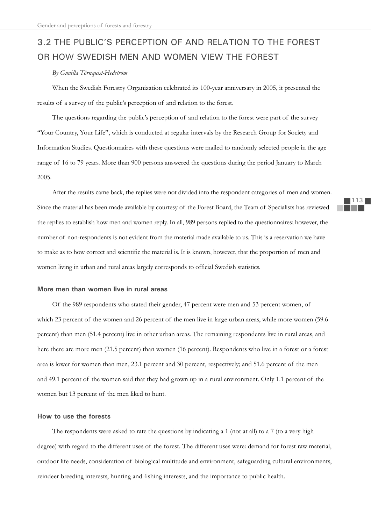# 3.2 THE PUBLIC'S PERCEPTION OF AND RELATION TO THE FOREST OR HOW SWEDISH MEN AND WOMEN VIEW THE FOREST

## *By Gunilla Törnquist-Hedström*

When the Swedish Forestry Organization celebrated its 100-year anniversary in 2005, it presented the results of a survey of the public's perception of and relation to the forest.

The questions regarding the public's perception of and relation to the forest were part of the survey "Your Country, Your Life", which is conducted at regular intervals by the Research Group for Society and Information Studies. Questionnaires with these questions were mailed to randomly selected people in the age range of 16 to 79 years. More than 900 persons answered the questions during the period January to March 2005.

After the results came back, the replies were not divided into the respondent categories of men and women. Since the material has been made available by courtesy of the Forest Board, the Team of Specialists has reviewed the replies to establish how men and women reply. In all, 989 persons replied to the questionnaires; however, the number of non-respondents is not evident from the material made available to us. This is a reservation we have to make as to how correct and scientific the material is. It is known, however, that the proportion of men and women living in urban and rural areas largely corresponds to official Swedish statistics.

## **More men than women live in rural areas**

Of the 989 respondents who stated their gender, 47 percent were men and 53 percent women, of which 23 percent of the women and 26 percent of the men live in large urban areas, while more women (59.6) percent) than men (51.4 percent) live in other urban areas. The remaining respondents live in rural areas, and here there are more men (21.5 percent) than women (16 percent). Respondents who live in a forest or a forest area is lower for women than men, 23.1 percent and 30 percent, respectively; and 51.6 percent of the men and 49.1 percent of the women said that they had grown up in a rural environment. Only 1.1 percent of the women but 13 percent of the men liked to hunt.

## **How to use the forests**

The respondents were asked to rate the questions by indicating a 1 (not at all) to a 7 (to a very high degree) with regard to the different uses of the forest. The different uses were: demand for forest raw material, outdoor life needs, consideration of biological multitude and environment, safeguarding cultural environments, reindeer breeding interests, hunting and fishing interests, and the importance to public health.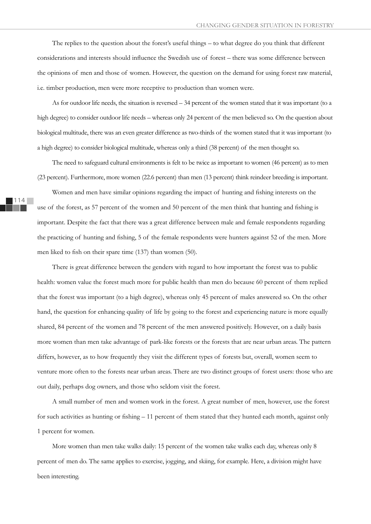The replies to the question about the forest's useful things – to what degree do you think that different considerations and interests should influence the Swedish use of forest - there was some difference between the opinions of men and those of women. However, the question on the demand for using forest raw material, i.e. timber production, men were more receptive to production than women were.

As for outdoor life needs, the situation is reversed – 34 percent of the women stated that it was important (to a high degree) to consider outdoor life needs – whereas only 24 percent of the men believed so. On the question about biological multitude, there was an even greater difference as two-thirds of the women stated that it was important (to a high degree) to consider biological multitude, whereas only a third (38 percent) of the men thought so.

The need to safeguard cultural environments is felt to be twice as important to women (46 percent) as to men (23 percent). Furthermore, more women (22.6 percent) than men (13 percent) think reindeer breeding is important.

Women and men have similar opinions regarding the impact of hunting and fishing interests on the use of the forest, as 57 percent of the women and 50 percent of the men think that hunting and fishing is important. Despite the fact that there was a great difference between male and female respondents regarding the practicing of hunting and fishing, 5 of the female respondents were hunters against 52 of the men. More men liked to fish on their spare time (137) than women (50).

There is great difference between the genders with regard to how important the forest was to public health: women value the forest much more for public health than men do because 60 percent of them replied that the forest was important (to a high degree), whereas only 45 percent of males answered so. On the other hand, the question for enhancing quality of life by going to the forest and experiencing nature is more equally shared, 84 percent of the women and 78 percent of the men answered positively. However, on a daily basis more women than men take advantage of park-like forests or the forests that are near urban areas. The pattern differs, however, as to how frequently they visit the different types of forests but, overall, women seem to venture more often to the forests near urban areas. There are two distinct groups of forest users: those who are out daily, perhaps dog owners, and those who seldom visit the forest.

A small number of men and women work in the forest. A great number of men, however, use the forest for such activities as hunting or fishing  $-11$  percent of them stated that they hunted each month, against only 1 percent for women.

More women than men take walks daily: 15 percent of the women take walks each day, whereas only 8 percent of men do. The same applies to exercise, jogging, and skiing, for example. Here, a division might have been interesting.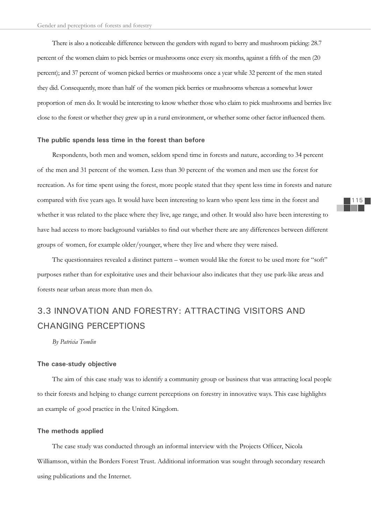There is also a noticeable difference between the genders with regard to berry and mushroom picking: 28.7 percent of the women claim to pick berries or mushrooms once every six months, against a fifth of the men (20 percent); and 37 percent of women picked berries or mushrooms once a year while 32 percent of the men stated they did. Consequently, more than half of the women pick berries or mushrooms whereas a somewhat lower proportion of men do. It would be interesting to know whether those who claim to pick mushrooms and berries live close to the forest or whether they grew up in a rural environment, or whether some other factor influenced them.

#### **The public spends less time in the forest than before**

Respondents, both men and women, seldom spend time in forests and nature, according to 34 percent of the men and 31 percent of the women. Less than 30 percent of the women and men use the forest for recreation. As for time spent using the forest, more people stated that they spent less time in forests and nature compared with five years ago. It would have been interesting to learn who spent less time in the forest and whether it was related to the place where they live, age range, and other. It would also have been interesting to have had access to more background variables to find out whether there are any differences between different groups of women, for example older/younger, where they live and where they were raised.

The questionnaires revealed a distinct pattern – women would like the forest to be used more for "soft" purposes rather than for exploitative uses and their behaviour also indicates that they use park-like areas and forests near urban areas more than men do.

# 3.3 INNOVATION AND FORESTRY: ATTRACTING VISITORS AND CHANGING PERCEPTIONS

*By Patricia Tomlin*

## **The case-study objective**

The aim of this case study was to identify a community group or business that was attracting local people to their forests and helping to change current perceptions on forestry in innovative ways. This case highlights an example of good practice in the United Kingdom.

## **The methods applied**

The case study was conducted through an informal interview with the Projects Officer, Nicola Williamson, within the Borders Forest Trust. Additional information was sought through secondary research using publications and the Internet.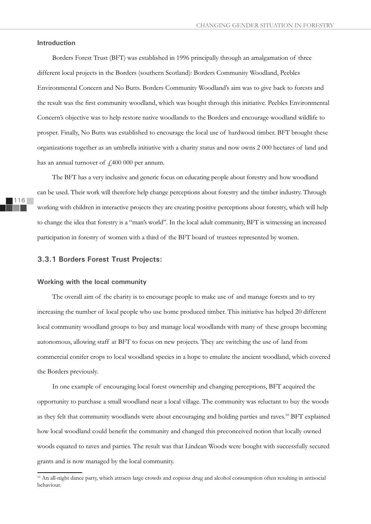## **Introduction**

Borders Forest Trust (BFT) was established in 1996 principally through an amalgamation of three different local projects in the Borders (southern Scotland): Borders Community Woodland, Peebles Environmental Concern and No Butts. Borders Community Woodland's aim was to give back to forests and the result was the first community woodland, which was bought through this initiative. Peebles Environmental Concern's objective was to help restore native woodlands to the Borders and encourage woodland wildlife to prosper. Finally, No Butts was established to encourage the local use of hardwood timber. BFT brought these organizations together as an umbrella initiative with a charity status and now owns 2 000 hectares of land and has an annual turnover of  $\text{\emph{f}}400\text{ }000$  per annum.

The BFT has a very inclusive and generic focus on educating people about forestry and how woodland can be used. Their work will therefore help change perceptions about forestry and the timber industry. Through working with children in interactive projects they are creating positive perceptions about forestry, which will help to change the idea that forestry is a "man's world". In the local adult community, BFT is witnessing an increased participation in forestry of women with a third of the BFT board of trustees represented by women.

## **3.3.1 Borders Forest Trust Projects:**

## **Working with the local community**

The overall aim of the charity is to encourage people to make use of and manage forests and to try increasing the number of local people who use home produced timber. This initiative has helped 20 different local community woodland groups to buy and manage local woodlands with many of these groups becoming autonomous, allowing staff at BFT to focus on new projects. They are switching the use of land from commercial conifer crops to local woodland species in a hope to emulate the ancient woodland, which covered the Borders previously.

In one example of encouraging local forest ownership and changing perceptions, BFT acquired the opportunity to purchase a small woodland near a local village. The community was reluctant to buy the woods as they felt that community woodlands were about encouraging and holding parties and raves.10 BFT explained how local woodland could benefit the community and changed this preconceived notion that locally owned woods equated to raves and parties. The result was that Lindean Woods were bought with successfully secured grants and is now managed by the local community.

<sup>&</sup>lt;sup>10</sup> An all-night dance party, which attracts large crowds and copious drug and alcohol consumption often resulting in antisocial behaviour.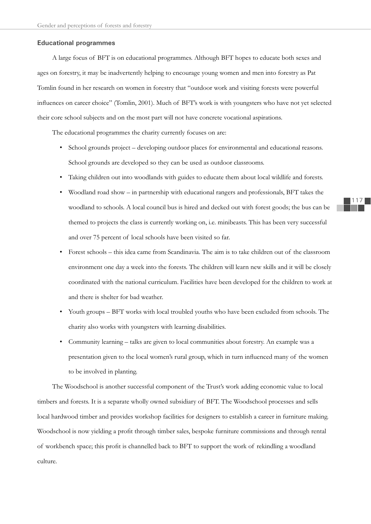#### **Educational programmes**

A large focus of BFT is on educational programmes. Although BFT hopes to educate both sexes and ages on forestry, it may be inadvertently helping to encourage young women and men into forestry as Pat Tomlin found in her research on women in forestry that "outdoor work and visiting forests were powerful influences on career choice" (Tomlin, 2001). Much of BFT's work is with youngsters who have not yet selected their core school subjects and on the most part will not have concrete vocational aspirations.

The educational programmes the charity currently focuses on are:

- School grounds project developing outdoor places for environmental and educational reasons. School grounds are developed so they can be used as outdoor classrooms.
- Taking children out into woodlands with guides to educate them about local wildlife and forests.
- Woodland road show in partnership with educational rangers and professionals, BFT takes the woodland to schools. A local council bus is hired and decked out with forest goods; the bus can be themed to projects the class is currently working on, i.e. minibeasts. This has been very successful and over 75 percent of local schools have been visited so far.
- Forest schools this idea came from Scandinavia. The aim is to take children out of the classroom environment one day a week into the forests. The children will learn new skills and it will be closely coordinated with the national curriculum. Facilities have been developed for the children to work at and there is shelter for bad weather.
- Youth groups BFT works with local troubled youths who have been excluded from schools. The charity also works with youngsters with learning disabilities.
- Community learning talks are given to local communities about forestry. An example was a presentation given to the local women's rural group, which in turn influenced many of the women to be involved in planting.

The Woodschool is another successful component of the Trust's work adding economic value to local timbers and forests. It is a separate wholly owned subsidiary of BFT. The Woodschool processes and sells local hardwood timber and provides workshop facilities for designers to establish a career in furniture making. Woodschool is now yielding a profit through timber sales, bespoke furniture commissions and through rental of workbench space; this profit is channelled back to BFT to support the work of rekindling a woodland culture.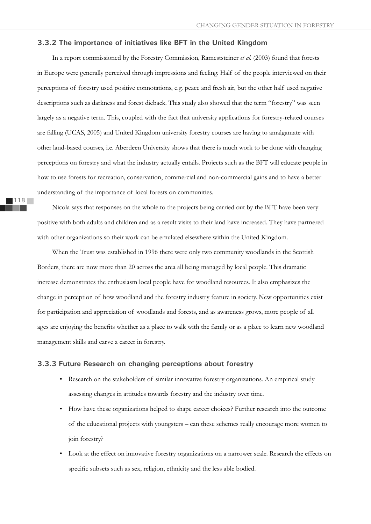## **3.3.2 The importance of initiatives like BFT in the United Kingdom**

In a report commissioned by the Forestry Commission, Rameststeiner *et al.* (2003) found that forests in Europe were generally perceived through impressions and feeling. Half of the people interviewed on their perceptions of forestry used positive connotations, e.g. peace and fresh air, but the other half used negative descriptions such as darkness and forest dieback. This study also showed that the term "forestry" was seen largely as a negative term. This, coupled with the fact that university applications for forestry-related courses are falling (UCAS, 2005) and United Kingdom university forestry courses are having to amalgamate with other land-based courses, i.e. Aberdeen University shows that there is much work to be done with changing perceptions on forestry and what the industry actually entails. Projects such as the BFT will educate people in how to use forests for recreation, conservation, commercial and non-commercial gains and to have a better understanding of the importance of local forests on communities.

Nicola says that responses on the whole to the projects being carried out by the BFT have been very positive with both adults and children and as a result visits to their land have increased. They have partnered with other organizations so their work can be emulated elsewhere within the United Kingdom.

When the Trust was established in 1996 there were only two community woodlands in the Scottish Borders, there are now more than 20 across the area all being managed by local people. This dramatic increase demonstrates the enthusiasm local people have for woodland resources. It also emphasizes the change in perception of how woodland and the forestry industry feature in society. New opportunities exist for participation and appreciation of woodlands and forests, and as awareness grows, more people of all ages are enjoying the benefits whether as a place to walk with the family or as a place to learn new woodland management skills and carve a career in forestry.

## **3.3.3 Future Research on changing perceptions about forestry**

- Research on the stakeholders of similar innovative forestry organizations. An empirical study assessing changes in attitudes towards forestry and the industry over time.
- How have these organizations helped to shape career choices? Further research into the outcome of the educational projects with youngsters – can these schemes really encourage more women to join forestry?
- Look at the effect on innovative forestry organizations on a narrower scale. Research the effects on specific subsets such as sex, religion, ethnicity and the less able bodied.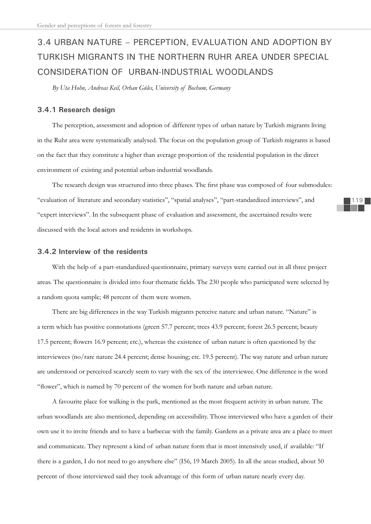# 3.4 URBAN NATURE – PERCEPTION, EVALUATION AND ADOPTION BY TURKISH MIGRANTS IN THE NORTHERN RUHR AREA UNDER SPECIAL CONSIDERATION OF URBAN-INDUSTRIAL WOODLANDS

*By Uta Hohn, Andreas Keil, Orhan Güles, University of Bochum, Germany*

## **3.4.1 Research design**

The perception, assessment and adoption of different types of urban nature by Turkish migrants living in the Ruhr area were systematically analysed. The focus on the population group of Turkish migrants is based on the fact that they constitute a higher than average proportion of the residential population in the direct environment of existing and potential urban-industrial woodlands.

The research design was structured into three phases. The first phase was composed of four submodules: "evaluation of literature and secondary statistics", "spatial analyses", "part-standardized interviews", and "expert interviews". In the subsequent phase of evaluation and assessment, the ascertained results were discussed with the local actors and residents in workshops.

## **3.4.2 Interview of the residents**

With the help of a part-standardized questionnaire, primary surveys were carried out in all three project areas. The questionnaire is divided into four thematic fields. The 230 people who participated were selected by a random quota sample; 48 percent of them were women.

There are big differences in the way Turkish migrants perceive nature and urban nature. "Nature" is a term which has positive connotations (green 57.7 percent; trees 43.9 percent; forest 26.5 percent; beauty 17.5 percent; flowers 16.9 percent; etc.), whereas the existence of urban nature is often questioned by the interviewees (no/rare nature 24.4 percent; dense housing; etc. 19.5 percent). The way nature and urban nature are understood or perceived scarcely seem to vary with the sex of the interviewee. One difference is the word "flower", which is named by 70 percent of the women for both nature and urban nature.

A favourite place for walking is the park, mentioned as the most frequent activity in urban nature. The urban woodlands are also mentioned, depending on accessibility. Those interviewed who have a garden of their own use it to invite friends and to have a barbecue with the family. Gardens as a private area are a place to meet and communicate. They represent a kind of urban nature form that is most intensively used, if available: "If there is a garden, I do not need to go anywhere else" (I56, 19 March 2005). In all the areas studied, about 50 percent of those interviewed said they took advantage of this form of urban nature nearly every day.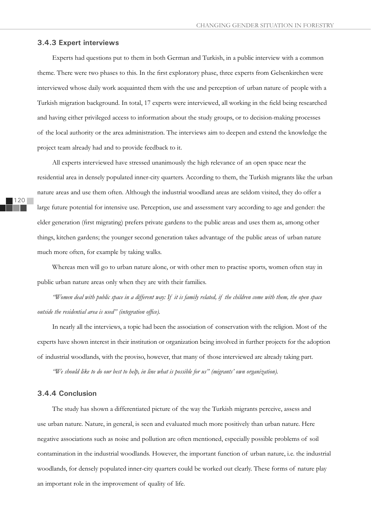## **3.4.3 Expert interviews**

Experts had questions put to them in both German and Turkish, in a public interview with a common theme. There were two phases to this. In the first exploratory phase, three experts from Gelsenkirchen were interviewed whose daily work acquainted them with the use and perception of urban nature of people with a Turkish migration background. In total, 17 experts were interviewed, all working in the field being researched and having either privileged access to information about the study groups, or to decision-making processes of the local authority or the area administration. The interviews aim to deepen and extend the knowledge the project team already had and to provide feedback to it.

All experts interviewed have stressed unanimously the high relevance of an open space near the residential area in densely populated inner-city quarters. According to them, the Turkish migrants like the urban nature areas and use them often. Although the industrial woodland areas are seldom visited, they do offer a large future potential for intensive use. Perception, use and assessment vary according to age and gender: the elder generation (first migrating) prefers private gardens to the public areas and uses them as, among other things, kitchen gardens; the younger second generation takes advantage of the public areas of urban nature much more often, for example by taking walks.

Whereas men will go to urban nature alone, or with other men to practise sports, women often stay in public urban nature areas only when they are with their families.

*"Women deal with public space in a different way: If it is family related, if the children come with them, the open space outside the residential area is used" (integration office).* 

In nearly all the interviews, a topic had been the association of conservation with the religion. Most of the experts have shown interest in their institution or organization being involved in further projects for the adoption of industrial woodlands, with the proviso, however, that many of those interviewed are already taking part.

*"We should like to do our best to help, in line what is possible for us" (migrants' own organization).*

## **3.4.4 Conclusion**

The study has shown a differentiated picture of the way the Turkish migrants perceive, assess and use urban nature. Nature, in general, is seen and evaluated much more positively than urban nature. Here negative associations such as noise and pollution are often mentioned, especially possible problems of soil contamination in the industrial woodlands. However, the important function of urban nature, i.e. the industrial woodlands, for densely populated inner-city quarters could be worked out clearly. These forms of nature play an important role in the improvement of quality of life.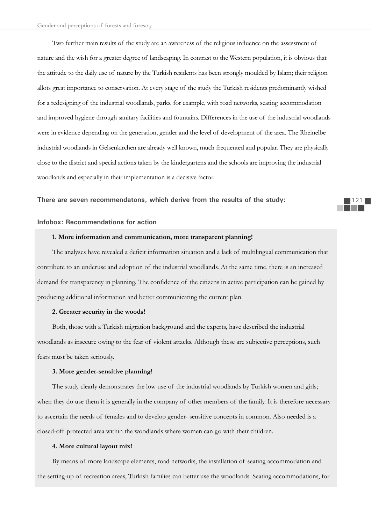Two further main results of the study are an awareness of the religious influence on the assessment of nature and the wish for a greater degree of landscaping. In contrast to the Western population, it is obvious that the attitude to the daily use of nature by the Turkish residents has been strongly moulded by Islam; their religion allots great importance to conservation. At every stage of the study the Turkish residents predominantly wished for a redesigning of the industrial woodlands, parks, for example, with road networks, seating accommodation and improved hygiene through sanitary facilities and fountains. Differences in the use of the industrial woodlands were in evidence depending on the generation, gender and the level of development of the area. The Rheinelbe industrial woodlands in Gelsenkirchen are already well known, much frequented and popular. They are physically close to the district and special actions taken by the kindergartens and the schools are improving the industrial woodlands and especially in their implementation is a decisive factor.

#### **There are seven recommendatons, which derive from the results of the study:**

## **Infobox: Recommendations for action**

## **1. More information and communication, more transparent planning!**

The analyses have revealed a deficit information situation and a lack of multilingual communication that contribute to an underuse and adoption of the industrial woodlands. At the same time, there is an increased demand for transparency in planning. The confidence of the citizens in active participation can be gained by producing additional information and better communicating the current plan.

#### **2. Greater security in the woods!**

Both, those with a Turkish migration background and the experts, have described the industrial woodlands as insecure owing to the fear of violent attacks. Although these are subjective perceptions, such fears must be taken seriously.

## **3. More gender-sensitive planning!**

The study clearly demonstrates the low use of the industrial woodlands by Turkish women and girls; when they do use them it is generally in the company of other members of the family. It is therefore necessary to ascertain the needs of females and to develop gender- sensitive concepts in common. Also needed is a closed-off protected area within the woodlands where women can go with their children.

#### **4. More cultural layout mix!**

By means of more landscape elements, road networks, the installation of seating accommodation and the setting-up of recreation areas, Turkish families can better use the woodlands. Seating accommodations, for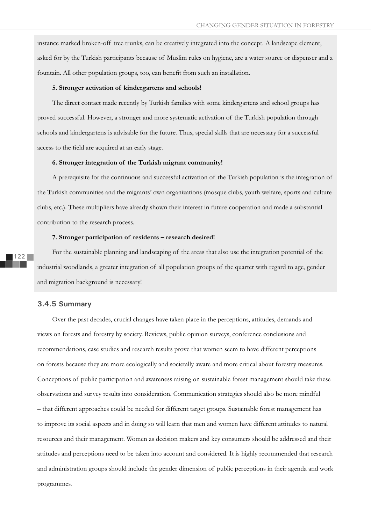instance marked broken-off tree trunks, can be creatively integrated into the concept. A landscape element, asked for by the Turkish participants because of Muslim rules on hygiene, are a water source or dispenser and a fountain. All other population groups, too, can benefit from such an installation.

## **5. Stronger activation of kindergartens and schools!**

The direct contact made recently by Turkish families with some kindergartens and school groups has proved successful. However, a stronger and more systematic activation of the Turkish population through schools and kindergartens is advisable for the future. Thus, special skills that are necessary for a successful access to the field are acquired at an early stage.

#### **6. Stronger integration of the Turkish migrant community!**

A prerequisite for the continuous and successful activation of the Turkish population is the integration of the Turkish communities and the migrants' own organizations (mosque clubs, youth welfare, sports and culture clubs, etc.). These multipliers have already shown their interest in future cooperation and made a substantial contribution to the research process.

### **7. Stronger participation of residents – research desired!**

For the sustainable planning and landscaping of the areas that also use the integration potential of the industrial woodlands, a greater integration of all population groups of the quarter with regard to age, gender and migration background is necessary!

## **3.4.5 Summary**

Over the past decades, crucial changes have taken place in the perceptions, attitudes, demands and views on forests and forestry by society. Reviews, public opinion surveys, conference conclusions and recommendations, case studies and research results prove that women seem to have different perceptions on forests because they are more ecologically and societally aware and more critical about forestry measures. Conceptions of public participation and awareness raising on sustainable forest management should take these observations and survey results into consideration. Communication strategies should also be more mindful – that different approaches could be needed for different target groups. Sustainable forest management has to improve its social aspects and in doing so will learn that men and women have different attitudes to natural resources and their management. Women as decision makers and key consumers should be addressed and their attitudes and perceptions need to be taken into account and considered. It is highly recommended that research and administration groups should include the gender dimension of public perceptions in their agenda and work programmes.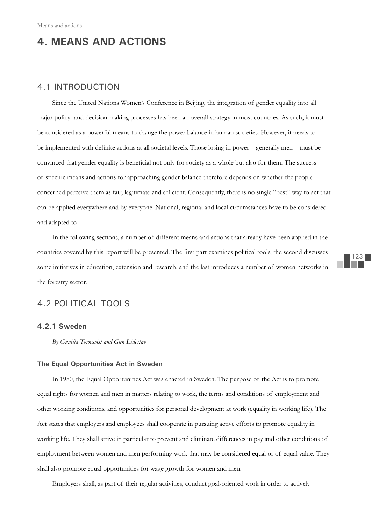# **4. MEANS AND ACTIONS**

## 4.1 INTRODUCTION

Since the United Nations Women's Conference in Beijing, the integration of gender equality into all major policy- and decision-making processes has been an overall strategy in most countries. As such, it must be considered as a powerful means to change the power balance in human societies. However, it needs to be implemented with definite actions at all societal levels. Those losing in power – generally men – must be convinced that gender equality is beneficial not only for society as a whole but also for them. The success of specific means and actions for approaching gender balance therefore depends on whether the people concerned perceive them as fair, legitimate and efficient. Consequently, there is no single "best" way to act that can be applied everywhere and by everyone. National, regional and local circumstances have to be considered and adapted to.

In the following sections, a number of different means and actions that already have been applied in the countries covered by this report will be presented. The first part examines political tools, the second discusses some initiatives in education, extension and research, and the last introduces a number of women networks in the forestry sector.

## 4.2 POLITICAL TOOLS

## **4.2.1 Sweden**

*By Gunilla Tornqvist and Gun Lidestav*

## **The Equal Opportunities Act in Sweden**

In 1980, the Equal Opportunities Act was enacted in Sweden. The purpose of the Act is to promote equal rights for women and men in matters relating to work, the terms and conditions of employment and other working conditions, and opportunities for personal development at work (equality in working life). The Act states that employers and employees shall cooperate in pursuing active efforts to promote equality in working life. They shall strive in particular to prevent and eliminate differences in pay and other conditions of employment between women and men performing work that may be considered equal or of equal value. They shall also promote equal opportunities for wage growth for women and men.

Employers shall, as part of their regular activities, conduct goal-oriented work in order to actively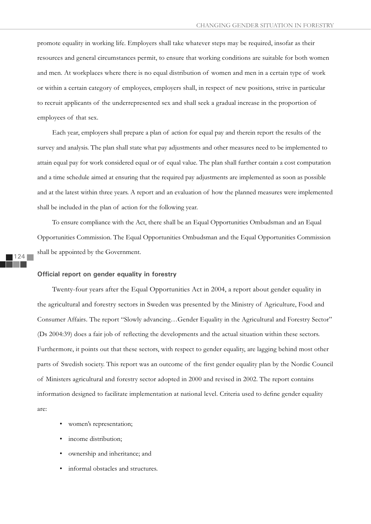promote equality in working life. Employers shall take whatever steps may be required, insofar as their resources and general circumstances permit, to ensure that working conditions are suitable for both women and men. At workplaces where there is no equal distribution of women and men in a certain type of work or within a certain category of employees, employers shall, in respect of new positions, strive in particular to recruit applicants of the underrepresented sex and shall seek a gradual increase in the proportion of employees of that sex.

Each year, employers shall prepare a plan of action for equal pay and therein report the results of the survey and analysis. The plan shall state what pay adjustments and other measures need to be implemented to attain equal pay for work considered equal or of equal value. The plan shall further contain a cost computation and a time schedule aimed at ensuring that the required pay adjustments are implemented as soon as possible and at the latest within three years. A report and an evaluation of how the planned measures were implemented shall be included in the plan of action for the following year.

To ensure compliance with the Act, there shall be an Equal Opportunities Ombudsman and an Equal Opportunities Commission. The Equal Opportunities Ombudsman and the Equal Opportunities Commission shall be appointed by the Government.

#### **Official report on gender equality in forestry**

Twenty-four years after the Equal Opportunities Act in 2004, a report about gender equality in the agricultural and forestry sectors in Sweden was presented by the Ministry of Agriculture, Food and Consumer Affairs. The report "Slowly advancing…Gender Equality in the Agricultural and Forestry Sector" (Ds 2004:39) does a fair job of reflecting the developments and the actual situation within these sectors. Furthermore, it points out that these sectors, with respect to gender equality, are lagging behind most other parts of Swedish society. This report was an outcome of the first gender equality plan by the Nordic Council of Ministers agricultural and forestry sector adopted in 2000 and revised in 2002. The report contains information designed to facilitate implementation at national level. Criteria used to define gender equality are:

- women's representation;
- income distribution;
- ownership and inheritance; and
- informal obstacles and structures.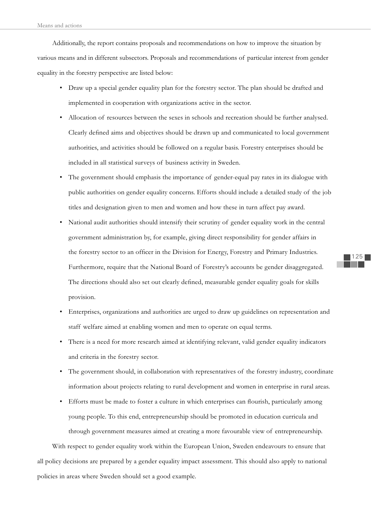Additionally, the report contains proposals and recommendations on how to improve the situation by various means and in different subsectors. Proposals and recommendations of particular interest from gender equality in the forestry perspective are listed below:

- Draw up a special gender equality plan for the forestry sector. The plan should be drafted and implemented in cooperation with organizations active in the sector.
- Allocation of resources between the sexes in schools and recreation should be further analysed. Clearly defined aims and objectives should be drawn up and communicated to local government authorities, and activities should be followed on a regular basis. Forestry enterprises should be included in all statistical surveys of business activity in Sweden.
- The government should emphasis the importance of gender-equal pay rates in its dialogue with public authorities on gender equality concerns. Efforts should include a detailed study of the job titles and designation given to men and women and how these in turn affect pay award.
- National audit authorities should intensify their scrutiny of gender equality work in the central government administration by, for example, giving direct responsibility for gender affairs in the forestry sector to an officer in the Division for Energy, Forestry and Primary Industries. Furthermore, require that the National Board of Forestry's accounts be gender disaggregated. The directions should also set out clearly defined, measurable gender equality goals for skills provision.
- Enterprises, organizations and authorities are urged to draw up guidelines on representation and staff welfare aimed at enabling women and men to operate on equal terms.
- There is a need for more research aimed at identifying relevant, valid gender equality indicators and criteria in the forestry sector.
- The government should, in collaboration with representatives of the forestry industry, coordinate information about projects relating to rural development and women in enterprise in rural areas.
- Efforts must be made to foster a culture in which enterprises can flourish, particularly among young people. To this end, entrepreneurship should be promoted in education curricula and through government measures aimed at creating a more favourable view of entrepreneurship.

With respect to gender equality work within the European Union, Sweden endeavours to ensure that all policy decisions are prepared by a gender equality impact assessment. This should also apply to national policies in areas where Sweden should set a good example.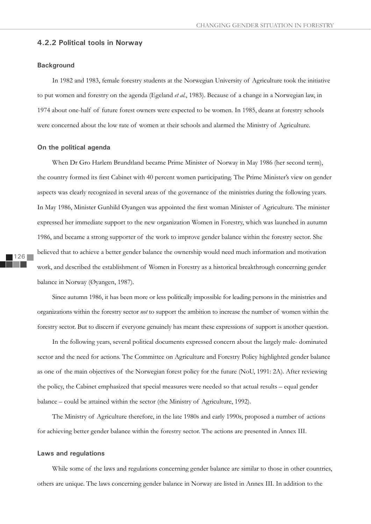## **4.2.2 Political tools in Norway**

## **Background**

In 1982 and 1983, female forestry students at the Norwegian University of Agriculture took the initiative to put women and forestry on the agenda (Egeland *et al.*, 1983). Because of a change in a Norwegian law, in 1974 about one-half of future forest owners were expected to be women. In 1985, deans at forestry schools were concerned about the low rate of women at their schools and alarmed the Ministry of Agriculture.

### **On the political agenda**

When Dr Gro Harlem Brundtland became Prime Minister of Norway in May 1986 (her second term), the country formed its first Cabinet with 40 percent women participating. The Prime Minister's view on gender aspects was clearly recognized in several areas of the governance of the ministries during the following years. In May 1986, Minister Gunhild Øyangen was appointed the first woman Minister of Agriculture. The minister expressed her immediate support to the new organization Women in Forestry, which was launched in autumn 1986, and became a strong supporter of the work to improve gender balance within the forestry sector. She believed that to achieve a better gender balance the ownership would need much information and motivation work, and described the establishment of Women in Forestry as a historical breakthrough concerning gender balance in Norway (Øyangen, 1987).

Since autumn 1986, it has been more or less politically impossible for leading persons in the ministries and organizations within the forestry sector *not* to support the ambition to increase the number of women within the forestry sector. But to discern if everyone genuinely has meant these expressions of support is another question.

In the following years, several political documents expressed concern about the largely male- dominated sector and the need for actions. The Committee on Agriculture and Forestry Policy highlighted gender balance as one of the main objectives of the Norwegian forest policy for the future (NoU, 1991: 2A). After reviewing the policy, the Cabinet emphasized that special measures were needed so that actual results – equal gender balance – could be attained within the sector (the Ministry of Agriculture, 1992).

The Ministry of Agriculture therefore, in the late 1980s and early 1990s, proposed a number of actions for achieving better gender balance within the forestry sector. The actions are presented in Annex III.

## **Laws and regulations**

While some of the laws and regulations concerning gender balance are similar to those in other countries, others are unique. The laws concerning gender balance in Norway are listed in Annex III. In addition to the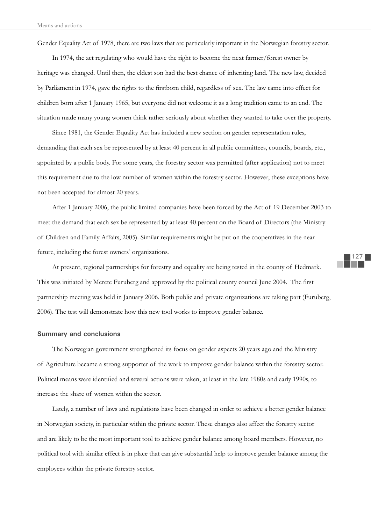Gender Equality Act of 1978, there are two laws that are particularly important in the Norwegian forestry sector.

In 1974, the act regulating who would have the right to become the next farmer/forest owner by heritage was changed. Until then, the eldest son had the best chance of inheriting land. The new law, decided by Parliament in 1974, gave the rights to the firstborn child, regardless of sex. The law came into effect for children born after 1 January 1965, but everyone did not welcome it as a long tradition came to an end. The situation made many young women think rather seriously about whether they wanted to take over the property.

Since 1981, the Gender Equality Act has included a new section on gender representation rules, demanding that each sex be represented by at least 40 percent in all public committees, councils, boards, etc., appointed by a public body. For some years, the forestry sector was permitted (after application) not to meet this requirement due to the low number of women within the forestry sector. However, these exceptions have not been accepted for almost 20 years.

After 1 January 2006, the public limited companies have been forced by the Act of 19 December 2003 to meet the demand that each sex be represented by at least 40 percent on the Board of Directors (the Ministry of Children and Family Affairs, 2005). Similar requirements might be put on the cooperatives in the near future, including the forest owners' organizations.

At present, regional partnerships for forestry and equality are being tested in the county of Hedmark. This was initiated by Merete Furuberg and approved by the political county council June 2004. The first partnership meeting was held in January 2006. Both public and private organizations are taking part (Furuberg, 2006). The test will demonstrate how this new tool works to improve gender balance.

#### **Summary and conclusions**

The Norwegian government strengthened its focus on gender aspects 20 years ago and the Ministry of Agriculture became a strong supporter of the work to improve gender balance within the forestry sector. Political means were identified and several actions were taken, at least in the late 1980s and early 1990s, to increase the share of women within the sector.

Lately, a number of laws and regulations have been changed in order to achieve a better gender balance in Norwegian society, in particular within the private sector. These changes also affect the forestry sector and are likely to be the most important tool to achieve gender balance among board members. However, no political tool with similar effect is in place that can give substantial help to improve gender balance among the employees within the private forestry sector.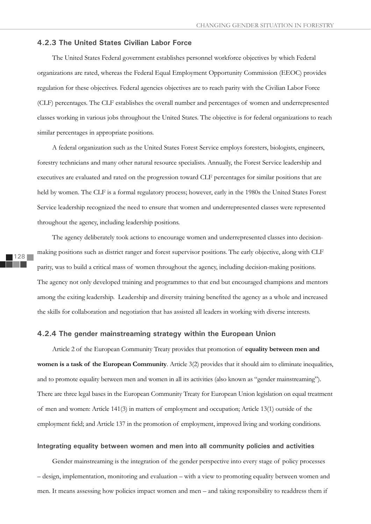## **4.2.3 The United States Civilian Labor Force**

The United States Federal government establishes personnel workforce objectives by which Federal organizations are rated, whereas the Federal Equal Employment Opportunity Commission (EEOC) provides regulation for these objectives. Federal agencies objectives are to reach parity with the Civilian Labor Force (CLF) percentages. The CLF establishes the overall number and percentages of women and underrepresented classes working in various jobs throughout the United States. The objective is for federal organizations to reach similar percentages in appropriate positions.

A federal organization such as the United States Forest Service employs foresters, biologists, engineers, forestry technicians and many other natural resource specialists. Annually, the Forest Service leadership and executives are evaluated and rated on the progression toward CLF percentages for similar positions that are held by women. The CLF is a formal regulatory process; however, early in the 1980s the United States Forest Service leadership recognized the need to ensure that women and underrepresented classes were represented throughout the agency, including leadership positions.

The agency deliberately took actions to encourage women and underrepresented classes into decisionmaking positions such as district ranger and forest supervisor positions. The early objective, along with CLF parity, was to build a critical mass of women throughout the agency, including decision-making positions. The agency not only developed training and programmes to that end but encouraged champions and mentors among the exiting leadership. Leadership and diversity training benefited the agency as a whole and increased the skills for collaboration and negotiation that has assisted all leaders in working with diverse interests.

## **4.2.4 The gender mainstreaming strategy within the European Union**

Article 2 of the European Community Treaty provides that promotion of **equality between men and women is a task of the European Community**. Article 3(2) provides that it should aim to eliminate inequalities, and to promote equality between men and women in all its activities (also known as "gender mainstreaming"). There are three legal bases in the European Community Treaty for European Union legislation on equal treatment of men and women: Article 141(3) in matters of employment and occupation; Article 13(1) outside of the employment field; and Article 137 in the promotion of employment, improved living and working conditions.

## **Integrating equality between women and men into all community policies and activities**

Gender mainstreaming is the integration of the gender perspective into every stage of policy processes – design, implementation, monitoring and evaluation – with a view to promoting equality between women and men. It means assessing how policies impact women and men – and taking responsibility to readdress them if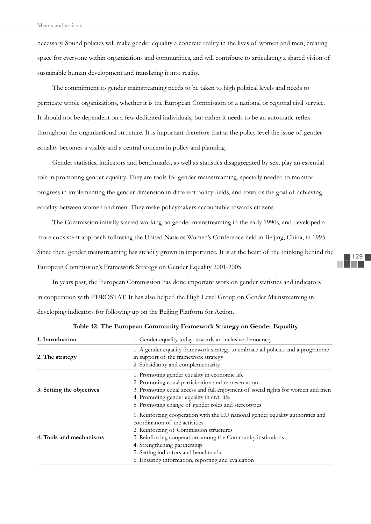necessary. Sound policies will make gender equality a concrete reality in the lives of women and men, creating space for everyone within organizations and communities, and will contribute to articulating a shared vision of sustainable human development and translating it into reality.

The commitment to gender mainstreaming needs to be taken to high political levels and needs to permeate whole organizations, whether it is the European Commission or a national or regional civil service. It should not be dependent on a few dedicated individuals, but rather it needs to be an automatic reflex throughout the organizational structure. It is important therefore that at the policy level the issue of gender equality becomes a visible and a central concern in policy and planning.

Gender statistics, indicators and benchmarks, as well as statistics disaggregated by sex, play an essential role in promoting gender equality. They are tools for gender mainstreaming, specially needed to monitor progress in implementing the gender dimension in different policy fields, and towards the goal of achieving equality between women and men. They make policymakers accountable towards citizens.

The Commission initially started working on gender mainstreaming in the early 1990s, and developed a more consistent approach following the United Nations Women's Conference held in Beijing, China, in 1995. Since then, gender mainstreaming has steadily grown in importance. It is at the heart of the thinking behind the European Commission's Framework Strategy on Gender Equality 2001-2005.

In years past, the European Commission has done important work on gender statistics and indicators in cooperation with EUROSTAT. It has also helped the High Level Group on Gender Mainstreaming in developing indicators for following up on the Beijing Platform for Action.

| 1. Introduction           | 1. Gender equality today: towards an inclusive democracy                                                                                                                                                                                                                                                                                                 |
|---------------------------|----------------------------------------------------------------------------------------------------------------------------------------------------------------------------------------------------------------------------------------------------------------------------------------------------------------------------------------------------------|
| 2. The strategy           | 1. A gender equality framework strategy to embrace all policies and a programme<br>in support of the framework strategy<br>2. Subsidiarity and complementarity                                                                                                                                                                                           |
| 3. Setting the objectives | 1. Promoting gender equality in economic life<br>2. Promoting equal participation and representation<br>3. Promoting equal access and full enjoyment of social rights for women and men<br>4. Promoting gender equality in civil life<br>5. Promoting change of gender roles and stereotypes                                                             |
| 4. Tools and mechanisms   | 1. Reinforcing cooperation with the EU national gender equality authorities and<br>coordination of the activities<br>2. Reinforcing of Commission structures<br>3. Reinforcing cooperation among the Community institutions<br>4. Strengthening partnership<br>5. Setting indicators and benchmarks<br>6. Ensuring information, reporting and evaluation |

**Table 42: The European Community Framework Strategy on Gender Equality**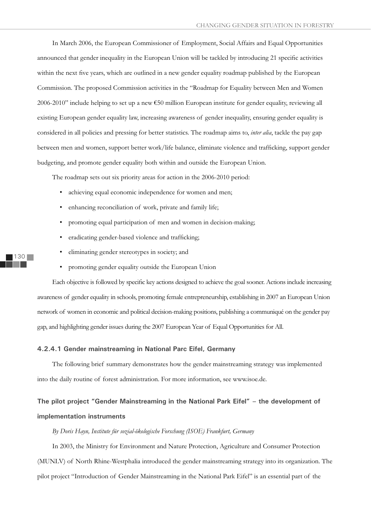In March 2006, the European Commissioner of Employment, Social Affairs and Equal Opportunities announced that gender inequality in the European Union will be tackled by introducing 21 specific activities within the next five years, which are outlined in a new gender equality roadmap published by the European Commission. The proposed Commission activities in the "Roadmap for Equality between Men and Women 2006-2010" include helping to set up a new €50 million European institute for gender equality, reviewing all existing European gender equality law, increasing awareness of gender inequality, ensuring gender equality is considered in all policies and pressing for better statistics. The roadmap aims to, *inter alia*, tackle the pay gap between men and women, support better work/life balance, eliminate violence and trafficking, support gender budgeting, and promote gender equality both within and outside the European Union.

The roadmap sets out six priority areas for action in the 2006-2010 period:

- achieving equal economic independence for women and men;
- enhancing reconciliation of work, private and family life;
- promoting equal participation of men and women in decision-making;
- eradicating gender-based violence and trafficking;
- eliminating gender stereotypes in society; and
- promoting gender equality outside the European Union

Each objective is followed by specific key actions designed to achieve the goal sooner. Actions include increasing awareness of gender equality in schools, promoting female entrepreneurship, establishing in 2007 an European Union network of women in economic and political decision-making positions, publishing a communiqué on the gender pay gap, and highlighting gender issues during the 2007 European Year of Equal Opportunities for All.

#### **4.2.4.1 Gender mainstreaming in National Parc Eifel, Germany**

The following brief summary demonstrates how the gender mainstreaming strategy was implemented into the daily routine of forest administration. For more information, see www.isoe.de.

## **The pilot project "Gender Mainstreaming in the National Park Eifel" – the development of implementation instruments**

*By Doris Hayn, Institute für sozial-ökologische Forschung (ISOE) Frankfurt, Germany*

In 2003, the Ministry for Environment and Nature Protection, Agriculture and Consumer Protection (MUNLV) of North Rhine-Westphalia introduced the gender mainstreaming strategy into its organization. The pilot project "Introduction of Gender Mainstreaming in the National Park Eifel" is an essential part of the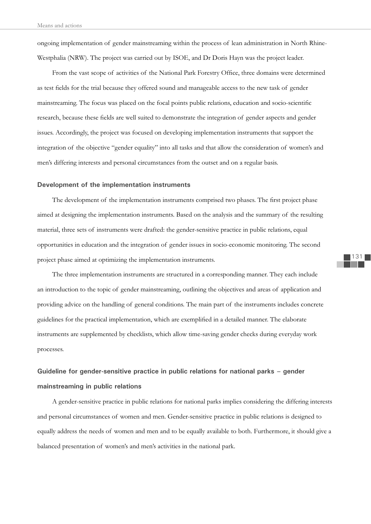ongoing implementation of gender mainstreaming within the process of lean administration in North Rhine-Westphalia (NRW). The project was carried out by ISOE, and Dr Doris Hayn was the project leader.

From the vast scope of activities of the National Park Forestry Office, three domains were determined as test fields for the trial because they offered sound and manageable access to the new task of gender mainstreaming. The focus was placed on the focal points public relations, education and socio-scientific research, because these fields are well suited to demonstrate the integration of gender aspects and gender issues. Accordingly, the project was focused on developing implementation instruments that support the integration of the objective "gender equality" into all tasks and that allow the consideration of women's and men's differing interests and personal circumstances from the outset and on a regular basis.

#### **Development of the implementation instruments**

The development of the implementation instruments comprised two phases. The first project phase aimed at designing the implementation instruments. Based on the analysis and the summary of the resulting material, three sets of instruments were drafted: the gender-sensitive practice in public relations, equal opportunities in education and the integration of gender issues in socio-economic monitoring. The second project phase aimed at optimizing the implementation instruments.

The three implementation instruments are structured in a corresponding manner. They each include an introduction to the topic of gender mainstreaming, outlining the objectives and areas of application and providing advice on the handling of general conditions. The main part of the instruments includes concrete guidelines for the practical implementation, which are exemplified in a detailed manner. The elaborate instruments are supplemented by checklists, which allow time-saving gender checks during everyday work processes.

## **Guideline for gender-sensitive practice in public relations for national parks – gender mainstreaming in public relations**

A gender-sensitive practice in public relations for national parks implies considering the differing interests and personal circumstances of women and men. Gender-sensitive practice in public relations is designed to equally address the needs of women and men and to be equally available to both. Furthermore, it should give a balanced presentation of women's and men's activities in the national park.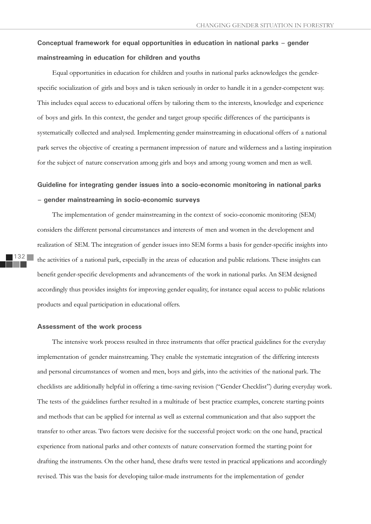## **Conceptual framework for equal opportunities in education in national parks – gender mainstreaming in education for children and youths**

Equal opportunities in education for children and youths in national parks acknowledges the genderspecific socialization of girls and boys and is taken seriously in order to handle it in a gender-competent way. This includes equal access to educational offers by tailoring them to the interests, knowledge and experience of boys and girls. In this context, the gender and target group specific differences of the participants is systematically collected and analysed. Implementing gender mainstreaming in educational offers of a national park serves the objective of creating a permanent impression of nature and wilderness and a lasting inspiration for the subject of nature conservation among girls and boys and among young women and men as well.

## **Guideline for integrating gender issues into a socio-economic monitoring in national parks – gender mainstreaming in socio-economic surveys**

The implementation of gender mainstreaming in the context of socio-economic monitoring (SEM) considers the different personal circumstances and interests of men and women in the development and realization of SEM. The integration of gender issues into SEM forms a basis for gender-specific insights into the activities of a national park, especially in the areas of education and public relations. These insights can benefit gender-specific developments and advancements of the work in national parks. An SEM designed accordingly thus provides insights for improving gender equality, for instance equal access to public relations products and equal participation in educational offers.

## **Assessment of the work process**

The intensive work process resulted in three instruments that offer practical guidelines for the everyday implementation of gender mainstreaming. They enable the systematic integration of the differing interests and personal circumstances of women and men, boys and girls, into the activities of the national park. The checklists are additionally helpful in offering a time-saving revision ("Gender Checklist") during everyday work. The tests of the guidelines further resulted in a multitude of best practice examples, concrete starting points and methods that can be applied for internal as well as external communication and that also support the transfer to other areas. Two factors were decisive for the successful project work: on the one hand, practical experience from national parks and other contexts of nature conservation formed the starting point for drafting the instruments. On the other hand, these drafts were tested in practical applications and accordingly revised. This was the basis for developing tailor-made instruments for the implementation of gender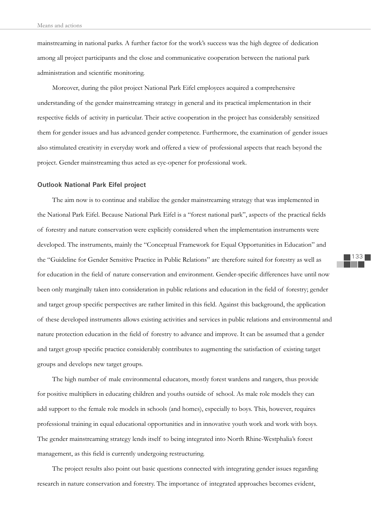mainstreaming in national parks. A further factor for the work's success was the high degree of dedication among all project participants and the close and communicative cooperation between the national park administration and scientific monitoring.

Moreover, during the pilot project National Park Eifel employees acquired a comprehensive understanding of the gender mainstreaming strategy in general and its practical implementation in their respective fields of activity in particular. Their active cooperation in the project has considerably sensitized them for gender issues and has advanced gender competence. Furthermore, the examination of gender issues also stimulated creativity in everyday work and offered a view of professional aspects that reach beyond the project. Gender mainstreaming thus acted as eye-opener for professional work.

#### **Outlook National Park Eifel project**

The aim now is to continue and stabilize the gender mainstreaming strategy that was implemented in the National Park Eifel. Because National Park Eifel is a "forest national park", aspects of the practical fields of forestry and nature conservation were explicitly considered when the implementation instruments were developed. The instruments, mainly the "Conceptual Framework for Equal Opportunities in Education" and the "Guideline for Gender Sensitive Practice in Public Relations" are therefore suited for forestry as well as for education in the field of nature conservation and environment. Gender-specific differences have until now been only marginally taken into consideration in public relations and education in the field of forestry; gender and target group specific perspectives are rather limited in this field. Against this background, the application of these developed instruments allows existing activities and services in public relations and environmental and nature protection education in the field of forestry to advance and improve. It can be assumed that a gender and target group specific practice considerably contributes to augmenting the satisfaction of existing target groups and develops new target groups.

The high number of male environmental educators, mostly forest wardens and rangers, thus provide for positive multipliers in educating children and youths outside of school. As male role models they can add support to the female role models in schools (and homes), especially to boys. This, however, requires professional training in equal educational opportunities and in innovative youth work and work with boys. The gender mainstreaming strategy lends itself to being integrated into North Rhine-Westphalia's forest management, as this field is currently undergoing restructuring.

The project results also point out basic questions connected with integrating gender issues regarding research in nature conservation and forestry. The importance of integrated approaches becomes evident,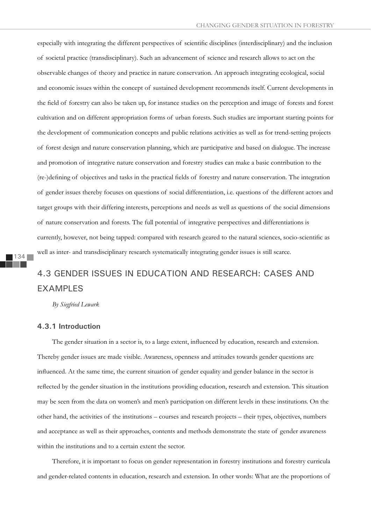especially with integrating the different perspectives of scientific disciplines (interdisciplinary) and the inclusion of societal practice (transdisciplinary). Such an advancement of science and research allows to act on the observable changes of theory and practice in nature conservation. An approach integrating ecological, social and economic issues within the concept of sustained development recommends itself. Current developments in the field of forestry can also be taken up, for instance studies on the perception and image of forests and forest cultivation and on different appropriation forms of urban forests. Such studies are important starting points for the development of communication concepts and public relations activities as well as for trend-setting projects of forest design and nature conservation planning, which are participative and based on dialogue. The increase and promotion of integrative nature conservation and forestry studies can make a basic contribution to the (re-)defining of objectives and tasks in the practical fields of forestry and nature conservation. The integration of gender issues thereby focuses on questions of social differentiation, i.e. questions of the different actors and target groups with their differing interests, perceptions and needs as well as questions of the social dimensions of nature conservation and forests. The full potential of integrative perspectives and differentiations is currently, however, not being tapped: compared with research geared to the natural sciences, socio-scientific as well as inter- and transdisciplinary research systematically integrating gender issues is still scarce.

## 4.3 GENDER ISSUES IN EDUCATION AND RESEARCH: CASES AND EXAMPLES

*By Siegfried Lewark*

## **4.3.1 Introduction**

The gender situation in a sector is, to a large extent, influenced by education, research and extension. Thereby gender issues are made visible. Awareness, openness and attitudes towards gender questions are influenced. At the same time, the current situation of gender equality and gender balance in the sector is reflected by the gender situation in the institutions providing education, research and extension. This situation may be seen from the data on women's and men's participation on different levels in these institutions. On the other hand, the activities of the institutions – courses and research projects – their types, objectives, numbers and acceptance as well as their approaches, contents and methods demonstrate the state of gender awareness within the institutions and to a certain extent the sector.

Therefore, it is important to focus on gender representation in forestry institutions and forestry curricula and gender-related contents in education, research and extension. In other words: What are the proportions of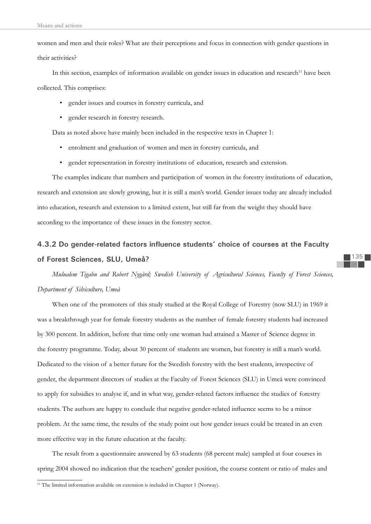women and men and their roles? What are their perceptions and focus in connection with gender questions in their activities?

In this section, examples of information available on gender issues in education and research<sup>11</sup> have been collected. This comprises:

- gender issues and courses in forestry curricula, and
- gender research in forestry research.

Data as noted above have mainly been included in the respective texts in Chapter 1:

- enrolment and graduation of women and men in forestry curricula, and
- gender representation in forestry institutions of education, research and extension.

The examples indicate that numbers and participation of women in the forestry institutions of education, research and extension are slowly growing, but it is still a men's world. Gender issues today are already included into education, research and extension to a limited extent, but still far from the weight they should have according to the importance of these issues in the forestry sector.

# 4.3.2 Do gender-related factors influence students' choice of courses at the Faculty **of Forest Sciences, SLU, Umeå?**

*Mulualem Tigabu and Robert Nygård; Swedish University of Agricultural Sciences, Faculty of Forest Sciences, Department of Silviculture, Umeå* 

When one of the promoters of this study studied at the Royal College of Forestry (now SLU) in 1969 it was a breakthrough year for female forestry students as the number of female forestry students had increased by 300 percent. In addition, before that time only one woman had attained a Master of Science degree in the forestry programme. Today, about 30 percent of students are women, but forestry is still a man's world. Dedicated to the vision of a better future for the Swedish forestry with the best students, irrespective of gender, the department directors of studies at the Faculty of Forest Sciences (SLU) in Umeå were convinced to apply for subsidies to analyse if, and in what way, gender-related factors influence the studies of forestry students. The authors are happy to conclude that negative gender-related influence seems to be a minor problem. At the same time, the results of the study point out how gender issues could be treated in an even more effective way in the future education at the faculty.

The result from a questionnaire answered by 63 students (68 percent male) sampled at four courses in spring 2004 showed no indication that the teachers' gender position, the course content or ratio of males and

<sup>&</sup>lt;sup>11</sup> The limited information available on extension is included in Chapter 1 (Norway).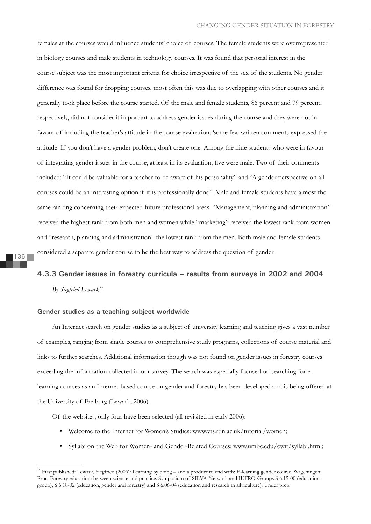females at the courses would influence students' choice of courses. The female students were overrepresented in biology courses and male students in technology courses. It was found that personal interest in the course subject was the most important criteria for choice irrespective of the sex of the students. No gender difference was found for dropping courses, most often this was due to overlapping with other courses and it generally took place before the course started. Of the male and female students, 86 percent and 79 percent, respectively, did not consider it important to address gender issues during the course and they were not in favour of including the teacher's attitude in the course evaluation. Some few written comments expressed the attitude: If you don't have a gender problem, don't create one. Among the nine students who were in favour of integrating gender issues in the course, at least in its evaluation, five were male. Two of their comments included: "It could be valuable for a teacher to be aware of his personality" and "A gender perspective on all courses could be an interesting option if it is professionally done". Male and female students have almost the same ranking concerning their expected future professional areas. "Management, planning and administration" received the highest rank from both men and women while "marketing" received the lowest rank from women and "research, planning and administration" the lowest rank from the men. Both male and female students considered a separate gender course to be the best way to address the question of gender.

# **4.3.3 Gender issues in forestry curricula – results from surveys in 2002 and 2004** *By Siegfried Lewark12*

### **Gender studies as a teaching subject worldwide**

An Internet search on gender studies as a subject of university learning and teaching gives a vast number of examples, ranging from single courses to comprehensive study programs, collections of course material and links to further searches. Additional information though was not found on gender issues in forestry courses exceeding the information collected in our survey. The search was especially focused on searching for elearning courses as an Internet-based course on gender and forestry has been developed and is being offered at the University of Freiburg (Lewark, 2006).

Of the websites, only four have been selected (all revisited in early 2006):

- Welcome to the Internet for Women's Studies: www.vts.rdn.ac.uk/tutorial/women;
- Syllabi on the Web for Women- and Gender-Related Courses: www.umbc.edu/cwit/syllabi.html;

<sup>12</sup> First published: Lewark, Siegfried (2006): Learning by doing – and a product to end with: E-learning gender course. Wageningen: Proc. Forestry education: between science and practice. Symposium of SILVA-Network and IUFRO-Groups S 6.15-00 (education group), S 6.18-02 (education, gender and forestry) and S 6.06-04 (education and research in silviculture). Under prep.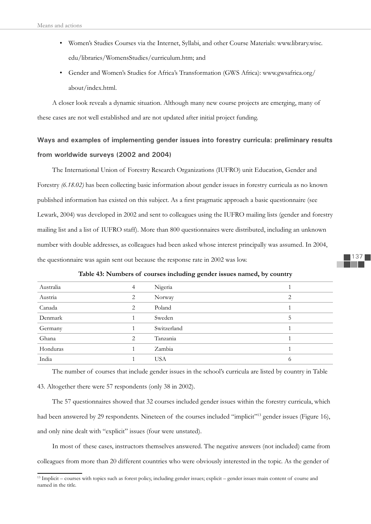- Women's Studies Courses via the Internet, Syllabi, and other Course Materials: www.library.wisc. edu/libraries/WomensStudies/curriculum.htm; and
- Gender and Women's Studies for Africa's Transformation (GWS Africa): www.gwsafrica.org/ about/index.html.

A closer look reveals a dynamic situation. Although many new course projects are emerging, many of these cases are not well established and are not updated after initial project funding.

# **Ways and examples of implementing gender issues into forestry curricula: preliminary results from worldwide surveys (2002 and 2004)**

The International Union of Forestry Research Organizations (IUFRO) unit Education, Gender and Forestry *(6.18.02)* has been collecting basic information about gender issues in forestry curricula as no known published information has existed on this subject. As a first pragmatic approach a basic questionnaire (see Lewark, 2004) was developed in 2002 and sent to colleagues using the IUFRO mailing lists (gender and forestry mailing list and a list of IUFRO staff). More than 800 questionnaires were distributed, including an unknown number with double addresses, as colleagues had been asked whose interest principally was assumed. In 2004, the questionnaire was again sent out because the response rate in 2002 was low.

| Australia | 4              | Nigeria     |   |
|-----------|----------------|-------------|---|
| Austria   | 2              | Norway      | 2 |
| Canada    | 2              | Poland      |   |
| Denmark   |                | Sweden      | C |
| Germany   |                | Switzerland |   |
| Ghana     | $\overline{2}$ | Tanzania    |   |
| Honduras  |                | Zambia      |   |
| India     |                | <b>USA</b>  | O |

# **Table 43: Numbers of courses including gender issues named, by country**

The number of courses that include gender issues in the school's curricula are listed by country in Table 43. Altogether there were 57 respondents (only 38 in 2002).

The 57 questionnaires showed that 32 courses included gender issues within the forestry curricula, which had been answered by 29 respondents. Nineteen of the courses included "implicit"<sup>13</sup> gender issues (Figure 16), and only nine dealt with "explicit" issues (four were unstated).

In most of these cases, instructors themselves answered. The negative answers (not included) came from colleagues from more than 20 different countries who were obviously interested in the topic. As the gender of

<sup>&</sup>lt;sup>13</sup> Implicit – courses with topics such as forest policy, including gender issues; explicit – gender issues main content of course and named in the title.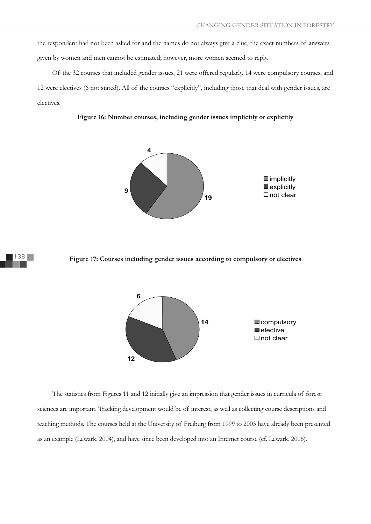the respondent had not been asked for and the names do not always give a clue, the exact numbers of answers given by women and men cannot be estimated; however, more women seemed to reply.

Of the 32 courses that included gender issues, 21 were offered regularly, 14 were compulsory courses, and 12 were electives (6 not stated). All of the courses "explicitly", including those that deal with gender issues, are electives.









The statistics from Figures 11 and 12 initially give an impression that gender issues in curricula of forest sciences are important. Tracking development would be of interest, as well as collecting course descriptions and teaching methods. The courses held at the University of Freiburg from 1999 to 2003 have already been presented as an example (Lewark, 2004), and have since been developed into an Internet course (cf. Lewark, 2006).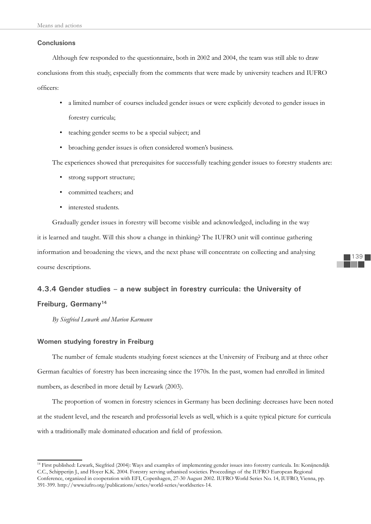# **Conclusions**

Although few responded to the questionnaire, both in 2002 and 2004, the team was still able to draw conclusions from this study, especially from the comments that were made by university teachers and IUFRO officers:

- a limited number of courses included gender issues or were explicitly devoted to gender issues in forestry curricula;
- teaching gender seems to be a special subject; and
- broaching gender issues is often considered women's business.

The experiences showed that prerequisites for successfully teaching gender issues to forestry students are:

- strong support structure;
- committed teachers; and
- interested students.

Gradually gender issues in forestry will become visible and acknowledged, including in the way it is learned and taught. Will this show a change in thinking? The IUFRO unit will continue gathering information and broadening the views, and the next phase will concentrate on collecting and analysing course descriptions.

# **4.3.4 Gender studies – a new subject in forestry curricula: the University of Freiburg, Germany14**

*By Siegfried Lewark and Marion Karmann*

## **Women studying forestry in Freiburg**

The number of female students studying forest sciences at the University of Freiburg and at three other German faculties of forestry has been increasing since the 1970s. In the past, women had enrolled in limited numbers, as described in more detail by Lewark (2003).

The proportion of women in forestry sciences in Germany has been declining: decreases have been noted at the student level, and the research and professorial levels as well, which is a quite typical picture for curricula with a traditionally male dominated education and field of profession.

<sup>&</sup>lt;sup>14</sup> First published: Lewark, Siegfried (2004): Ways and examples of implementing gender issues into forestry curricula. In: Konijnendijk C.C., Schipperijn J., and Hoyer K.K. 2004. Forestry serving urbanised societies. Proceedings of the IUFRO European Regional Conference, organized in cooperation with EFI, Copenhagen, 27-30 August 2002. IUFRO World Series No. 14, IUFRO, Vienna, pp. 391-399. http://www.iufro.org/publications/series/world-series/worldseries-14.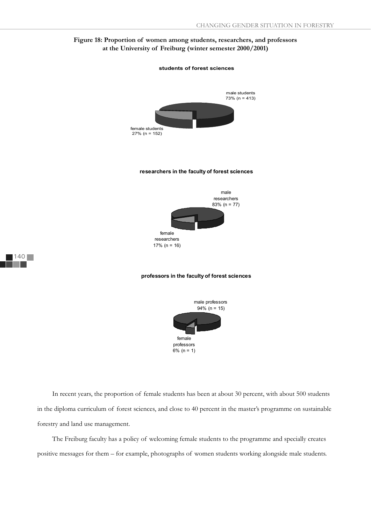# **Figure 18: Proportion of women among students, researchers, and professors at the University of Freiburg (winter semester 2000/2001)**



In recent years, the proportion of female students has been at about 30 percent, with about 500 students in the diploma curriculum of forest sciences, and close to 40 percent in the master's programme on sustainable forestry and land use management.

professors 6% (n = 1)

The Freiburg faculty has a policy of welcoming female students to the programme and specially creates positive messages for them – for example, photographs of women students working alongside male students.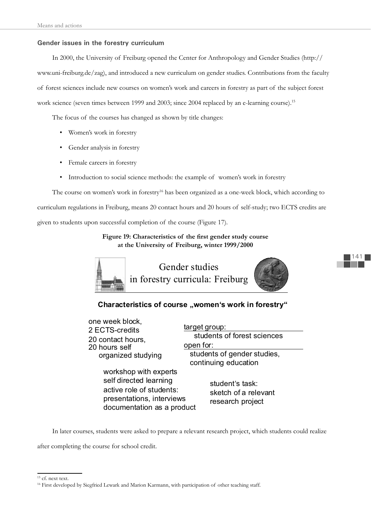# **Gender issues in the forestry curriculum**

In 2000, the University of Freiburg opened the Center for Anthropology and Gender Studies (http:// www.uni-freiburg.de/zag), and introduced a new curriculum on gender studies. Contributions from the faculty of forest sciences include new courses on women's work and careers in forestry as part of the subject forest work science (seven times between 1999 and 2003; since 2004 replaced by an e-learning course).<sup>15</sup>

The focus of the courses has changed as shown by title changes:

- Women's work in forestry
- Gender analysis in forestry
- Female careers in forestry
- Introduction to social science methods: the example of women's work in forestry

The course on women's work in forestry<sup>16</sup> has been organized as a one-week block, which according to curriculum regulations in Freiburg, means 20 contact hours and 20 hours of self-study; two ECTS credits are given to students upon successful completion of the course (Figure 17).

> Figure 19: Characteristics of the first gender study course **at the University of Freiburg, winter 1999/2000**



Characteristics of course "women's work in forestry"

one week block, 2 ECTS-credits 20 contact hours, 20 hours self organized studying

> workshop with experts self directed learning active role of students: presentations, interviews documentation as a product

target group: students of forest sciences open for: students of gender studies, continuing education

141

student's task: sketch of a relevant research project

In later courses, students were asked to prepare a relevant research project, which students could realize

after completing the course for school credit.

<sup>&</sup>lt;sup>15</sup> cf. next text.

<sup>&</sup>lt;sup>16</sup> First developed by Siegfried Lewark and Marion Karmann, with participation of other teaching staff.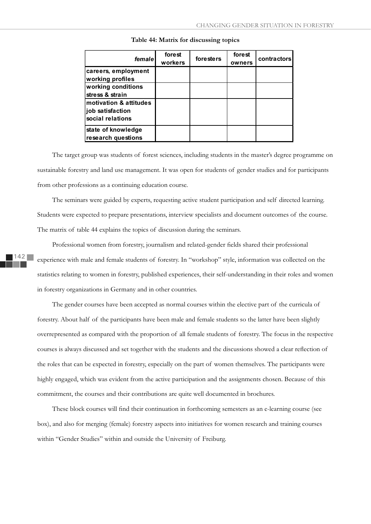| female                                                         | forest<br>workers | foresters | forest<br>owners | contractors |
|----------------------------------------------------------------|-------------------|-----------|------------------|-------------|
| careers, employment<br>working profiles                        |                   |           |                  |             |
| working conditions<br>stress & strain                          |                   |           |                  |             |
| motivation & attitudes<br>job satisfaction<br>social relations |                   |           |                  |             |
| state of knowledge<br>research questions                       |                   |           |                  |             |

#### **Table 44: Matrix for discussing topics**

The target group was students of forest sciences, including students in the master's degree programme on sustainable forestry and land use management. It was open for students of gender studies and for participants from other professions as a continuing education course.

The seminars were guided by experts, requesting active student participation and self directed learning. Students were expected to prepare presentations, interview specialists and document outcomes of the course. The matrix of table 44 explains the topics of discussion during the seminars.

Professional women from forestry, journalism and related-gender fields shared their professional experience with male and female students of forestry. In "workshop" style, information was collected on the statistics relating to women in forestry, published experiences, their self-understanding in their roles and women in forestry organizations in Germany and in other countries.

The gender courses have been accepted as normal courses within the elective part of the curricula of forestry. About half of the participants have been male and female students so the latter have been slightly overrepresented as compared with the proportion of all female students of forestry. The focus in the respective courses is always discussed and set together with the students and the discussions showed a clear reflection of the roles that can be expected in forestry, especially on the part of women themselves. The participants were highly engaged, which was evident from the active participation and the assignments chosen. Because of this commitment, the courses and their contributions are quite well documented in brochures.

These block courses will find their continuation in forthcoming semesters as an e-learning course (see box), and also for merging (female) forestry aspects into initiatives for women research and training courses within "Gender Studies" within and outside the University of Freiburg.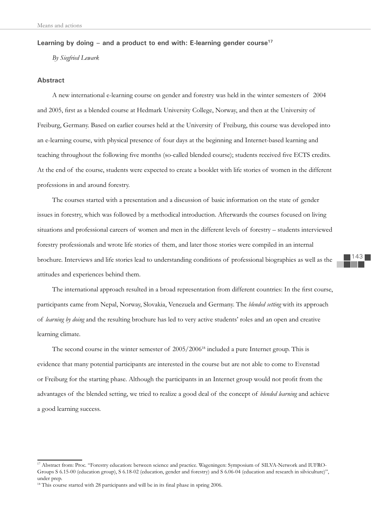# Learning by doing – and a product to end with: E-learning gender course<sup>17</sup>

*By Siegfried Lewark* 

## **Abstract**

A new international e-learning course on gender and forestry was held in the winter semesters of 2004 and 2005, first as a blended course at Hedmark University College, Norway, and then at the University of Freiburg, Germany. Based on earlier courses held at the University of Freiburg, this course was developed into an e-learning course, with physical presence of four days at the beginning and Internet-based learning and teaching throughout the following five months (so-called blended course); students received five ECTS credits. At the end of the course, students were expected to create a booklet with life stories of women in the different professions in and around forestry.

The courses started with a presentation and a discussion of basic information on the state of gender issues in forestry, which was followed by a methodical introduction. Afterwards the courses focused on living situations and professional careers of women and men in the different levels of forestry – students interviewed forestry professionals and wrote life stories of them, and later those stories were compiled in an internal brochure. Interviews and life stories lead to understanding conditions of professional biographies as well as the attitudes and experiences behind them.

The international approach resulted in a broad representation from different countries: In the first course, participants came from Nepal, Norway, Slovakia, Venezuela and Germany. The *blended setting* with its approach of *learning by doing* and the resulting brochure has led to very active students' roles and an open and creative learning climate.

The second course in the winter semester of 2005/2006<sup>18</sup> included a pure Internet group. This is evidence that many potential participants are interested in the course but are not able to come to Evenstad or Freiburg for the starting phase. Although the participants in an Internet group would not profi t from the advantages of the blended setting, we tried to realize a good deal of the concept of *blended learning* and achieve a good learning success.

<sup>17</sup> Abstract from: Proc. "Forestry education: between science and practice. Wageningen: Symposium of SILVA-Network and IUFRO-Groups S 6.15-00 (education group), S 6.18-02 (education, gender and forestry) and S 6.06-04 (education and research in silviculture)", under prep.

 $18$  This course started with 28 participants and will be in its final phase in spring 2006.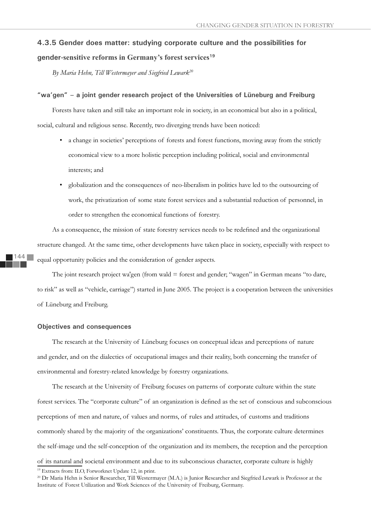# **4.3.5 Gender does matter: studying corporate culture and the possibilities for**

# **gender-sensitive reforms in Germany's forest services<sup>19</sup>**

*By Maria Hehn, Till Westermayer and Siegfried Lewark20*

### **"wa'gen" – a joint gender research project of the Universities of Lüneburg and Freiburg**

Forests have taken and still take an important role in society, in an economical but also in a political, social, cultural and religious sense. Recently, two diverging trends have been noticed:

- a change in societies' perceptions of forests and forest functions, moving away from the strictly economical view to a more holistic perception including political, social and environmental interests; and
- globalization and the consequences of neo-liberalism in politics have led to the outsourcing of work, the privatization of some state forest services and a substantial reduction of personnel, in order to strengthen the economical functions of forestry.

As a consequence, the mission of state forestry services needs to be redefined and the organizational structure changed. At the same time, other developments have taken place in society, especially with respect to equal opportunity policies and the consideration of gender aspects.

The joint research project wa'gen (from wald = forest and gender; "wagen" in German means "to dare, to risk" as well as "vehicle, carriage") started in June 2005. The project is a cooperation between the universities of Lüneburg and Freiburg.

# **Objectives and consequences**

144

The research at the University of Lüneburg focuses on conceptual ideas and perceptions of nature and gender, and on the dialectics of occupational images and their reality, both concerning the transfer of environmental and forestry-related knowledge by forestry organizations.

The research at the University of Freiburg focuses on patterns of corporate culture within the state forest services. The "corporate culture" of an organization is defined as the set of conscious and subconscious perceptions of men and nature, of values and norms, of rules and attitudes, of customs and traditions commonly shared by the majority of the organizations' constituents. Thus, the corporate culture determines the self-image und the self-conception of the organization and its members, the reception and the perception of its natural and societal environment and due to its subconscious character, corporate culture is highly

<sup>&</sup>lt;sup>19</sup> Extracts from: ILO, Forworknet Update 12, in print.

<sup>20</sup> Dr Maria Hehn is Senior Researcher, Till Westermayer (M.A.) is Junior Researcher and Siegfried Lewark is Professor at the Institute of Forest Utilization and Work Sciences of the University of Freiburg, Germany.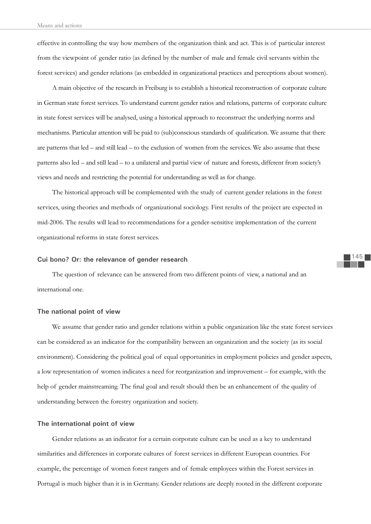effective in controlling the way how members of the organization think and act. This is of particular interest from the viewpoint of gender ratio (as defined by the number of male and female civil servants within the forest services) and gender relations (as embedded in organizational practices and perceptions about women).

A main objective of the research in Freiburg is to establish a historical reconstruction of corporate culture in German state forest services. To understand current gender ratios and relations, patterns of corporate culture in state forest services will be analysed, using a historical approach to reconstruct the underlying norms and mechanisms. Particular attention will be paid to (sub)conscious standards of qualification. We assume that there are patterns that led – and still lead – to the exclusion of women from the services. We also assume that these patterns also led – and still lead – to a unilateral and partial view of nature and forests, different from society's views and needs and restricting the potential for understanding as well as for change.

The historical approach will be complemented with the study of current gender relations in the forest services, using theories and methods of organizational sociology. First results of the project are expected in mid-2006. The results will lead to recommendations for a gender-sensitive implementation of the current organizational reforms in state forest services.

## **Cui bono? Or: the relevance of gender research**

The question of relevance can be answered from two different points of view, a national and an international one.

### **The national point of view**

We assume that gender ratio and gender relations within a public organization like the state forest services can be considered as an indicator for the compatibility between an organization and the society (as its social environment). Considering the political goal of equal opportunities in employment policies and gender aspects, a low representation of women indicates a need for reorganization and improvement – for example, with the help of gender mainstreaming. The final goal and result should then be an enhancement of the quality of understanding between the forestry organization and society.

#### **The international point of view**

Gender relations as an indicator for a certain corporate culture can be used as a key to understand similarities and differences in corporate cultures of forest services in different European countries. For example, the percentage of women forest rangers and of female employees within the Forest services in Portugal is much higher than it is in Germany. Gender relations are deeply rooted in the different corporate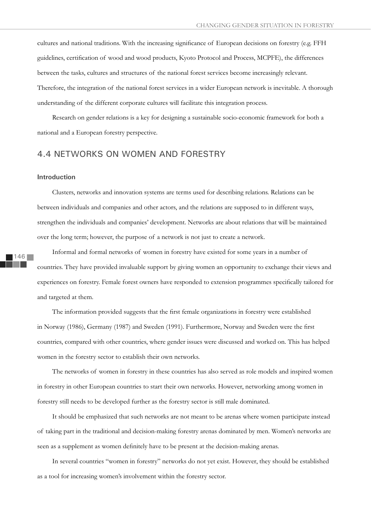cultures and national traditions. With the increasing significance of European decisions on forestry (e.g. FFH guidelines, certification of wood and wood products, Kyoto Protocol and Process, MCPFE), the differences between the tasks, cultures and structures of the national forest services become increasingly relevant. Therefore, the integration of the national forest services in a wider European network is inevitable. A thorough understanding of the different corporate cultures will facilitate this integration process.

Research on gender relations is a key for designing a sustainable socio-economic framework for both a national and a European forestry perspective.

# 4.4 NETWORKS ON WOMEN AND FORESTRY

### **Introduction**

Clusters, networks and innovation systems are terms used for describing relations. Relations can be between individuals and companies and other actors, and the relations are supposed to in different ways, strengthen the individuals and companies' development. Networks are about relations that will be maintained over the long term; however, the purpose of a network is not just to create a network.

Informal and formal networks of women in forestry have existed for some years in a number of countries. They have provided invaluable support by giving women an opportunity to exchange their views and experiences on forestry. Female forest owners have responded to extension programmes specifically tailored for and targeted at them.

The information provided suggests that the first female organizations in forestry were established in Norway (1986), Germany (1987) and Sweden (1991). Furthermore, Norway and Sweden were the first countries, compared with other countries, where gender issues were discussed and worked on. This has helped women in the forestry sector to establish their own networks.

The networks of women in forestry in these countries has also served as role models and inspired women in forestry in other European countries to start their own networks. However, networking among women in forestry still needs to be developed further as the forestry sector is still male dominated.

It should be emphasized that such networks are not meant to be arenas where women participate instead of taking part in the traditional and decision-making forestry arenas dominated by men. Women's networks are seen as a supplement as women definitely have to be present at the decision-making arenas.

In several countries "women in forestry" networks do not yet exist. However, they should be established as a tool for increasing women's involvement within the forestry sector.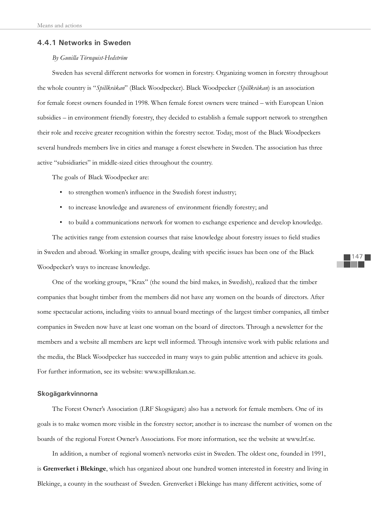### **4.4.1 Networks in Sweden**

# *By Gunilla Törnquist-Hedström*

Sweden has several different networks for women in forestry. Organizing women in forestry throughout the whole country is "*Spillkråkan*" (Black Woodpecker). Black Woodpecker (*Spillkråkan*) is an association for female forest owners founded in 1998. When female forest owners were trained – with European Union subsidies – in environment friendly forestry, they decided to establish a female support network to strengthen their role and receive greater recognition within the forestry sector. Today, most of the Black Woodpeckers several hundreds members live in cities and manage a forest elsewhere in Sweden. The association has three active "subsidiaries" in middle-sized cities throughout the country.

The goals of Black Woodpecker are:

- to strengthen women's influence in the Swedish forest industry;
- to increase knowledge and awareness of environment friendly forestry; and
- to build a communications network for women to exchange experience and develop knowledge.

The activities range from extension courses that raise knowledge about forestry issues to field studies in Sweden and abroad. Working in smaller groups, dealing with specific issues has been one of the Black Woodpecker's ways to increase knowledge.

One of the working groups, "Krax" (the sound the bird makes, in Swedish), realized that the timber companies that bought timber from the members did not have any women on the boards of directors. After some spectacular actions, including visits to annual board meetings of the largest timber companies, all timber companies in Sweden now have at least one woman on the board of directors. Through a newsletter for the members and a website all members are kept well informed. Through intensive work with public relations and the media, the Black Woodpecker has succeeded in many ways to gain public attention and achieve its goals. For further information, see its website: www.spillkrakan.se.

# **Skogägarkvinnorna**

The Forest Owner's Association (LRF Skogsägare) also has a network for female members. One of its goals is to make women more visible in the forestry sector; another is to increase the number of women on the boards of the regional Forest Owner's Associations. For more information, see the website at www.lrf.se.

In addition, a number of regional women's networks exist in Sweden. The oldest one, founded in 1991, is **Grenverket i Blekinge**, which has organized about one hundred women interested in forestry and living in Blekinge, a county in the southeast of Sweden. Grenverket i Blekinge has many different activities, some of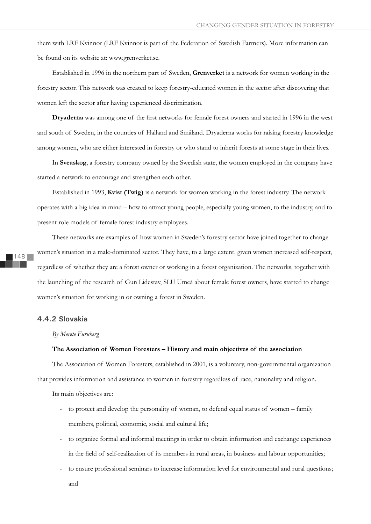them with LRF Kvinnor (LRF Kvinnor is part of the Federation of Swedish Farmers). More information can be found on its website at: www.grenverket.se.

Established in 1996 in the northern part of Sweden, **Grenverket** is a network for women working in the forestry sector. This network was created to keep forestry-educated women in the sector after discovering that women left the sector after having experienced discrimination.

Dryaderna was among one of the first networks for female forest owners and started in 1996 in the west and south of Sweden, in the counties of Halland and Småland. Dryaderna works for raising forestry knowledge among women, who are either interested in forestry or who stand to inherit forests at some stage in their lives.

In **Sveaskog**, a forestry company owned by the Swedish state, the women employed in the company have started a network to encourage and strengthen each other.

Established in 1993, **Kvist (Twig)** is a network for women working in the forest industry. The network operates with a big idea in mind – how to attract young people, especially young women, to the industry, and to present role models of female forest industry employees.

These networks are examples of how women in Sweden's forestry sector have joined together to change women's situation in a male-dominated sector. They have, to a large extent, given women increased self-respect, regardless of whether they are a forest owner or working in a forest organization. The networks, together with the launching of the research of Gun Lidestav, SLU Umeå about female forest owners, have started to change women's situation for working in or owning a forest in Sweden.

# **4.4.2 Slovakia**

#### *By Merete Furuberg*

### **The Association of Women Foresters – History and main objectives of the association**

The Association of Women Foresters, established in 2001, is a voluntary, non-governmental organization that provides information and assistance to women in forestry regardless of race, nationality and religion.

Its main objectives are:

- to protect and develop the personality of woman, to defend equal status of women family members, political, economic, social and cultural life;
- to organize formal and informal meetings in order to obtain information and exchange experiences in the field of self-realization of its members in rural areas, in business and labour opportunities;
- to ensure professional seminars to increase information level for environmental and rural questions; and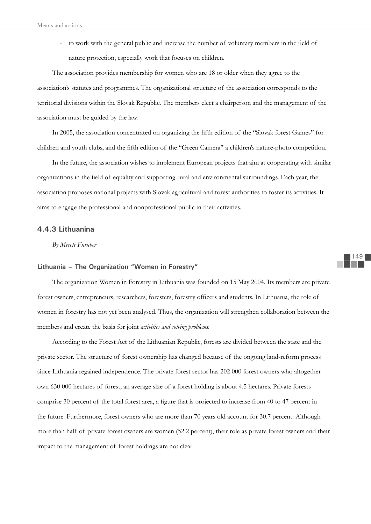- to work with the general public and increase the number of voluntary members in the field of nature protection, especially work that focuses on children.

The association provides membership for women who are 18 or older when they agree to the association's statutes and programmes. The organizational structure of the association corresponds to the territorial divisions within the Slovak Republic. The members elect a chairperson and the management of the association must be guided by the law.

In 2005, the association concentrated on organizing the fifth edition of the "Slovak forest Games" for children and youth clubs, and the fifth edition of the "Green Camera" a children's nature-photo competition.

In the future, the association wishes to implement European projects that aim at cooperating with similar organizations in the field of equality and supporting rural and environmental surroundings. Each year, the association proposes national projects with Slovak agricultural and forest authorities to foster its activities. It aims to engage the professional and nonprofessional public in their activities.

# **4.4.3 Lithuanina**

*By Merete Furuber*

# **Lithuania – The Organization "Women in Forestry"**

The organization Women in Forestry in Lithuania was founded on 15 May 2004. Its members are private forest owners, entrepreneurs, researchers, foresters, forestry officers and students. In Lithuania, the role of women in forestry has not yet been analysed. Thus, the organization will strengthen collaboration between the members and create the basis for joint *activities and solving problems.*

According to the Forest Act of the Lithuanian Republic, forests are divided between the state and the private sector. The structure of forest ownership has changed because of the ongoing land-reform process since Lithuania regained independence. The private forest sector has 202 000 forest owners who altogether own 630 000 hectares of forest; an average size of a forest holding is about 4.5 hectares. Private forests comprise 30 percent of the total forest area, a figure that is projected to increase from 40 to 47 percent in the future. Furthermore, forest owners who are more than 70 years old account for 30.7 percent. Although more than half of private forest owners are women (52.2 percent), their role as private forest owners and their impact to the management of forest holdings are not clear.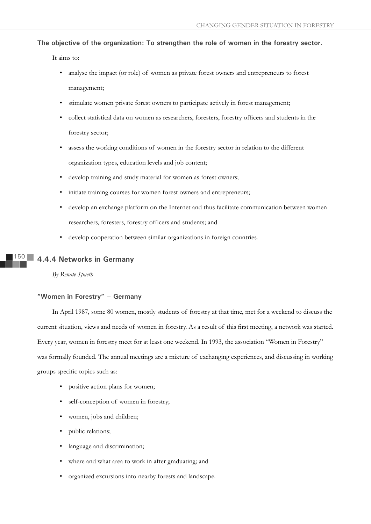**The objective of the organization: To strengthen the role of women in the forestry sector.**

It aims to:

- analyse the impact (or role) of women as private forest owners and entrepreneurs to forest management;
- stimulate women private forest owners to participate actively in forest management;
- collect statistical data on women as researchers, foresters, forestry officers and students in the forestry sector;
- assess the working conditions of women in the forestry sector in relation to the different organization types, education levels and job content;
- develop training and study material for women as forest owners;
- initiate training courses for women forest owners and entrepreneurs;
- develop an exchange platform on the Internet and thus facilitate communication between women researchers, foresters, forestry officers and students; and
- develop cooperation between similar organizations in foreign countries.

#### $5()$ **4.4.4 Networks in Germany**

*By Renate Spaeth*

# **"Women in Forestry" – Germany**

In April 1987, some 80 women, mostly students of forestry at that time, met for a weekend to discuss the current situation, views and needs of women in forestry. As a result of this first meeting, a network was started. Every year, women in forestry meet for at least one weekend. In 1993, the association "Women in Forestry" was formally founded. The annual meetings are a mixture of exchanging experiences, and discussing in working groups specific topics such as:

- positive action plans for women;
- self-conception of women in forestry;
- women, jobs and children;
- public relations;
- language and discrimination;
- where and what area to work in after graduating; and
- organized excursions into nearby forests and landscape.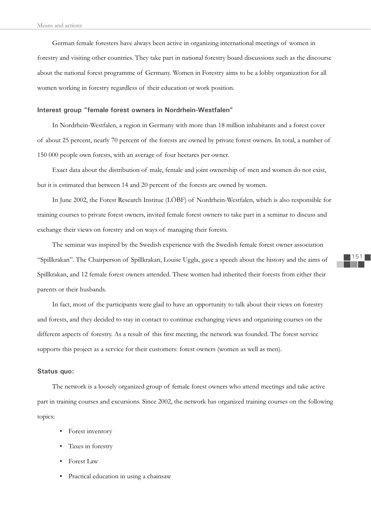German female foresters have always been active in organizing international meetings of women in forestry and visiting other countries. They take part in national forestry board discussions such as the discourse about the national forest programme of Germany. Women in Forestry aims to be a lobby organization for all women working in forestry regardless of their education or work position.

### **Interest group "female forest owners in Nordrhein-Westfalen"**

In Nordrhein-Westfalen, a region in Germany with more than 18 million inhabitants and a forest cover of about 25 percent, nearly 70 percent of the forests are owned by private forest owners. In total, a number of 150 000 people own forests, with an average of four hectares per owner.

Exact data about the distribution of male, female and joint ownership of men and women do not exist, but it is estimated that between 14 and 20 percent of the forests are owned by women.

In June 2002, the Forest Research Institue (LÖBF) of Nordrhein-Westfalen, which is also responsible for training courses to private forest owners, invited female forest owners to take part in a seminar to discuss and exchange their views on forestry and on ways of managing their forests.

The seminar was inspired by the Swedish experience with the Swedish female forest owner association "Spillkrakan". The Chairperson of Spillkrakan, Louise Uggla, gave a speech about the history and the aims of Spillkrakan, and 12 female forest owners attended. These women had inherited their forests from either their parents or their husbands.

In fact, most of the participants were glad to have an opportunity to talk about their views on forestry and forests, and they decided to stay in contact to continue exchanging views and organizing courses on the different aspects of forestry. As a result of this first meeting, the network was founded. The forest service supports this project as a service for their customers: forest owners (women as well as men).

# **Status quo:**

The network is a loosely organized group of female forest owners who attend meetings and take active part in training courses and excursions. Since 2002, the network has organized training courses on the following topics:

- Forest inventory
- Taxes in forestry
- Forest Law
- Practical education in using a chainsaw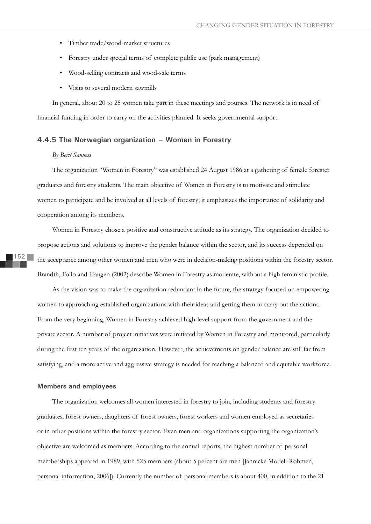- Timber trade/wood-market structures
- Forestry under special terms of complete public use (park management)
- Wood-selling contracts and wood-sale terms
- Visits to several modern sawmills

In general, about 20 to 25 women take part in these meetings and courses. The network is in need of financial funding in order to carry on the activities planned. It seeks governmental support.

# **4.4.5 The Norwegian organization – Women in Forestry**

#### *By Berit Sanness*

The organization "Women in Forestry" was established 24 August 1986 at a gathering of female forester graduates and forestry students. The main objective of Women in Forestry is to motivate and stimulate women to participate and be involved at all levels of forestry; it emphasizes the importance of solidarity and cooperation among its members*.*

Women in Forestry chose a positive and constructive attitude as its strategy. The organization decided to propose actions and solutions to improve the gender balance within the sector, and its success depended on the acceptance among other women and men who were in decision-making positions within the forestry sector. Brandth, Follo and Haugen (2002) describe Women in Forestry as moderate, without a high feministic profile.

As the vision was to make the organization redundant in the future, the strategy focused on empowering women to approaching established organizations with their ideas and getting them to carry out the actions. From the very beginning, Women in Forestry achieved high-level support from the government and the private sector. A number of project initiatives were initiated by Women in Forestry and monitored, particularly during the first ten years of the organization. However, the achievements on gender balance are still far from satisfying, and a more active and aggressive strategy is needed for reaching a balanced and equitable workforce.

## **Members and employees**

The organization welcomes all women interested in forestry to join, including students and forestry graduates, forest owners, daughters of forest owners, forest workers and women employed as secretaries or in other positions within the forestry sector. Even men and organizations supporting the organization's objective are welcomed as members. According to the annual reports, the highest number of personal memberships appeared in 1989, with 525 members (about 5 percent are men [Jannicke Modell-Røhmen, personal information, 2006]). Currently the number of personal members is about 400, in addition to the 21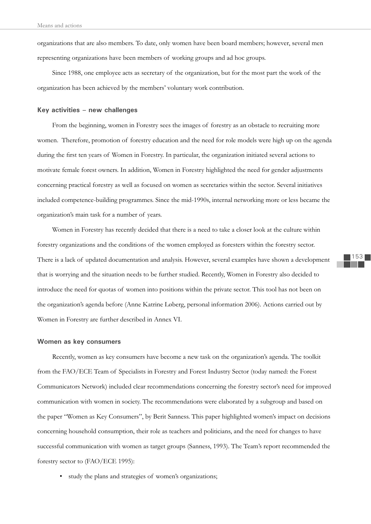organizations that are also members. To date, only women have been board members; however, several men representing organizations have been members of working groups and ad hoc groups.

Since 1988, one employee acts as secretary of the organization, but for the most part the work of the organization has been achieved by the members' voluntary work contribution.

# **Key activities – new challenges**

From the beginning, women in Forestry sees the images of forestry as an obstacle to recruiting more women. Therefore, promotion of forestry education and the need for role models were high up on the agenda during the first ten years of Women in Forestry. In particular, the organization initiated several actions to motivate female forest owners. In addition, Women in Forestry highlighted the need for gender adjustments concerning practical forestry as well as focused on women as secretaries within the sector. Several initiatives included competence-building programmes. Since the mid-1990s, internal networking more or less became the organization's main task for a number of years.

Women in Forestry has recently decided that there is a need to take a closer look at the culture within forestry organizations and the conditions of the women employed as foresters within the forestry sector. There is a lack of updated documentation and analysis. However, several examples have shown a development that is worrying and the situation needs to be further studied. Recently, Women in Forestry also decided to introduce the need for quotas of women into positions within the private sector. This tool has not been on the organization's agenda before (Anne Katrine Løberg, personal information 2006). Actions carried out by Women in Forestry are further described in Annex VI.

#### **Women as key consumers**

Recently, women as key consumers have become a new task on the organization's agenda. The toolkit from the FAO/ECE Team of Specialists in Forestry and Forest Industry Sector (today named: the Forest Communicators Network) included clear recommendations concerning the forestry sector's need for improved communication with women in society. The recommendations were elaborated by a subgroup and based on the paper "Women as Key Consumers", by Berit Sanness. This paper highlighted women's impact on decisions concerning household consumption, their role as teachers and politicians, and the need for changes to have successful communication with women as target groups (Sanness, 1993). The Team's report recommended the forestry sector to (FAO/ECE 1995):

• study the plans and strategies of women's organizations;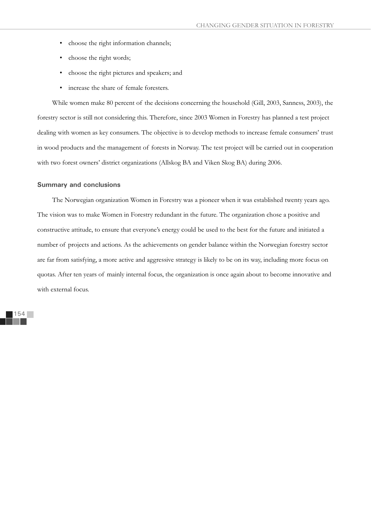- choose the right information channels;
- choose the right words;
- choose the right pictures and speakers; and
- increase the share of female foresters.

While women make 80 percent of the decisions concerning the household (Gill, 2003, Sanness, 2003), the forestry sector is still not considering this. Therefore, since 2003 Women in Forestry has planned a test project dealing with women as key consumers. The objective is to develop methods to increase female consumers' trust in wood products and the management of forests in Norway. The test project will be carried out in cooperation with two forest owners' district organizations (Allskog BA and Viken Skog BA) during 2006.

# **Summary and conclusions**

The Norwegian organization Women in Forestry was a pioneer when it was established twenty years ago. The vision was to make Women in Forestry redundant in the future. The organization chose a positive and constructive attitude, to ensure that everyone's energy could be used to the best for the future and initiated a number of projects and actions. As the achievements on gender balance within the Norwegian forestry sector are far from satisfying, a more active and aggressive strategy is likely to be on its way, including more focus on quotas. After ten years of mainly internal focus, the organization is once again about to become innovative and with external focus.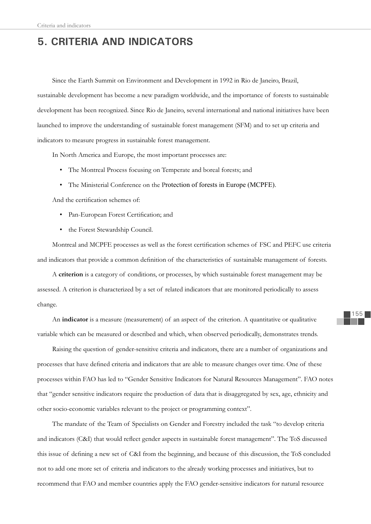# **5. CRITERIA AND INDICATORS**

Since the Earth Summit on Environment and Development in 1992 in Rio de Janeiro, Brazil, sustainable development has become a new paradigm worldwide, and the importance of forests to sustainable development has been recognized. Since Rio de Janeiro, several international and national initiatives have been launched to improve the understanding of sustainable forest management (SFM) and to set up criteria and indicators to measure progress in sustainable forest management.

In North America and Europe, the most important processes are:

- The Montreal Process focusing on Temperate and boreal forests; and
- The Ministerial Conference on the Protection of forests in Europe (MCPFE).

And the certification schemes of:

- Pan-European Forest Certification; and
- the Forest Stewardship Council.

Montreal and MCPFE processes as well as the forest certification schemes of FSC and PEFC use criteria and indicators that provide a common definition of the characteristics of sustainable management of forests.

A **criterion** is a category of conditions, or processes, by which sustainable forest management may be assessed. A criterion is characterized by a set of related indicators that are monitored periodically to assess change.

An **indicator** is a measure (measurement) of an aspect of the criterion. A quantitative or qualitative variable which can be measured or described and which, when observed periodically, demonstrates trends.

Raising the question of gender-sensitive criteria and indicators, there are a number of organizations and processes that have defined criteria and indicators that are able to measure changes over time. One of these processes within FAO has led to "Gender Sensitive Indicators for Natural Resources Management". FAO notes that "gender sensitive indicators require the production of data that is disaggregated by sex, age, ethnicity and other socio-economic variables relevant to the project or programming context".

The mandate of the Team of Specialists on Gender and Forestry included the task "to develop criteria and indicators (C&I) that would reflect gender aspects in sustainable forest management". The ToS discussed this issue of defining a new set of C&I from the beginning, and because of this discussion, the ToS concluded not to add one more set of criteria and indicators to the already working processes and initiatives, but to recommend that FAO and member countries apply the FAO gender-sensitive indicators for natural resource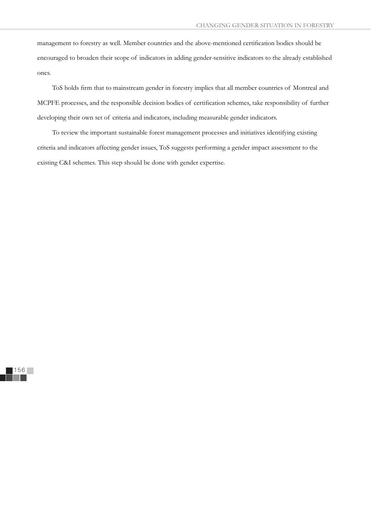management to forestry as well. Member countries and the above-mentioned certification bodies should be encouraged to broaden their scope of indicators in adding gender-sensitive indicators to the already established ones.

ToS holds firm that to mainstream gender in forestry implies that all member countries of Montreal and MCPFE processes, and the responsible decision bodies of certification schemes, take responsibility of further developing their own set of criteria and indicators, including measurable gender indicators.

To review the important sustainable forest management processes and initiatives identifying existing criteria and indicators affecting gender issues, ToS suggests performing a gender impact assessment to the existing C&I schemes. This step should be done with gender expertise.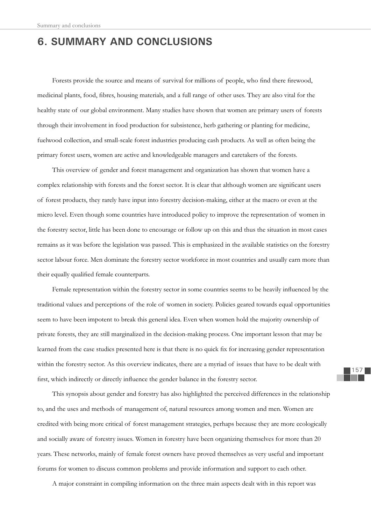# **6. SUMMARY AND CONCLUSIONS**

Forests provide the source and means of survival for millions of people, who find there firewood, medicinal plants, food, fibres, housing materials, and a full range of other uses. They are also vital for the healthy state of our global environment. Many studies have shown that women are primary users of forests through their involvement in food production for subsistence, herb gathering or planting for medicine, fuelwood collection, and small-scale forest industries producing cash products. As well as often being the primary forest users, women are active and knowledgeable managers and caretakers of the forests.

This overview of gender and forest management and organization has shown that women have a complex relationship with forests and the forest sector. It is clear that although women are significant users of forest products, they rarely have input into forestry decision-making, either at the macro or even at the micro level. Even though some countries have introduced policy to improve the representation of women in the forestry sector, little has been done to encourage or follow up on this and thus the situation in most cases remains as it was before the legislation was passed. This is emphasized in the available statistics on the forestry sector labour force. Men dominate the forestry sector workforce in most countries and usually earn more than their equally qualified female counterparts.

Female representation within the forestry sector in some countries seems to be heavily influenced by the traditional values and perceptions of the role of women in society. Policies geared towards equal opportunities seem to have been impotent to break this general idea. Even when women hold the majority ownership of private forests, they are still marginalized in the decision-making process. One important lesson that may be learned from the case studies presented here is that there is no quick fix for increasing gender representation within the forestry sector. As this overview indicates, there are a myriad of issues that have to be dealt with first, which indirectly or directly influence the gender balance in the forestry sector.

This synopsis about gender and forestry has also highlighted the perceived differences in the relationship to, and the uses and methods of management of, natural resources among women and men. Women are credited with being more critical of forest management strategies, perhaps because they are more ecologically and socially aware of forestry issues. Women in forestry have been organizing themselves for more than 20 years. These networks, mainly of female forest owners have proved themselves as very useful and important forums for women to discuss common problems and provide information and support to each other.

A major constraint in compiling information on the three main aspects dealt with in this report was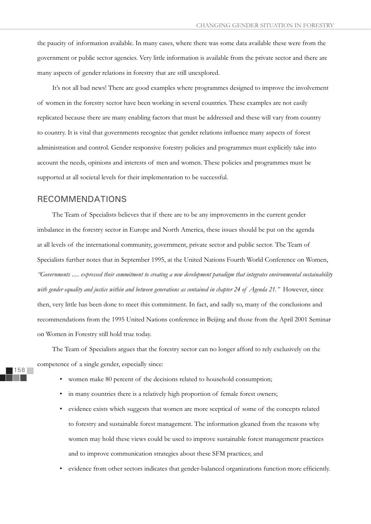the paucity of information available. In many cases, where there was some data available these were from the government or public sector agencies. Very little information is available from the private sector and there are many aspects of gender relations in forestry that are still unexplored.

It's not all bad news! There are good examples where programmes designed to improve the involvement of women in the forestry sector have been working in several countries. These examples are not easily replicated because there are many enabling factors that must be addressed and these will vary from country to country. It is vital that governments recognize that gender relations influence many aspects of forest administration and control. Gender responsive forestry policies and programmes must explicitly take into account the needs, opinions and interests of men and women. These policies and programmes must be supported at all societal levels for their implementation to be successful.

# RECOMMENDATIONS

The Team of Specialists believes that if there are to be any improvements in the current gender imbalance in the forestry sector in Europe and North America, these issues should be put on the agenda at all levels of the international community, government, private sector and public sector. The Team of Specialists further notes that in September 1995, at the United Nations Fourth World Conference on Women, *"Governments ..... expressed their commitment to creating a new development paradigm that integrates environmental sustainability with gender equality and justice within and between generations as contained in chapter 24 of Agenda 21."* However, since then, very little has been done to meet this commitment. In fact, and sadly so, many of the conclusions and recommendations from the 1995 United Nations conference in Beijing and those from the April 2001 Seminar on Women in Forestry still hold true today.

The Team of Specialists argues that the forestry sector can no longer afford to rely exclusively on the competence of a single gender, especially since:

- women make 80 percent of the decisions related to household consumption;
- in many countries there is a relatively high proportion of female forest owners;
- evidence exists which suggests that women are more sceptical of some of the concepts related to forestry and sustainable forest management. The information gleaned from the reasons why women may hold these views could be used to improve sustainable forest management practices and to improve communication strategies about these SFM practices; and
- evidence from other sectors indicates that gender-balanced organizations function more efficiently.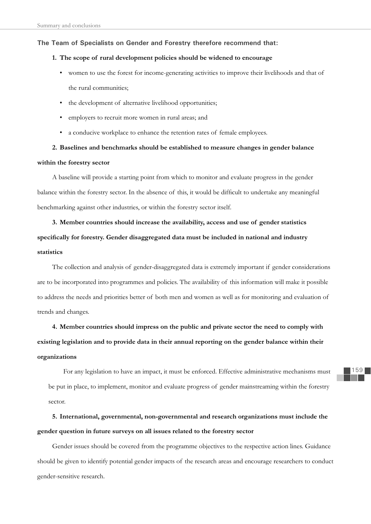# **The Team of Specialists on Gender and Forestry therefore recommend that:**

# **1. The scope of rural development policies should be widened to encourage**

- women to use the forest for income-generating activities to improve their livelihoods and that of the rural communities;
- the development of alternative livelihood opportunities;
- employers to recruit more women in rural areas; and
- a conducive workplace to enhance the retention rates of female employees.

# **2. Baselines and benchmarks should be established to measure changes in gender balance within the forestry sector**

A baseline will provide a starting point from which to monitor and evaluate progress in the gender balance within the forestry sector. In the absence of this, it would be difficult to undertake any meaningful benchmarking against other industries, or within the forestry sector itself.

# **3. Member countries should increase the availability, access and use of gender statistics specifi cally for forestry. Gender disaggregated data must be included in national and industry statistics**

The collection and analysis of gender-disaggregated data is extremely important if gender considerations are to be incorporated into programmes and policies. The availability of this information will make it possible to address the needs and priorities better of both men and women as well as for monitoring and evaluation of trends and changes.

# **4. Member countries should impress on the public and private sector the need to comply with existing legislation and to provide data in their annual reporting on the gender balance within their organizations**

For any legislation to have an impact, it must be enforced. Effective administrative mechanisms must be put in place, to implement, monitor and evaluate progress of gender mainstreaming within the forestry sector.

**5. International, governmental, non-governmental and research organizations must include the gender question in future surveys on all issues related to the forestry sector**

Gender issues should be covered from the programme objectives to the respective action lines. Guidance should be given to identify potential gender impacts of the research areas and encourage researchers to conduct gender-sensitive research.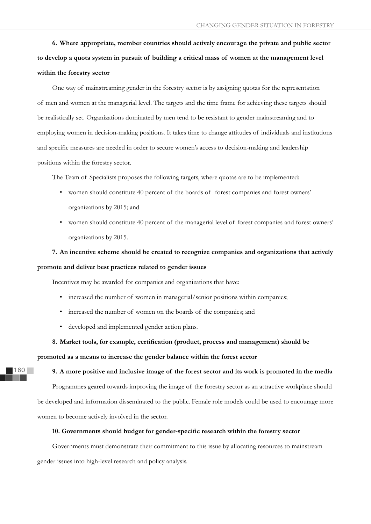**6. Where appropriate, member countries should actively encourage the private and public sector to develop a quota system in pursuit of building a critical mass of women at the management level within the forestry sector**

One way of mainstreaming gender in the forestry sector is by assigning quotas for the representation of men and women at the managerial level. The targets and the time frame for achieving these targets should be realistically set. Organizations dominated by men tend to be resistant to gender mainstreaming and to employing women in decision-making positions. It takes time to change attitudes of individuals and institutions and specific measures are needed in order to secure women's access to decision-making and leadership positions within the forestry sector.

The Team of Specialists proposes the following targets, where quotas are to be implemented:

- women should constitute 40 percent of the boards of forest companies and forest owners' organizations by 2015; and
- women should constitute 40 percent of the managerial level of forest companies and forest owners' organizations by 2015.

# **7. An incentive scheme should be created to recognize companies and organizations that actively promote and deliver best practices related to gender issues**

Incentives may be awarded for companies and organizations that have:

- increased the number of women in managerial/senior positions within companies;
- increased the number of women on the boards of the companies; and
- developed and implemented gender action plans.

160

# 8. Market tools, for example, certification (product, process and management) should be

**promoted as a means to increase the gender balance within the forest sector** 

### **9. A more positive and inclusive image of the forest sector and its work is promoted in the media**

Programmes geared towards improving the image of the forestry sector as an attractive workplace should be developed and information disseminated to the public. Female role models could be used to encourage more women to become actively involved in the sector.

# 10. Governments should budget for gender-specific research within the forestry sector

Governments must demonstrate their commitment to this issue by allocating resources to mainstream gender issues into high-level research and policy analysis.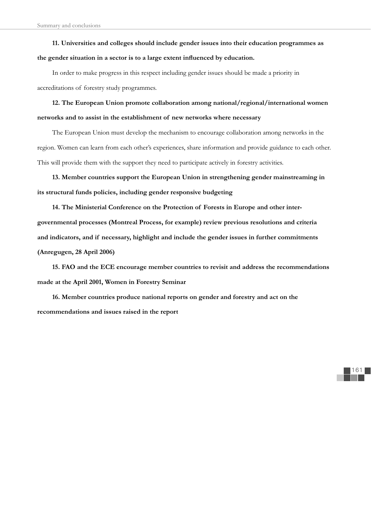**11. Universities and colleges should include gender issues into their education programmes as** 

# the gender situation in a sector is to a large extent influenced by education.

In order to make progress in this respect including gender issues should be made a priority in accreditations of forestry study programmes.

**12. The European Union promote collaboration among national/regional/international women networks and to assist in the establishment of new networks where necessary**

The European Union must develop the mechanism to encourage collaboration among networks in the region. Women can learn from each other's experiences, share information and provide guidance to each other. This will provide them with the support they need to participate actively in forestry activities.

**13. Member countries support the European Union in strengthening gender mainstreaming in its structural funds policies, including gender responsive budgeting**

**14. The Ministerial Conference on the Protection of Forests in Europe and other intergovernmental processes (Montreal Process, for example) review previous resolutions and criteria and indicators, and if necessary, highlight and include the gender issues in further commitments (Anregugen, 28 April 2006)**

**15. FAO and the ECE encourage member countries to revisit and address the recommendations made at the April 2001, Women in Forestry Seminar**

161

**16. Member countries produce national reports on gender and forestry and act on the recommendations and issues raised in the report**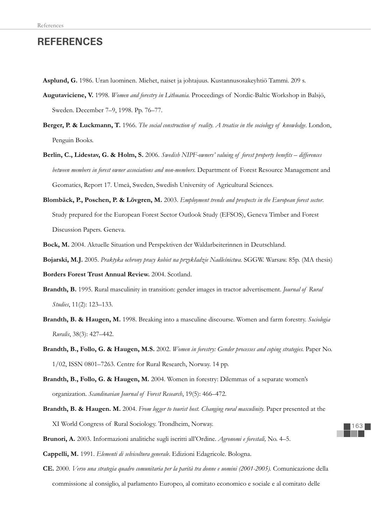# **REFERENCES**

- **Asplund, G.** 1986. Uran luominen. Miehet, naiset ja johtajuus. Kustannusosakeyhtiö Tammi. 209 s.
- **Augutaviciene, V.** 1998. *Women and forestry in Lithuania.* Proceedings of Nordic-Baltic Workshop in Balsjö, Sweden. December 7–9, 1998. Pp. 76–77.
- **Berger, P. & Luckmann, T.** 1966. *The social construction of reality. A treatise in the sociology of knowledge*. London, Penguin Books.
- Berlin, C., Lidestav, G. & Holm, S. 2006. *Swedish NIPF-owners' valuing of forest property benefits differences between members in forest owner associations and non-members.* Department of Forest Resource Management and Geomatics, Report 17. Umeå, Sweden, Swedish University of Agricultural Sciences.
- **Blombäck, P., Poschen, P. & Lövgren, M.** 2003. *Employment trends and prospects in the European forest sector*. Study prepared for the European Forest Sector Outlook Study (EFSOS), Geneva Timber and Forest Discussion Papers. Geneva.
- **Bock, M.** 2004. Aktuelle Situation und Perspektiven der Waldarbeiterinnen in Deutschland.
- **Bojarski, M.J.** 2005. *Praktyka ochrony pracy kobiet na przykâadzie Nadleœnictwa*. SGGW. Warsaw. 85p. (MA thesis)
- **Borders Forest Trust Annual Review.** 2004. Scotland.
- **Brandth, B.** 1995. Rural masculinity in transition: gender images in tractor advertisement. *Journal of Rural Studies*, 11(2): 123–133.
- **Brandth, B. & Haugen, M.** 1998. Breaking into a masculine discourse. Women and farm forestry. *Sociologia Ruralis*, 38(3): 427–442.
- **Brandth, B., Follo, G. & Haugen, M.S.** 2002. *Women in forestry: Gender processes and coping strategies.* Paper No. 1/02, ISSN 0801–7263. Centre for Rural Research, Norway. 14 pp.
- **Brandth, B., Follo, G. & Haugen, M.** 2004. Women in forestry: Dilemmas of a separate women's organization. *Scandinavian Journal of Forest Research*, 19(5): 466–472.
- **Brandth, B. & Haugen. M.** 2004. *From logger to tourist host. Changing rural masculinity.* Paper presented at the XI World Congress of Rural Sociology. Trondheim, Norway.
- **Brunori, A.** 2003. Informazioni analitiche sugli iscritti all'Ordine. *Agronomi e forestali,* No. 4–5.
- **Cappelli, M.** 1991. *Elementi di selvicoltura generale*. Edizioni Edagricole. Bologna.
- **CE.** 2000. *Verso una strategia quadro comunitaria per la parità tra donne e uomini (2001-2005).* Comunicazione della commissione al consiglio, al parlamento Europeo, al comitato economico e sociale e al comitato delle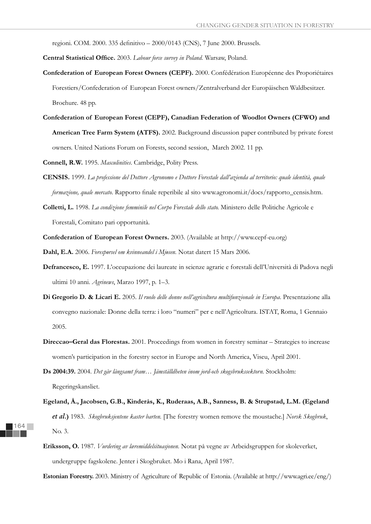regioni. COM. 2000. 335 definitivo – 2000/0143 (CNS), 7 June 2000. Brussels.

Central Statistical Office. 2003. *Labour force survey in Poland*. Warsaw, Poland.

- **Confederation of European Forest Owners (CEPF).** 2000. Confédération Européenne des Proporiétaires Forestiers/Confederation of European Forest owners/Zentralverband der Europäischen Waldbesitzer. Brochure. 48 pp.
- **Confederation of European Forest (CEPF), Canadian Federation of Woodlot Owners (CFWO) and American Tree Farm System (ATFS).** 2002. Background discussion paper contributed by private forest owners. United Nations Forum on Forests, second session, March 2002. 11 pp.
- **Connell, R.W.** 1995. *Masculinities*. Cambridge, Polity Press.
- **CENSIS.** 1999. *La professione del Dottore Agronomo e Dottore Forestale dall'azienda al territorio: quale identità, quale formazione, quale mercato*. Rapporto finale reperibile al sito www.agronomi.it/docs/rapporto\_censis.htm.
- **Colletti, L.** 1998. *La condizione femminile nel Corpo Forestale dello stato.* Ministero delle Politiche Agricole e Forestali, Comitato pari opportunità.
- **Confederation of European Forest Owners.** 2003. (Available at http://www.cepf-eu.org)

**Dahl, E.A.** 2006. *Forespørsel om kvinneandel i Mjøsen.* Notat datert 15 Mars 2006.

- **Defrancesco, E.** 1997. L'occupazione dei laureate in scienze agrarie e forestali dell'Università di Padova negli ultimi 10 anni. *Agrinews*, Marzo 1997, p. 1–3.
- **Di Gregorio D. & Licari E.** 2005. *Il ruolo delle donne nell'agricoltura multifunzionale in Europa*. Presentazione alla convegno nazionale: Donne della terra: i loro "numeri" per e nell'Agricoltura. ISTAT, Roma, 1 Gennaio 2005.
- **Direccao–Geral das Florestas.** 2001. Proceedings from women in forestry seminar Strategies to increase women's participation in the forestry sector in Europe and North America, Viseu, April 2001.
- **Ds 2004:39.** 2004. *Det går långsamt fram… Jämställdheten inom jord-och skogsbrukssektorn.* Stockholm: Regeringskansliet.
- **Egeland, Å., Jacobsen, G.B., Kinderås, K., Ruderaas, A.B., Sanness, B. & Strupstad, L.M. (Egeland**  et al.**)** 1983. *Skogbruksjentene kaster barten.* [The forestry women remove the moustache.] *Norsk Skogbruk*, No. 3.
- **Eriksson, O.** 1987. *Vurdering av læremiddelsituasjonen.* Notat på vegne av Arbeidsgruppen for skoleverket, undergruppe fagskolene. Jenter i Skogbruket. Mo i Rana, April 1987.

**Estonian Forestry.** 2003. Ministry of Agriculture of Republic of Estonia. (Available at http://www.agri.ee/eng/)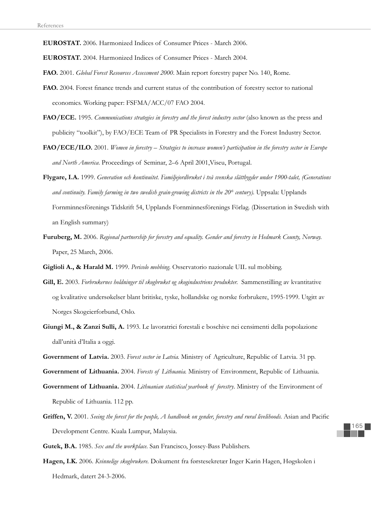**EUROSTAT.** 2006. Harmonized Indices of Consumer Prices - March 2006.

**EUROSTAT.** 2004. Harmonized Indices of Consumer Prices - March 2004.

**FAO.** 2001. *Global Forest Resources Assessment 2000*. Main report forestry paper No. 140, Rome.

- FAO. 2004. Forest finance trends and current status of the contribution of forestry sector to national economics. Working paper: FSFMA/ACC/07 FAO 2004.
- **FAO/ECE.** 1995. *Communications strategies in forestry and the forest industry sector* (also known as the press and publicity "toolkit"), by FAO/ECE Team of PR Specialists in Forestry and the Forest Industry Sector.
- **FAO/ECE/ILO.** 2001. *Women in forestry Strategies to increase women's participation in the forestry sector in Europe and North America*. Proceedings of Seminar, 2–6 April 2001,Viseu, Portugal.
- **Flygare, I.A.** 1999. *Generation och kontinuitet. Familjejordbruket i två svenska slättbygder under 1900-talet, (Generations and continuity. Family farming in two swedish grain-growing districts in the 20th century).* Uppsala: Upplands Fornminnesförenings Tidskrift 54, Upplands Fornminnesförenings Förlag. (Dissertation in Swedish with an English summary)
- **Furuberg, M.** 2006. *Regional partnership for forestry and equality. Gender and forestry in Hedmark County, Norway.* Paper, 25 March, 2006.
- **Giglioli A., & Harald M.** 1999. *Pericolo mobbing*. Osservatorio nazionale UIL sul mobbing.
- **Gill, E.** 2003. *Forbrukernes holdninger til skogbruket og skogindustriens produkter.* Sammenstilling av kvantitative og kvalitative undersøkelser blant britiske, tyske, hollandske og norske forbrukere, 1995-1999. Utgitt av Norges Skogeierforbund, Oslo.
- **Giungi M., & Zanzi Sulli, A.** 1993. Le lavoratrici forestali e boschive nei censimenti della popolazione dall'unità d'Italia a oggi.
- **Government of Latvia.** 2003. *Forest sector in Latvia.* Ministry of Agriculture, Republic of Latvia. 31 pp.

**Government of Lithuania.** 2004. *Forests of Lithuania.* Ministry of Environment, Republic of Lithuania.

- **Government of Lithuania.** 2004. *Lithuanian statistical yearbook of forestry*. Ministry of the Environment of Republic of Lithuania. 112 pp.
- Griffen, V. 2001. *Seeing the forest for the people, A handbook on gender, forestry and rural livelihoods.* Asian and Pacific Development Centre. Kuala Lumpur, Malaysia.
- **Gutek, B.A.** 1985. *Sex and the workplace*. San Francisco, Jossey-Bass Publishers.
- **Hagen, I.K.** 2006. *Kvinnelige skogbrukere.* Dokument fra førstesekretær Inger Karin Hagen, Høgskolen i Hedmark, datert 24-3-2006.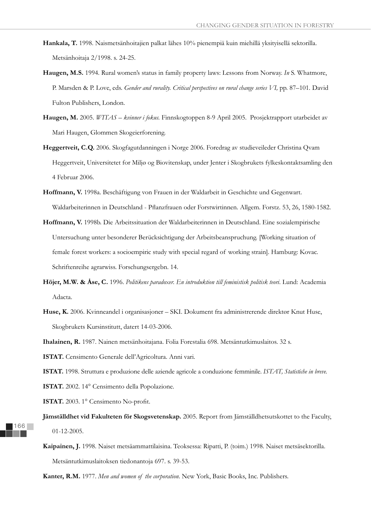- **Hankala, T.** 1998. Naismetsänhoitajien palkat lähes 10% pienempiä kuin miehillä yksityisellä sektorilla. Metsänhoitaja 2/1998. s. 24-25.
- **Haugen, M.S.** 1994. Rural women's status in family property laws: Lessons from Norway. *In* S. Whatmore, P. Marsden & P. Love, eds. *Gender and rurality. Critical perspectives on rural change series VI*, pp. 87–101. David Fulton Publishers, London.
- **Haugen, M.** 2005. *WITAS kvinner i fokus.* Finnskogtoppen 8-9 April 2005. Prosjektrapport utarbeidet av Mari Haugen, Glommen Skogeierforening.
- **Heggertveit, C.Q.** 2006. Skogfagutdanningen i Norge 2006. Foredrag av studieveileder Christina Qvam Heggertveit, Universitetet for Miljø og Biovitenskap, under Jenter i Skogbrukets fylkeskontaktsamling den 4 Februar 2006.
- **Hoffmann, V.** 1998a. Beschäftigung von Frauen in der Waldarbeit in Geschichte und Gegenwart. Waldarbeiterinnen in Deutschland - Pflanzfrauen oder Forstwirtinnen. Allgem. Forstz. 53, 26, 1580-1582.
- **Hoffmann, V.** 1998b. Die Arbeitssituation der Waldarbeiterinnen in Deutschland. Eine sozialempirische Untersuchung unter besonderer Berücksichtigung der Arbeitsbeanspruchung. [Working situation of female forest workers: a socioempiric study with special regard of working strain]. Hamburg: Kovac. Schriftenreihe agrarwiss. Forschungsergebn. 14.
- **Höjer, M.W. & Åse, C.** 1996. *Politikens paradoxer. En introduktion till feministisk politisk teori*. Lund: Academia Adacta.
- **Huse, K.** 2006. Kvinneandel i organisasjoner SKI. Dokument fra administrerende direktør Knut Huse, Skogbrukets Kursinstitutt, datert 14-03-2006.

**Ihalainen, R.** 1987. Nainen metsänhoitajana. Folia Forestalia 698. Metsäntutkimuslaitos. 32 s.

**ISTAT.** Censimento Generale dell'Agricoltura. Anni vari.

**ISTAT.** 1998. Struttura e produzione delle aziende agricole a conduzione femminile. *ISTAT, Statistiche in breve.*

**ISTAT.** 2002. 14° Censimento della Popolazione.

**ISTAT.** 2003. 1° Censimento No-profit.

- **Jämställdhet vid Fakulteten för Skogsvetenskap.** 2005. Report from Jämställdhetsutskottet to the Faculty, 01-12-2005.
- **Kaipainen, J.** 1998. Naiset metsäammattilaisina. Teoksessa: Ripatti, P. (toim.) 1998. Naiset metsäsektorilla. Metsäntutkimuslaitoksen tiedonantoja 697. s. 39-53.

**Kanter, R.M.** 1977. *Men and women of the corporation*. New York, Basic Books, Inc. Publishers.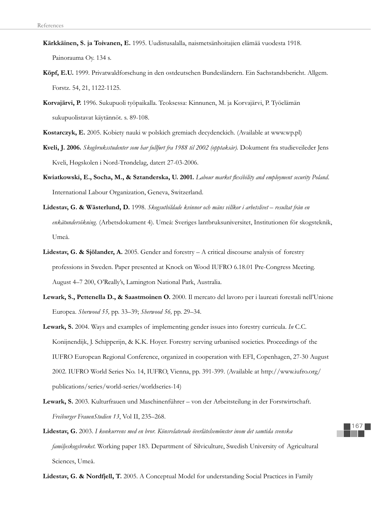- **Kärkkäinen, S. ja Toivanen, E.** 1995. Uudistusalalla, naismetsänhoitajien elämää vuodesta 1918. Painorauma Oy. 134 s.
- **Köpf, E.U.** 1999. Privatwaldforschung in den ostdeutschen Bundesländern. Ein Sachstandsbericht. Allgem. Forstz. 54, 21, 1122-1125.
- **Korvajärvi, P.** 1996. Sukupuoli työpaikalla. Teoksessa: Kinnunen, M. ja Korvajärvi, P. Työelämän sukupuolistavat käytännöt. s. 89-108.
- **Kostarczyk, E.** 2005. Kobiety nauki w polskich gremiach decydenckich. (Available at www.wp.pl)
- **Kveli, J. 2006.** *Skogbruksstudenter som har fullført fra 1988 til 2002 (opptaksår).* Dokument fra studieveileder Jens Kveli, Høgskolen i Nord-Trøndelag, datert 27-03-2006.
- Kwiatkowski, E., Socha, M., & Sztanderska, U. 2001. *Labour market flexibility and employment security Poland*. International Labour Organization, Geneva, Switzerland.
- **Lidestav, G. & Wästerlund, D.** 1998. *Skogsutbildade kvinnor och mäns villkor i arbetslivet resultat från en enkätundersökning.* (Arbetsdokument 4). Umeå: Sveriges lantbruksuniversitet, Institutionen för skogsteknik, Umeå.
- **Lidestav, G. & Sjölander, A.** 2005. Gender and forestry A critical discourse analysis of forestry professions in Sweden. Paper presented at Knock on Wood IUFRO 6.18.01 Pre-Congress Meeting. August 4–7 200, O'Really's, Lamington National Park, Australia.
- **Lewark, S., Pettenella D., & Saastmoinen O.** 2000. Il mercato del lavoro per i laureati forestali nell'Unione Europea. *Sherwood 55,* pp. 33–39; *Sherwood 56,* pp. 29–34.
- **Lewark, S.** 2004. Ways and examples of implementing gender issues into forestry curricula. *In* C.C. Konijnendijk, J. Schipperijn, & K.K. Hoyer. Forestry serving urbanised societies. Proceedings of the IUFRO European Regional Conference, organized in cooperation with EFI, Copenhagen, 27-30 August 2002. IUFRO World Series No. 14, IUFRO, Vienna, pp. 391-399. (Available at http://www.iufro.org/ publications/series/world-series/worldseries-14)
- **Lewark, S.** 2003. Kulturfrauen und Maschinenführer von der Arbeitsteilung in der Forstwirtschaft. *Freiburger FrauenStudien 13*, Vol II, 235–268.
- **Lidestav, G.** 2003. *I konkurrens med en bror. Könsrelaterade överlåtelsemönster inom det samtida svenska familjeskogsbruket.* Working paper 183. Department of Silviculture, Swedish University of Agricultural Sciences, Umeå.

**Lidestav, G. & Nordfjell, T.** 2005. A Conceptual Model for understanding Social Practices in Family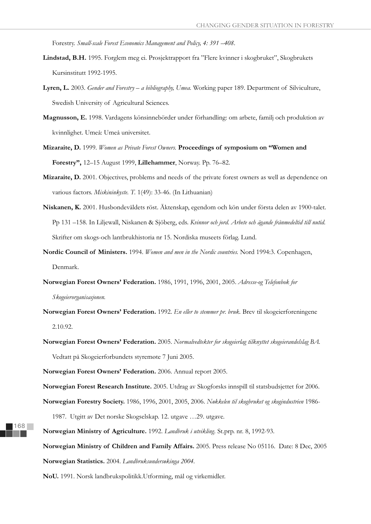Forestry. *Small-scale Forest Economics Management and Policy, 4: 391 –408*.

- **Lindstad, B.H.** 1995. Forglem meg ei. Prosjektrapport fra "Flere kvinner i skogbruket", Skogbrukets Kursinstitutt 1992-1995.
- **Lyren, L.** 2003. *Gender and Forestry a bibliography, Umea.* Working paper 189. Department of Silviculture, Swedish University of Agricultural Sciences.
- **Magnusson, E.** 1998. Vardagens könsinnebörder under förhandling: om arbete, familj och produktion av kvinnlighet. Umeå: Umeå universitet.
- **Mizaraite, D.** 1999. *Women as Private Forest Owners.* **Proceedings of symposium on "Women and Forestry",** 12–15 August 1999, **Lillehammer**, Norway. Pp. 76–82.
- **Mizaraite, D.** 2001. Objectives, problems and needs of the private forest owners as well as dependence on various factors. *Miskininkyste. T.* 1(49): 33-46. (In Lithuanian)
- **Niskanen, K.** 2001. Husbondeväldets röst. Äktenskap, egendom och kön under första delen av 1900-talet. Pp 131 –158. In Liljewall, Niskanen & Sjöberg, eds. *Kvinnor och jord. Arbete och ägande frånmedeltid till nutid.* Skrifter om skogs-och lantbrukhistoria nr 15. Nordiska museets förlag. Lund.
- **Nordic Council of Ministers.** 1994. *Women and men in the Nordic countries.* Nord 1994:3. Copenhagen, Denmark.
- **Norwegian Forest Owners' Federation.** 1986, 1991, 1996, 2001, 2005. *Adresse-og Telefonbok for Skogeierorganisasjonen.*
- **Norwegian Forest Owners' Federation.** 1992. *En eller to stemmer pr. bruk.* Brev til skogeierforeningene 2.10.92.
- **Norwegian Forest Owners' Federation.** 2005. *Normalvedtekter for skogeierlag tilknyttet skogeierandelslag BA.* Vedtatt på Skogeierforbundets styremøte 7 Juni 2005.

**Norwegian Forest Owners' Federation.** 2006. Annual report 2005.

**Norwegian Forest Research Institute.** 2005. Utdrag av Skogforsks innspill til statsbudsjettet for 2006.

**Norwegian Forestry Society.** 1986, 1996, 2001, 2005, 2006. *Nøkkelen til skogbruket og skogindustrien* 1986-

1987. Utgitt av Det norske Skogselskap. 12. utgave …29. utgave.

**Norwegian Ministry of Agriculture.** 1992. *Landbruk i utvikling.* St.prp. nr. 8, 1992-93. **Norwegian Ministry of Children and Family Affairs.** 2005. Press release No 05116. Date: 8 Dec, 2005 **Norwegian Statistics.** 2004. *Landbruksundersøkinga 2004.*

**NoU.** 1991. Norsk landbrukspolitikk.Utforming, mål og virkemidler.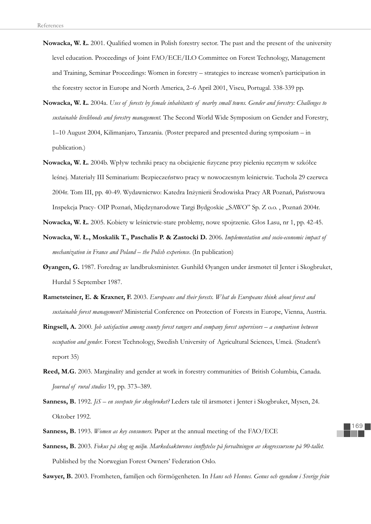- **Nowacka, W. Ł. 2001.** Qualified women in Polish forestry sector. The past and the present of the university level education. Proceedings of Joint FAO/ECE/ILO Committee on Forest Technology, Management and Training, Seminar Proceedings: Women in forestry – strategies to increase women's participation in the forestry sector in Europe and North America, 2–6 April 2001, Viseu, Portugal. 338-339 pp.
- **Nowacka, W. á.** 2004a. *Uses of forests by female inhabitants of nearby small towns. Gender and forestry: Challenges to sustainable livelihoods and forestry management.* The Second World Wide Symposium on Gender and Forestry, 1–10 August 2004, Kilimanjaro, Tanzania. (Poster prepared and presented during symposium – in publication.)
- **Nowacka, W. Ł. 2004b.** Wpływ techniki pracy na obciążenie fizyczne przy pieleniu ręcznym w szkółce leśnej. Materiały III Seminarium: Bezpieczeństwo pracy w nowoczesnym leśnictwie. Tuchola 29 czerwca 2004r. Tom III, pp. 40-49. Wydawnictwo: Katedra Inůynierii Œrodowiska Pracy AR Poznaľ, Paľstwowa Inspekcja Pracy- OIP Poznań, Międzynarodowe Targi Bydgoskie "SAWO" Sp. Z o.o., Poznań 2004r.
- **Nowacka, W. Ł. 2005.** Kobiety w leśnictwie-stare problemy, nowe spojrzenie. Głos Lasu, nr 1, pp. 42-45.
- **Nowacka, W. á., Moskalik T., Paschalis P. & Zastocki D.** 2006. *Implementation and socio-economic impact of mechanization in France and Poland – the Polish experience*. (In publication)
- **Øyangen, G.** 1987. Foredrag av landbruksminister. Gunhild Øyangen under årsmøtet til Jenter i Skogbruket, Hurdal 5 September 1987.
- **Rametsteiner, E. & Kraxner, F.** 2003. *Europeans and their forests. What do Europeans think about forest and sustainable forest management?* Ministerial Conference on Protection of Forests in Europe, Vienna, Austria.
- **Ringsell, A.** 2000. *Job satisfaction among county forest rangers and company forest supervisors a comparison between occupation and gender.* Forest Technology, Swedish University of Agricultural Sciences, Umeå. (Student's report 35)
- **Reed, M.G.** 2003. Marginality and gender at work in forestry communities of British Columbia, Canada. *Journal of rural studies* 19, pp. 373–389.
- **Sanness, B.** 1992. *JiS en sovepute for skogbruket?* Leders tale til årsmøtet i Jenter i Skogbruket, Mysen, 24. Oktober 1992.
- **Sanness, B.** 1993. *Women as key consumers.* Paper at the annual meeting of the FAO/ECE
- Sanness, B. 2003. *Fokus på skog og miljø. Markedsaktørenes innflytelse på forvaltningen av skogressursene på 90-tallet.* Published by the Norwegian Forest Owners' Federation Oslo.

**Sawyer, B.** 2003. Fromheten, familjen och förmögenheten. In *Hans och Hennes. Genus och egendom i Sverige från*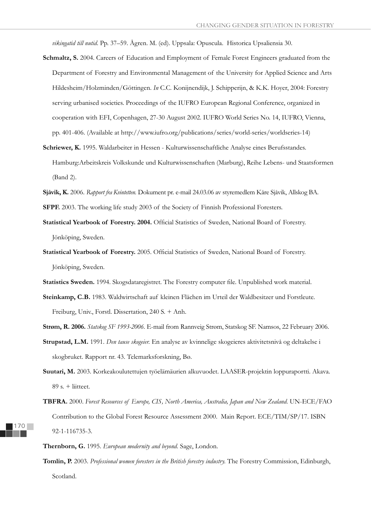*vikingatid till nutid*. Pp. 37–59. Ågren. M. (ed). Uppsala: Opuscula. Historica Upsaliensia 30.

- Schmaltz, S. 2004. Careers of Education and Employment of Female Forest Engineers graduated from the Department of Forestry and Environmental Management of the University for Applied Science and Arts Hildesheim/Holzminden/Göttingen. *In* C.C. Konijnendijk, J. Schipperijn, & K.K. Hoyer, 2004: Forestry serving urbanised societies. Proceedings of the IUFRO European Regional Conference, organized in cooperation with EFI, Copenhagen, 27-30 August 2002. IUFRO World Series No. 14, IUFRO, Vienna, pp. 401-406. (Available at http://www.iufro.org/publications/series/world-series/worldseries-14)
- **Schriewer, K.** 1995. Waldarbeiter in Hessen Kulturwissenschaftliche Analyse eines Berufsstandes. Hamburg:Arbeitskreis Volkskunde und Kulturwissenschaften (Marburg), Reihe Lebens- und Staatsformen (Band 2).
- **Sjåvik, K.** 2006. *Rapport fra Kvintetten.* Dokument pr. e-mail 24.03.06 av styremedlem Kåre Sjåvik, Allskog BA.

**SFPF.** 2003. The working life study 2003 of the Society of Finnish Professional Foresters.

- Statistical Yearbook of Forestry. 2004. Official Statistics of Sweden, National Board of Forestry. Jönköping, Sweden.
- **Statistical Yearbook of Forestry.** 2005. Official Statistics of Sweden, National Board of Forestry. Jönköping, Sweden.
- Statistics Sweden. 1994. Skogsdataregistret. The Forestry computer file. Unpublished work material.
- **Steinkamp, C.B.** 1983. Waldwirtschaft auf kleinen Flächen im Urteil der Waldbesitzer und Forstleute. Freiburg, Univ., Forstl. Dissertation, 240 S. + Anh.
- **Strøm, R. 2006.** *Statskog SF 1993-2006.* E-mail from Rannveig Strøm, Statskog SF. Namsos, 22 February 2006.
- **Strupstad, L.M.** 1991. *Den tause skogeier.* En analyse av kvinnelige skogeieres aktivitetsnivå og deltakelse i skogbruket. Rapport nr. 43. Telemarksforskning, Bø.
- **Suutari, M.** 2003. Korkeakoulutettujen työelämäurien alkuvuodet. LAASER-projektin loppuraportti. Akava. 89 s. + liitteet.
- **TBFRA.** 2000. *Forest Resources of Europe, CIS, North America, Australia, Japan and New Zealand.* UN-ECE/FAO Contribution to the Global Forest Resource Assessment 2000. Main Report. ECE/TIM/SP/17. ISBN 92-1-116735-3.
- **Thernborn, G.** 1995. *European modernity and beyond.* Sage, London.
- **Tomlin, P.** 2003. *Professional women foresters in the British forestry industry.* The Forestry Commission, Edinburgh, Scotland.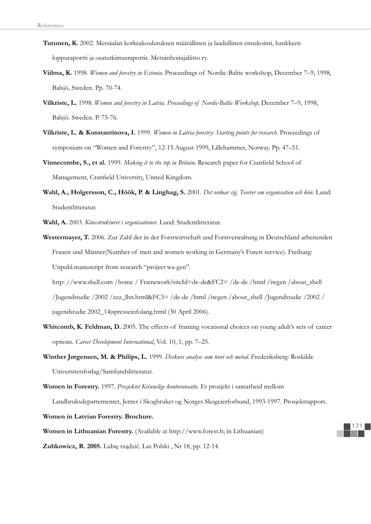- **Turunen, K.** 2002. Metsäalan korkeakoulutuksen määrällinen ja laadullinen ennakointi, hankkeen loppuraportti ja osatutkimusraportit. Metsänhoitajaliitto ry.
- **Viilma, K.** 1998. *Women and forestry in Estonia.* Proceedings of Nordic-Baltic workshop, December 7–9, 1998, Balsjö, Sweden. Pp. 70-74.
- **Vilkriste, L.** 1998. *Women and forestry in Latvia. Proceedings of Nordic-Baltic Workshop,* December 7–9, 1998, Balsjö. Sweden. P. 75-76.
- **Vilkriste, L. & Konstantinova, I.** 1999. *Women in Latvia forestry: Starting points for research.* Proceedings of symposium on "Women and Forestry", 12-15 August 1999, Lillehammer, Norway. Pp. 47–51.
- **Vinnecombe, S., et al.** 1999. *Making it to the top in Britain*. Research paper for Cranfield School of Management, Cranfield University, United Kingdom.
- **Wahl, A., Holgersson, C., Höök, P. & Linghag, S.** 2001. *Det ordnar sig. Teorier om organisation och kön.* Lund: Studentlitteratur.
- **Wahl, A.** 2003. *Könsstrukturer i organisationer.* Lund: Studentlitteratur.
- **Westermayer, T.** 2006. Zur Zahl der in der Forstwirtschaft und Forstverwaltung in Deutschland arbeitenden Frauen und Männer(Number of men and women working in Germany's Forest service). Freiburg: Unpubl.manuscript from research "project wa-gen".

 http: //www.shell.com /home / Framework?siteId=de-de&FC2= /de-de /html /iwgen /about\_shell /Jugendstudie /2002 /zzz\_lhn.html&FC3= /de-de /html /iwgen /about\_shell /Jugendstudie /2002 / jugendstudie 2002\_14jspresseinfolang.html (30 April 2006).

- Whitcomb, K. Feldman, D. 2005. The effects of framing vocational choices on young adult's sets of career options*. Career Development International*, Vol. 10, 1, pp. 7–25.
- **Winther Jørgensen, M. & Philips, L.** 1999. *Diskurs analyse som teori och metod.* Frederiksberg: Roskilde Universitetsforlag/Samfundslitteratur.

**Women in Forestry.** 1997. *Prosjektet Kvinnelige kontoransatte.* Et prosjekt i samarbeid mellom

Landbruksdepartementet, Jenter i Skogbruket og Norges Skogeierforbund, 1993 -1997. Prosjektrapport.

**Women in Latvian Forestry. Brochure.**

**Women in Lithuanian Forestry.** (Available at http://www.forest.lt; in Lithuanian)

**Zubkowicz, R. 2005.** Lubię rządzić. Las Polski, Nr 18, pp. 12-14.

171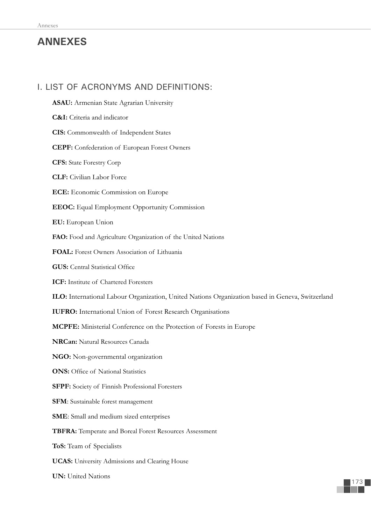# **ANNEXES**

# I. LIST OF ACRONYMS AND DEFINITIONS:

- **ASAU:** Armenian State Agrarian University
- **C&I:** Criteria and indicator
- **CIS:** Commonwealth of Independent States
- **CEPF:** Confederation of European Forest Owners
- **CFS:** State Forestry Corp
- **CLF:** Civilian Labor Force
- **ECE:** Economic Commission on Europe
- **EEOC:** Equal Employment Opportunity Commission
- **EU:** European Union
- **FAO:** Food and Agriculture Organization of the United Nations
- **FOAL:** Forest Owners Association of Lithuania
- **GUS:** Central Statistical Office
- **ICF:** Institute of Chartered Foresters
- **ILO:** International Labour Organization, United Nations Organization based in Geneva, Switzerland
- **IUFRO:** International Union of Forest Research Organisations
- **MCPFE:** Ministerial Conference on the Protection of Forests in Europe
- **NRCan:** Natural Resources Canada
- **NGO:** Non-governmental organization
- **ONS:** Office of National Statistics
- **SFPF:** Society of Finnish Professional Foresters
- **SFM**: Sustainable forest management
- **SME**: Small and medium sized enterprises
- **TBFRA:** Temperate and Boreal Forest Resources Assessment
- **ToS:** Team of Specialists
- **UCAS:** University Admissions and Clearing House
- **UN:** United Nations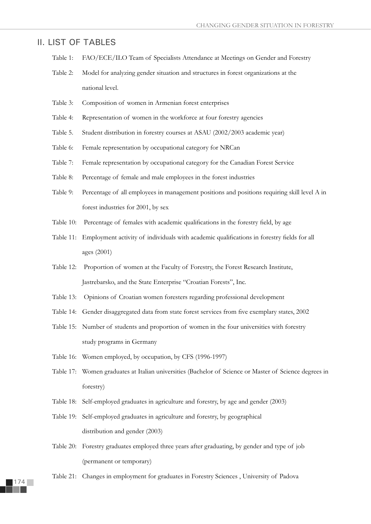# II. LIST OF TABLES

- Table 1: FAO/ECE/ILO Team of Specialists Attendance at Meetings on Gender and Forestry
- Table 2: Model for analyzing gender situation and structures in forest organizations at the national level.
- Table 3: Composition of women in Armenian forest enterprises
- Table 4: Representation of women in the workforce at four forestry agencies
- Table 5. Student distribution in forestry courses at ASAU (2002/2003 academic year)
- Table 6: Female representation by occupational category for NRCan
- Table 7: Female representation by occupational category for the Canadian Forest Service
- Table 8: Percentage of female and male employees in the forest industries
- Table 9: Percentage of all employees in management positions and positions requiring skill level A in forest industries for 2001, by sex
- Table 10: Percentage of females with academic qualifications in the forestry field, by age
- Table 11: Employment activity of individuals with academic qualifications in forestry fields for all ages (2001)
- Table 12: Proportion of women at the Faculty of Forestry, the Forest Research Institute, Jastrebarsko, and the State Enterprise "Croatian Forests", Inc.
- Table 13: Opinions of Croatian women foresters regarding professional development
- Table 14: Gender disaggregated data from state forest services from five exemplary states, 2002
- Table 15: Number of students and proportion of women in the four universities with forestry study programs in Germany
- Table 16: Women employed, by occupation, by CFS (1996-1997)
- Table 17: Women graduates at Italian universities (Bachelor of Science or Master of Science degrees in forestry)
- Table 18: Self-employed graduates in agriculture and forestry, by age and gender (2003)
- Table 19: Self-employed graduates in agriculture and forestry, by geographical distribution and gender (2003)
- Table 20: Forestry graduates employed three years after graduating, by gender and type of job (permanent or temporary)
- Table 21: Changes in employment for graduates in Forestry Sciences , University of Padova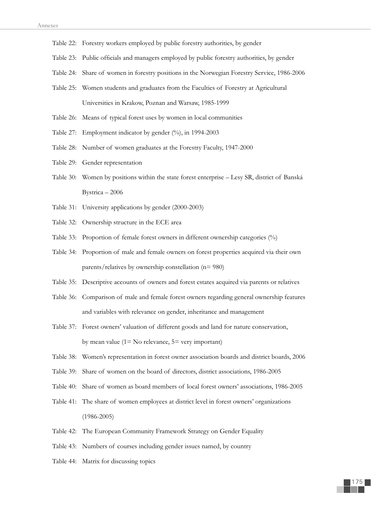- Table 22: Forestry workers employed by public forestry authorities, by gender
- Table 23: Public officials and managers employed by public forestry authorities, by gender
- Table 24: Share of women in forestry positions in the Norwegian Forestry Service, 1986-2006
- Table 25: Women students and graduates from the Faculties of Forestry at Agricultural Universities in Krakow, Poznan and Warsaw, 1985-1999
- Table 26: Means of typical forest uses by women in local communities
- Table 27: Employment indicator by gender (%), in 1994-2003
- Table 28: Number of women graduates at the Forestry Faculty, 1947-2000
- Table 29: Gender representation
- Table 30: Women by positions within the state forest enterprise Lesy SR, district of Banská Bystrica – 2006
- Table 31: University applications by gender (2000-2003)
- Table 32: Ownership structure in the ECE area
- Table 33: Proportion of female forest owners in different ownership categories (%)
- Table 34: Proportion of male and female owners on forest properties acquired via their own parents/relatives by ownership constellation (n= 980)
- Table 35: Descriptive accounts of owners and forest estates acquired via parents or relatives
- Table 36: Comparison of male and female forest owners regarding general ownership features and variables with relevance on gender, inheritance and management
- Table 37: Forest owners' valuation of different goods and land for nature conservation, by mean value  $(1 = No$  relevance,  $5 = very$  important)
- Table 38: Women's representation in forest owner association boards and district boards, 2006
- Table 39: Share of women on the board of directors, district associations, 1986-2005
- Table 40: Share of women as board members of local forest owners' associations, 1986-2005
- Table 41: The share of women employees at district level in forest owners' organizations (1986-2005)
- Table 42: The European Community Framework Strategy on Gender Equality
- Table 43: Numbers of courses including gender issues named, by country
- Table 44: Matrix for discussing topics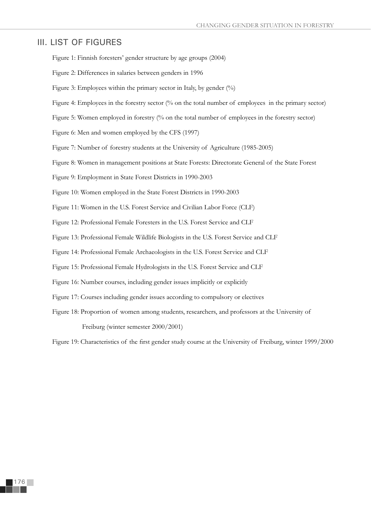# III. LIST OF FIGURES

- Figure 1: Finnish foresters' gender structure by age groups (2004)
- Figure 2: Differences in salaries between genders in 1996
- Figure 3: Employees within the primary sector in Italy, by gender (%)
- Figure 4: Employees in the forestry sector (% on the total number of employees in the primary sector)
- Figure 5: Women employed in forestry (% on the total number of employees in the forestry sector)
- Figure 6: Men and women employed by the CFS (1997)
- Figure 7: Number of forestry students at the University of Agriculture (1985-2005)
- Figure 8: Women in management positions at State Forests: Directorate General of the State Forest
- Figure 9: Employment in State Forest Districts in 1990-2003
- Figure 10: Women employed in the State Forest Districts in 1990-2003
- Figure 11: Women in the U.S. Forest Service and Civilian Labor Force (CLF)
- Figure 12: Professional Female Foresters in the U.S. Forest Service and CLF
- Figure 13: Professional Female Wildlife Biologists in the U.S. Forest Service and CLF
- Figure 14: Professional Female Archaeologists in the U.S. Forest Service and CLF
- Figure 15: Professional Female Hydrologists in the U.S. Forest Service and CLF
- Figure 16: Number courses, including gender issues implicitly or explicitly
- Figure 17: Courses including gender issues according to compulsory or electives
- Figure 18: Proportion of women among students, researchers, and professors at the University of Freiburg (winter semester 2000/2001)

Figure 19: Characteristics of the first gender study course at the University of Freiburg, winter 1999/2000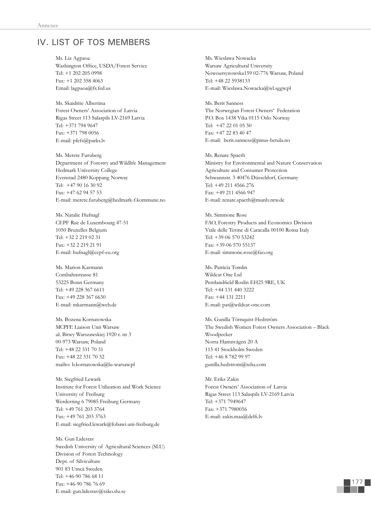# IV. LIST OF TOS MEMBERS

Ms. Liz Agpaoa Washington Office, USDA/Forest Service Tel: +1 202 205 0998 Fax: +1 202 358 4063 Email: lagpaoa@fs.fed.us

Ms. Skaidrite Albertina Forest Owners' Association of Latvia Rigas Street 113 Salaspils LV-2169 Latvia Tel: +371 794 9647 Fax: +371 798 0056 E-mail: pfefs@parks.lv

Ms. Merete Furuberg Department of Forestry and Wildlife Management Hedmark University College Evenstad 2480 Koppang Norway Tel: +47 90 16 30 92 Fax: +47 62 94 57 53 E-mail: merete.furuberg@hedmark-f.kommune.no

Ms. Natalie Hufnagl CEPF Rue de Luxembourg 47-51 1050 Bruxelles Belgium Tel: +32 2 219 02 31 Fax: +32 2 219 21 91 E-mail: hufnagl@cepf-eu.org

Ms. Marion Karmann Combahnstrasse 81 53225 Bonn Germany Tel: +49 228 367 6611 Fax: +49 228 367 6630 E-mail: mkarmann@web.de

Ms. Bozena Kornatowska MCPFE Liaison Unit Warsaw ul. Bitwy Warszawskiej 1920 r. nr 3 00-973 Warsaw, Poland Tel: +48 22 331 70 31 Fax: +48 22 331 70 32 mailto: b.kornatowska@lu-warsaw.pl

Mr. Siegfried Lewark Institute for Forest Utilization and Work Science University of Freiburg Werderring 6 79085 Freiburg Germany Tel: +49 761 203 3764 Fax: +49 761 203 3763 E-mail: siegfried.lewark@fobawi.uni-freiburg.de

Ms. Gun Lidestav Swedish University of Agricultural Sciences (SLU) Division of Forest Technology Dept. of Silviculture 901 83 Umeå Sweden Tel: +46-90 786 68 11 Fax: +46-90 786 76 69 E-mail: gun.lidestav@ssko.slu.se

Ms. Wieslawa Nowacka Warsaw Agricultural University Nowoursynowska159 02-776 Warsaw, Poland Tel: +48 22 5938133 E-mail: Wieslawa.Nowacka@wl.sggw.pl

Ms. Berit Sanness The Norwegian Forest Owners' Federation P.O. Box 1438 Vika 0115 Oslo Norway Tel: +47 22 01 05 50 Fax: +47 22 83 40 47 E-mail: berit.sanness@pinus-betula.no

Ms. Renate Spaeth Ministry for Environmental and Nature Conservation Agriculture and Consumer Protection Schwannstr. 3 40476 Düsseldorf, Germany Tel: +49 211 4566 276 Fax: +49 211 4566 947 E-mail: renate.spaeth@munlv.nrw.de

Ms. Simmone Rose FAO, Forestry Products and Economics Division Viale delle Terme di Caracalla 00100 Roma Italy Tel: +39-06 570 53242 Fax: +39-06 570 55137 E-mail: simmone.rose@fao.org

Ms. Patricia Tomlin Wildcat One Ltd Pentlandfield Roslin EH25 9RE, UK Tel: +44 131 440 3222 Fax: +44 131 2211 E-mail: pat@wildcat-one.com

Ms. Gunilla Törnquist-Hedström The Swedish Women Forest Owners Association – Black Woodpecker Norra Hamnvägen 20 A 115 41 Stockholm Sweden Tel: +46 8 782 99 97 gunilla.hedstrom@telia.com

Mr. Eriks Zakis Forest Owners' Association of Latvia Rigas Street 113 Salaspils LV-2169 Latvia Tel: +371 7949647 Fax: +371 7980056 E-mail: zakis.maa@delfi.lv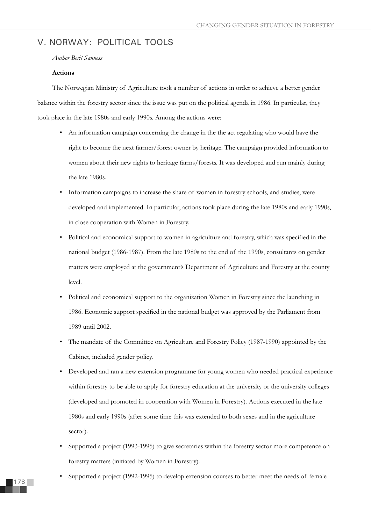# V. NORWAY: POLITICAL TOOLS

*Author Berit Sanness*

### **Actions**

The Norwegian Ministry of Agriculture took a number of actions in order to achieve a better gender balance within the forestry sector since the issue was put on the political agenda in 1986. In particular, they took place in the late 1980s and early 1990s. Among the actions were:

- An information campaign concerning the change in the the act regulating who would have the right to become the next farmer/forest owner by heritage. The campaign provided information to women about their new rights to heritage farms/forests. It was developed and run mainly during the late 1980s.
- Information campaigns to increase the share of women in forestry schools, and studies, were developed and implemented. In particular, actions took place during the late 1980s and early 1990s, in close cooperation with Women in Forestry.
- Political and economical support to women in agriculture and forestry, which was specified in the national budget (1986-1987). From the late 1980s to the end of the 1990s, consultants on gender matters were employed at the government's Department of Agriculture and Forestry at the county level.
- Political and economical support to the organization Women in Forestry since the launching in 1986. Economic support specified in the national budget was approved by the Parliament from 1989 until 2002.
- The mandate of the Committee on Agriculture and Forestry Policy (1987-1990) appointed by the Cabinet, included gender policy.
- Developed and ran a new extension programme for young women who needed practical experience within forestry to be able to apply for forestry education at the university or the university colleges (developed and promoted in cooperation with Women in Forestry). Actions executed in the late 1980s and early 1990s (after some time this was extended to both sexes and in the agriculture sector).
- Supported a project (1993-1995) to give secretaries within the forestry sector more competence on forestry matters (initiated by Women in Forestry).
- Supported a project (1992-1995) to develop extension courses to better meet the needs of female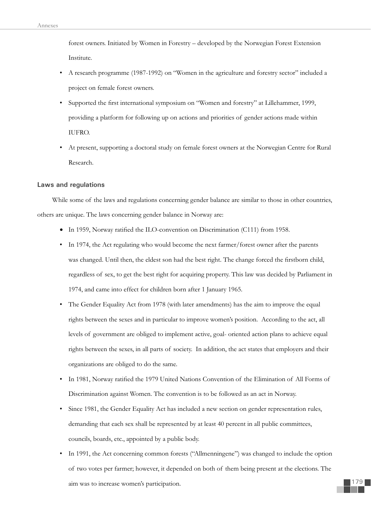forest owners. Initiated by Women in Forestry – developed by the Norwegian Forest Extension Institute.

- A research programme (1987-1992) on "Women in the agriculture and forestry sector" included a project on female forest owners.
- Supported the first international symposium on "Women and forestry" at Lillehammer, 1999, providing a platform for following up on actions and priorities of gender actions made within IUFRO.
- At present, supporting a doctoral study on female forest owners at the Norwegian Centre for Rural Research.

### **Laws and regulations**

While some of the laws and regulations concerning gender balance are similar to those in other countries, others are unique. The laws concerning gender balance in Norway are:

- $\bullet$  In 1959, Norway ratified the ILO-convention on Discrimination (C111) from 1958.
- In 1974, the Act regulating who would become the next farmer/forest owner after the parents was changed. Until then, the eldest son had the best right. The change forced the firstborn child, regardless of sex, to get the best right for acquiring property. This law was decided by Parliament in 1974, and came into effect for children born after 1 January 1965.
- The Gender Equality Act from 1978 (with later amendments) has the aim to improve the equal rights between the sexes and in particular to improve women's position. According to the act, all levels of government are obliged to implement active, goal- oriented action plans to achieve equal rights between the sexes, in all parts of society. In addition, the act states that employers and their organizations are obliged to do the same.
- In 1981, Norway ratified the 1979 United Nations Convention of the Elimination of All Forms of Discrimination against Women. The convention is to be followed as an act in Norway.
- Since 1981, the Gender Equality Act has included a new section on gender representation rules, demanding that each sex shall be represented by at least 40 percent in all public committees, councils, boards, etc., appointed by a public body.
- In 1991, the Act concerning common forests ("Allmenningene") was changed to include the option of two votes per farmer; however, it depended on both of them being present at the elections. The aim was to increase women's participation.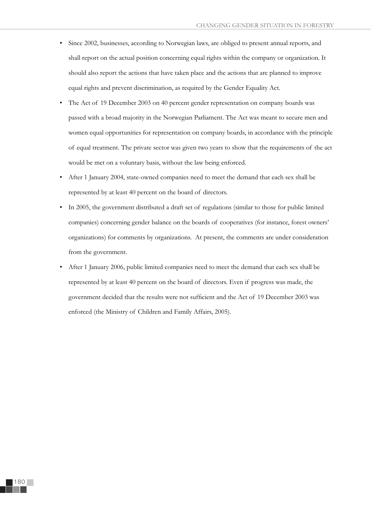- Since 2002, businesses, according to Norwegian laws, are obliged to present annual reports, and shall report on the actual position concerning equal rights within the company or organization. It should also report the actions that have taken place and the actions that are planned to improve equal rights and prevent discrimination, as required by the Gender Equality Act.
- The Act of 19 December 2003 on 40 percent gender representation on company boards was passed with a broad majority in the Norwegian Parliament. The Act was meant to secure men and women equal opportunities for representation on company boards, in accordance with the principle of equal treatment. The private sector was given two years to show that the requirements of the act would be met on a voluntary basis, without the law being enforced.
- After 1 January 2004, state-owned companies need to meet the demand that each sex shall be represented by at least 40 percent on the board of directors.
- In 2005, the government distributed a draft set of regulations (similar to those for public limited companies) concerning gender balance on the boards of cooperatives (for instance, forest owners' organizations) for comments by organizations. At present, the comments are under consideration from the government.
- After 1 January 2006, public limited companies need to meet the demand that each sex shall be represented by at least 40 percent on the board of directors. Even if progress was made, the government decided that the results were not sufficient and the Act of 19 December 2003 was enforced (the Ministry of Children and Family Affairs, 2005).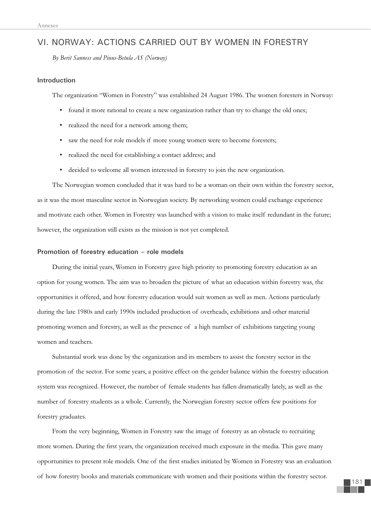# VI. NORWAY: ACTIONS CARRIED OUT BY WOMEN IN FORESTRY

*By Berit Sanness and Pinus-Betula AS (Norway)*

### **Introduction**

The organization "Women in Forestry" was established 24 August 1986. The women foresters in Norway:

- found it more rational to create a new organization rather than try to change the old ones;
- realized the need for a network among them;
- saw the need for role models if more young women were to become foresters;
- realized the need for establishing a contact address; and
- decided to welcome all women interested in forestry to join the new organization.

The Norwegian women concluded that it was hard to be a woman on their own within the forestry sector, as it was the most masculine sector in Norwegian society. By networking women could exchange experience and motivate each other. Women in Forestry was launched with a vision to make itself redundant in the future; however, the organization still exists as the mission is not yet completed.

### **Promotion of forestry education – role models**

During the initial years, Women in Forestry gave high priority to promoting forestry education as an option for young women. The aim was to broaden the picture of what an education within forestry was, the opportunities it offered, and how forestry education would suit women as well as men. Actions particularly during the late 1980s and early 1990s included production of overheads, exhibitions and other material promoting women and forestry, as well as the presence of a high number of exhibitions targeting young women and teachers.

Substantial work was done by the organization and its members to assist the forestry sector in the promotion of the sector. For some years, a positive effect on the gender balance within the forestry education system was recognized. However, the number of female students has fallen dramatically lately, as well as the number of forestry students as a whole. Currently, the Norwegian forestry sector offers few positions for forestry graduates.

From the very beginning, Women in Forestry saw the image of forestry as an obstacle to recruiting more women. During the first years, the organization received much exposure in the media. This gave many opportunities to present role models. One of the first studies initiated by Women in Forestry was an evaluation of how forestry books and materials communicate with women and their positions within the forestry sector.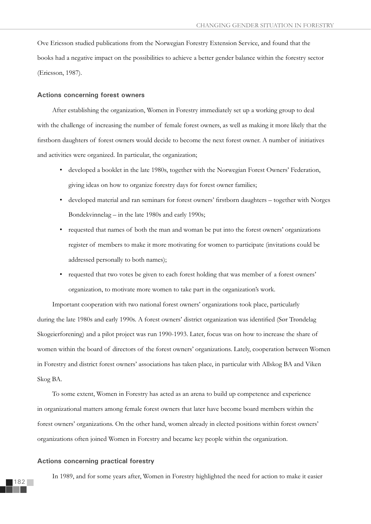Ove Ericsson studied publications from the Norwegian Forestry Extension Service, and found that the books had a negative impact on the possibilities to achieve a better gender balance within the forestry sector (Ericsson, 1987).

#### **Actions concerning forest owners**

After establishing the organization, Women in Forestry immediately set up a working group to deal with the challenge of increasing the number of female forest owners, as well as making it more likely that the firstborn daughters of forest owners would decide to become the next forest owner. A number of initiatives and activities were organized. In particular, the organization;

- developed a booklet in the late 1980s, together with the Norwegian Forest Owners' Federation, giving ideas on how to organize forestry days for forest owner families;
- developed material and ran seminars for forest owners' firstborn daughters together with Norges Bondekvinnelag – in the late 1980s and early 1990s;
- requested that names of both the man and woman be put into the forest owners' organizations register of members to make it more motivating for women to participate (invitations could be addressed personally to both names);
- requested that two votes be given to each forest holding that was member of a forest owners' organization, to motivate more women to take part in the organization's work.

Important cooperation with two national forest owners' organizations took place, particularly during the late 1980s and early 1990s. A forest owners' district organization was identified (Sør Trøndelag Skogeierforening) and a pilot project was run 1990-1993. Later, focus was on how to increase the share of women within the board of directors of the forest owners' organizations. Lately, cooperation between Women in Forestry and district forest owners' associations has taken place, in particular with Allskog BA and Viken Skog BA.

To some extent, Women in Forestry has acted as an arena to build up competence and experience in organizational matters among female forest owners that later have become board members within the forest owners' organizations. On the other hand, women already in elected positions within forest owners' organizations often joined Women in Forestry and became key people within the organization.

#### **Actions concerning practical forestry**

In 1989, and for some years after, Women in Forestry highlighted the need for action to make it easier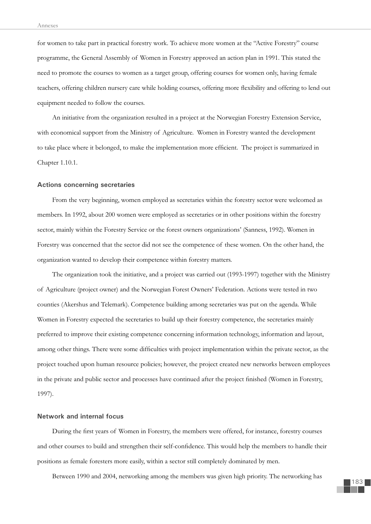for women to take part in practical forestry work. To achieve more women at the "Active Forestry" course programme, the General Assembly of Women in Forestry approved an action plan in 1991. This stated the need to promote the courses to women as a target group, offering courses for women only, having female teachers, offering children nursery care while holding courses, offering more flexibility and offering to lend out equipment needed to follow the courses.

An initiative from the organization resulted in a project at the Norwegian Forestry Extension Service, with economical support from the Ministry of Agriculture. Women in Forestry wanted the development to take place where it belonged, to make the implementation more efficient. The project is summarized in Chapter 1.10.1.

#### **Actions concerning secretaries**

From the very beginning, women employed as secretaries within the forestry sector were welcomed as members. In 1992, about 200 women were employed as secretaries or in other positions within the forestry sector, mainly within the Forestry Service or the forest owners organizations' (Sanness, 1992). Women in Forestry was concerned that the sector did not see the competence of these women. On the other hand, the organization wanted to develop their competence within forestry matters.

The organization took the initiative, and a project was carried out (1993-1997) together with the Ministry of Agriculture (project owner) and the Norwegian Forest Owners' Federation. Actions were tested in two counties (Akershus and Telemark). Competence building among secretaries was put on the agenda. While Women in Forestry expected the secretaries to build up their forestry competence, the secretaries mainly preferred to improve their existing competence concerning information technology, information and layout, among other things. There were some difficulties with project implementation within the private sector, as the project touched upon human resource policies; however, the project created new networks between employees in the private and public sector and processes have continued after the project finished (Women in Forestry, 1997).

### **Network and internal focus**

During the first years of Women in Forestry, the members were offered, for instance, forestry courses and other courses to build and strengthen their self-confidence. This would help the members to handle their positions as female foresters more easily, within a sector still completely dominated by men.

Between 1990 and 2004, networking among the members was given high priority. The networking has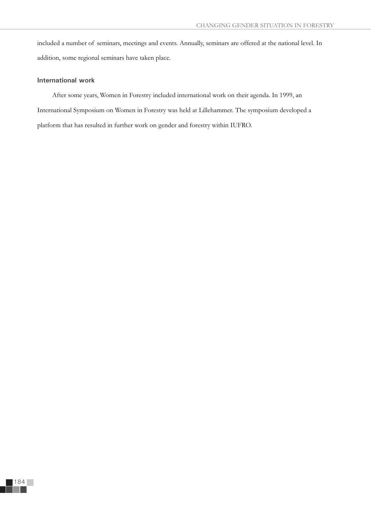included a number of seminars, meetings and events. Annually, seminars are offered at the national level. In addition, some regional seminars have taken place.

### **International work**

After some years, Women in Forestry included international work on their agenda. In 1999, an International Symposium on Women in Forestry was held at Lillehammer. The symposium developed a platform that has resulted in further work on gender and forestry within IUFRO.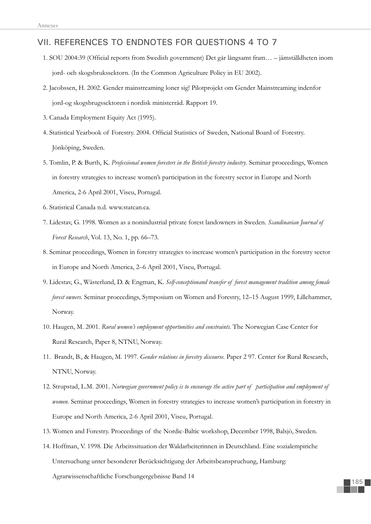# VII. REFERENCES TO ENDNOTES FOR QUESTIONS 4 TO 7

- 1. SOU 2004:39 (Official reports from Swedish government) Det går långsamt fram... jämställdheten inom jord- och skogsbrukssektorn. (In the Common Agriculture Policy in EU 2002).
- 2. Jacobssen, H. 2002. Gender mainstreaming loner sig! Pilotprojekt om Gender Mainstreaming indenfor jord-og skogsbrugssektoren i nordisk ministerråd. Rapport 19.
- 3. Canada Employment Equity Act (1995).
- 4. Statistical Yearbook of Forestry. 2004. Official Statistics of Sweden, National Board of Forestry. Jönköping, Sweden.
- 5. Tomlin, P. & Burth, K. *Professional women foresters in the British forestry industry*. Seminar proceedings, Women in forestry strategies to increase women's participation in the forestry sector in Europe and North America, 2-6 April 2001, Viseu, Portugal.
- 6. Statistical Canada n.d. www.statcan.ca.
- 7. Lidestav, G. 1998. Women as a nonindustrial private forest landowners in Sweden. *Scandinavian Journal of Forest Research*, Vol. 13, No. 1, pp. 66–73.
- 8. Seminar proceedings, Women in forestry strategies to increase women's participation in the forestry sector in Europe and North America, 2–6 April 2001, Viseu, Portugal.
- 9. Lidestav, G., Wästerlund, D. & Engman, K. *Self-conceptionand transfer of forest management tradition among female forest owners.* Seminar proceedings, Symposium on Women and Forestry, 12–15 August 1999, Lillehammer, Norway.
- 10. Haugen, M. 2001. *Rural women's employment opportunities and constraints.* The Norwegian Case Center for Rural Research, Paper 8, NTNU, Norway.
- 11. Brandt, B., & Haugen, M. 1997. *Gender relations in forestry discourse.* Paper 2 97. Center for Rural Research, NTNU, Norway.
- 12. Strupstad, L.M. 2001. *Norwegian government policy is to encourage the active part of participation and employment of women.* Seminar proceedings, Women in forestry strategies to increase women's participation in forestry in Europe and North America, 2-6 April 2001, Viseu, Portugal.
- 13. Women and Forestry. Proceedings of the Nordic-Baltic workshop, December 1998, Balsjö, Sweden.
- 14. Hoffman, V. 1998. Die Arbeitssituation der Waldarbeiterinnen in Deutschland. Eine sozialempiriche Untersuchung unter besonderer Berücksichtigung der Arbeitsbeanspruchung, Hamburg:

Agrarwissenschaftliche Forschungergebnisse Band 14